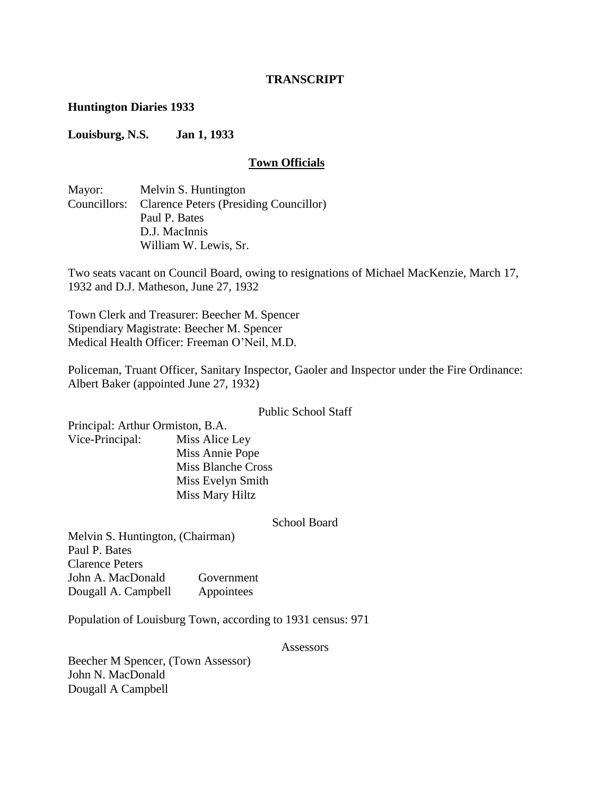#### **TRANSCRIPT**

#### **Huntington Diaries 1933**

#### **Louisburg, N.S. Jan 1, 1933**

#### **Town Officials**

Mayor: Melvin S. Huntington Councillors: Clarence Peters (Presiding Councillor) Paul P. Bates D.J. MacInnis William W. Lewis, Sr.

Two seats vacant on Council Board, owing to resignations of Michael MacKenzie, March 17, 1932 and D.J. Matheson, June 27, 1932

Town Clerk and Treasurer: Beecher M. Spencer Stipendiary Magistrate: Beecher M. Spencer Medical Health Officer: Freeman O"Neil, M.D.

Policeman, Truant Officer, Sanitary Inspector, Gaoler and Inspector under the Fire Ordinance: Albert Baker (appointed June 27, 1932)

#### Public School Staff

Principal: Arthur Ormiston, B.A. Vice-Principal: Miss Alice Ley Miss Annie Pope Miss Blanche Cross Miss Evelyn Smith Miss Mary Hiltz

#### School Board

Melvin S. Huntington, (Chairman) Paul P. Bates Clarence Peters John A. MacDonald Government Dougall A. Campbell Appointees

Population of Louisburg Town, according to 1931 census: 971

Assessors

Beecher M Spencer, (Town Assessor) John N. MacDonald Dougall A Campbell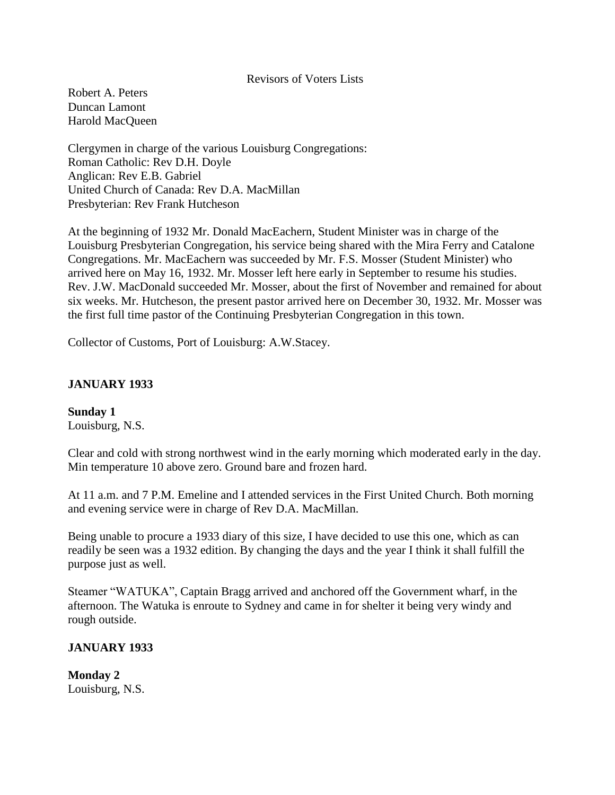#### Revisors of Voters Lists

Robert A. Peters Duncan Lamont Harold MacQueen

Clergymen in charge of the various Louisburg Congregations: Roman Catholic: Rev D.H. Doyle Anglican: Rev E.B. Gabriel United Church of Canada: Rev D.A. MacMillan Presbyterian: Rev Frank Hutcheson

At the beginning of 1932 Mr. Donald MacEachern, Student Minister was in charge of the Louisburg Presbyterian Congregation, his service being shared with the Mira Ferry and Catalone Congregations. Mr. MacEachern was succeeded by Mr. F.S. Mosser (Student Minister) who arrived here on May 16, 1932. Mr. Mosser left here early in September to resume his studies. Rev. J.W. MacDonald succeeded Mr. Mosser, about the first of November and remained for about six weeks. Mr. Hutcheson, the present pastor arrived here on December 30, 1932. Mr. Mosser was the first full time pastor of the Continuing Presbyterian Congregation in this town.

Collector of Customs, Port of Louisburg: A.W.Stacey.

### **JANUARY 1933**

**Sunday 1** Louisburg, N.S.

Clear and cold with strong northwest wind in the early morning which moderated early in the day. Min temperature 10 above zero. Ground bare and frozen hard.

At 11 a.m. and 7 P.M. Emeline and I attended services in the First United Church. Both morning and evening service were in charge of Rev D.A. MacMillan.

Being unable to procure a 1933 diary of this size, I have decided to use this one, which as can readily be seen was a 1932 edition. By changing the days and the year I think it shall fulfill the purpose just as well.

Steamer "WATUKA", Captain Bragg arrived and anchored off the Government wharf, in the afternoon. The Watuka is enroute to Sydney and came in for shelter it being very windy and rough outside.

### **JANUARY 1933**

**Monday 2** Louisburg, N.S.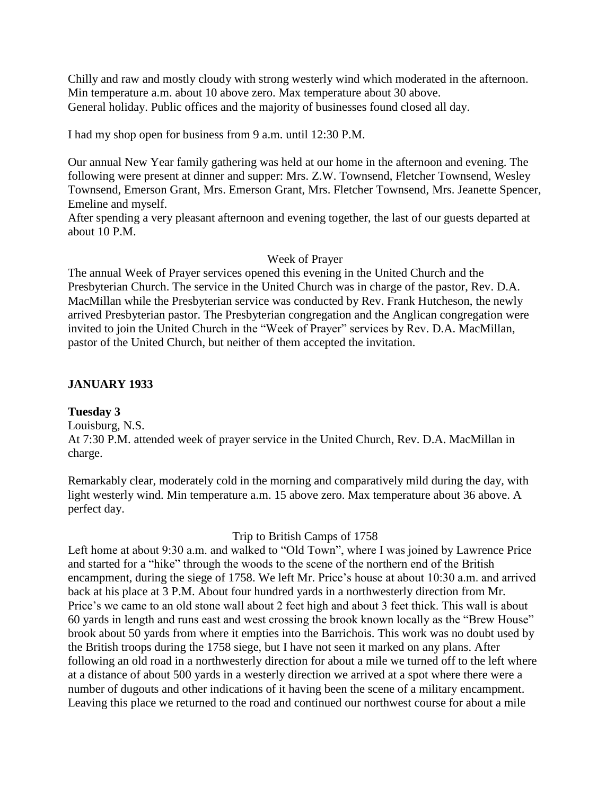Chilly and raw and mostly cloudy with strong westerly wind which moderated in the afternoon. Min temperature a.m. about 10 above zero. Max temperature about 30 above. General holiday. Public offices and the majority of businesses found closed all day.

I had my shop open for business from 9 a.m. until 12:30 P.M.

Our annual New Year family gathering was held at our home in the afternoon and evening. The following were present at dinner and supper: Mrs. Z.W. Townsend, Fletcher Townsend, Wesley Townsend, Emerson Grant, Mrs. Emerson Grant, Mrs. Fletcher Townsend, Mrs. Jeanette Spencer, Emeline and myself.

After spending a very pleasant afternoon and evening together, the last of our guests departed at about 10 P.M.

## Week of Prayer

The annual Week of Prayer services opened this evening in the United Church and the Presbyterian Church. The service in the United Church was in charge of the pastor, Rev. D.A. MacMillan while the Presbyterian service was conducted by Rev. Frank Hutcheson, the newly arrived Presbyterian pastor. The Presbyterian congregation and the Anglican congregation were invited to join the United Church in the "Week of Prayer" services by Rev. D.A. MacMillan, pastor of the United Church, but neither of them accepted the invitation.

## **JANUARY 1933**

## **Tuesday 3**

Louisburg, N.S.

At 7:30 P.M. attended week of prayer service in the United Church, Rev. D.A. MacMillan in charge.

Remarkably clear, moderately cold in the morning and comparatively mild during the day, with light westerly wind. Min temperature a.m. 15 above zero. Max temperature about 36 above. A perfect day.

## Trip to British Camps of 1758

Left home at about 9:30 a.m. and walked to "Old Town", where I was joined by Lawrence Price and started for a "hike" through the woods to the scene of the northern end of the British encampment, during the siege of 1758. We left Mr. Price's house at about 10:30 a.m. and arrived back at his place at 3 P.M. About four hundred yards in a northwesterly direction from Mr. Price's we came to an old stone wall about 2 feet high and about 3 feet thick. This wall is about 60 yards in length and runs east and west crossing the brook known locally as the "Brew House" brook about 50 yards from where it empties into the Barrichois. This work was no doubt used by the British troops during the 1758 siege, but I have not seen it marked on any plans. After following an old road in a northwesterly direction for about a mile we turned off to the left where at a distance of about 500 yards in a westerly direction we arrived at a spot where there were a number of dugouts and other indications of it having been the scene of a military encampment. Leaving this place we returned to the road and continued our northwest course for about a mile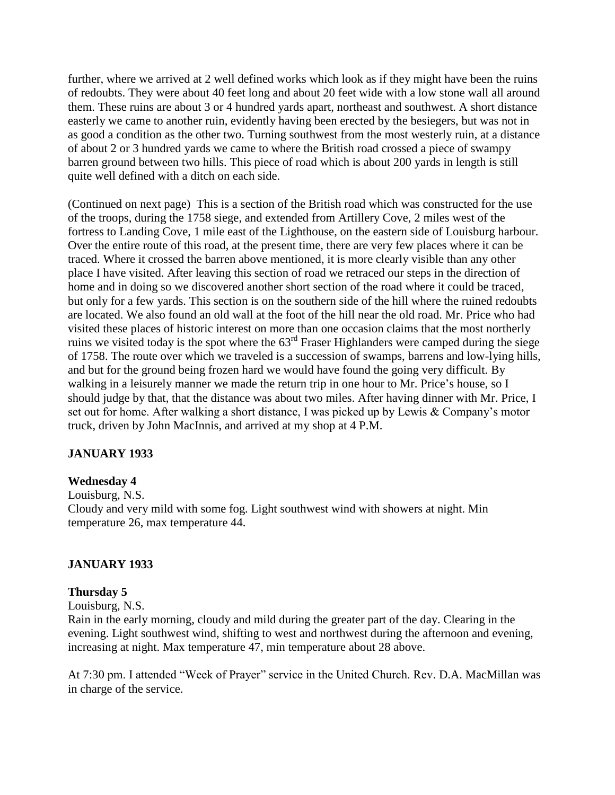further, where we arrived at 2 well defined works which look as if they might have been the ruins of redoubts. They were about 40 feet long and about 20 feet wide with a low stone wall all around them. These ruins are about 3 or 4 hundred yards apart, northeast and southwest. A short distance easterly we came to another ruin, evidently having been erected by the besiegers, but was not in as good a condition as the other two. Turning southwest from the most westerly ruin, at a distance of about 2 or 3 hundred yards we came to where the British road crossed a piece of swampy barren ground between two hills. This piece of road which is about 200 yards in length is still quite well defined with a ditch on each side.

(Continued on next page) This is a section of the British road which was constructed for the use of the troops, during the 1758 siege, and extended from Artillery Cove, 2 miles west of the fortress to Landing Cove, 1 mile east of the Lighthouse, on the eastern side of Louisburg harbour. Over the entire route of this road, at the present time, there are very few places where it can be traced. Where it crossed the barren above mentioned, it is more clearly visible than any other place I have visited. After leaving this section of road we retraced our steps in the direction of home and in doing so we discovered another short section of the road where it could be traced, but only for a few yards. This section is on the southern side of the hill where the ruined redoubts are located. We also found an old wall at the foot of the hill near the old road. Mr. Price who had visited these places of historic interest on more than one occasion claims that the most northerly ruins we visited today is the spot where the 63<sup>rd</sup> Fraser Highlanders were camped during the siege of 1758. The route over which we traveled is a succession of swamps, barrens and low-lying hills, and but for the ground being frozen hard we would have found the going very difficult. By walking in a leisurely manner we made the return trip in one hour to Mr. Price's house, so I should judge by that, that the distance was about two miles. After having dinner with Mr. Price, I set out for home. After walking a short distance, I was picked up by Lewis & Company"s motor truck, driven by John MacInnis, and arrived at my shop at 4 P.M.

## **JANUARY 1933**

### **Wednesday 4**

Louisburg, N.S.

Cloudy and very mild with some fog. Light southwest wind with showers at night. Min temperature 26, max temperature 44.

### **JANUARY 1933**

### **Thursday 5**

Louisburg, N.S.

Rain in the early morning, cloudy and mild during the greater part of the day. Clearing in the evening. Light southwest wind, shifting to west and northwest during the afternoon and evening, increasing at night. Max temperature 47, min temperature about 28 above.

At 7:30 pm. I attended "Week of Prayer" service in the United Church. Rev. D.A. MacMillan was in charge of the service.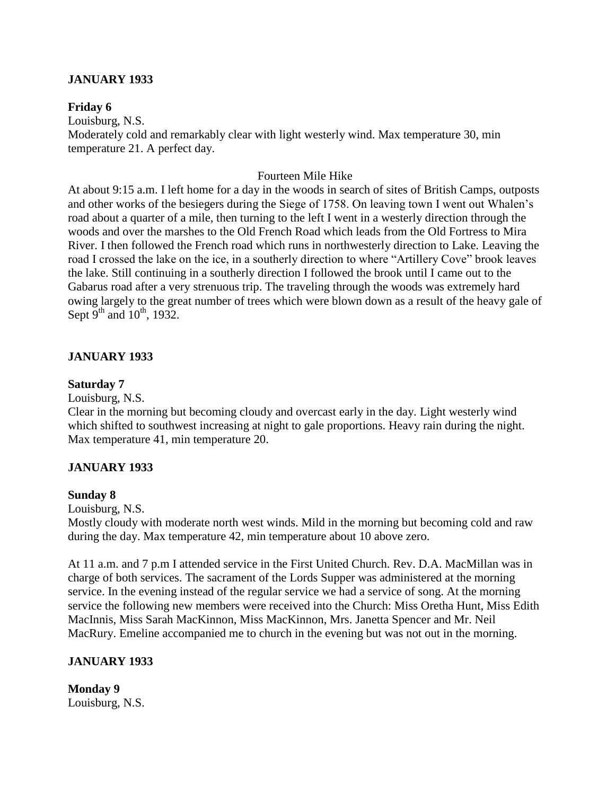## **JANUARY 1933**

### **Friday 6**

Louisburg, N.S. Moderately cold and remarkably clear with light westerly wind. Max temperature 30, min temperature 21. A perfect day.

### Fourteen Mile Hike

At about 9:15 a.m. I left home for a day in the woods in search of sites of British Camps, outposts and other works of the besiegers during the Siege of 1758. On leaving town I went out Whalen"s road about a quarter of a mile, then turning to the left I went in a westerly direction through the woods and over the marshes to the Old French Road which leads from the Old Fortress to Mira River. I then followed the French road which runs in northwesterly direction to Lake. Leaving the road I crossed the lake on the ice, in a southerly direction to where "Artillery Cove" brook leaves the lake. Still continuing in a southerly direction I followed the brook until I came out to the Gabarus road after a very strenuous trip. The traveling through the woods was extremely hard owing largely to the great number of trees which were blown down as a result of the heavy gale of Sept  $9^{th}$  and  $10^{th}$ , 1932.

### **JANUARY 1933**

#### **Saturday 7**

Louisburg, N.S.

Clear in the morning but becoming cloudy and overcast early in the day. Light westerly wind which shifted to southwest increasing at night to gale proportions. Heavy rain during the night. Max temperature 41, min temperature 20.

#### **JANUARY 1933**

#### **Sunday 8**

Louisburg, N.S.

Mostly cloudy with moderate north west winds. Mild in the morning but becoming cold and raw during the day. Max temperature 42, min temperature about 10 above zero.

At 11 a.m. and 7 p.m I attended service in the First United Church. Rev. D.A. MacMillan was in charge of both services. The sacrament of the Lords Supper was administered at the morning service. In the evening instead of the regular service we had a service of song. At the morning service the following new members were received into the Church: Miss Oretha Hunt, Miss Edith MacInnis, Miss Sarah MacKinnon, Miss MacKinnon, Mrs. Janetta Spencer and Mr. Neil MacRury. Emeline accompanied me to church in the evening but was not out in the morning.

#### **JANUARY 1933**

**Monday 9** Louisburg, N.S.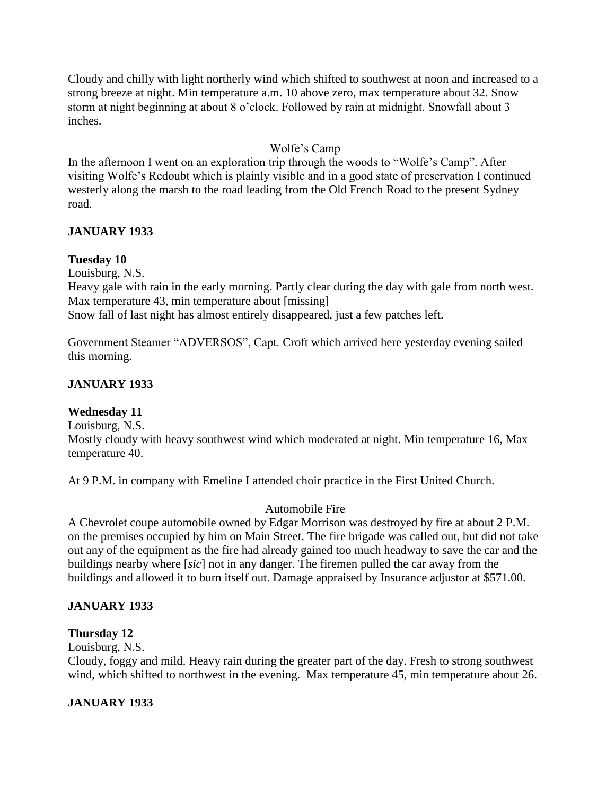Cloudy and chilly with light northerly wind which shifted to southwest at noon and increased to a strong breeze at night. Min temperature a.m. 10 above zero, max temperature about 32. Snow storm at night beginning at about 8 o'clock. Followed by rain at midnight. Snowfall about 3 inches.

# Wolfe"s Camp

In the afternoon I went on an exploration trip through the woods to "Wolfe's Camp". After visiting Wolfe"s Redoubt which is plainly visible and in a good state of preservation I continued westerly along the marsh to the road leading from the Old French Road to the present Sydney road.

## **JANUARY 1933**

## **Tuesday 10**

Louisburg, N.S.

Heavy gale with rain in the early morning. Partly clear during the day with gale from north west. Max temperature 43, min temperature about [missing] Snow fall of last night has almost entirely disappeared, just a few patches left.

Government Steamer "ADVERSOS", Capt. Croft which arrived here yesterday evening sailed this morning.

## **JANUARY 1933**

## **Wednesday 11**

Louisburg, N.S.

Mostly cloudy with heavy southwest wind which moderated at night. Min temperature 16, Max temperature 40.

At 9 P.M. in company with Emeline I attended choir practice in the First United Church.

## Automobile Fire

A Chevrolet coupe automobile owned by Edgar Morrison was destroyed by fire at about 2 P.M. on the premises occupied by him on Main Street. The fire brigade was called out, but did not take out any of the equipment as the fire had already gained too much headway to save the car and the buildings nearby where [*sic*] not in any danger. The firemen pulled the car away from the buildings and allowed it to burn itself out. Damage appraised by Insurance adjustor at \$571.00.

# **JANUARY 1933**

## **Thursday 12**

Louisburg, N.S.

Cloudy, foggy and mild. Heavy rain during the greater part of the day. Fresh to strong southwest wind, which shifted to northwest in the evening. Max temperature 45, min temperature about 26.

## **JANUARY 1933**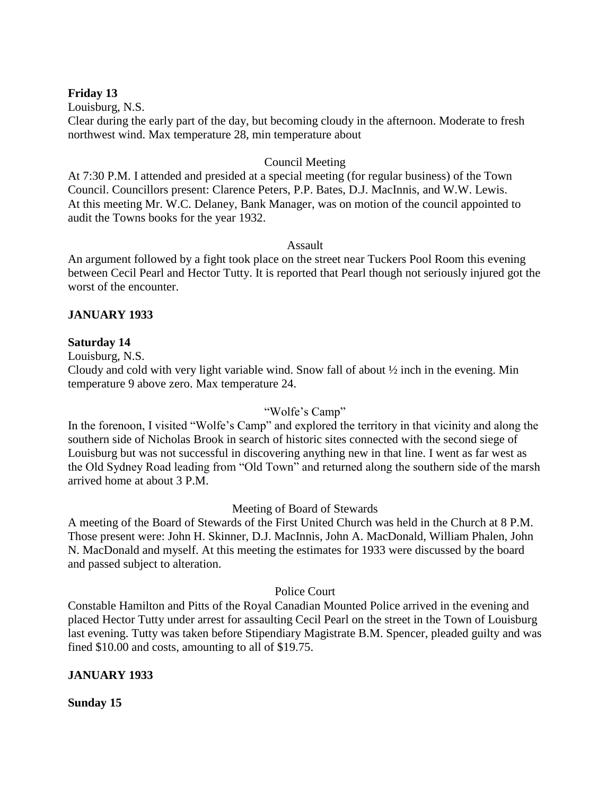## **Friday 13**

Louisburg, N.S.

Clear during the early part of the day, but becoming cloudy in the afternoon. Moderate to fresh northwest wind. Max temperature 28, min temperature about

### Council Meeting

At 7:30 P.M. I attended and presided at a special meeting (for regular business) of the Town Council. Councillors present: Clarence Peters, P.P. Bates, D.J. MacInnis, and W.W. Lewis. At this meeting Mr. W.C. Delaney, Bank Manager, was on motion of the council appointed to audit the Towns books for the year 1932.

### Assault

An argument followed by a fight took place on the street near Tuckers Pool Room this evening between Cecil Pearl and Hector Tutty. It is reported that Pearl though not seriously injured got the worst of the encounter.

## **JANUARY 1933**

## **Saturday 14**

Louisburg, N.S.

Cloudy and cold with very light variable wind. Snow fall of about ½ inch in the evening. Min temperature 9 above zero. Max temperature 24.

## "Wolfe"s Camp"

In the forenoon, I visited "Wolfe's Camp" and explored the territory in that vicinity and along the southern side of Nicholas Brook in search of historic sites connected with the second siege of Louisburg but was not successful in discovering anything new in that line. I went as far west as the Old Sydney Road leading from "Old Town" and returned along the southern side of the marsh arrived home at about 3 P.M.

### Meeting of Board of Stewards

A meeting of the Board of Stewards of the First United Church was held in the Church at 8 P.M. Those present were: John H. Skinner, D.J. MacInnis, John A. MacDonald, William Phalen, John N. MacDonald and myself. At this meeting the estimates for 1933 were discussed by the board and passed subject to alteration.

### Police Court

Constable Hamilton and Pitts of the Royal Canadian Mounted Police arrived in the evening and placed Hector Tutty under arrest for assaulting Cecil Pearl on the street in the Town of Louisburg last evening. Tutty was taken before Stipendiary Magistrate B.M. Spencer, pleaded guilty and was fined \$10.00 and costs, amounting to all of \$19.75.

### **JANUARY 1933**

**Sunday 15**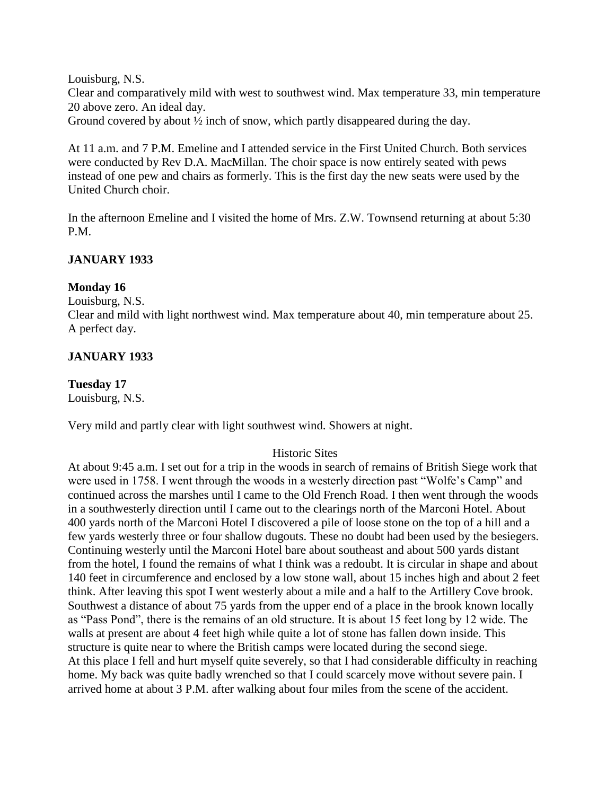Louisburg, N.S.

Clear and comparatively mild with west to southwest wind. Max temperature 33, min temperature 20 above zero. An ideal day.

Ground covered by about ½ inch of snow, which partly disappeared during the day.

At 11 a.m. and 7 P.M. Emeline and I attended service in the First United Church. Both services were conducted by Rev D.A. MacMillan. The choir space is now entirely seated with pews instead of one pew and chairs as formerly. This is the first day the new seats were used by the United Church choir.

In the afternoon Emeline and I visited the home of Mrs. Z.W. Townsend returning at about 5:30 P.M.

## **JANUARY 1933**

## **Monday 16**

Louisburg, N.S.

Clear and mild with light northwest wind. Max temperature about 40, min temperature about 25. A perfect day.

## **JANUARY 1933**

## **Tuesday 17**

Louisburg, N.S.

Very mild and partly clear with light southwest wind. Showers at night.

## Historic Sites

At about 9:45 a.m. I set out for a trip in the woods in search of remains of British Siege work that were used in 1758. I went through the woods in a westerly direction past "Wolfe"s Camp" and continued across the marshes until I came to the Old French Road. I then went through the woods in a southwesterly direction until I came out to the clearings north of the Marconi Hotel. About 400 yards north of the Marconi Hotel I discovered a pile of loose stone on the top of a hill and a few yards westerly three or four shallow dugouts. These no doubt had been used by the besiegers. Continuing westerly until the Marconi Hotel bare about southeast and about 500 yards distant from the hotel, I found the remains of what I think was a redoubt. It is circular in shape and about 140 feet in circumference and enclosed by a low stone wall, about 15 inches high and about 2 feet think. After leaving this spot I went westerly about a mile and a half to the Artillery Cove brook. Southwest a distance of about 75 yards from the upper end of a place in the brook known locally as "Pass Pond", there is the remains of an old structure. It is about 15 feet long by 12 wide. The walls at present are about 4 feet high while quite a lot of stone has fallen down inside. This structure is quite near to where the British camps were located during the second siege. At this place I fell and hurt myself quite severely, so that I had considerable difficulty in reaching home. My back was quite badly wrenched so that I could scarcely move without severe pain. I arrived home at about 3 P.M. after walking about four miles from the scene of the accident.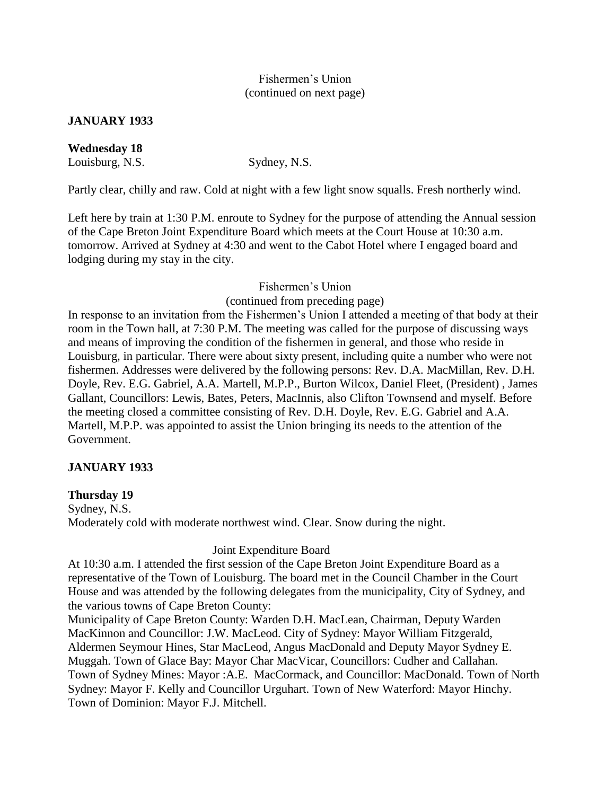## Fishermen"s Union (continued on next page)

## **JANUARY 1933**

**Wednesday 18** Louisburg, N.S. Sydney, N.S.

Partly clear, chilly and raw. Cold at night with a few light snow squalls. Fresh northerly wind.

Left here by train at 1:30 P.M. enroute to Sydney for the purpose of attending the Annual session of the Cape Breton Joint Expenditure Board which meets at the Court House at 10:30 a.m. tomorrow. Arrived at Sydney at 4:30 and went to the Cabot Hotel where I engaged board and lodging during my stay in the city.

## Fishermen"s Union

(continued from preceding page)

In response to an invitation from the Fishermen's Union I attended a meeting of that body at their room in the Town hall, at 7:30 P.M. The meeting was called for the purpose of discussing ways and means of improving the condition of the fishermen in general, and those who reside in Louisburg, in particular. There were about sixty present, including quite a number who were not fishermen. Addresses were delivered by the following persons: Rev. D.A. MacMillan, Rev. D.H. Doyle, Rev. E.G. Gabriel, A.A. Martell, M.P.P., Burton Wilcox, Daniel Fleet, (President) , James Gallant, Councillors: Lewis, Bates, Peters, MacInnis, also Clifton Townsend and myself. Before the meeting closed a committee consisting of Rev. D.H. Doyle, Rev. E.G. Gabriel and A.A. Martell, M.P.P. was appointed to assist the Union bringing its needs to the attention of the Government.

## **JANUARY 1933**

## **Thursday 19**

Sydney, N.S. Moderately cold with moderate northwest wind. Clear. Snow during the night.

## Joint Expenditure Board

At 10:30 a.m. I attended the first session of the Cape Breton Joint Expenditure Board as a representative of the Town of Louisburg. The board met in the Council Chamber in the Court House and was attended by the following delegates from the municipality, City of Sydney, and the various towns of Cape Breton County:

Municipality of Cape Breton County: Warden D.H. MacLean, Chairman, Deputy Warden MacKinnon and Councillor: J.W. MacLeod. City of Sydney: Mayor William Fitzgerald, Aldermen Seymour Hines, Star MacLeod, Angus MacDonald and Deputy Mayor Sydney E. Muggah. Town of Glace Bay: Mayor Char MacVicar, Councillors: Cudher and Callahan. Town of Sydney Mines: Mayor :A.E. MacCormack, and Councillor: MacDonald. Town of North Sydney: Mayor F. Kelly and Councillor Urguhart. Town of New Waterford: Mayor Hinchy. Town of Dominion: Mayor F.J. Mitchell.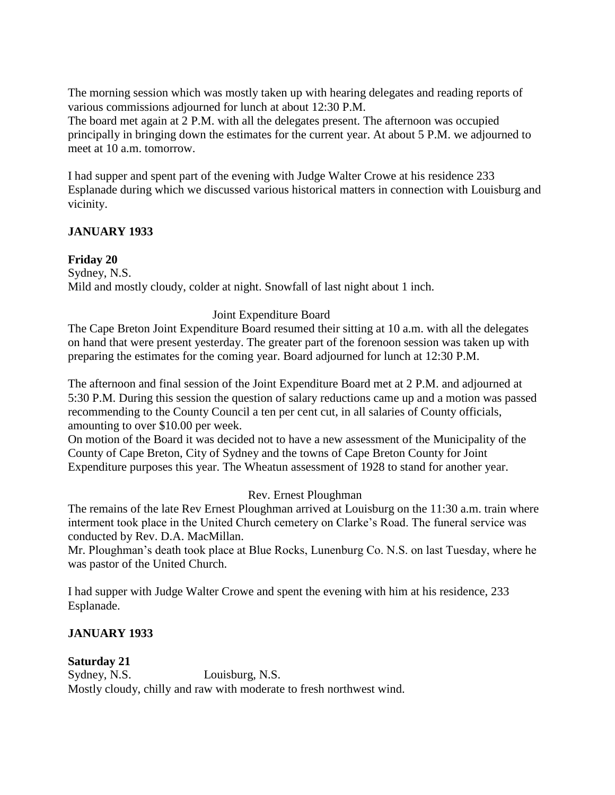The morning session which was mostly taken up with hearing delegates and reading reports of various commissions adjourned for lunch at about 12:30 P.M.

The board met again at 2 P.M. with all the delegates present. The afternoon was occupied principally in bringing down the estimates for the current year. At about 5 P.M. we adjourned to meet at 10 a.m. tomorrow.

I had supper and spent part of the evening with Judge Walter Crowe at his residence 233 Esplanade during which we discussed various historical matters in connection with Louisburg and vicinity.

## **JANUARY 1933**

## **Friday 20**

Sydney, N.S. Mild and mostly cloudy, colder at night. Snowfall of last night about 1 inch.

## Joint Expenditure Board

The Cape Breton Joint Expenditure Board resumed their sitting at 10 a.m. with all the delegates on hand that were present yesterday. The greater part of the forenoon session was taken up with preparing the estimates for the coming year. Board adjourned for lunch at 12:30 P.M.

The afternoon and final session of the Joint Expenditure Board met at 2 P.M. and adjourned at 5:30 P.M. During this session the question of salary reductions came up and a motion was passed recommending to the County Council a ten per cent cut, in all salaries of County officials, amounting to over \$10.00 per week.

On motion of the Board it was decided not to have a new assessment of the Municipality of the County of Cape Breton, City of Sydney and the towns of Cape Breton County for Joint Expenditure purposes this year. The Wheatun assessment of 1928 to stand for another year.

## Rev. Ernest Ploughman

The remains of the late Rev Ernest Ploughman arrived at Louisburg on the 11:30 a.m. train where interment took place in the United Church cemetery on Clarke's Road. The funeral service was conducted by Rev. D.A. MacMillan.

Mr. Ploughman's death took place at Blue Rocks, Lunenburg Co. N.S. on last Tuesday, where he was pastor of the United Church.

I had supper with Judge Walter Crowe and spent the evening with him at his residence, 233 Esplanade.

## **JANUARY 1933**

# **Saturday 21**

Sydney, N.S. Louisburg, N.S. Mostly cloudy, chilly and raw with moderate to fresh northwest wind.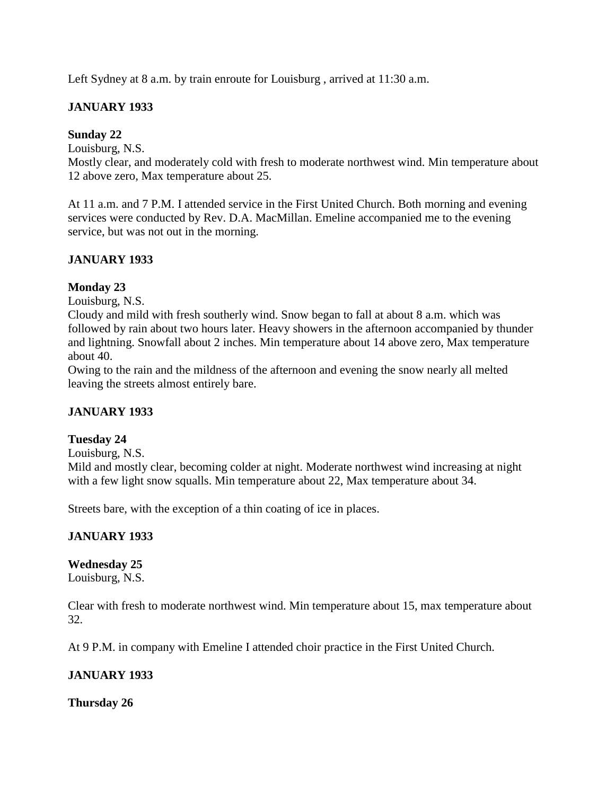Left Sydney at 8 a.m. by train enroute for Louisburg, arrived at 11:30 a.m.

# **JANUARY 1933**

## **Sunday 22**

Louisburg, N.S.

Mostly clear, and moderately cold with fresh to moderate northwest wind. Min temperature about 12 above zero, Max temperature about 25.

At 11 a.m. and 7 P.M. I attended service in the First United Church. Both morning and evening services were conducted by Rev. D.A. MacMillan. Emeline accompanied me to the evening service, but was not out in the morning.

# **JANUARY 1933**

## **Monday 23**

Louisburg, N.S.

Cloudy and mild with fresh southerly wind. Snow began to fall at about 8 a.m. which was followed by rain about two hours later. Heavy showers in the afternoon accompanied by thunder and lightning. Snowfall about 2 inches. Min temperature about 14 above zero, Max temperature about 40.

Owing to the rain and the mildness of the afternoon and evening the snow nearly all melted leaving the streets almost entirely bare.

# **JANUARY 1933**

## **Tuesday 24**

Louisburg, N.S.

Mild and mostly clear, becoming colder at night. Moderate northwest wind increasing at night with a few light snow squalls. Min temperature about 22, Max temperature about 34.

Streets bare, with the exception of a thin coating of ice in places.

## **JANUARY 1933**

# **Wednesday 25**

Louisburg, N.S.

Clear with fresh to moderate northwest wind. Min temperature about 15, max temperature about 32.

At 9 P.M. in company with Emeline I attended choir practice in the First United Church.

## **JANUARY 1933**

**Thursday 26**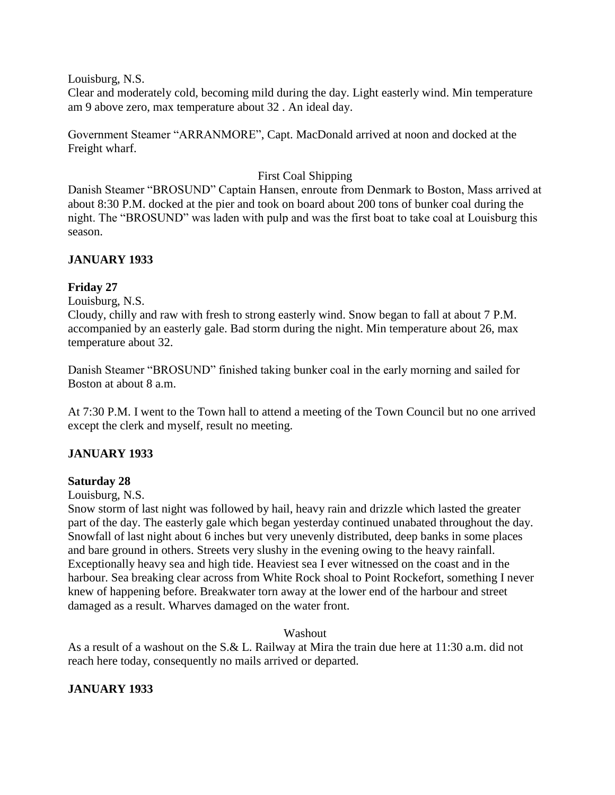Louisburg, N.S.

Clear and moderately cold, becoming mild during the day. Light easterly wind. Min temperature am 9 above zero, max temperature about 32 . An ideal day.

Government Steamer "ARRANMORE", Capt. MacDonald arrived at noon and docked at the Freight wharf.

## First Coal Shipping

Danish Steamer "BROSUND" Captain Hansen, enroute from Denmark to Boston, Mass arrived at about 8:30 P.M. docked at the pier and took on board about 200 tons of bunker coal during the night. The "BROSUND" was laden with pulp and was the first boat to take coal at Louisburg this season.

## **JANUARY 1933**

## **Friday 27**

Louisburg, N.S.

Cloudy, chilly and raw with fresh to strong easterly wind. Snow began to fall at about 7 P.M. accompanied by an easterly gale. Bad storm during the night. Min temperature about 26, max temperature about 32.

Danish Steamer "BROSUND" finished taking bunker coal in the early morning and sailed for Boston at about 8 a.m.

At 7:30 P.M. I went to the Town hall to attend a meeting of the Town Council but no one arrived except the clerk and myself, result no meeting.

## **JANUARY 1933**

### **Saturday 28**

Louisburg, N.S.

Snow storm of last night was followed by hail, heavy rain and drizzle which lasted the greater part of the day. The easterly gale which began yesterday continued unabated throughout the day. Snowfall of last night about 6 inches but very unevenly distributed, deep banks in some places and bare ground in others. Streets very slushy in the evening owing to the heavy rainfall. Exceptionally heavy sea and high tide. Heaviest sea I ever witnessed on the coast and in the harbour. Sea breaking clear across from White Rock shoal to Point Rockefort, something I never knew of happening before. Breakwater torn away at the lower end of the harbour and street damaged as a result. Wharves damaged on the water front.

### Washout

As a result of a washout on the S.& L. Railway at Mira the train due here at 11:30 a.m. did not reach here today, consequently no mails arrived or departed.

## **JANUARY 1933**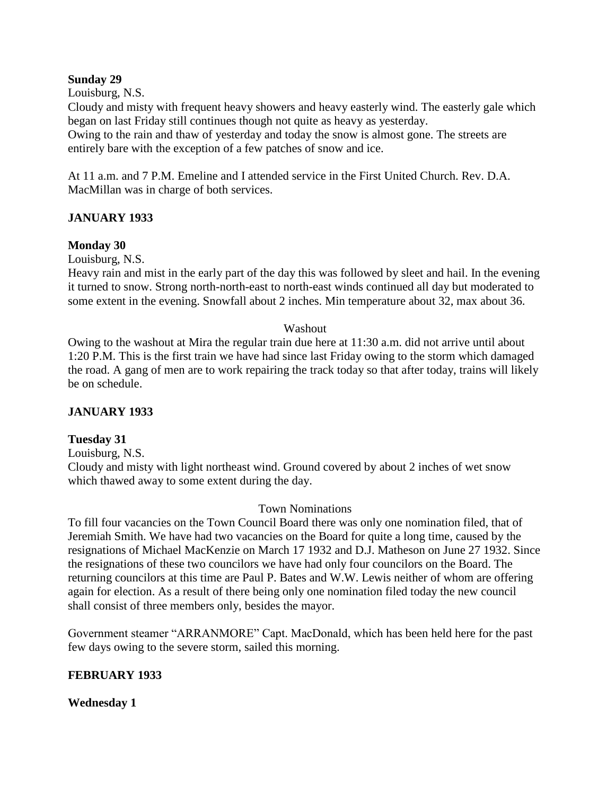### **Sunday 29**

Louisburg, N.S.

Cloudy and misty with frequent heavy showers and heavy easterly wind. The easterly gale which began on last Friday still continues though not quite as heavy as yesterday.

Owing to the rain and thaw of yesterday and today the snow is almost gone. The streets are entirely bare with the exception of a few patches of snow and ice.

At 11 a.m. and 7 P.M. Emeline and I attended service in the First United Church. Rev. D.A. MacMillan was in charge of both services.

## **JANUARY 1933**

## **Monday 30**

Louisburg, N.S.

Heavy rain and mist in the early part of the day this was followed by sleet and hail. In the evening it turned to snow. Strong north-north-east to north-east winds continued all day but moderated to some extent in the evening. Snowfall about 2 inches. Min temperature about 32, max about 36.

### Washout

Owing to the washout at Mira the regular train due here at 11:30 a.m. did not arrive until about 1:20 P.M. This is the first train we have had since last Friday owing to the storm which damaged the road. A gang of men are to work repairing the track today so that after today, trains will likely be on schedule.

## **JANUARY 1933**

### **Tuesday 31**

Louisburg, N.S.

Cloudy and misty with light northeast wind. Ground covered by about 2 inches of wet snow which thawed away to some extent during the day.

### Town Nominations

To fill four vacancies on the Town Council Board there was only one nomination filed, that of Jeremiah Smith. We have had two vacancies on the Board for quite a long time, caused by the resignations of Michael MacKenzie on March 17 1932 and D.J. Matheson on June 27 1932. Since the resignations of these two councilors we have had only four councilors on the Board. The returning councilors at this time are Paul P. Bates and W.W. Lewis neither of whom are offering again for election. As a result of there being only one nomination filed today the new council shall consist of three members only, besides the mayor.

Government steamer "ARRANMORE" Capt. MacDonald, which has been held here for the past few days owing to the severe storm, sailed this morning.

### **FEBRUARY 1933**

### **Wednesday 1**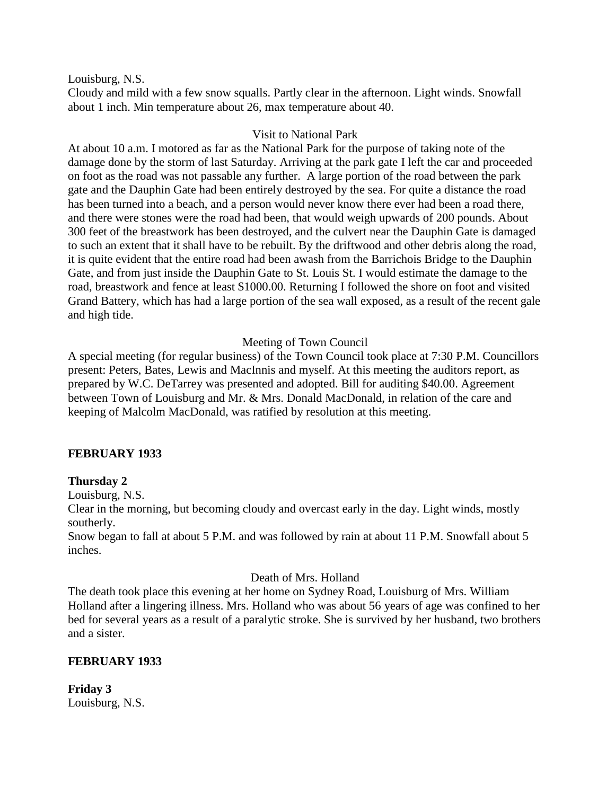Louisburg, N.S.

Cloudy and mild with a few snow squalls. Partly clear in the afternoon. Light winds. Snowfall about 1 inch. Min temperature about 26, max temperature about 40.

## Visit to National Park

At about 10 a.m. I motored as far as the National Park for the purpose of taking note of the damage done by the storm of last Saturday. Arriving at the park gate I left the car and proceeded on foot as the road was not passable any further. A large portion of the road between the park gate and the Dauphin Gate had been entirely destroyed by the sea. For quite a distance the road has been turned into a beach, and a person would never know there ever had been a road there, and there were stones were the road had been, that would weigh upwards of 200 pounds. About 300 feet of the breastwork has been destroyed, and the culvert near the Dauphin Gate is damaged to such an extent that it shall have to be rebuilt. By the driftwood and other debris along the road, it is quite evident that the entire road had been awash from the Barrichois Bridge to the Dauphin Gate, and from just inside the Dauphin Gate to St. Louis St. I would estimate the damage to the road, breastwork and fence at least \$1000.00. Returning I followed the shore on foot and visited Grand Battery, which has had a large portion of the sea wall exposed, as a result of the recent gale and high tide.

## Meeting of Town Council

A special meeting (for regular business) of the Town Council took place at 7:30 P.M. Councillors present: Peters, Bates, Lewis and MacInnis and myself. At this meeting the auditors report, as prepared by W.C. DeTarrey was presented and adopted. Bill for auditing \$40.00. Agreement between Town of Louisburg and Mr. & Mrs. Donald MacDonald, in relation of the care and keeping of Malcolm MacDonald, was ratified by resolution at this meeting.

## **FEBRUARY 1933**

### **Thursday 2**

Louisburg, N.S.

Clear in the morning, but becoming cloudy and overcast early in the day. Light winds, mostly southerly.

Snow began to fall at about 5 P.M. and was followed by rain at about 11 P.M. Snowfall about 5 inches.

### Death of Mrs. Holland

The death took place this evening at her home on Sydney Road, Louisburg of Mrs. William Holland after a lingering illness. Mrs. Holland who was about 56 years of age was confined to her bed for several years as a result of a paralytic stroke. She is survived by her husband, two brothers and a sister.

## **FEBRUARY 1933**

**Friday 3** Louisburg, N.S.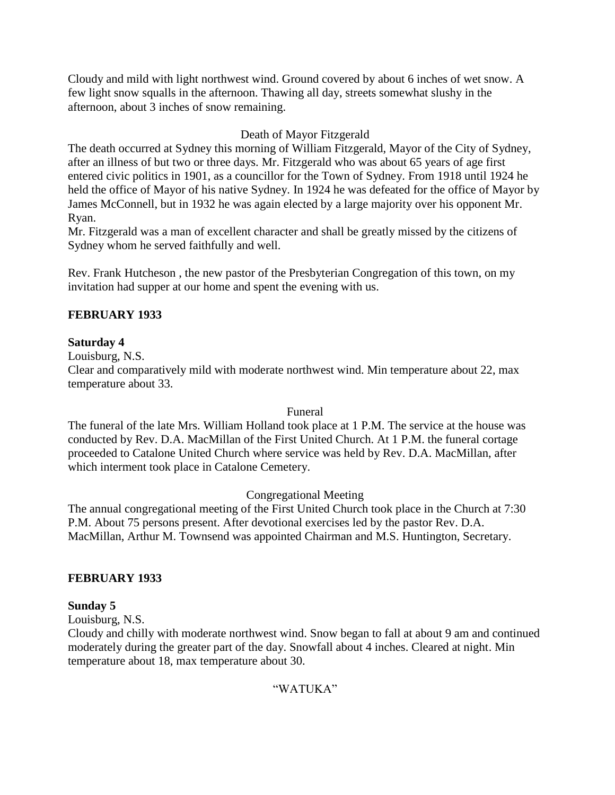Cloudy and mild with light northwest wind. Ground covered by about 6 inches of wet snow. A few light snow squalls in the afternoon. Thawing all day, streets somewhat slushy in the afternoon, about 3 inches of snow remaining.

## Death of Mayor Fitzgerald

The death occurred at Sydney this morning of William Fitzgerald, Mayor of the City of Sydney, after an illness of but two or three days. Mr. Fitzgerald who was about 65 years of age first entered civic politics in 1901, as a councillor for the Town of Sydney. From 1918 until 1924 he held the office of Mayor of his native Sydney. In 1924 he was defeated for the office of Mayor by James McConnell, but in 1932 he was again elected by a large majority over his opponent Mr. Ryan.

Mr. Fitzgerald was a man of excellent character and shall be greatly missed by the citizens of Sydney whom he served faithfully and well.

Rev. Frank Hutcheson , the new pastor of the Presbyterian Congregation of this town, on my invitation had supper at our home and spent the evening with us.

## **FEBRUARY 1933**

## **Saturday 4**

Louisburg, N.S.

Clear and comparatively mild with moderate northwest wind. Min temperature about 22, max temperature about 33.

### Funeral

The funeral of the late Mrs. William Holland took place at 1 P.M. The service at the house was conducted by Rev. D.A. MacMillan of the First United Church. At 1 P.M. the funeral cortage proceeded to Catalone United Church where service was held by Rev. D.A. MacMillan, after which interment took place in Catalone Cemetery.

## Congregational Meeting

The annual congregational meeting of the First United Church took place in the Church at 7:30 P.M. About 75 persons present. After devotional exercises led by the pastor Rev. D.A. MacMillan, Arthur M. Townsend was appointed Chairman and M.S. Huntington, Secretary.

## **FEBRUARY 1933**

## **Sunday 5**

Louisburg, N.S.

Cloudy and chilly with moderate northwest wind. Snow began to fall at about 9 am and continued moderately during the greater part of the day. Snowfall about 4 inches. Cleared at night. Min temperature about 18, max temperature about 30.

## "WATUKA"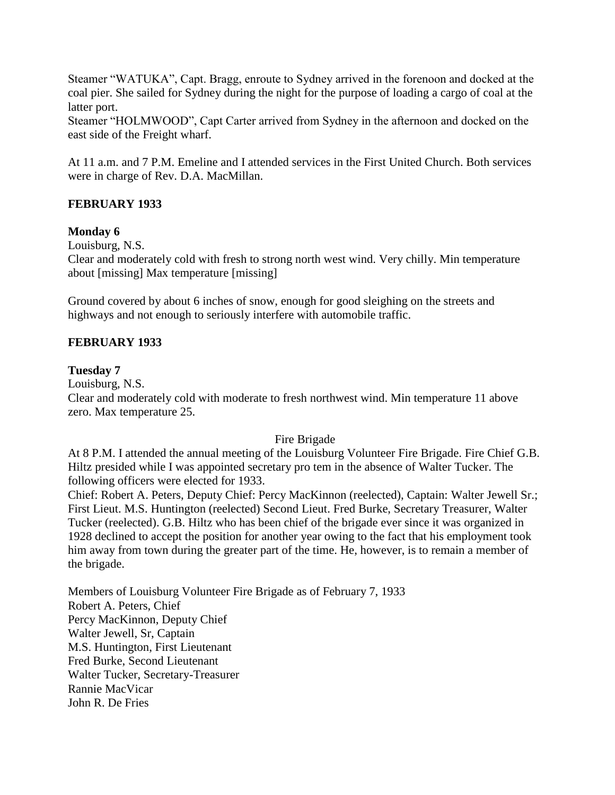Steamer "WATUKA", Capt. Bragg, enroute to Sydney arrived in the forenoon and docked at the coal pier. She sailed for Sydney during the night for the purpose of loading a cargo of coal at the latter port.

Steamer "HOLMWOOD", Capt Carter arrived from Sydney in the afternoon and docked on the east side of the Freight wharf.

At 11 a.m. and 7 P.M. Emeline and I attended services in the First United Church. Both services were in charge of Rev. D.A. MacMillan.

## **FEBRUARY 1933**

## **Monday 6**

Louisburg, N.S.

Clear and moderately cold with fresh to strong north west wind. Very chilly. Min temperature about [missing] Max temperature [missing]

Ground covered by about 6 inches of snow, enough for good sleighing on the streets and highways and not enough to seriously interfere with automobile traffic.

## **FEBRUARY 1933**

### **Tuesday 7**

Louisburg, N.S.

Clear and moderately cold with moderate to fresh northwest wind. Min temperature 11 above zero. Max temperature 25.

### Fire Brigade

At 8 P.M. I attended the annual meeting of the Louisburg Volunteer Fire Brigade. Fire Chief G.B. Hiltz presided while I was appointed secretary pro tem in the absence of Walter Tucker. The following officers were elected for 1933.

Chief: Robert A. Peters, Deputy Chief: Percy MacKinnon (reelected), Captain: Walter Jewell Sr.; First Lieut. M.S. Huntington (reelected) Second Lieut. Fred Burke, Secretary Treasurer, Walter Tucker (reelected). G.B. Hiltz who has been chief of the brigade ever since it was organized in 1928 declined to accept the position for another year owing to the fact that his employment took him away from town during the greater part of the time. He, however, is to remain a member of the brigade.

Members of Louisburg Volunteer Fire Brigade as of February 7, 1933 Robert A. Peters, Chief Percy MacKinnon, Deputy Chief Walter Jewell, Sr, Captain M.S. Huntington, First Lieutenant Fred Burke, Second Lieutenant Walter Tucker, Secretary-Treasurer Rannie MacVicar John R. De Fries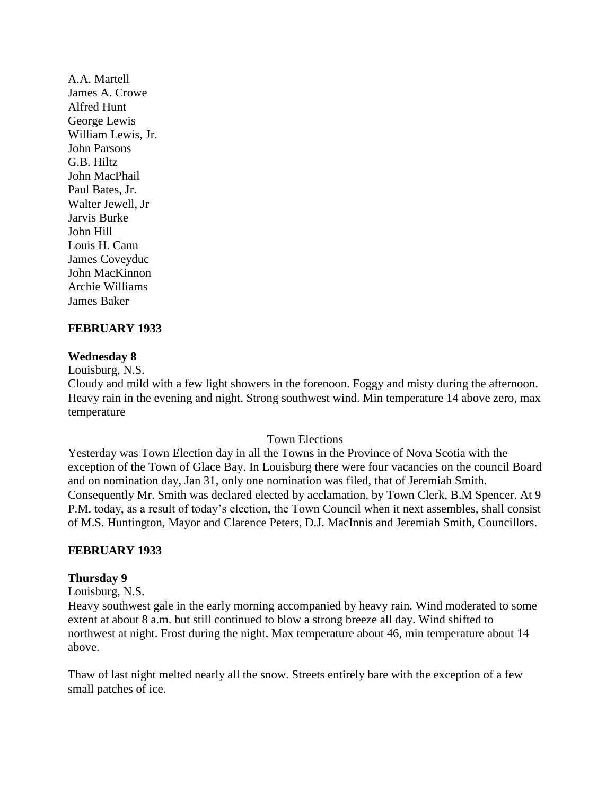A.A. Martell James A. Crowe Alfred Hunt George Lewis William Lewis, Jr. John Parsons G.B. Hiltz John MacPhail Paul Bates, Jr. Walter Jewell, Jr Jarvis Burke John Hill Louis H. Cann James Coveyduc John MacKinnon Archie Williams James Baker

## **FEBRUARY 1933**

### **Wednesday 8**

Louisburg, N.S.

Cloudy and mild with a few light showers in the forenoon. Foggy and misty during the afternoon. Heavy rain in the evening and night. Strong southwest wind. Min temperature 14 above zero, max temperature

#### Town Elections

Yesterday was Town Election day in all the Towns in the Province of Nova Scotia with the exception of the Town of Glace Bay. In Louisburg there were four vacancies on the council Board and on nomination day, Jan 31, only one nomination was filed, that of Jeremiah Smith. Consequently Mr. Smith was declared elected by acclamation, by Town Clerk, B.M Spencer. At 9 P.M. today, as a result of today"s election, the Town Council when it next assembles, shall consist of M.S. Huntington, Mayor and Clarence Peters, D.J. MacInnis and Jeremiah Smith, Councillors.

### **FEBRUARY 1933**

#### **Thursday 9**

Louisburg, N.S.

Heavy southwest gale in the early morning accompanied by heavy rain. Wind moderated to some extent at about 8 a.m. but still continued to blow a strong breeze all day. Wind shifted to northwest at night. Frost during the night. Max temperature about 46, min temperature about 14 above.

Thaw of last night melted nearly all the snow. Streets entirely bare with the exception of a few small patches of ice.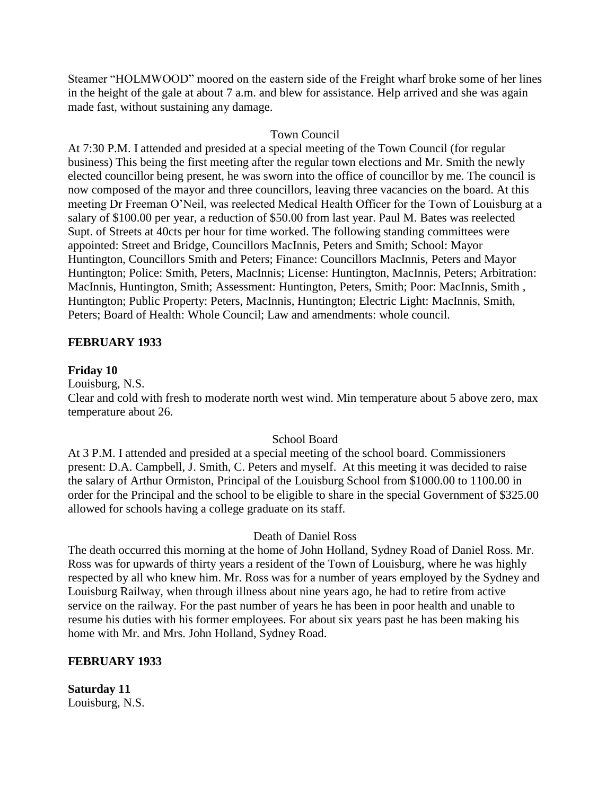Steamer "HOLMWOOD" moored on the eastern side of the Freight wharf broke some of her lines in the height of the gale at about 7 a.m. and blew for assistance. Help arrived and she was again made fast, without sustaining any damage.

## Town Council

At 7:30 P.M. I attended and presided at a special meeting of the Town Council (for regular business) This being the first meeting after the regular town elections and Mr. Smith the newly elected councillor being present, he was sworn into the office of councillor by me. The council is now composed of the mayor and three councillors, leaving three vacancies on the board. At this meeting Dr Freeman O"Neil, was reelected Medical Health Officer for the Town of Louisburg at a salary of \$100.00 per year, a reduction of \$50.00 from last year. Paul M. Bates was reelected Supt. of Streets at 40cts per hour for time worked. The following standing committees were appointed: Street and Bridge, Councillors MacInnis, Peters and Smith; School: Mayor Huntington, Councillors Smith and Peters; Finance: Councillors MacInnis, Peters and Mayor Huntington; Police: Smith, Peters, MacInnis; License: Huntington, MacInnis, Peters; Arbitration: MacInnis, Huntington, Smith; Assessment: Huntington, Peters, Smith; Poor: MacInnis, Smith , Huntington; Public Property: Peters, MacInnis, Huntington; Electric Light: MacInnis, Smith, Peters; Board of Health: Whole Council; Law and amendments: whole council.

### **FEBRUARY 1933**

### **Friday 10**

Louisburg, N.S.

Clear and cold with fresh to moderate north west wind. Min temperature about 5 above zero, max temperature about 26.

### School Board

At 3 P.M. I attended and presided at a special meeting of the school board. Commissioners present: D.A. Campbell, J. Smith, C. Peters and myself. At this meeting it was decided to raise the salary of Arthur Ormiston, Principal of the Louisburg School from \$1000.00 to 1100.00 in order for the Principal and the school to be eligible to share in the special Government of \$325.00 allowed for schools having a college graduate on its staff.

### Death of Daniel Ross

The death occurred this morning at the home of John Holland, Sydney Road of Daniel Ross. Mr. Ross was for upwards of thirty years a resident of the Town of Louisburg, where he was highly respected by all who knew him. Mr. Ross was for a number of years employed by the Sydney and Louisburg Railway, when through illness about nine years ago, he had to retire from active service on the railway. For the past number of years he has been in poor health and unable to resume his duties with his former employees. For about six years past he has been making his home with Mr. and Mrs. John Holland, Sydney Road.

### **FEBRUARY 1933**

**Saturday 11** Louisburg, N.S.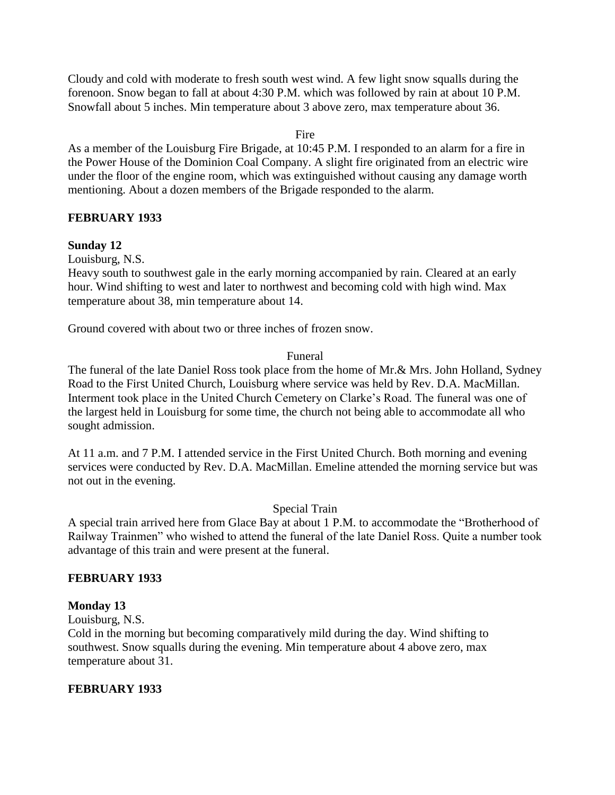Cloudy and cold with moderate to fresh south west wind. A few light snow squalls during the forenoon. Snow began to fall at about 4:30 P.M. which was followed by rain at about 10 P.M. Snowfall about 5 inches. Min temperature about 3 above zero, max temperature about 36.

Fire

As a member of the Louisburg Fire Brigade, at 10:45 P.M. I responded to an alarm for a fire in the Power House of the Dominion Coal Company. A slight fire originated from an electric wire under the floor of the engine room, which was extinguished without causing any damage worth mentioning. About a dozen members of the Brigade responded to the alarm.

## **FEBRUARY 1933**

### **Sunday 12**

Louisburg, N.S.

Heavy south to southwest gale in the early morning accompanied by rain. Cleared at an early hour. Wind shifting to west and later to northwest and becoming cold with high wind. Max temperature about 38, min temperature about 14.

Ground covered with about two or three inches of frozen snow.

### Funeral

The funeral of the late Daniel Ross took place from the home of Mr.& Mrs. John Holland, Sydney Road to the First United Church, Louisburg where service was held by Rev. D.A. MacMillan. Interment took place in the United Church Cemetery on Clarke"s Road. The funeral was one of the largest held in Louisburg for some time, the church not being able to accommodate all who sought admission.

At 11 a.m. and 7 P.M. I attended service in the First United Church. Both morning and evening services were conducted by Rev. D.A. MacMillan. Emeline attended the morning service but was not out in the evening.

Special Train

A special train arrived here from Glace Bay at about 1 P.M. to accommodate the "Brotherhood of Railway Trainmen" who wished to attend the funeral of the late Daniel Ross. Quite a number took advantage of this train and were present at the funeral.

### **FEBRUARY 1933**

### **Monday 13**

Louisburg, N.S.

Cold in the morning but becoming comparatively mild during the day. Wind shifting to southwest. Snow squalls during the evening. Min temperature about 4 above zero, max temperature about 31.

### **FEBRUARY 1933**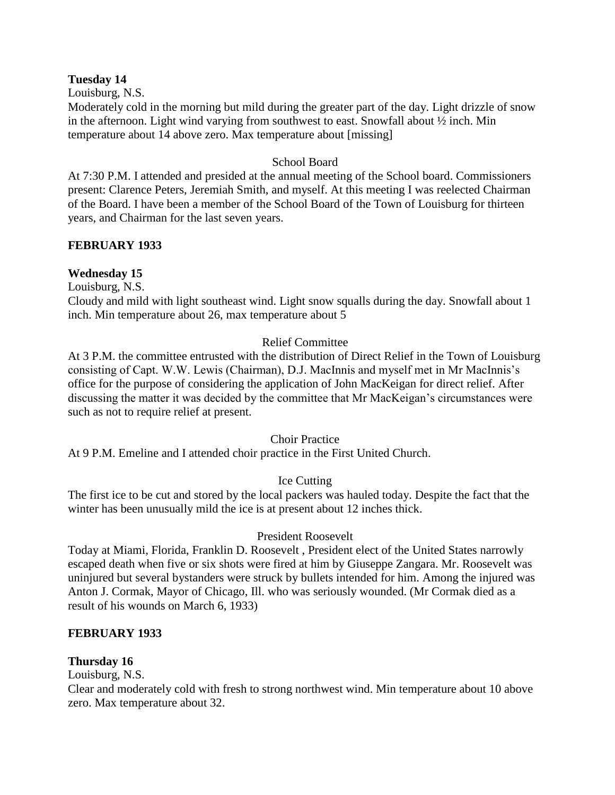### **Tuesday 14**

Louisburg, N.S.

Moderately cold in the morning but mild during the greater part of the day. Light drizzle of snow in the afternoon. Light wind varying from southwest to east. Snowfall about ½ inch. Min temperature about 14 above zero. Max temperature about [missing]

### School Board

At 7:30 P.M. I attended and presided at the annual meeting of the School board. Commissioners present: Clarence Peters, Jeremiah Smith, and myself. At this meeting I was reelected Chairman of the Board. I have been a member of the School Board of the Town of Louisburg for thirteen years, and Chairman for the last seven years.

## **FEBRUARY 1933**

## **Wednesday 15**

Louisburg, N.S.

Cloudy and mild with light southeast wind. Light snow squalls during the day. Snowfall about 1 inch. Min temperature about 26, max temperature about 5

## Relief Committee

At 3 P.M. the committee entrusted with the distribution of Direct Relief in the Town of Louisburg consisting of Capt. W.W. Lewis (Chairman), D.J. MacInnis and myself met in Mr MacInnis"s office for the purpose of considering the application of John MacKeigan for direct relief. After discussing the matter it was decided by the committee that Mr MacKeigan"s circumstances were such as not to require relief at present.

### Choir Practice

At 9 P.M. Emeline and I attended choir practice in the First United Church.

## Ice Cutting

The first ice to be cut and stored by the local packers was hauled today. Despite the fact that the winter has been unusually mild the ice is at present about 12 inches thick.

### President Roosevelt

Today at Miami, Florida, Franklin D. Roosevelt , President elect of the United States narrowly escaped death when five or six shots were fired at him by Giuseppe Zangara. Mr. Roosevelt was uninjured but several bystanders were struck by bullets intended for him. Among the injured was Anton J. Cormak, Mayor of Chicago, Ill. who was seriously wounded. (Mr Cormak died as a result of his wounds on March 6, 1933)

### **FEBRUARY 1933**

## **Thursday 16**

Louisburg, N.S.

Clear and moderately cold with fresh to strong northwest wind. Min temperature about 10 above zero. Max temperature about 32.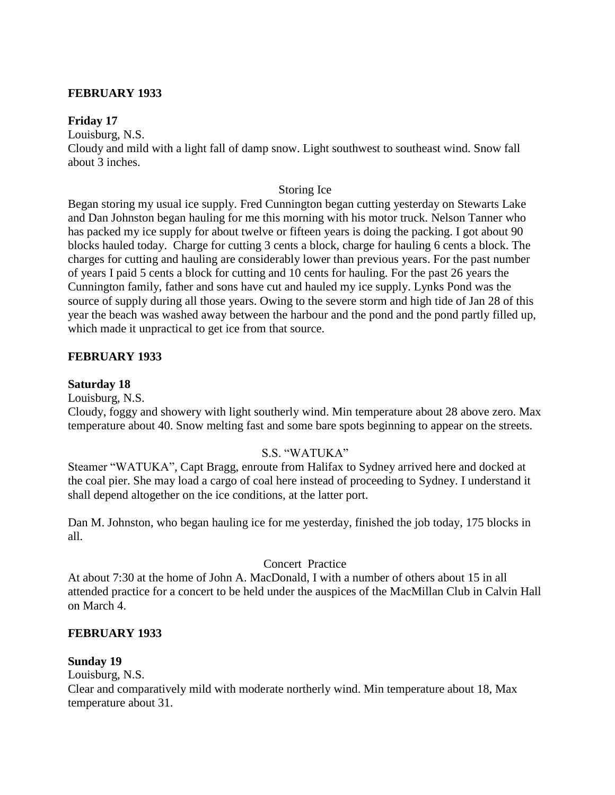## **FEBRUARY 1933**

### **Friday 17**

Louisburg, N.S.

Cloudy and mild with a light fall of damp snow. Light southwest to southeast wind. Snow fall about 3 inches.

### Storing Ice

Began storing my usual ice supply. Fred Cunnington began cutting yesterday on Stewarts Lake and Dan Johnston began hauling for me this morning with his motor truck. Nelson Tanner who has packed my ice supply for about twelve or fifteen years is doing the packing. I got about 90 blocks hauled today. Charge for cutting 3 cents a block, charge for hauling 6 cents a block. The charges for cutting and hauling are considerably lower than previous years. For the past number of years I paid 5 cents a block for cutting and 10 cents for hauling. For the past 26 years the Cunnington family, father and sons have cut and hauled my ice supply. Lynks Pond was the source of supply during all those years. Owing to the severe storm and high tide of Jan 28 of this year the beach was washed away between the harbour and the pond and the pond partly filled up, which made it unpractical to get ice from that source.

### **FEBRUARY 1933**

### **Saturday 18**

Louisburg, N.S.

Cloudy, foggy and showery with light southerly wind. Min temperature about 28 above zero. Max temperature about 40. Snow melting fast and some bare spots beginning to appear on the streets.

### S.S. "WATUKA"

Steamer "WATUKA", Capt Bragg, enroute from Halifax to Sydney arrived here and docked at the coal pier. She may load a cargo of coal here instead of proceeding to Sydney. I understand it shall depend altogether on the ice conditions, at the latter port.

Dan M. Johnston, who began hauling ice for me yesterday, finished the job today, 175 blocks in all.

## Concert Practice

At about 7:30 at the home of John A. MacDonald, I with a number of others about 15 in all attended practice for a concert to be held under the auspices of the MacMillan Club in Calvin Hall on March 4.

### **FEBRUARY 1933**

### **Sunday 19**

Louisburg, N.S.

Clear and comparatively mild with moderate northerly wind. Min temperature about 18, Max temperature about 31.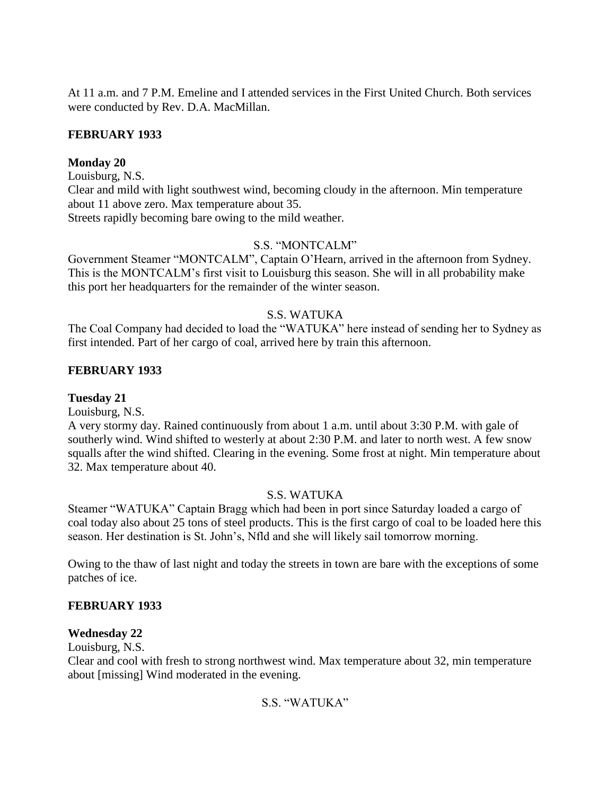At 11 a.m. and 7 P.M. Emeline and I attended services in the First United Church. Both services were conducted by Rev. D.A. MacMillan.

## **FEBRUARY 1933**

## **Monday 20**

Louisburg, N.S.

Clear and mild with light southwest wind, becoming cloudy in the afternoon. Min temperature about 11 above zero. Max temperature about 35. Streets rapidly becoming bare owing to the mild weather.

## S.S. "MONTCALM"

Government Steamer "MONTCALM", Captain O"Hearn, arrived in the afternoon from Sydney. This is the MONTCALM"s first visit to Louisburg this season. She will in all probability make this port her headquarters for the remainder of the winter season.

## S.S. WATUKA

The Coal Company had decided to load the "WATUKA" here instead of sending her to Sydney as first intended. Part of her cargo of coal, arrived here by train this afternoon.

## **FEBRUARY 1933**

### **Tuesday 21**

Louisburg, N.S.

A very stormy day. Rained continuously from about 1 a.m. until about 3:30 P.M. with gale of southerly wind. Wind shifted to westerly at about 2:30 P.M. and later to north west. A few snow squalls after the wind shifted. Clearing in the evening. Some frost at night. Min temperature about 32. Max temperature about 40.

### S.S. WATUKA

Steamer "WATUKA" Captain Bragg which had been in port since Saturday loaded a cargo of coal today also about 25 tons of steel products. This is the first cargo of coal to be loaded here this season. Her destination is St. John"s, Nfld and she will likely sail tomorrow morning.

Owing to the thaw of last night and today the streets in town are bare with the exceptions of some patches of ice.

### **FEBRUARY 1933**

### **Wednesday 22**

Louisburg, N.S.

Clear and cool with fresh to strong northwest wind. Max temperature about 32, min temperature about [missing] Wind moderated in the evening.

## S.S. "WATUKA"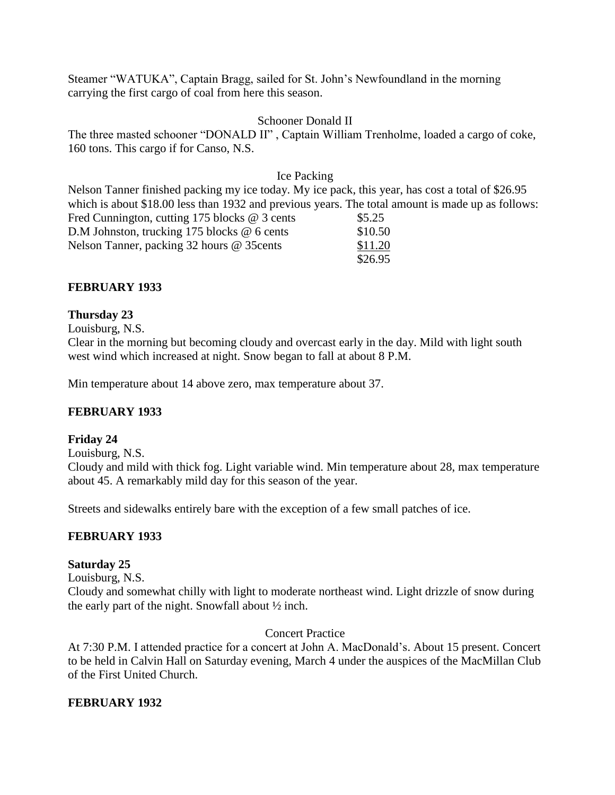Steamer "WATUKA", Captain Bragg, sailed for St. John"s Newfoundland in the morning carrying the first cargo of coal from here this season.

### Schooner Donald II

The three masted schooner "DONALD II" , Captain William Trenholme, loaded a cargo of coke, 160 tons. This cargo if for Canso, N.S.

### Ice Packing

Nelson Tanner finished packing my ice today. My ice pack, this year, has cost a total of \$26.95 which is about \$18.00 less than 1932 and previous years. The total amount is made up as follows: Fred Cunnington, cutting 175 blocks  $@$  3 cents  $$5.25$ D.M Johnston, trucking 175 blocks @ 6 cents \$10.50 Nelson Tanner, packing 32 hours @ 35 cents \$11.20 \$26.95

## **FEBRUARY 1933**

## **Thursday 23**

Louisburg, N.S.

Clear in the morning but becoming cloudy and overcast early in the day. Mild with light south west wind which increased at night. Snow began to fall at about 8 P.M.

Min temperature about 14 above zero, max temperature about 37.

### **FEBRUARY 1933**

### **Friday 24**

Louisburg, N.S.

Cloudy and mild with thick fog. Light variable wind. Min temperature about 28, max temperature about 45. A remarkably mild day for this season of the year.

Streets and sidewalks entirely bare with the exception of a few small patches of ice.

### **FEBRUARY 1933**

### **Saturday 25**

Louisburg, N.S.

Cloudy and somewhat chilly with light to moderate northeast wind. Light drizzle of snow during the early part of the night. Snowfall about ½ inch.

### Concert Practice

At 7:30 P.M. I attended practice for a concert at John A. MacDonald"s. About 15 present. Concert to be held in Calvin Hall on Saturday evening, March 4 under the auspices of the MacMillan Club of the First United Church.

### **FEBRUARY 1932**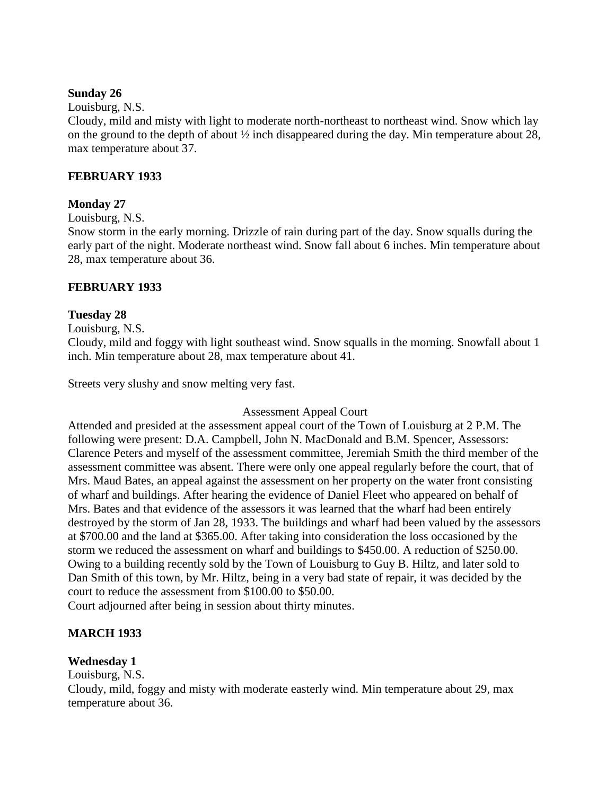### **Sunday 26**

### Louisburg, N.S.

Cloudy, mild and misty with light to moderate north-northeast to northeast wind. Snow which lay on the ground to the depth of about ½ inch disappeared during the day. Min temperature about 28, max temperature about 37.

### **FEBRUARY 1933**

### **Monday 27**

### Louisburg, N.S.

Snow storm in the early morning. Drizzle of rain during part of the day. Snow squalls during the early part of the night. Moderate northeast wind. Snow fall about 6 inches. Min temperature about 28, max temperature about 36.

### **FEBRUARY 1933**

## **Tuesday 28**

Louisburg, N.S.

Cloudy, mild and foggy with light southeast wind. Snow squalls in the morning. Snowfall about 1 inch. Min temperature about 28, max temperature about 41.

Streets very slushy and snow melting very fast.

### Assessment Appeal Court

Attended and presided at the assessment appeal court of the Town of Louisburg at 2 P.M. The following were present: D.A. Campbell, John N. MacDonald and B.M. Spencer, Assessors: Clarence Peters and myself of the assessment committee, Jeremiah Smith the third member of the assessment committee was absent. There were only one appeal regularly before the court, that of Mrs. Maud Bates, an appeal against the assessment on her property on the water front consisting of wharf and buildings. After hearing the evidence of Daniel Fleet who appeared on behalf of Mrs. Bates and that evidence of the assessors it was learned that the wharf had been entirely destroyed by the storm of Jan 28, 1933. The buildings and wharf had been valued by the assessors at \$700.00 and the land at \$365.00. After taking into consideration the loss occasioned by the storm we reduced the assessment on wharf and buildings to \$450.00. A reduction of \$250.00. Owing to a building recently sold by the Town of Louisburg to Guy B. Hiltz, and later sold to Dan Smith of this town, by Mr. Hiltz, being in a very bad state of repair, it was decided by the court to reduce the assessment from \$100.00 to \$50.00.

Court adjourned after being in session about thirty minutes.

### **MARCH 1933**

## **Wednesday 1**

### Louisburg, N.S.

Cloudy, mild, foggy and misty with moderate easterly wind. Min temperature about 29, max temperature about 36.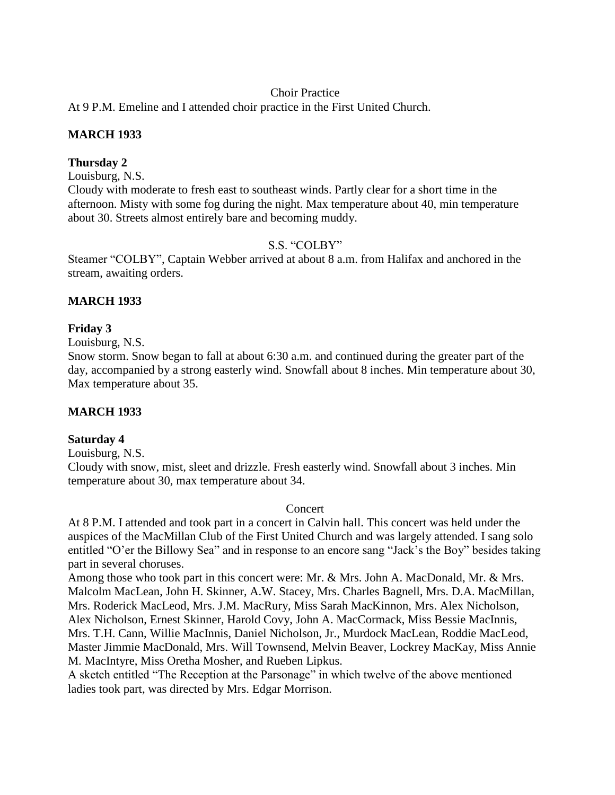## Choir Practice

At 9 P.M. Emeline and I attended choir practice in the First United Church.

## **MARCH 1933**

## **Thursday 2**

Louisburg, N.S.

Cloudy with moderate to fresh east to southeast winds. Partly clear for a short time in the afternoon. Misty with some fog during the night. Max temperature about 40, min temperature about 30. Streets almost entirely bare and becoming muddy.

## S.S. "COLBY"

Steamer "COLBY", Captain Webber arrived at about 8 a.m. from Halifax and anchored in the stream, awaiting orders.

## **MARCH 1933**

## **Friday 3**

Louisburg, N.S.

Snow storm. Snow began to fall at about 6:30 a.m. and continued during the greater part of the day, accompanied by a strong easterly wind. Snowfall about 8 inches. Min temperature about 30, Max temperature about 35.

### **MARCH 1933**

### **Saturday 4**

Louisburg, N.S.

Cloudy with snow, mist, sleet and drizzle. Fresh easterly wind. Snowfall about 3 inches. Min temperature about 30, max temperature about 34.

#### Concert

At 8 P.M. I attended and took part in a concert in Calvin hall. This concert was held under the auspices of the MacMillan Club of the First United Church and was largely attended. I sang solo entitled "O"er the Billowy Sea" and in response to an encore sang "Jack"s the Boy" besides taking part in several choruses.

Among those who took part in this concert were: Mr. & Mrs. John A. MacDonald, Mr. & Mrs. Malcolm MacLean, John H. Skinner, A.W. Stacey, Mrs. Charles Bagnell, Mrs. D.A. MacMillan, Mrs. Roderick MacLeod, Mrs. J.M. MacRury, Miss Sarah MacKinnon, Mrs. Alex Nicholson, Alex Nicholson, Ernest Skinner, Harold Covy, John A. MacCormack, Miss Bessie MacInnis, Mrs. T.H. Cann, Willie MacInnis, Daniel Nicholson, Jr., Murdock MacLean, Roddie MacLeod, Master Jimmie MacDonald, Mrs. Will Townsend, Melvin Beaver, Lockrey MacKay, Miss Annie M. MacIntyre, Miss Oretha Mosher, and Rueben Lipkus.

A sketch entitled "The Reception at the Parsonage" in which twelve of the above mentioned ladies took part, was directed by Mrs. Edgar Morrison.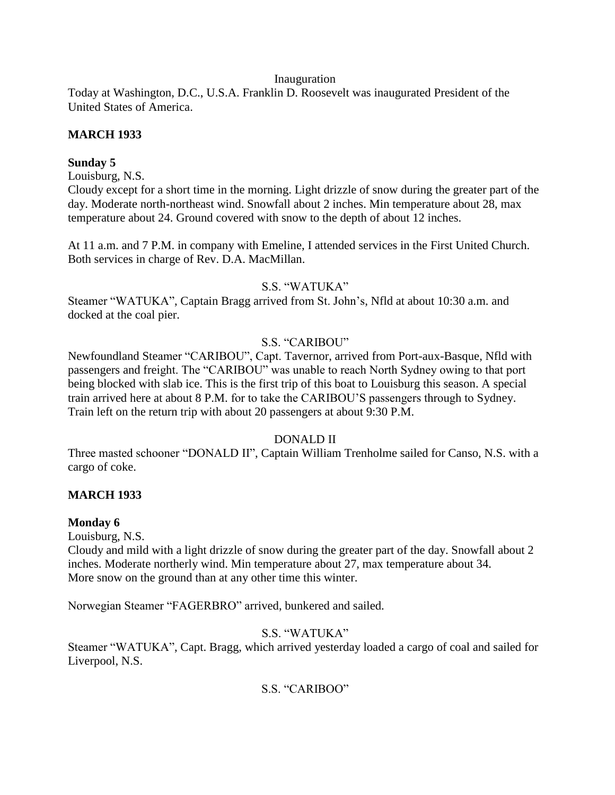### Inauguration

Today at Washington, D.C., U.S.A. Franklin D. Roosevelt was inaugurated President of the United States of America.

## **MARCH 1933**

## **Sunday 5**

Louisburg, N.S.

Cloudy except for a short time in the morning. Light drizzle of snow during the greater part of the day. Moderate north-northeast wind. Snowfall about 2 inches. Min temperature about 28, max temperature about 24. Ground covered with snow to the depth of about 12 inches.

At 11 a.m. and 7 P.M. in company with Emeline, I attended services in the First United Church. Both services in charge of Rev. D.A. MacMillan.

### S.S. "WATUKA"

Steamer "WATUKA", Captain Bragg arrived from St. John"s, Nfld at about 10:30 a.m. and docked at the coal pier.

## S.S. "CARIBOU"

Newfoundland Steamer "CARIBOU", Capt. Tavernor, arrived from Port-aux-Basque, Nfld with passengers and freight. The "CARIBOU" was unable to reach North Sydney owing to that port being blocked with slab ice. This is the first trip of this boat to Louisburg this season. A special train arrived here at about 8 P.M. for to take the CARIBOU"S passengers through to Sydney. Train left on the return trip with about 20 passengers at about 9:30 P.M.

## DONALD II

Three masted schooner "DONALD II", Captain William Trenholme sailed for Canso, N.S. with a cargo of coke.

## **MARCH 1933**

### **Monday 6**

Louisburg, N.S.

Cloudy and mild with a light drizzle of snow during the greater part of the day. Snowfall about 2 inches. Moderate northerly wind. Min temperature about 27, max temperature about 34. More snow on the ground than at any other time this winter.

Norwegian Steamer "FAGERBRO" arrived, bunkered and sailed.

## S.S. "WATUKA"

Steamer "WATUKA", Capt. Bragg, which arrived yesterday loaded a cargo of coal and sailed for Liverpool, N.S.

## S.S. "CARIBOO"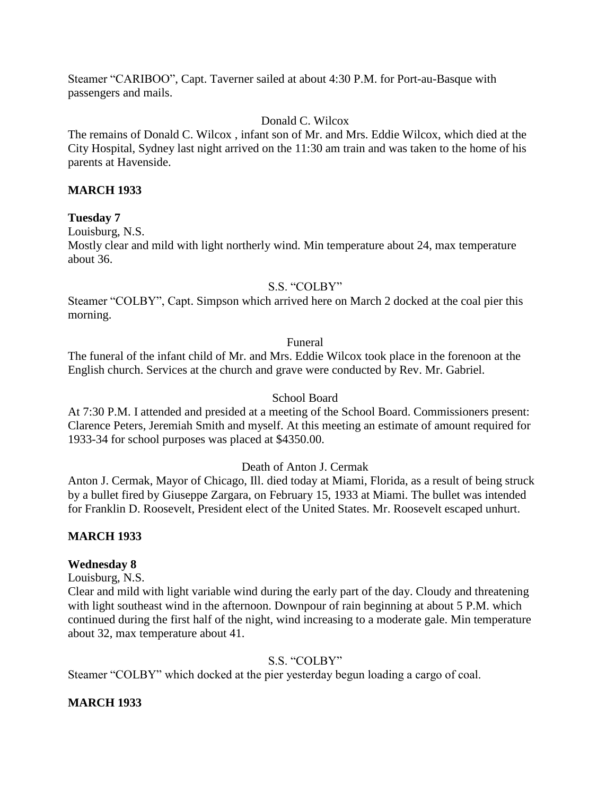Steamer "CARIBOO", Capt. Taverner sailed at about 4:30 P.M. for Port-au-Basque with passengers and mails.

## Donald C. Wilcox

The remains of Donald C. Wilcox , infant son of Mr. and Mrs. Eddie Wilcox, which died at the City Hospital, Sydney last night arrived on the 11:30 am train and was taken to the home of his parents at Havenside.

## **MARCH 1933**

### **Tuesday 7**

Louisburg, N.S.

Mostly clear and mild with light northerly wind. Min temperature about 24, max temperature about 36.

### S.S. "COLBY"

Steamer "COLBY", Capt. Simpson which arrived here on March 2 docked at the coal pier this morning.

### Funeral

The funeral of the infant child of Mr. and Mrs. Eddie Wilcox took place in the forenoon at the English church. Services at the church and grave were conducted by Rev. Mr. Gabriel.

### School Board

At 7:30 P.M. I attended and presided at a meeting of the School Board. Commissioners present: Clarence Peters, Jeremiah Smith and myself. At this meeting an estimate of amount required for 1933-34 for school purposes was placed at \$4350.00.

### Death of Anton J. Cermak

Anton J. Cermak, Mayor of Chicago, Ill. died today at Miami, Florida, as a result of being struck by a bullet fired by Giuseppe Zargara, on February 15, 1933 at Miami. The bullet was intended for Franklin D. Roosevelt, President elect of the United States. Mr. Roosevelt escaped unhurt.

### **MARCH 1933**

### **Wednesday 8**

Louisburg, N.S.

Clear and mild with light variable wind during the early part of the day. Cloudy and threatening with light southeast wind in the afternoon. Downpour of rain beginning at about 5 P.M. which continued during the first half of the night, wind increasing to a moderate gale. Min temperature about 32, max temperature about 41.

## S.S. "COLBY"

Steamer "COLBY" which docked at the pier yesterday begun loading a cargo of coal.

### **MARCH 1933**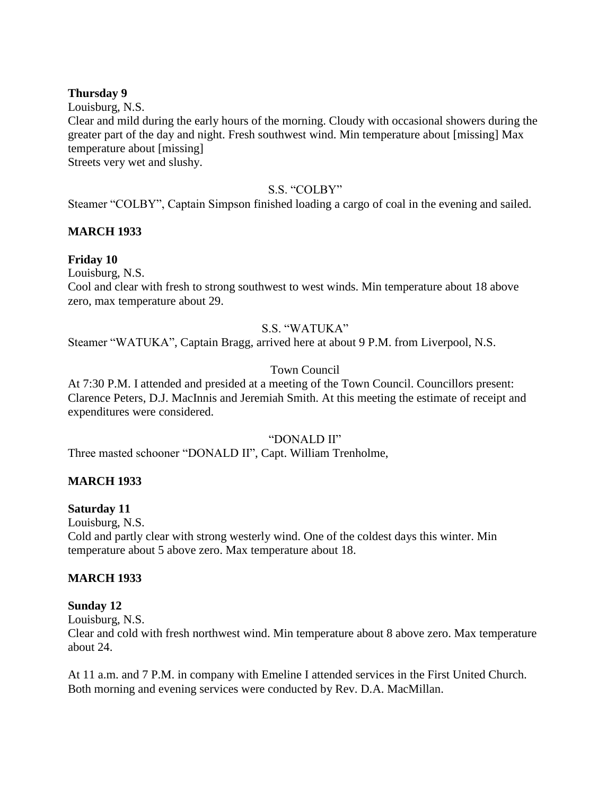### **Thursday 9**

Louisburg, N.S.

Clear and mild during the early hours of the morning. Cloudy with occasional showers during the greater part of the day and night. Fresh southwest wind. Min temperature about [missing] Max temperature about [missing]

Streets very wet and slushy.

### S.S. "COLBY"

Steamer "COLBY", Captain Simpson finished loading a cargo of coal in the evening and sailed.

## **MARCH 1933**

## **Friday 10**

Louisburg, N.S.

Cool and clear with fresh to strong southwest to west winds. Min temperature about 18 above zero, max temperature about 29.

### S.S. "WATUKA"

Steamer "WATUKA", Captain Bragg, arrived here at about 9 P.M. from Liverpool, N.S.

## Town Council

At 7:30 P.M. I attended and presided at a meeting of the Town Council. Councillors present: Clarence Peters, D.J. MacInnis and Jeremiah Smith. At this meeting the estimate of receipt and expenditures were considered.

### "DONALD II"

Three masted schooner "DONALD II", Capt. William Trenholme,

### **MARCH 1933**

### **Saturday 11**

Louisburg, N.S.

Cold and partly clear with strong westerly wind. One of the coldest days this winter. Min temperature about 5 above zero. Max temperature about 18.

### **MARCH 1933**

### **Sunday 12**

Louisburg, N.S.

Clear and cold with fresh northwest wind. Min temperature about 8 above zero. Max temperature about 24.

At 11 a.m. and 7 P.M. in company with Emeline I attended services in the First United Church. Both morning and evening services were conducted by Rev. D.A. MacMillan.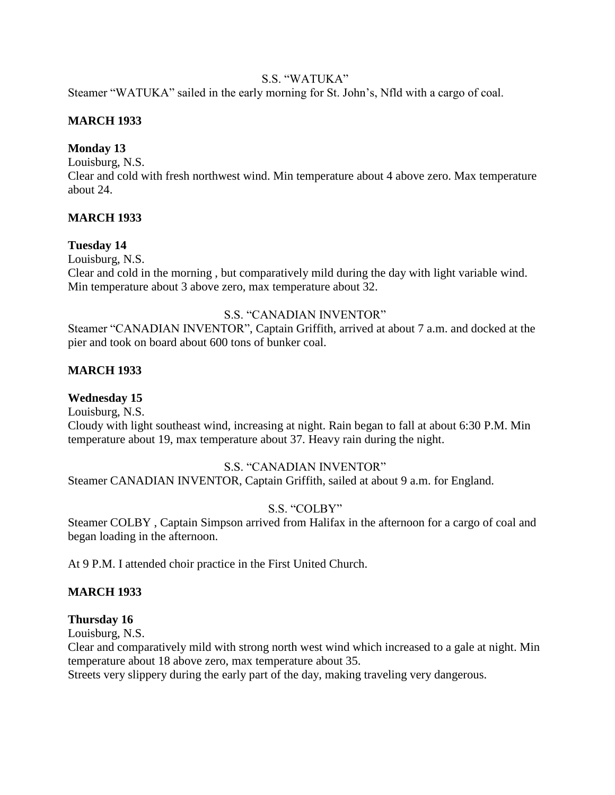## S.S. "WATUKA"

Steamer "WATUKA" sailed in the early morning for St. John"s, Nfld with a cargo of coal.

## **MARCH 1933**

## **Monday 13**

Louisburg, N.S.

Clear and cold with fresh northwest wind. Min temperature about 4 above zero. Max temperature about 24.

## **MARCH 1933**

## **Tuesday 14**

Louisburg, N.S.

Clear and cold in the morning , but comparatively mild during the day with light variable wind. Min temperature about 3 above zero, max temperature about 32.

## S.S. "CANADIAN INVENTOR"

Steamer "CANADIAN INVENTOR", Captain Griffith, arrived at about 7 a.m. and docked at the pier and took on board about 600 tons of bunker coal.

## **MARCH 1933**

# **Wednesday 15**

Louisburg, N.S. Cloudy with light southeast wind, increasing at night. Rain began to fall at about 6:30 P.M. Min temperature about 19, max temperature about 37. Heavy rain during the night.

## S.S. "CANADIAN INVENTOR"

Steamer CANADIAN INVENTOR, Captain Griffith, sailed at about 9 a.m. for England.

# S.S. "COLBY"

Steamer COLBY , Captain Simpson arrived from Halifax in the afternoon for a cargo of coal and began loading in the afternoon.

At 9 P.M. I attended choir practice in the First United Church.

# **MARCH 1933**

## **Thursday 16**

Louisburg, N.S.

Clear and comparatively mild with strong north west wind which increased to a gale at night. Min temperature about 18 above zero, max temperature about 35.

Streets very slippery during the early part of the day, making traveling very dangerous.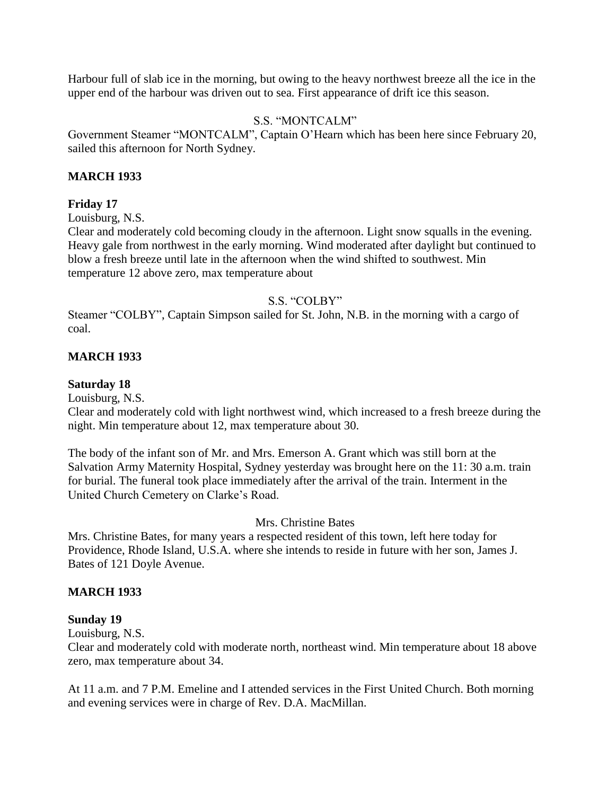Harbour full of slab ice in the morning, but owing to the heavy northwest breeze all the ice in the upper end of the harbour was driven out to sea. First appearance of drift ice this season.

## S.S. "MONTCALM"

Government Steamer "MONTCALM", Captain O"Hearn which has been here since February 20, sailed this afternoon for North Sydney.

## **MARCH 1933**

## **Friday 17**

Louisburg, N.S.

Clear and moderately cold becoming cloudy in the afternoon. Light snow squalls in the evening. Heavy gale from northwest in the early morning. Wind moderated after daylight but continued to blow a fresh breeze until late in the afternoon when the wind shifted to southwest. Min temperature 12 above zero, max temperature about

## S.S. "COLBY"

Steamer "COLBY", Captain Simpson sailed for St. John, N.B. in the morning with a cargo of coal.

## **MARCH 1933**

### **Saturday 18**

Louisburg, N.S.

Clear and moderately cold with light northwest wind, which increased to a fresh breeze during the night. Min temperature about 12, max temperature about 30.

The body of the infant son of Mr. and Mrs. Emerson A. Grant which was still born at the Salvation Army Maternity Hospital, Sydney yesterday was brought here on the 11: 30 a.m. train for burial. The funeral took place immediately after the arrival of the train. Interment in the United Church Cemetery on Clarke"s Road.

### Mrs. Christine Bates

Mrs. Christine Bates, for many years a respected resident of this town, left here today for Providence, Rhode Island, U.S.A. where she intends to reside in future with her son, James J. Bates of 121 Doyle Avenue.

### **MARCH 1933**

### **Sunday 19**

Louisburg, N.S.

Clear and moderately cold with moderate north, northeast wind. Min temperature about 18 above zero, max temperature about 34.

At 11 a.m. and 7 P.M. Emeline and I attended services in the First United Church. Both morning and evening services were in charge of Rev. D.A. MacMillan.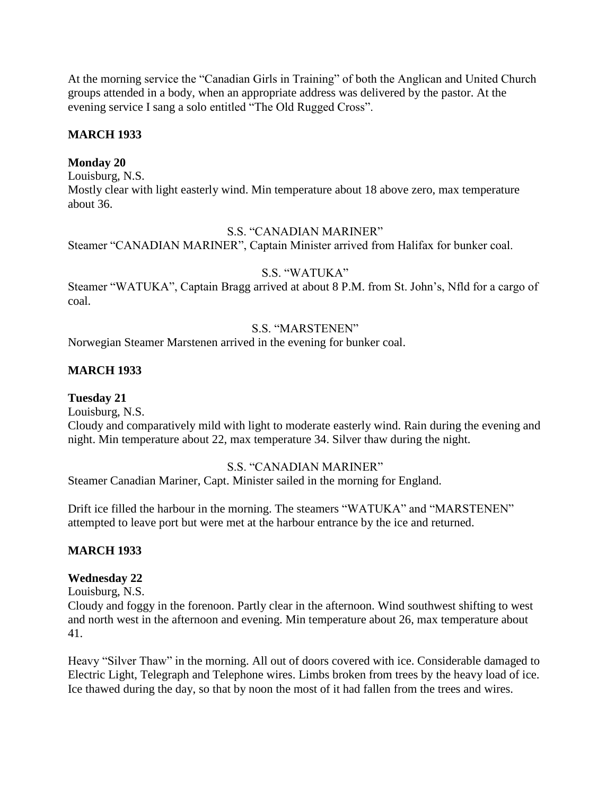At the morning service the "Canadian Girls in Training" of both the Anglican and United Church groups attended in a body, when an appropriate address was delivered by the pastor. At the evening service I sang a solo entitled "The Old Rugged Cross".

## **MARCH 1933**

## **Monday 20**

Louisburg, N.S. Mostly clear with light easterly wind. Min temperature about 18 above zero, max temperature about 36.

### S.S. "CANADIAN MARINER"

Steamer "CANADIAN MARINER", Captain Minister arrived from Halifax for bunker coal.

## S.S. "WATUKA"

Steamer "WATUKA", Captain Bragg arrived at about 8 P.M. from St. John's, Nfld for a cargo of coal.

## S.S. "MARSTENEN"

Norwegian Steamer Marstenen arrived in the evening for bunker coal.

## **MARCH 1933**

## **Tuesday 21**

Louisburg, N.S.

Cloudy and comparatively mild with light to moderate easterly wind. Rain during the evening and night. Min temperature about 22, max temperature 34. Silver thaw during the night.

### S.S. "CANADIAN MARINER"

Steamer Canadian Mariner, Capt. Minister sailed in the morning for England.

Drift ice filled the harbour in the morning. The steamers "WATUKA" and "MARSTENEN" attempted to leave port but were met at the harbour entrance by the ice and returned.

## **MARCH 1933**

### **Wednesday 22**

Louisburg, N.S.

Cloudy and foggy in the forenoon. Partly clear in the afternoon. Wind southwest shifting to west and north west in the afternoon and evening. Min temperature about 26, max temperature about 41.

Heavy "Silver Thaw" in the morning. All out of doors covered with ice. Considerable damaged to Electric Light, Telegraph and Telephone wires. Limbs broken from trees by the heavy load of ice. Ice thawed during the day, so that by noon the most of it had fallen from the trees and wires.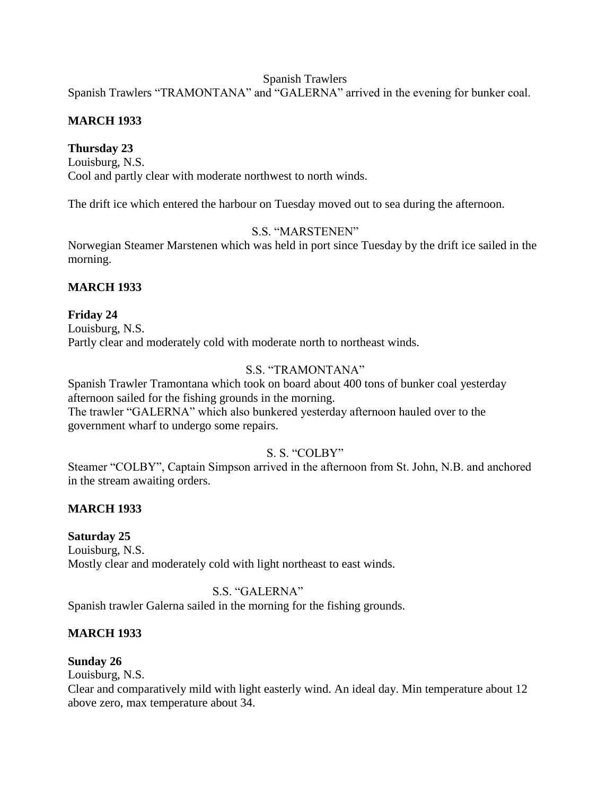### Spanish Trawlers

Spanish Trawlers "TRAMONTANA" and "GALERNA" arrived in the evening for bunker coal.

## **MARCH 1933**

## **Thursday 23**

Louisburg, N.S. Cool and partly clear with moderate northwest to north winds.

The drift ice which entered the harbour on Tuesday moved out to sea during the afternoon.

## S.S. "MARSTENEN"

Norwegian Steamer Marstenen which was held in port since Tuesday by the drift ice sailed in the morning.

## **MARCH 1933**

## **Friday 24**

Louisburg, N.S. Partly clear and moderately cold with moderate north to northeast winds.

# S.S. "TRAMONTANA"

Spanish Trawler Tramontana which took on board about 400 tons of bunker coal yesterday afternoon sailed for the fishing grounds in the morning. The trawler "GALERNA" which also bunkered yesterday afternoon hauled over to the government wharf to undergo some repairs.

# S. S. "COLBY"

Steamer "COLBY", Captain Simpson arrived in the afternoon from St. John, N.B. and anchored in the stream awaiting orders.

# **MARCH 1933**

# **Saturday 25**

Louisburg, N.S. Mostly clear and moderately cold with light northeast to east winds.

# S.S. "GALERNA"

Spanish trawler Galerna sailed in the morning for the fishing grounds.

# **MARCH 1933**

**Sunday 26**

Louisburg, N.S.

Clear and comparatively mild with light easterly wind. An ideal day. Min temperature about 12 above zero, max temperature about 34.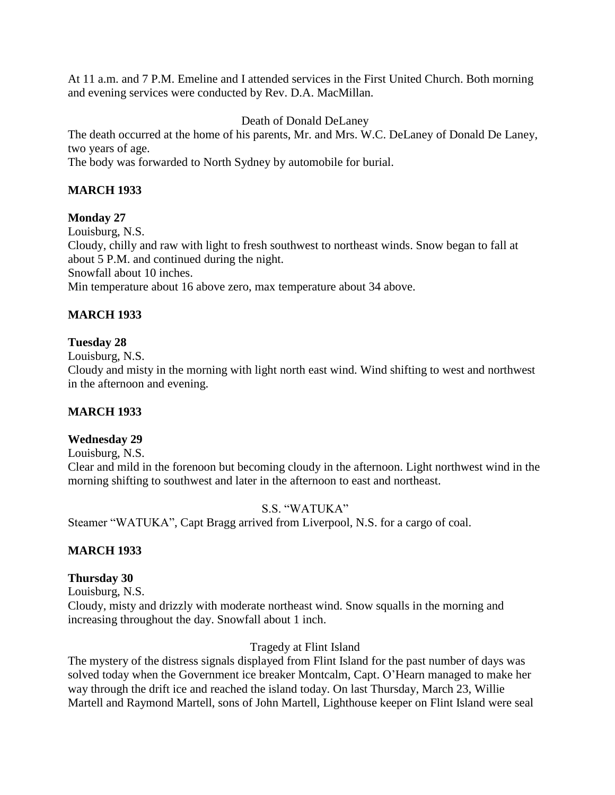At 11 a.m. and 7 P.M. Emeline and I attended services in the First United Church. Both morning and evening services were conducted by Rev. D.A. MacMillan.

Death of Donald DeLaney

The death occurred at the home of his parents, Mr. and Mrs. W.C. DeLaney of Donald De Laney, two years of age.

The body was forwarded to North Sydney by automobile for burial.

# **MARCH 1933**

# **Monday 27**

Louisburg, N.S. Cloudy, chilly and raw with light to fresh southwest to northeast winds. Snow began to fall at about 5 P.M. and continued during the night. Snowfall about 10 inches. Min temperature about 16 above zero, max temperature about 34 above.

# **MARCH 1933**

## **Tuesday 28**

Louisburg, N.S.

Cloudy and misty in the morning with light north east wind. Wind shifting to west and northwest in the afternoon and evening.

# **MARCH 1933**

# **Wednesday 29**

Louisburg, N.S.

Clear and mild in the forenoon but becoming cloudy in the afternoon. Light northwest wind in the morning shifting to southwest and later in the afternoon to east and northeast.

# S.S. "WATUKA"

Steamer "WATUKA", Capt Bragg arrived from Liverpool, N.S. for a cargo of coal.

# **MARCH 1933**

## **Thursday 30**

Louisburg, N.S.

Cloudy, misty and drizzly with moderate northeast wind. Snow squalls in the morning and increasing throughout the day. Snowfall about 1 inch.

# Tragedy at Flint Island

The mystery of the distress signals displayed from Flint Island for the past number of days was solved today when the Government ice breaker Montcalm, Capt. O"Hearn managed to make her way through the drift ice and reached the island today. On last Thursday, March 23, Willie Martell and Raymond Martell, sons of John Martell, Lighthouse keeper on Flint Island were seal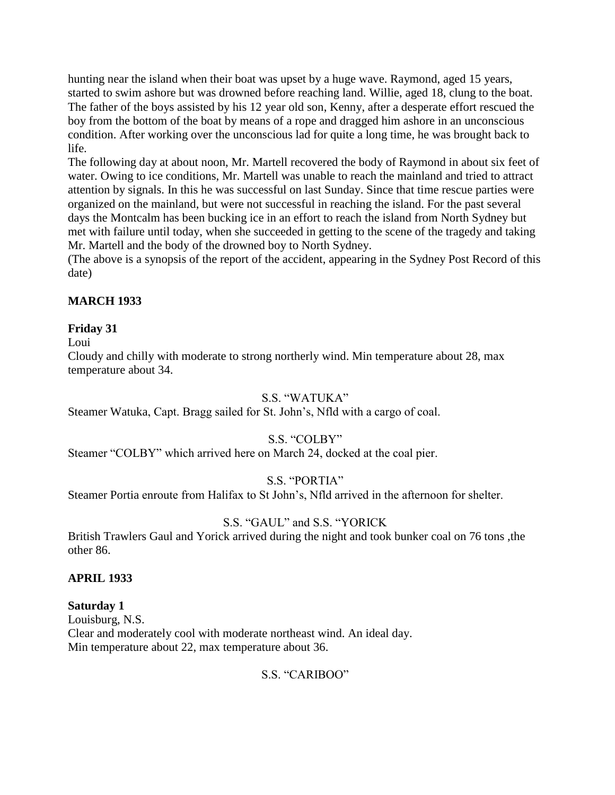hunting near the island when their boat was upset by a huge wave. Raymond, aged 15 years, started to swim ashore but was drowned before reaching land. Willie, aged 18, clung to the boat. The father of the boys assisted by his 12 year old son, Kenny, after a desperate effort rescued the boy from the bottom of the boat by means of a rope and dragged him ashore in an unconscious condition. After working over the unconscious lad for quite a long time, he was brought back to life.

The following day at about noon, Mr. Martell recovered the body of Raymond in about six feet of water. Owing to ice conditions, Mr. Martell was unable to reach the mainland and tried to attract attention by signals. In this he was successful on last Sunday. Since that time rescue parties were organized on the mainland, but were not successful in reaching the island. For the past several days the Montcalm has been bucking ice in an effort to reach the island from North Sydney but met with failure until today, when she succeeded in getting to the scene of the tragedy and taking Mr. Martell and the body of the drowned boy to North Sydney.

(The above is a synopsis of the report of the accident, appearing in the Sydney Post Record of this date)

## **MARCH 1933**

## **Friday 31**

### Loui

Cloudy and chilly with moderate to strong northerly wind. Min temperature about 28, max temperature about 34.

### S.S. "WATUKA"

Steamer Watuka, Capt. Bragg sailed for St. John"s, Nfld with a cargo of coal.

## S.S. "COLBY"

Steamer "COLBY" which arrived here on March 24, docked at the coal pier.

## S.S. "PORTIA"

Steamer Portia enroute from Halifax to St John"s, Nfld arrived in the afternoon for shelter.

## S.S. "GAUL" and S.S. "YORICK

British Trawlers Gaul and Yorick arrived during the night and took bunker coal on 76 tons ,the other 86.

### **APRIL 1933**

### **Saturday 1**

Louisburg, N.S. Clear and moderately cool with moderate northeast wind. An ideal day. Min temperature about 22, max temperature about 36.

### S.S. "CARIBOO"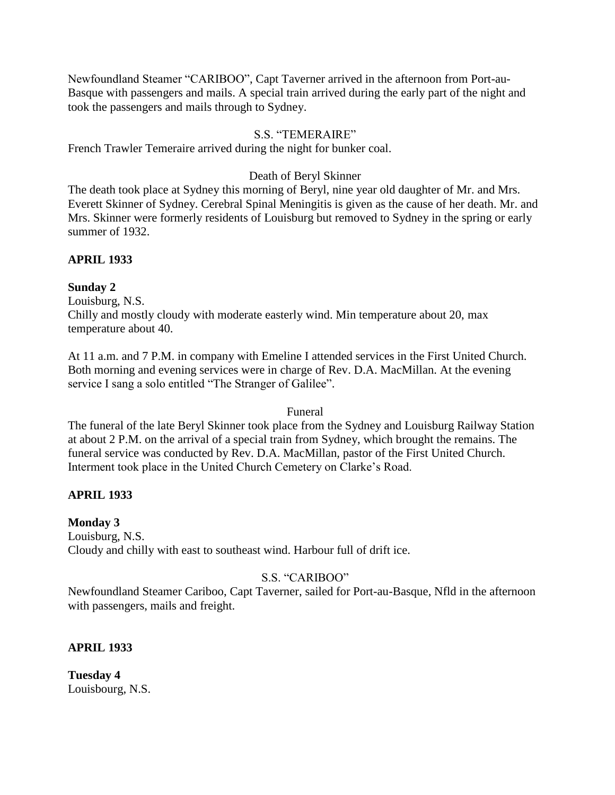Newfoundland Steamer "CARIBOO", Capt Taverner arrived in the afternoon from Port-au-Basque with passengers and mails. A special train arrived during the early part of the night and took the passengers and mails through to Sydney.

## S.S. "TEMERAIRE"

French Trawler Temeraire arrived during the night for bunker coal.

## Death of Beryl Skinner

The death took place at Sydney this morning of Beryl, nine year old daughter of Mr. and Mrs. Everett Skinner of Sydney. Cerebral Spinal Meningitis is given as the cause of her death. Mr. and Mrs. Skinner were formerly residents of Louisburg but removed to Sydney in the spring or early summer of 1932.

## **APRIL 1933**

## **Sunday 2**

Louisburg, N.S.

Chilly and mostly cloudy with moderate easterly wind. Min temperature about 20, max temperature about 40.

At 11 a.m. and 7 P.M. in company with Emeline I attended services in the First United Church. Both morning and evening services were in charge of Rev. D.A. MacMillan. At the evening service I sang a solo entitled "The Stranger of Galilee".

## Funeral

The funeral of the late Beryl Skinner took place from the Sydney and Louisburg Railway Station at about 2 P.M. on the arrival of a special train from Sydney, which brought the remains. The funeral service was conducted by Rev. D.A. MacMillan, pastor of the First United Church. Interment took place in the United Church Cemetery on Clarke"s Road.

## **APRIL 1933**

## **Monday 3**

Louisburg, N.S. Cloudy and chilly with east to southeast wind. Harbour full of drift ice.

# S.S. "CARIBOO"

Newfoundland Steamer Cariboo, Capt Taverner, sailed for Port-au-Basque, Nfld in the afternoon with passengers, mails and freight.

## **APRIL 1933**

**Tuesday 4** Louisbourg, N.S.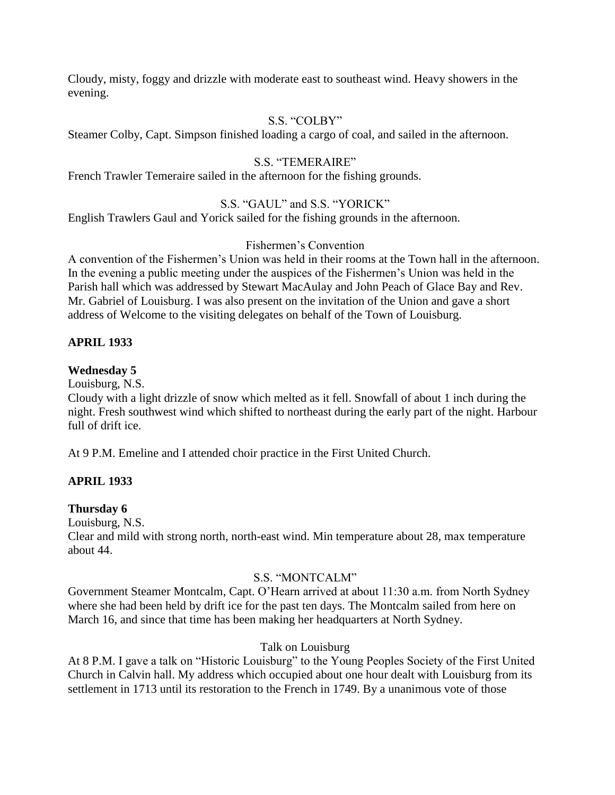Cloudy, misty, foggy and drizzle with moderate east to southeast wind. Heavy showers in the evening.

## S.S. "COLBY"

Steamer Colby, Capt. Simpson finished loading a cargo of coal, and sailed in the afternoon.

## S.S. "TEMERAIRE"

French Trawler Temeraire sailed in the afternoon for the fishing grounds.

## S.S. "GAUL" and S.S. "YORICK"

English Trawlers Gaul and Yorick sailed for the fishing grounds in the afternoon.

## Fishermen"s Convention

A convention of the Fishermen"s Union was held in their rooms at the Town hall in the afternoon. In the evening a public meeting under the auspices of the Fishermen"s Union was held in the Parish hall which was addressed by Stewart MacAulay and John Peach of Glace Bay and Rev. Mr. Gabriel of Louisburg. I was also present on the invitation of the Union and gave a short address of Welcome to the visiting delegates on behalf of the Town of Louisburg.

## **APRIL 1933**

## **Wednesday 5**

Louisburg, N.S.

Cloudy with a light drizzle of snow which melted as it fell. Snowfall of about 1 inch during the night. Fresh southwest wind which shifted to northeast during the early part of the night. Harbour full of drift ice.

At 9 P.M. Emeline and I attended choir practice in the First United Church.

## **APRIL 1933**

## **Thursday 6**

Louisburg, N.S.

Clear and mild with strong north, north-east wind. Min temperature about 28, max temperature about 44.

## S.S. "MONTCALM"

Government Steamer Montcalm, Capt. O"Hearn arrived at about 11:30 a.m. from North Sydney where she had been held by drift ice for the past ten days. The Montcalm sailed from here on March 16, and since that time has been making her headquarters at North Sydney.

## Talk on Louisburg

At 8 P.M. I gave a talk on "Historic Louisburg" to the Young Peoples Society of the First United Church in Calvin hall. My address which occupied about one hour dealt with Louisburg from its settlement in 1713 until its restoration to the French in 1749. By a unanimous vote of those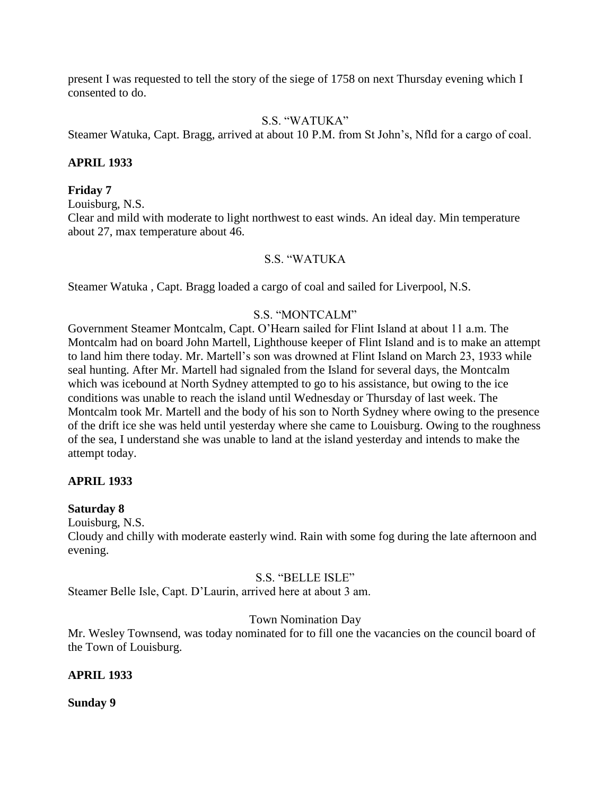present I was requested to tell the story of the siege of 1758 on next Thursday evening which I consented to do.

### S.S. "WATUKA"

Steamer Watuka, Capt. Bragg, arrived at about 10 P.M. from St John"s, Nfld for a cargo of coal.

### **APRIL 1933**

#### **Friday 7**

Louisburg, N.S.

Clear and mild with moderate to light northwest to east winds. An ideal day. Min temperature about 27, max temperature about 46.

### S.S. "WATUKA

Steamer Watuka , Capt. Bragg loaded a cargo of coal and sailed for Liverpool, N.S.

### S.S. "MONTCALM"

Government Steamer Montcalm, Capt. O"Hearn sailed for Flint Island at about 11 a.m. The Montcalm had on board John Martell, Lighthouse keeper of Flint Island and is to make an attempt to land him there today. Mr. Martell"s son was drowned at Flint Island on March 23, 1933 while seal hunting. After Mr. Martell had signaled from the Island for several days, the Montcalm which was icebound at North Sydney attempted to go to his assistance, but owing to the ice conditions was unable to reach the island until Wednesday or Thursday of last week. The Montcalm took Mr. Martell and the body of his son to North Sydney where owing to the presence of the drift ice she was held until yesterday where she came to Louisburg. Owing to the roughness of the sea, I understand she was unable to land at the island yesterday and intends to make the attempt today.

### **APRIL 1933**

#### **Saturday 8**

Louisburg, N.S.

Cloudy and chilly with moderate easterly wind. Rain with some fog during the late afternoon and evening.

#### S.S. "BELLE ISLE"

Steamer Belle Isle, Capt. D"Laurin, arrived here at about 3 am.

### Town Nomination Day

Mr. Wesley Townsend, was today nominated for to fill one the vacancies on the council board of the Town of Louisburg.

#### **APRIL 1933**

**Sunday 9**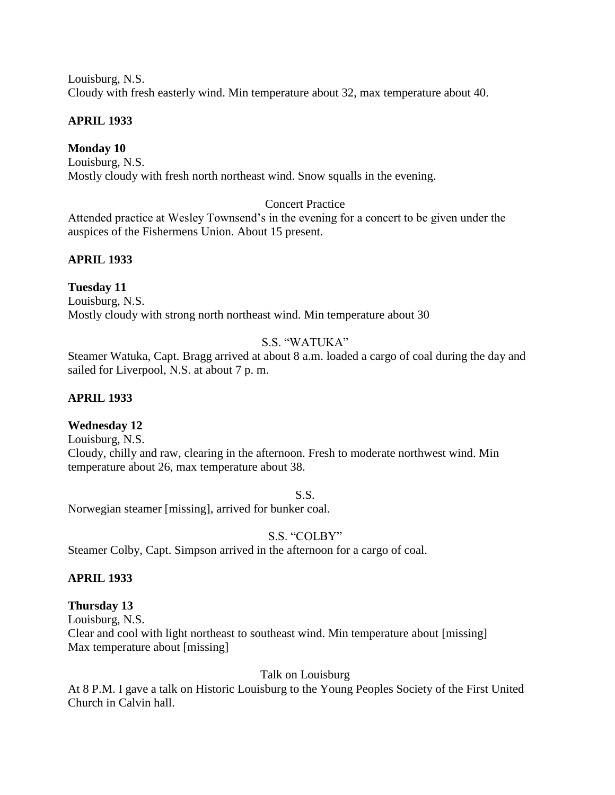Louisburg, N.S. Cloudy with fresh easterly wind. Min temperature about 32, max temperature about 40.

### **APRIL 1933**

### **Monday 10**

Louisburg, N.S. Mostly cloudy with fresh north northeast wind. Snow squalls in the evening.

### Concert Practice

Attended practice at Wesley Townsend"s in the evening for a concert to be given under the auspices of the Fishermens Union. About 15 present.

## **APRIL 1933**

### **Tuesday 11**

Louisburg, N.S. Mostly cloudy with strong north northeast wind. Min temperature about 30

## S.S. "WATUKA"

Steamer Watuka, Capt. Bragg arrived at about 8 a.m. loaded a cargo of coal during the day and sailed for Liverpool, N.S. at about 7 p. m.

### **APRIL 1933**

### **Wednesday 12**

Louisburg, N.S. Cloudy, chilly and raw, clearing in the afternoon. Fresh to moderate northwest wind. Min temperature about 26, max temperature about 38.

S.S.

Norwegian steamer [missing], arrived for bunker coal.

## S.S. "COLBY"

Steamer Colby, Capt. Simpson arrived in the afternoon for a cargo of coal.

### **APRIL 1933**

### **Thursday 13**

Louisburg, N.S.

Clear and cool with light northeast to southeast wind. Min temperature about [missing] Max temperature about [missing]

Talk on Louisburg

At 8 P.M. I gave a talk on Historic Louisburg to the Young Peoples Society of the First United Church in Calvin hall.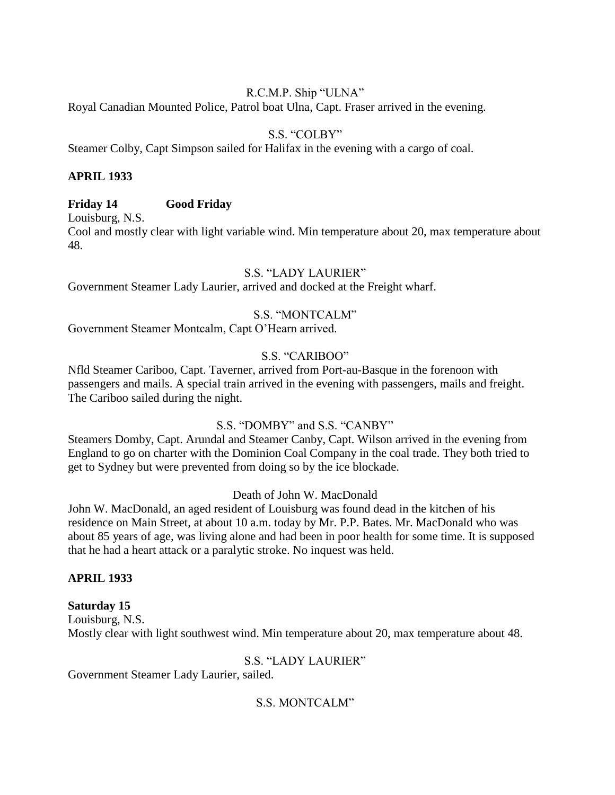### R.C.M.P. Ship "ULNA"

Royal Canadian Mounted Police, Patrol boat Ulna, Capt. Fraser arrived in the evening.

### S.S. "COLBY"

Steamer Colby, Capt Simpson sailed for Halifax in the evening with a cargo of coal.

### **APRIL 1933**

### **Friday 14 Good Friday**

Louisburg, N.S.

Cool and mostly clear with light variable wind. Min temperature about 20, max temperature about 48.

### S.S. "LADY LAURIER"

Government Steamer Lady Laurier, arrived and docked at the Freight wharf.

### S.S. "MONTCALM"

Government Steamer Montcalm, Capt O"Hearn arrived.

### S.S. "CARIBOO"

Nfld Steamer Cariboo, Capt. Taverner, arrived from Port-au-Basque in the forenoon with passengers and mails. A special train arrived in the evening with passengers, mails and freight. The Cariboo sailed during the night.

### S.S. "DOMBY" and S.S. "CANBY"

Steamers Domby, Capt. Arundal and Steamer Canby, Capt. Wilson arrived in the evening from England to go on charter with the Dominion Coal Company in the coal trade. They both tried to get to Sydney but were prevented from doing so by the ice blockade.

### Death of John W. MacDonald

John W. MacDonald, an aged resident of Louisburg was found dead in the kitchen of his residence on Main Street, at about 10 a.m. today by Mr. P.P. Bates. Mr. MacDonald who was about 85 years of age, was living alone and had been in poor health for some time. It is supposed that he had a heart attack or a paralytic stroke. No inquest was held.

### **APRIL 1933**

### **Saturday 15**

Louisburg, N.S. Mostly clear with light southwest wind. Min temperature about 20, max temperature about 48.

### S.S. "LADY LAURIER"

Government Steamer Lady Laurier, sailed.

### S.S. MONTCALM"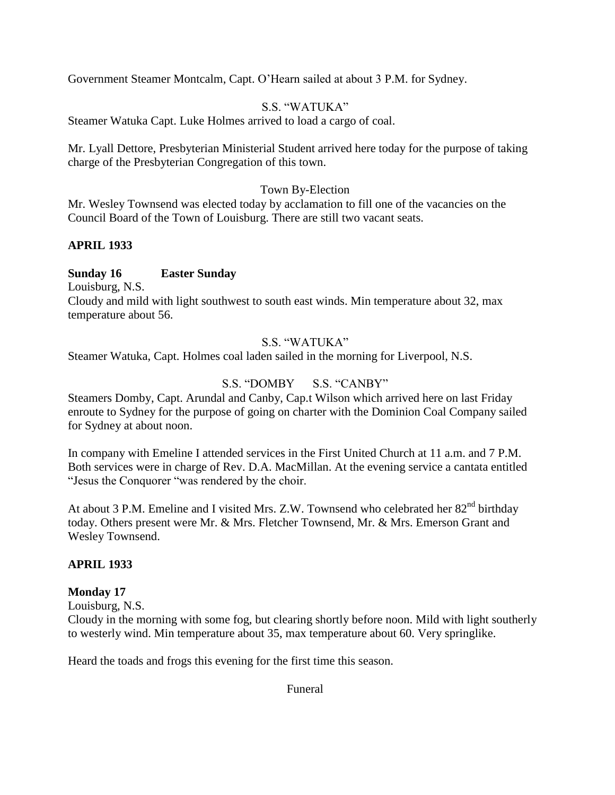Government Steamer Montcalm, Capt. O"Hearn sailed at about 3 P.M. for Sydney.

## S.S. "WATUKA"

Steamer Watuka Capt. Luke Holmes arrived to load a cargo of coal.

Mr. Lyall Dettore, Presbyterian Ministerial Student arrived here today for the purpose of taking charge of the Presbyterian Congregation of this town.

### Town By-Election

Mr. Wesley Townsend was elected today by acclamation to fill one of the vacancies on the Council Board of the Town of Louisburg. There are still two vacant seats.

## **APRIL 1933**

### **Sunday 16 Easter Sunday**

Louisburg, N.S.

Cloudy and mild with light southwest to south east winds. Min temperature about 32, max temperature about 56.

### S.S. "WATUKA"

Steamer Watuka, Capt. Holmes coal laden sailed in the morning for Liverpool, N.S.

## S.S. "DOMBY S.S. "CANBY"

Steamers Domby, Capt. Arundal and Canby, Cap.t Wilson which arrived here on last Friday enroute to Sydney for the purpose of going on charter with the Dominion Coal Company sailed for Sydney at about noon.

In company with Emeline I attended services in the First United Church at 11 a.m. and 7 P.M. Both services were in charge of Rev. D.A. MacMillan. At the evening service a cantata entitled "Jesus the Conquorer "was rendered by the choir.

At about 3 P.M. Emeline and I visited Mrs. Z.W. Townsend who celebrated her  $82<sup>nd</sup>$  birthday today. Others present were Mr. & Mrs. Fletcher Townsend, Mr. & Mrs. Emerson Grant and Wesley Townsend.

## **APRIL 1933**

## **Monday 17**

Louisburg, N.S.

Cloudy in the morning with some fog, but clearing shortly before noon. Mild with light southerly to westerly wind. Min temperature about 35, max temperature about 60. Very springlike.

Heard the toads and frogs this evening for the first time this season.

Funeral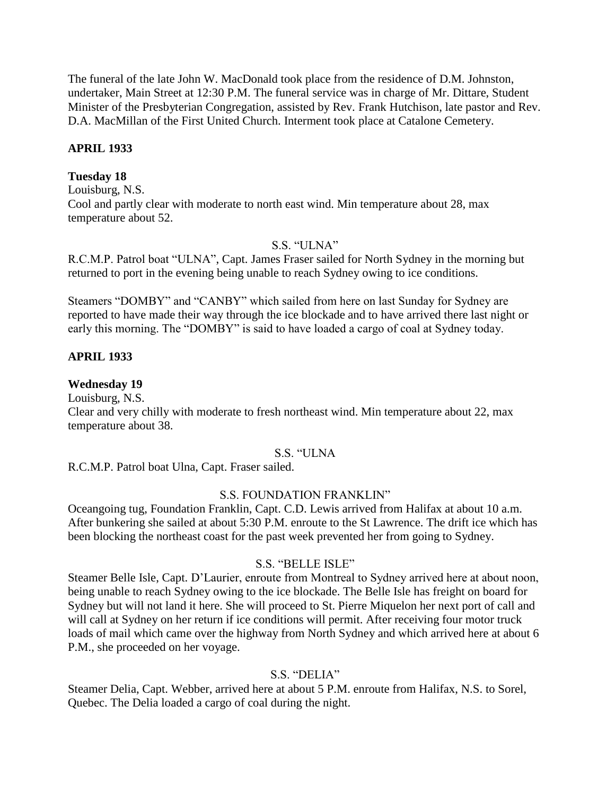The funeral of the late John W. MacDonald took place from the residence of D.M. Johnston, undertaker, Main Street at 12:30 P.M. The funeral service was in charge of Mr. Dittare, Student Minister of the Presbyterian Congregation, assisted by Rev. Frank Hutchison, late pastor and Rev. D.A. MacMillan of the First United Church. Interment took place at Catalone Cemetery.

### **APRIL 1933**

### **Tuesday 18**

Louisburg, N.S. Cool and partly clear with moderate to north east wind. Min temperature about 28, max temperature about 52.

### S.S. "ULNA"

R.C.M.P. Patrol boat "ULNA", Capt. James Fraser sailed for North Sydney in the morning but returned to port in the evening being unable to reach Sydney owing to ice conditions.

Steamers "DOMBY" and "CANBY" which sailed from here on last Sunday for Sydney are reported to have made their way through the ice blockade and to have arrived there last night or early this morning. The "DOMBY" is said to have loaded a cargo of coal at Sydney today.

### **APRIL 1933**

#### **Wednesday 19**

Louisburg, N.S.

Clear and very chilly with moderate to fresh northeast wind. Min temperature about 22, max temperature about 38.

### S.S. "ULNA

R.C.M.P. Patrol boat Ulna, Capt. Fraser sailed.

### S.S. FOUNDATION FRANKLIN"

Oceangoing tug, Foundation Franklin, Capt. C.D. Lewis arrived from Halifax at about 10 a.m. After bunkering she sailed at about 5:30 P.M. enroute to the St Lawrence. The drift ice which has been blocking the northeast coast for the past week prevented her from going to Sydney.

#### S.S. "BELLE ISLE"

Steamer Belle Isle, Capt. D"Laurier, enroute from Montreal to Sydney arrived here at about noon, being unable to reach Sydney owing to the ice blockade. The Belle Isle has freight on board for Sydney but will not land it here. She will proceed to St. Pierre Miquelon her next port of call and will call at Sydney on her return if ice conditions will permit. After receiving four motor truck loads of mail which came over the highway from North Sydney and which arrived here at about 6 P.M., she proceeded on her voyage.

#### S.S. "DELIA"

Steamer Delia, Capt. Webber, arrived here at about 5 P.M. enroute from Halifax, N.S. to Sorel, Quebec. The Delia loaded a cargo of coal during the night.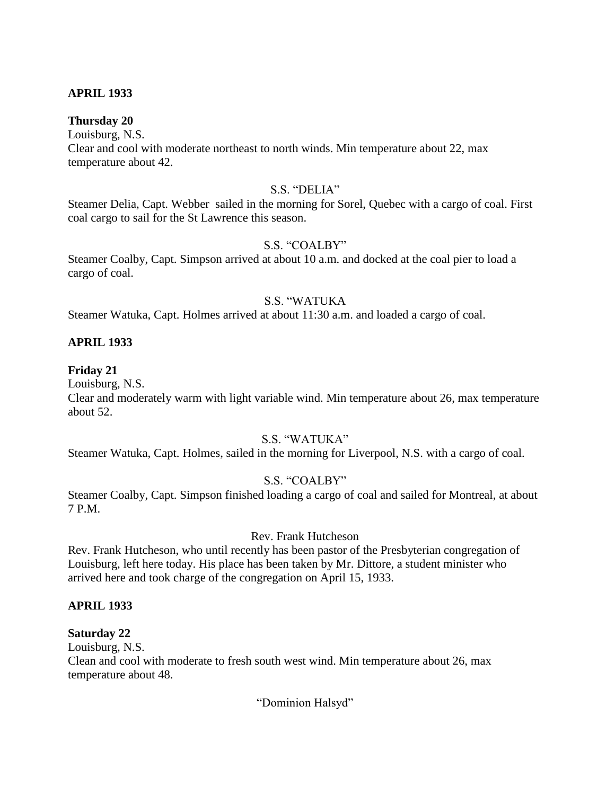### **APRIL 1933**

#### **Thursday 20**

Louisburg, N.S.

Clear and cool with moderate northeast to north winds. Min temperature about 22, max temperature about 42.

#### S.S. "DELIA"

Steamer Delia, Capt. Webber sailed in the morning for Sorel, Quebec with a cargo of coal. First coal cargo to sail for the St Lawrence this season.

#### S.S. "COALBY"

Steamer Coalby, Capt. Simpson arrived at about 10 a.m. and docked at the coal pier to load a cargo of coal.

### S.S. "WATUKA

Steamer Watuka, Capt. Holmes arrived at about 11:30 a.m. and loaded a cargo of coal.

#### **APRIL 1933**

#### **Friday 21**

Louisburg, N.S.

Clear and moderately warm with light variable wind. Min temperature about 26, max temperature about 52.

### S.S. "WATUKA"

Steamer Watuka, Capt. Holmes, sailed in the morning for Liverpool, N.S. with a cargo of coal.

#### S.S. "COALBY"

Steamer Coalby, Capt. Simpson finished loading a cargo of coal and sailed for Montreal, at about 7 P.M.

#### Rev. Frank Hutcheson

Rev. Frank Hutcheson, who until recently has been pastor of the Presbyterian congregation of Louisburg, left here today. His place has been taken by Mr. Dittore, a student minister who arrived here and took charge of the congregation on April 15, 1933.

#### **APRIL 1933**

#### **Saturday 22**

Louisburg, N.S.

Clean and cool with moderate to fresh south west wind. Min temperature about 26, max temperature about 48.

"Dominion Halsyd"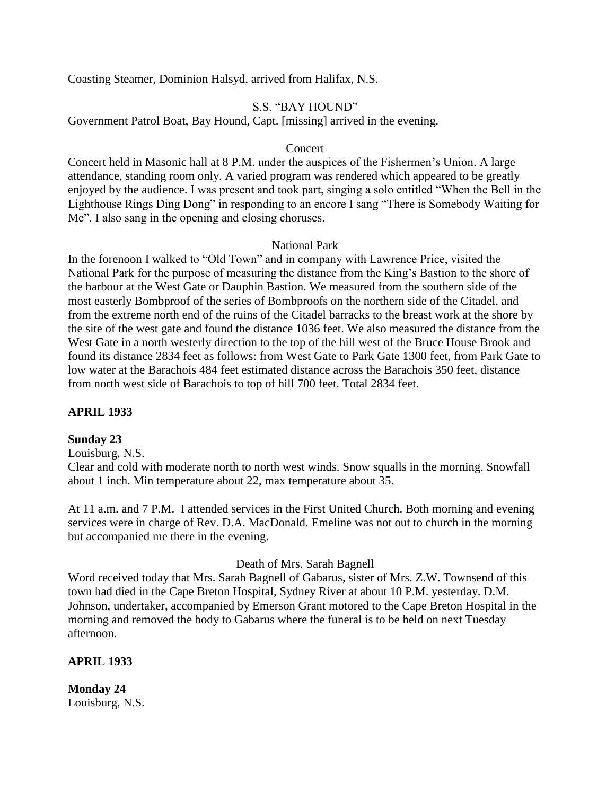Coasting Steamer, Dominion Halsyd, arrived from Halifax, N.S.

### S.S. "BAY HOUND"

Government Patrol Boat, Bay Hound, Capt. [missing] arrived in the evening.

#### Concert

Concert held in Masonic hall at 8 P.M. under the auspices of the Fishermen"s Union. A large attendance, standing room only. A varied program was rendered which appeared to be greatly enjoyed by the audience. I was present and took part, singing a solo entitled "When the Bell in the Lighthouse Rings Ding Dong" in responding to an encore I sang "There is Somebody Waiting for Me". I also sang in the opening and closing choruses.

#### National Park

In the forenoon I walked to "Old Town" and in company with Lawrence Price, visited the National Park for the purpose of measuring the distance from the King"s Bastion to the shore of the harbour at the West Gate or Dauphin Bastion. We measured from the southern side of the most easterly Bombproof of the series of Bombproofs on the northern side of the Citadel, and from the extreme north end of the ruins of the Citadel barracks to the breast work at the shore by the site of the west gate and found the distance 1036 feet. We also measured the distance from the West Gate in a north westerly direction to the top of the hill west of the Bruce House Brook and found its distance 2834 feet as follows: from West Gate to Park Gate 1300 feet, from Park Gate to low water at the Barachois 484 feet estimated distance across the Barachois 350 feet, distance from north west side of Barachois to top of hill 700 feet. Total 2834 feet.

### **APRIL 1933**

#### **Sunday 23**

Louisburg, N.S.

Clear and cold with moderate north to north west winds. Snow squalls in the morning. Snowfall about 1 inch. Min temperature about 22, max temperature about 35.

At 11 a.m. and 7 P.M. I attended services in the First United Church. Both morning and evening services were in charge of Rev. D.A. MacDonald. Emeline was not out to church in the morning but accompanied me there in the evening.

### Death of Mrs. Sarah Bagnell

Word received today that Mrs. Sarah Bagnell of Gabarus, sister of Mrs. Z.W. Townsend of this town had died in the Cape Breton Hospital, Sydney River at about 10 P.M. yesterday. D.M. Johnson, undertaker, accompanied by Emerson Grant motored to the Cape Breton Hospital in the morning and removed the body to Gabarus where the funeral is to be held on next Tuesday afternoon.

#### **APRIL 1933**

**Monday 24** Louisburg, N.S.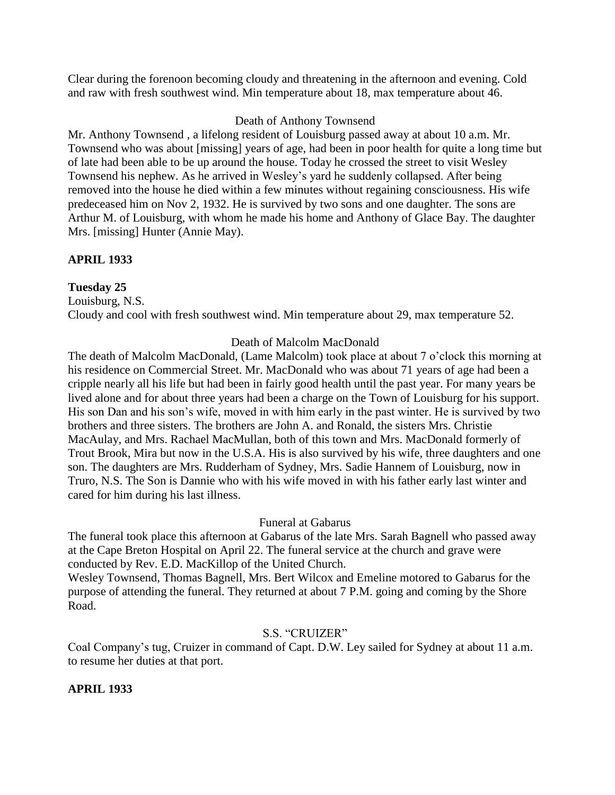Clear during the forenoon becoming cloudy and threatening in the afternoon and evening. Cold and raw with fresh southwest wind. Min temperature about 18, max temperature about 46.

### Death of Anthony Townsend

Mr. Anthony Townsend , a lifelong resident of Louisburg passed away at about 10 a.m. Mr. Townsend who was about [missing] years of age, had been in poor health for quite a long time but of late had been able to be up around the house. Today he crossed the street to visit Wesley Townsend his nephew. As he arrived in Wesley"s yard he suddenly collapsed. After being removed into the house he died within a few minutes without regaining consciousness. His wife predeceased him on Nov 2, 1932. He is survived by two sons and one daughter. The sons are Arthur M. of Louisburg, with whom he made his home and Anthony of Glace Bay. The daughter Mrs. [missing] Hunter (Annie May).

### **APRIL 1933**

### **Tuesday 25**

Louisburg, N.S. Cloudy and cool with fresh southwest wind. Min temperature about 29, max temperature 52.

### Death of Malcolm MacDonald

The death of Malcolm MacDonald, (Lame Malcolm) took place at about 7 o"clock this morning at his residence on Commercial Street. Mr. MacDonald who was about 71 years of age had been a cripple nearly all his life but had been in fairly good health until the past year. For many years be lived alone and for about three years had been a charge on the Town of Louisburg for his support. His son Dan and his son's wife, moved in with him early in the past winter. He is survived by two brothers and three sisters. The brothers are John A. and Ronald, the sisters Mrs. Christie MacAulay, and Mrs. Rachael MacMullan, both of this town and Mrs. MacDonald formerly of Trout Brook, Mira but now in the U.S.A. His is also survived by his wife, three daughters and one son. The daughters are Mrs. Rudderham of Sydney, Mrs. Sadie Hannem of Louisburg, now in Truro, N.S. The Son is Dannie who with his wife moved in with his father early last winter and cared for him during his last illness.

### Funeral at Gabarus

The funeral took place this afternoon at Gabarus of the late Mrs. Sarah Bagnell who passed away at the Cape Breton Hospital on April 22. The funeral service at the church and grave were conducted by Rev. E.D. MacKillop of the United Church.

Wesley Townsend, Thomas Bagnell, Mrs. Bert Wilcox and Emeline motored to Gabarus for the purpose of attending the funeral. They returned at about 7 P.M. going and coming by the Shore Road.

#### S.S. "CRUIZER"

Coal Company"s tug, Cruizer in command of Capt. D.W. Ley sailed for Sydney at about 11 a.m. to resume her duties at that port.

### **APRIL 1933**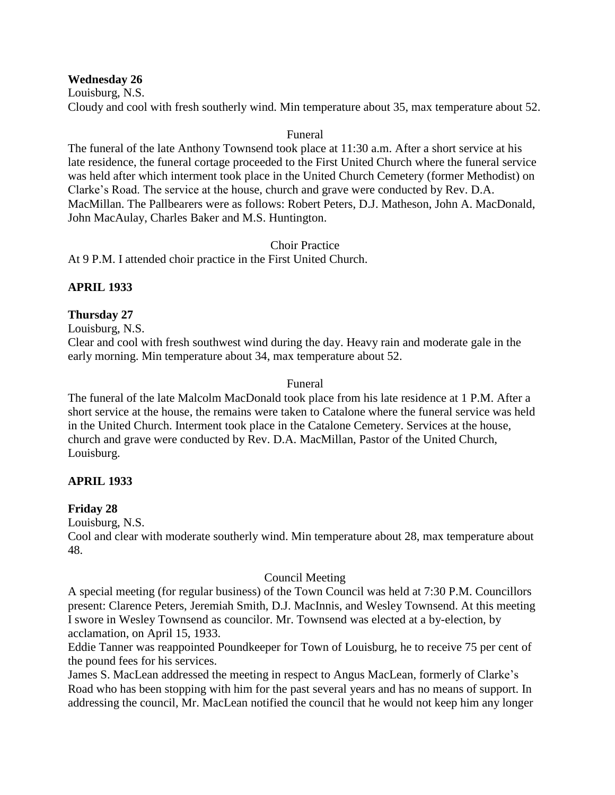**Wednesday 26**

Louisburg, N.S.

Cloudy and cool with fresh southerly wind. Min temperature about 35, max temperature about 52.

### Funeral

The funeral of the late Anthony Townsend took place at 11:30 a.m. After a short service at his late residence, the funeral cortage proceeded to the First United Church where the funeral service was held after which interment took place in the United Church Cemetery (former Methodist) on Clarke"s Road. The service at the house, church and grave were conducted by Rev. D.A. MacMillan. The Pallbearers were as follows: Robert Peters, D.J. Matheson, John A. MacDonald, John MacAulay, Charles Baker and M.S. Huntington.

### Choir Practice

At 9 P.M. I attended choir practice in the First United Church.

### **APRIL 1933**

### **Thursday 27**

Louisburg, N.S.

Clear and cool with fresh southwest wind during the day. Heavy rain and moderate gale in the early morning. Min temperature about 34, max temperature about 52.

#### Funeral

The funeral of the late Malcolm MacDonald took place from his late residence at 1 P.M. After a short service at the house, the remains were taken to Catalone where the funeral service was held in the United Church. Interment took place in the Catalone Cemetery. Services at the house, church and grave were conducted by Rev. D.A. MacMillan, Pastor of the United Church, Louisburg.

### **APRIL 1933**

### **Friday 28**

Louisburg, N.S.

Cool and clear with moderate southerly wind. Min temperature about 28, max temperature about 48.

#### Council Meeting

A special meeting (for regular business) of the Town Council was held at 7:30 P.M. Councillors present: Clarence Peters, Jeremiah Smith, D.J. MacInnis, and Wesley Townsend. At this meeting I swore in Wesley Townsend as councilor. Mr. Townsend was elected at a by-election, by acclamation, on April 15, 1933.

Eddie Tanner was reappointed Poundkeeper for Town of Louisburg, he to receive 75 per cent of the pound fees for his services.

James S. MacLean addressed the meeting in respect to Angus MacLean, formerly of Clarke"s Road who has been stopping with him for the past several years and has no means of support. In addressing the council, Mr. MacLean notified the council that he would not keep him any longer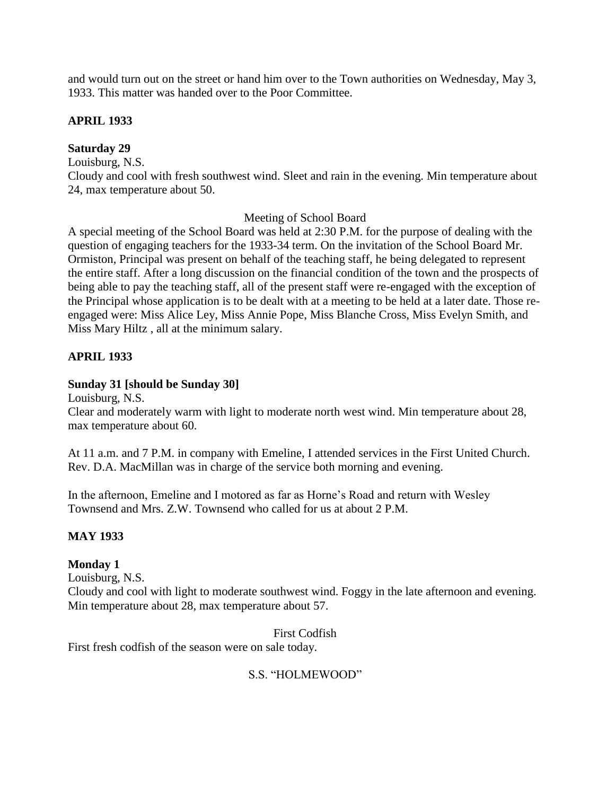and would turn out on the street or hand him over to the Town authorities on Wednesday, May 3, 1933. This matter was handed over to the Poor Committee.

### **APRIL 1933**

### **Saturday 29**

Louisburg, N.S.

Cloudy and cool with fresh southwest wind. Sleet and rain in the evening. Min temperature about 24, max temperature about 50.

### Meeting of School Board

A special meeting of the School Board was held at 2:30 P.M. for the purpose of dealing with the question of engaging teachers for the 1933-34 term. On the invitation of the School Board Mr. Ormiston, Principal was present on behalf of the teaching staff, he being delegated to represent the entire staff. After a long discussion on the financial condition of the town and the prospects of being able to pay the teaching staff, all of the present staff were re-engaged with the exception of the Principal whose application is to be dealt with at a meeting to be held at a later date. Those reengaged were: Miss Alice Ley, Miss Annie Pope, Miss Blanche Cross, Miss Evelyn Smith, and Miss Mary Hiltz , all at the minimum salary.

### **APRIL 1933**

### **Sunday 31 [should be Sunday 30]**

Louisburg, N.S.

Clear and moderately warm with light to moderate north west wind. Min temperature about 28, max temperature about 60.

At 11 a.m. and 7 P.M. in company with Emeline, I attended services in the First United Church. Rev. D.A. MacMillan was in charge of the service both morning and evening.

In the afternoon, Emeline and I motored as far as Horne"s Road and return with Wesley Townsend and Mrs. Z.W. Townsend who called for us at about 2 P.M.

## **MAY 1933**

## **Monday 1**

Louisburg, N.S.

Cloudy and cool with light to moderate southwest wind. Foggy in the late afternoon and evening. Min temperature about 28, max temperature about 57.

First Codfish

First fresh codfish of the season were on sale today.

## S.S. "HOLMEWOOD"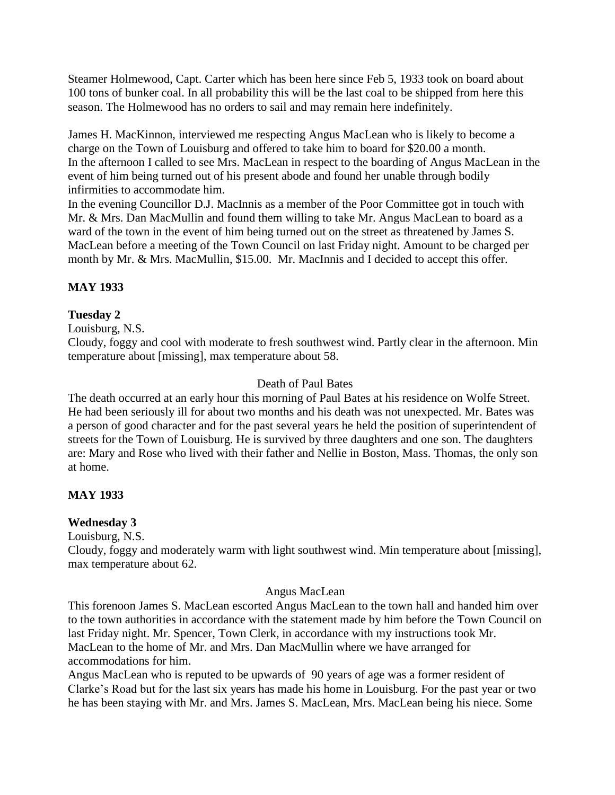Steamer Holmewood, Capt. Carter which has been here since Feb 5, 1933 took on board about 100 tons of bunker coal. In all probability this will be the last coal to be shipped from here this season. The Holmewood has no orders to sail and may remain here indefinitely.

James H. MacKinnon, interviewed me respecting Angus MacLean who is likely to become a charge on the Town of Louisburg and offered to take him to board for \$20.00 a month. In the afternoon I called to see Mrs. MacLean in respect to the boarding of Angus MacLean in the event of him being turned out of his present abode and found her unable through bodily infirmities to accommodate him.

In the evening Councillor D.J. MacInnis as a member of the Poor Committee got in touch with Mr. & Mrs. Dan MacMullin and found them willing to take Mr. Angus MacLean to board as a ward of the town in the event of him being turned out on the street as threatened by James S. MacLean before a meeting of the Town Council on last Friday night. Amount to be charged per month by Mr. & Mrs. MacMullin, \$15.00. Mr. MacInnis and I decided to accept this offer.

## **MAY 1933**

### **Tuesday 2**

Louisburg, N.S.

Cloudy, foggy and cool with moderate to fresh southwest wind. Partly clear in the afternoon. Min temperature about [missing], max temperature about 58.

### Death of Paul Bates

The death occurred at an early hour this morning of Paul Bates at his residence on Wolfe Street. He had been seriously ill for about two months and his death was not unexpected. Mr. Bates was a person of good character and for the past several years he held the position of superintendent of streets for the Town of Louisburg. He is survived by three daughters and one son. The daughters are: Mary and Rose who lived with their father and Nellie in Boston, Mass. Thomas, the only son at home.

## **MAY 1933**

### **Wednesday 3**

Louisburg, N.S.

Cloudy, foggy and moderately warm with light southwest wind. Min temperature about [missing], max temperature about 62.

### Angus MacLean

This forenoon James S. MacLean escorted Angus MacLean to the town hall and handed him over to the town authorities in accordance with the statement made by him before the Town Council on last Friday night. Mr. Spencer, Town Clerk, in accordance with my instructions took Mr. MacLean to the home of Mr. and Mrs. Dan MacMullin where we have arranged for accommodations for him.

Angus MacLean who is reputed to be upwards of 90 years of age was a former resident of Clarke"s Road but for the last six years has made his home in Louisburg. For the past year or two he has been staying with Mr. and Mrs. James S. MacLean, Mrs. MacLean being his niece. Some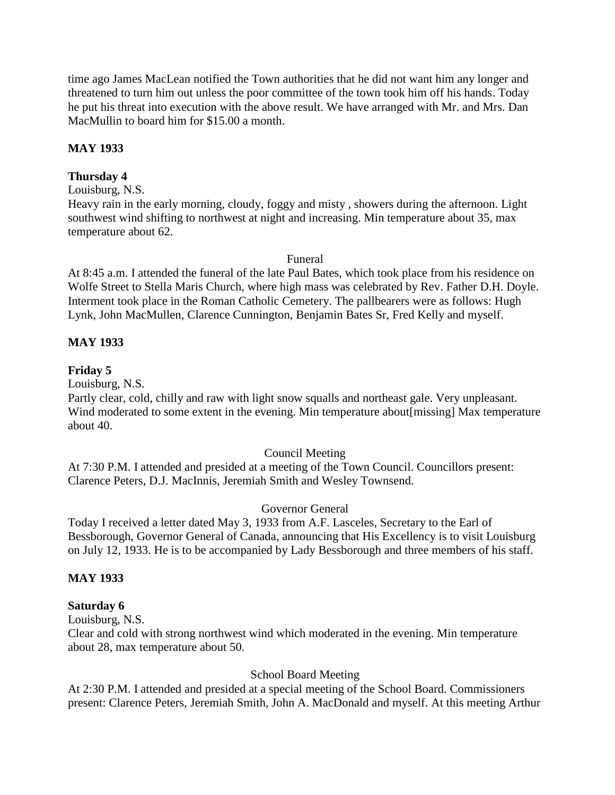time ago James MacLean notified the Town authorities that he did not want him any longer and threatened to turn him out unless the poor committee of the town took him off his hands. Today he put his threat into execution with the above result. We have arranged with Mr. and Mrs. Dan MacMullin to board him for \$15.00 a month.

### **MAY 1933**

### **Thursday 4**

#### Louisburg, N.S.

Heavy rain in the early morning, cloudy, foggy and misty , showers during the afternoon. Light southwest wind shifting to northwest at night and increasing. Min temperature about 35, max temperature about 62.

#### Funeral

At 8:45 a.m. I attended the funeral of the late Paul Bates, which took place from his residence on Wolfe Street to Stella Maris Church, where high mass was celebrated by Rev. Father D.H. Doyle. Interment took place in the Roman Catholic Cemetery. The pallbearers were as follows: Hugh Lynk, John MacMullen, Clarence Cunnington, Benjamin Bates Sr, Fred Kelly and myself.

### **MAY 1933**

### **Friday 5**

Louisburg, N.S.

Partly clear, cold, chilly and raw with light snow squalls and northeast gale. Very unpleasant. Wind moderated to some extent in the evening. Min temperature about[missing] Max temperature about 40.

#### Council Meeting

At 7:30 P.M. I attended and presided at a meeting of the Town Council. Councillors present: Clarence Peters, D.J. MacInnis, Jeremiah Smith and Wesley Townsend.

#### Governor General

Today I received a letter dated May 3, 1933 from A.F. Lasceles, Secretary to the Earl of Bessborough, Governor General of Canada, announcing that His Excellency is to visit Louisburg on July 12, 1933. He is to be accompanied by Lady Bessborough and three members of his staff.

### **MAY 1933**

#### **Saturday 6**

Louisburg, N.S.

Clear and cold with strong northwest wind which moderated in the evening. Min temperature about 28, max temperature about 50.

### School Board Meeting

At 2:30 P.M. I attended and presided at a special meeting of the School Board. Commissioners present: Clarence Peters, Jeremiah Smith, John A. MacDonald and myself. At this meeting Arthur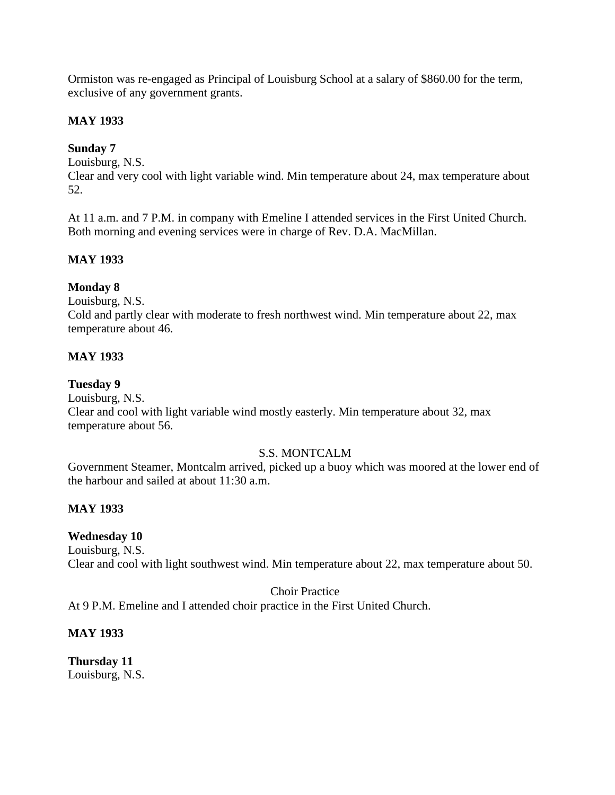Ormiston was re-engaged as Principal of Louisburg School at a salary of \$860.00 for the term, exclusive of any government grants.

### **MAY 1933**

### **Sunday 7**

Louisburg, N.S.

Clear and very cool with light variable wind. Min temperature about 24, max temperature about 52.

At 11 a.m. and 7 P.M. in company with Emeline I attended services in the First United Church. Both morning and evening services were in charge of Rev. D.A. MacMillan.

## **MAY 1933**

### **Monday 8**

Louisburg, N.S.

Cold and partly clear with moderate to fresh northwest wind. Min temperature about 22, max temperature about 46.

### **MAY 1933**

### **Tuesday 9**

Louisburg, N.S. Clear and cool with light variable wind mostly easterly. Min temperature about 32, max temperature about 56.

## S.S. MONTCALM

Government Steamer, Montcalm arrived, picked up a buoy which was moored at the lower end of the harbour and sailed at about 11:30 a.m.

## **MAY 1933**

### **Wednesday 10**

Louisburg, N.S. Clear and cool with light southwest wind. Min temperature about 22, max temperature about 50.

Choir Practice

At 9 P.M. Emeline and I attended choir practice in the First United Church.

### **MAY 1933**

**Thursday 11** Louisburg, N.S.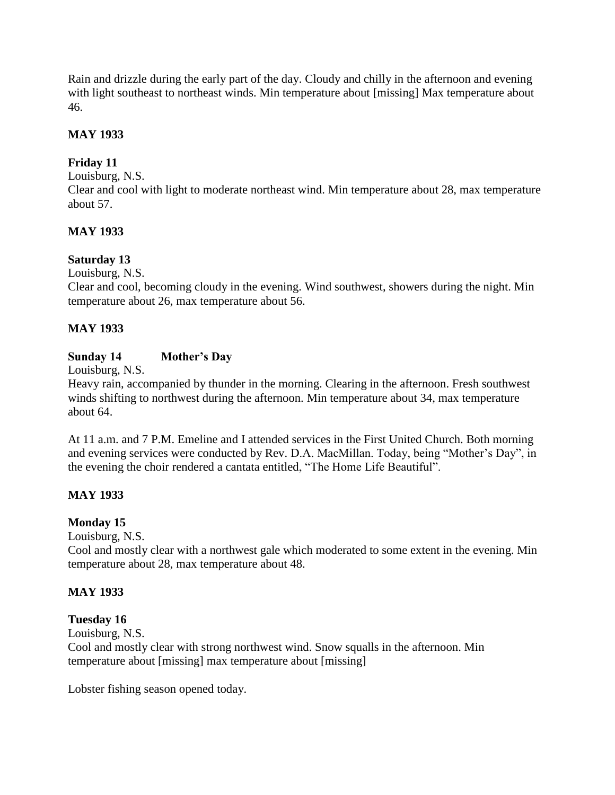Rain and drizzle during the early part of the day. Cloudy and chilly in the afternoon and evening with light southeast to northeast winds. Min temperature about [missing] Max temperature about 46.

## **MAY 1933**

## **Friday 11**

Louisburg, N.S.

Clear and cool with light to moderate northeast wind. Min temperature about 28, max temperature about 57.

### **MAY 1933**

### **Saturday 13**

Louisburg, N.S.

Clear and cool, becoming cloudy in the evening. Wind southwest, showers during the night. Min temperature about 26, max temperature about 56.

### **MAY 1933**

### **Sunday 14 Mother's Day**

Louisburg, N.S.

Heavy rain, accompanied by thunder in the morning. Clearing in the afternoon. Fresh southwest winds shifting to northwest during the afternoon. Min temperature about 34, max temperature about 64.

At 11 a.m. and 7 P.M. Emeline and I attended services in the First United Church. Both morning and evening services were conducted by Rev. D.A. MacMillan. Today, being "Mother"s Day", in the evening the choir rendered a cantata entitled, "The Home Life Beautiful".

## **MAY 1933**

### **Monday 15**

Louisburg, N.S.

Cool and mostly clear with a northwest gale which moderated to some extent in the evening. Min temperature about 28, max temperature about 48.

### **MAY 1933**

### **Tuesday 16**

Louisburg, N.S.

Cool and mostly clear with strong northwest wind. Snow squalls in the afternoon. Min temperature about [missing] max temperature about [missing]

Lobster fishing season opened today.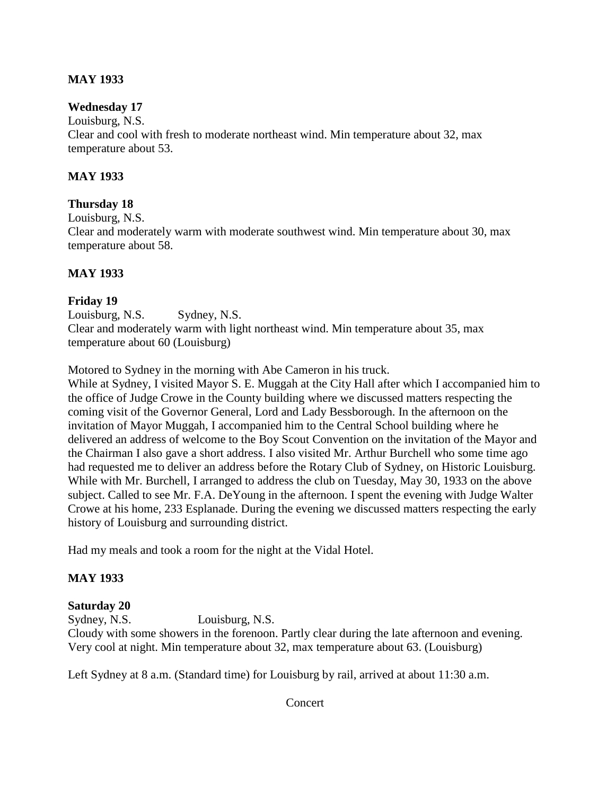### **MAY 1933**

### **Wednesday 17**

Louisburg, N.S. Clear and cool with fresh to moderate northeast wind. Min temperature about 32, max temperature about 53.

### **MAY 1933**

### **Thursday 18**

Louisburg, N.S.

Clear and moderately warm with moderate southwest wind. Min temperature about 30, max temperature about 58.

### **MAY 1933**

### **Friday 19**

Louisburg, N.S. Sydney, N.S. Clear and moderately warm with light northeast wind. Min temperature about 35, max temperature about 60 (Louisburg)

Motored to Sydney in the morning with Abe Cameron in his truck.

While at Sydney, I visited Mayor S. E. Muggah at the City Hall after which I accompanied him to the office of Judge Crowe in the County building where we discussed matters respecting the coming visit of the Governor General, Lord and Lady Bessborough. In the afternoon on the invitation of Mayor Muggah, I accompanied him to the Central School building where he delivered an address of welcome to the Boy Scout Convention on the invitation of the Mayor and the Chairman I also gave a short address. I also visited Mr. Arthur Burchell who some time ago had requested me to deliver an address before the Rotary Club of Sydney, on Historic Louisburg. While with Mr. Burchell, I arranged to address the club on Tuesday, May 30, 1933 on the above subject. Called to see Mr. F.A. DeYoung in the afternoon. I spent the evening with Judge Walter Crowe at his home, 233 Esplanade. During the evening we discussed matters respecting the early history of Louisburg and surrounding district.

Had my meals and took a room for the night at the Vidal Hotel.

### **MAY 1933**

#### **Saturday 20**

Sydney, N.S. Louisburg, N.S. Cloudy with some showers in the forenoon. Partly clear during the late afternoon and evening. Very cool at night. Min temperature about 32, max temperature about 63. (Louisburg)

Left Sydney at 8 a.m. (Standard time) for Louisburg by rail, arrived at about 11:30 a.m.

Concert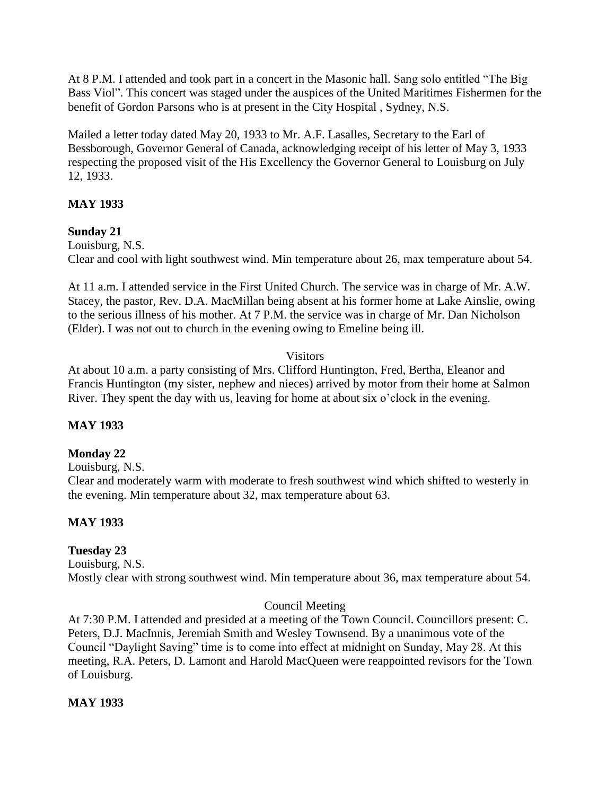At 8 P.M. I attended and took part in a concert in the Masonic hall. Sang solo entitled "The Big Bass Viol". This concert was staged under the auspices of the United Maritimes Fishermen for the benefit of Gordon Parsons who is at present in the City Hospital , Sydney, N.S.

Mailed a letter today dated May 20, 1933 to Mr. A.F. Lasalles, Secretary to the Earl of Bessborough, Governor General of Canada, acknowledging receipt of his letter of May 3, 1933 respecting the proposed visit of the His Excellency the Governor General to Louisburg on July 12, 1933.

## **MAY 1933**

### **Sunday 21**

Louisburg, N.S. Clear and cool with light southwest wind. Min temperature about 26, max temperature about 54.

At 11 a.m. I attended service in the First United Church. The service was in charge of Mr. A.W. Stacey, the pastor, Rev. D.A. MacMillan being absent at his former home at Lake Ainslie, owing to the serious illness of his mother. At 7 P.M. the service was in charge of Mr. Dan Nicholson (Elder). I was not out to church in the evening owing to Emeline being ill.

### **Visitors**

At about 10 a.m. a party consisting of Mrs. Clifford Huntington, Fred, Bertha, Eleanor and Francis Huntington (my sister, nephew and nieces) arrived by motor from their home at Salmon River. They spent the day with us, leaving for home at about six o'clock in the evening.

## **MAY 1933**

### **Monday 22**

Louisburg, N.S.

Clear and moderately warm with moderate to fresh southwest wind which shifted to westerly in the evening. Min temperature about 32, max temperature about 63.

## **MAY 1933**

## **Tuesday 23**

Louisburg, N.S. Mostly clear with strong southwest wind. Min temperature about 36, max temperature about 54.

### Council Meeting

At 7:30 P.M. I attended and presided at a meeting of the Town Council. Councillors present: C. Peters, D.J. MacInnis, Jeremiah Smith and Wesley Townsend. By a unanimous vote of the Council "Daylight Saving" time is to come into effect at midnight on Sunday, May 28. At this meeting, R.A. Peters, D. Lamont and Harold MacQueen were reappointed revisors for the Town of Louisburg.

### **MAY 1933**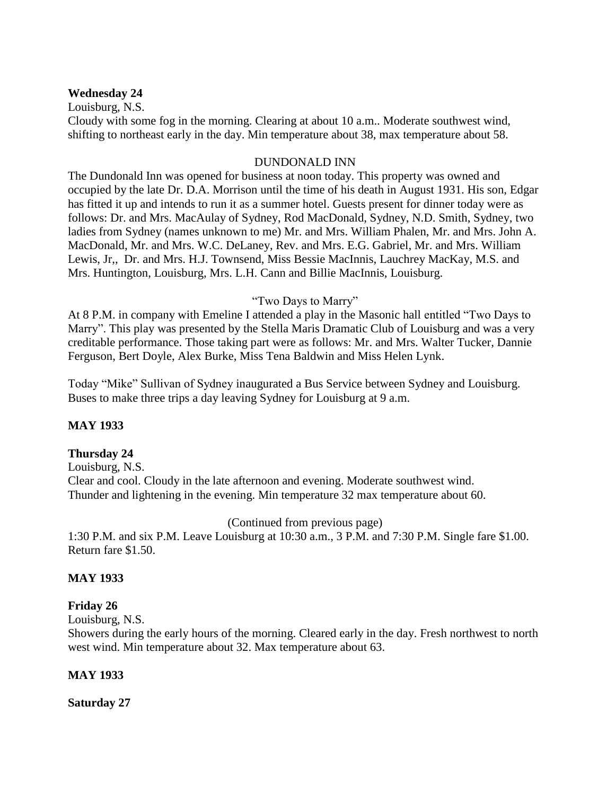#### **Wednesday 24**

Louisburg, N.S. Cloudy with some fog in the morning. Clearing at about 10 a.m.. Moderate southwest wind, shifting to northeast early in the day. Min temperature about 38, max temperature about 58.

#### DUNDONALD INN

The Dundonald Inn was opened for business at noon today. This property was owned and occupied by the late Dr. D.A. Morrison until the time of his death in August 1931. His son, Edgar has fitted it up and intends to run it as a summer hotel. Guests present for dinner today were as follows: Dr. and Mrs. MacAulay of Sydney, Rod MacDonald, Sydney, N.D. Smith, Sydney, two ladies from Sydney (names unknown to me) Mr. and Mrs. William Phalen, Mr. and Mrs. John A. MacDonald, Mr. and Mrs. W.C. DeLaney, Rev. and Mrs. E.G. Gabriel, Mr. and Mrs. William Lewis, Jr,, Dr. and Mrs. H.J. Townsend, Miss Bessie MacInnis, Lauchrey MacKay, M.S. and Mrs. Huntington, Louisburg, Mrs. L.H. Cann and Billie MacInnis, Louisburg.

#### "Two Days to Marry"

At 8 P.M. in company with Emeline I attended a play in the Masonic hall entitled "Two Days to Marry". This play was presented by the Stella Maris Dramatic Club of Louisburg and was a very creditable performance. Those taking part were as follows: Mr. and Mrs. Walter Tucker, Dannie Ferguson, Bert Doyle, Alex Burke, Miss Tena Baldwin and Miss Helen Lynk.

Today "Mike" Sullivan of Sydney inaugurated a Bus Service between Sydney and Louisburg. Buses to make three trips a day leaving Sydney for Louisburg at 9 a.m.

#### **MAY 1933**

#### **Thursday 24**

Louisburg, N.S. Clear and cool. Cloudy in the late afternoon and evening. Moderate southwest wind. Thunder and lightening in the evening. Min temperature 32 max temperature about 60.

(Continued from previous page)

1:30 P.M. and six P.M. Leave Louisburg at 10:30 a.m., 3 P.M. and 7:30 P.M. Single fare \$1.00. Return fare \$1.50.

#### **MAY 1933**

#### **Friday 26**

Louisburg, N.S.

Showers during the early hours of the morning. Cleared early in the day. Fresh northwest to north west wind. Min temperature about 32. Max temperature about 63.

#### **MAY 1933**

**Saturday 27**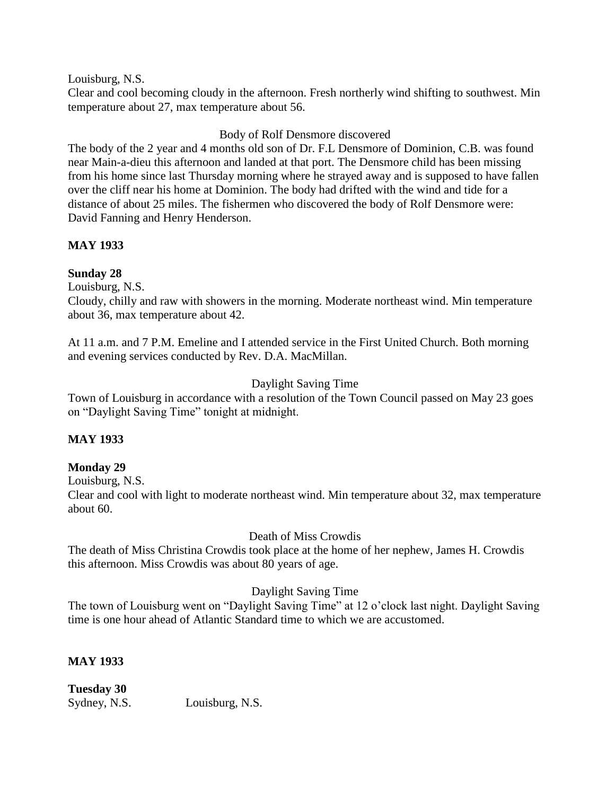Louisburg, N.S.

Clear and cool becoming cloudy in the afternoon. Fresh northerly wind shifting to southwest. Min temperature about 27, max temperature about 56.

### Body of Rolf Densmore discovered

The body of the 2 year and 4 months old son of Dr. F.L Densmore of Dominion, C.B. was found near Main-a-dieu this afternoon and landed at that port. The Densmore child has been missing from his home since last Thursday morning where he strayed away and is supposed to have fallen over the cliff near his home at Dominion. The body had drifted with the wind and tide for a distance of about 25 miles. The fishermen who discovered the body of Rolf Densmore were: David Fanning and Henry Henderson.

### **MAY 1933**

### **Sunday 28**

Louisburg, N.S.

Cloudy, chilly and raw with showers in the morning. Moderate northeast wind. Min temperature about 36, max temperature about 42.

At 11 a.m. and 7 P.M. Emeline and I attended service in the First United Church. Both morning and evening services conducted by Rev. D.A. MacMillan.

### Daylight Saving Time

Town of Louisburg in accordance with a resolution of the Town Council passed on May 23 goes on "Daylight Saving Time" tonight at midnight.

### **MAY 1933**

### **Monday 29**

Louisburg, N.S.

Clear and cool with light to moderate northeast wind. Min temperature about 32, max temperature about 60.

### Death of Miss Crowdis

The death of Miss Christina Crowdis took place at the home of her nephew, James H. Crowdis this afternoon. Miss Crowdis was about 80 years of age.

### Daylight Saving Time

The town of Louisburg went on "Daylight Saving Time" at 12 o"clock last night. Daylight Saving time is one hour ahead of Atlantic Standard time to which we are accustomed.

### **MAY 1933**

**Tuesday 30** Sydney, N.S. Louisburg, N.S.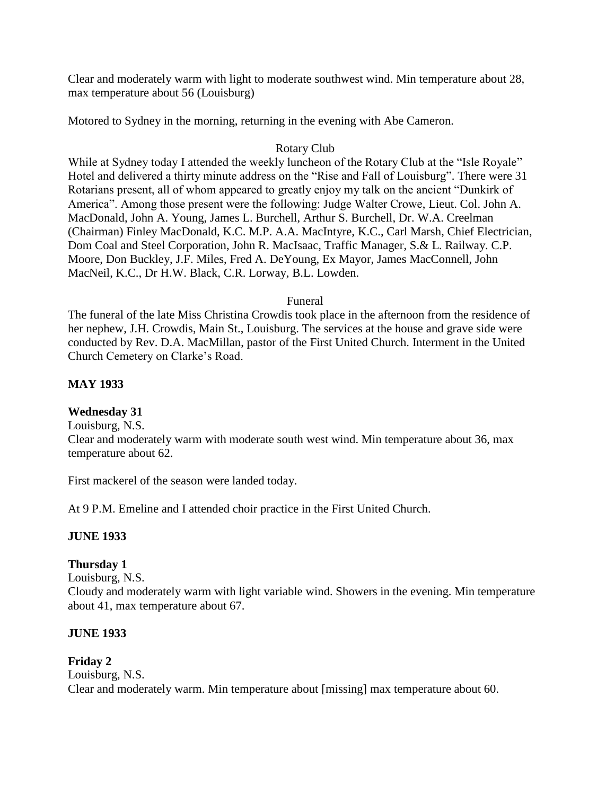Clear and moderately warm with light to moderate southwest wind. Min temperature about 28, max temperature about 56 (Louisburg)

Motored to Sydney in the morning, returning in the evening with Abe Cameron.

### Rotary Club

While at Sydney today I attended the weekly luncheon of the Rotary Club at the "Isle Royale" Hotel and delivered a thirty minute address on the "Rise and Fall of Louisburg". There were 31 Rotarians present, all of whom appeared to greatly enjoy my talk on the ancient "Dunkirk of America". Among those present were the following: Judge Walter Crowe, Lieut. Col. John A. MacDonald, John A. Young, James L. Burchell, Arthur S. Burchell, Dr. W.A. Creelman (Chairman) Finley MacDonald, K.C. M.P. A.A. MacIntyre, K.C., Carl Marsh, Chief Electrician, Dom Coal and Steel Corporation, John R. MacIsaac, Traffic Manager, S.& L. Railway. C.P. Moore, Don Buckley, J.F. Miles, Fred A. DeYoung, Ex Mayor, James MacConnell, John MacNeil, K.C., Dr H.W. Black, C.R. Lorway, B.L. Lowden.

### Funeral

The funeral of the late Miss Christina Crowdis took place in the afternoon from the residence of her nephew, J.H. Crowdis, Main St., Louisburg. The services at the house and grave side were conducted by Rev. D.A. MacMillan, pastor of the First United Church. Interment in the United Church Cemetery on Clarke"s Road.

### **MAY 1933**

### **Wednesday 31**

Louisburg, N.S. Clear and moderately warm with moderate south west wind. Min temperature about 36, max temperature about 62.

First mackerel of the season were landed today.

At 9 P.M. Emeline and I attended choir practice in the First United Church.

### **JUNE 1933**

## **Thursday 1**

Louisburg, N.S.

Cloudy and moderately warm with light variable wind. Showers in the evening. Min temperature about 41, max temperature about 67.

### **JUNE 1933**

#### **Friday 2** Louisburg, N.S. Clear and moderately warm. Min temperature about [missing] max temperature about 60.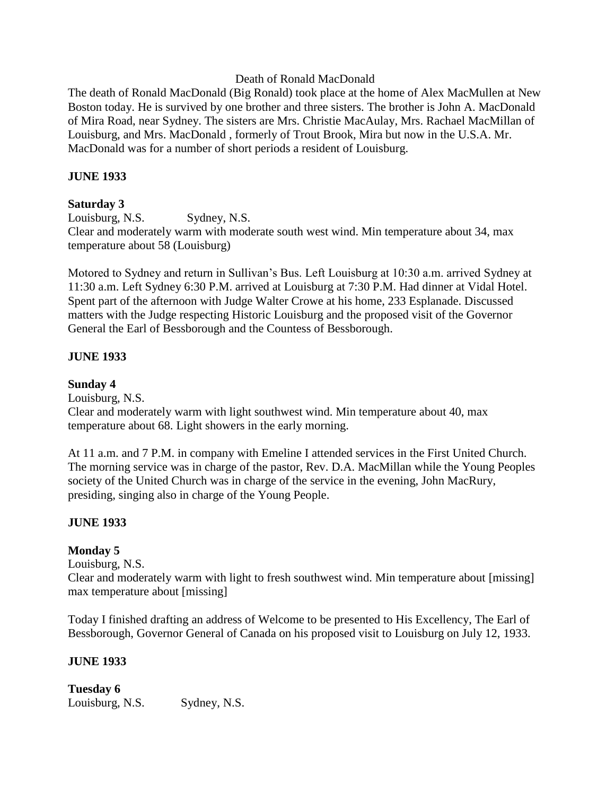### Death of Ronald MacDonald

The death of Ronald MacDonald (Big Ronald) took place at the home of Alex MacMullen at New Boston today. He is survived by one brother and three sisters. The brother is John A. MacDonald of Mira Road, near Sydney. The sisters are Mrs. Christie MacAulay, Mrs. Rachael MacMillan of Louisburg, and Mrs. MacDonald , formerly of Trout Brook, Mira but now in the U.S.A. Mr. MacDonald was for a number of short periods a resident of Louisburg.

### **JUNE 1933**

### **Saturday 3**

Louisburg, N.S. Sydney, N.S. Clear and moderately warm with moderate south west wind. Min temperature about 34, max temperature about 58 (Louisburg)

Motored to Sydney and return in Sullivan"s Bus. Left Louisburg at 10:30 a.m. arrived Sydney at 11:30 a.m. Left Sydney 6:30 P.M. arrived at Louisburg at 7:30 P.M. Had dinner at Vidal Hotel. Spent part of the afternoon with Judge Walter Crowe at his home, 233 Esplanade. Discussed matters with the Judge respecting Historic Louisburg and the proposed visit of the Governor General the Earl of Bessborough and the Countess of Bessborough.

### **JUNE 1933**

### **Sunday 4**

Louisburg, N.S.

Clear and moderately warm with light southwest wind. Min temperature about 40, max temperature about 68. Light showers in the early morning.

At 11 a.m. and 7 P.M. in company with Emeline I attended services in the First United Church. The morning service was in charge of the pastor, Rev. D.A. MacMillan while the Young Peoples society of the United Church was in charge of the service in the evening, John MacRury, presiding, singing also in charge of the Young People.

### **JUNE 1933**

### **Monday 5**

Louisburg, N.S.

Clear and moderately warm with light to fresh southwest wind. Min temperature about [missing] max temperature about [missing]

Today I finished drafting an address of Welcome to be presented to His Excellency, The Earl of Bessborough, Governor General of Canada on his proposed visit to Louisburg on July 12, 1933.

#### **JUNE 1933**

**Tuesday 6** Louisburg, N.S. Sydney, N.S.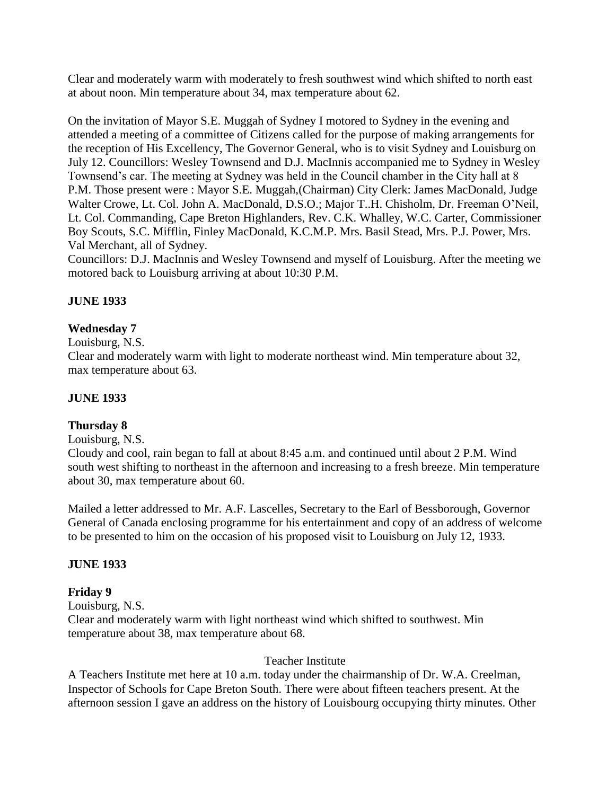Clear and moderately warm with moderately to fresh southwest wind which shifted to north east at about noon. Min temperature about 34, max temperature about 62.

On the invitation of Mayor S.E. Muggah of Sydney I motored to Sydney in the evening and attended a meeting of a committee of Citizens called for the purpose of making arrangements for the reception of His Excellency, The Governor General, who is to visit Sydney and Louisburg on July 12. Councillors: Wesley Townsend and D.J. MacInnis accompanied me to Sydney in Wesley Townsend"s car. The meeting at Sydney was held in the Council chamber in the City hall at 8 P.M. Those present were : Mayor S.E. Muggah,(Chairman) City Clerk: James MacDonald, Judge Walter Crowe, Lt. Col. John A. MacDonald, D.S.O.; Major T..H. Chisholm, Dr. Freeman O"Neil, Lt. Col. Commanding, Cape Breton Highlanders, Rev. C.K. Whalley, W.C. Carter, Commissioner Boy Scouts, S.C. Mifflin, Finley MacDonald, K.C.M.P. Mrs. Basil Stead, Mrs. P.J. Power, Mrs. Val Merchant, all of Sydney.

Councillors: D.J. MacInnis and Wesley Townsend and myself of Louisburg. After the meeting we motored back to Louisburg arriving at about 10:30 P.M.

### **JUNE 1933**

### **Wednesday 7**

Louisburg, N.S.

Clear and moderately warm with light to moderate northeast wind. Min temperature about 32, max temperature about 63.

### **JUNE 1933**

### **Thursday 8**

Louisburg, N.S.

Cloudy and cool, rain began to fall at about 8:45 a.m. and continued until about 2 P.M. Wind south west shifting to northeast in the afternoon and increasing to a fresh breeze. Min temperature about 30, max temperature about 60.

Mailed a letter addressed to Mr. A.F. Lascelles, Secretary to the Earl of Bessborough, Governor General of Canada enclosing programme for his entertainment and copy of an address of welcome to be presented to him on the occasion of his proposed visit to Louisburg on July 12, 1933.

### **JUNE 1933**

### **Friday 9**

Louisburg, N.S.

Clear and moderately warm with light northeast wind which shifted to southwest. Min temperature about 38, max temperature about 68.

#### Teacher Institute

A Teachers Institute met here at 10 a.m. today under the chairmanship of Dr. W.A. Creelman, Inspector of Schools for Cape Breton South. There were about fifteen teachers present. At the afternoon session I gave an address on the history of Louisbourg occupying thirty minutes. Other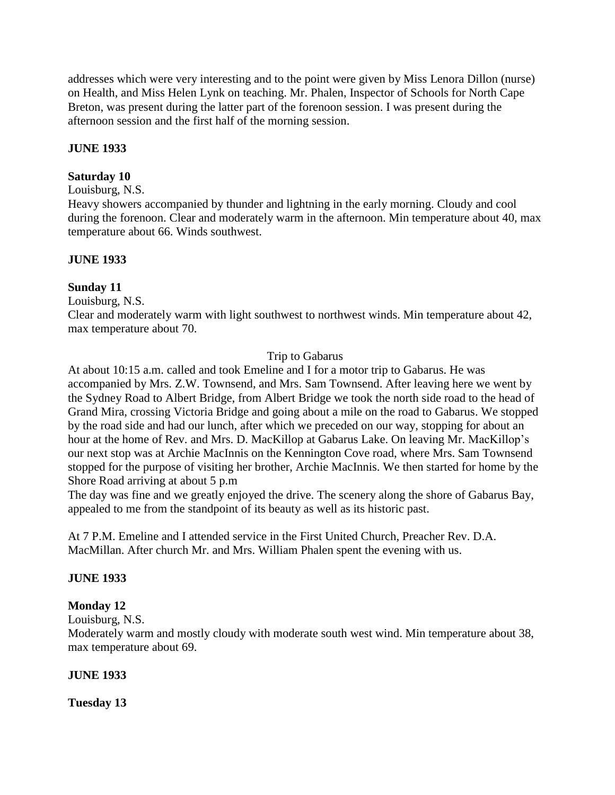addresses which were very interesting and to the point were given by Miss Lenora Dillon (nurse) on Health, and Miss Helen Lynk on teaching. Mr. Phalen, Inspector of Schools for North Cape Breton, was present during the latter part of the forenoon session. I was present during the afternoon session and the first half of the morning session.

### **JUNE 1933**

### **Saturday 10**

### Louisburg, N.S.

Heavy showers accompanied by thunder and lightning in the early morning. Cloudy and cool during the forenoon. Clear and moderately warm in the afternoon. Min temperature about 40, max temperature about 66. Winds southwest.

### **JUNE 1933**

### **Sunday 11**

Louisburg, N.S.

Clear and moderately warm with light southwest to northwest winds. Min temperature about 42, max temperature about 70.

### Trip to Gabarus

At about 10:15 a.m. called and took Emeline and I for a motor trip to Gabarus. He was accompanied by Mrs. Z.W. Townsend, and Mrs. Sam Townsend. After leaving here we went by the Sydney Road to Albert Bridge, from Albert Bridge we took the north side road to the head of Grand Mira, crossing Victoria Bridge and going about a mile on the road to Gabarus. We stopped by the road side and had our lunch, after which we preceded on our way, stopping for about an hour at the home of Rev. and Mrs. D. MacKillop at Gabarus Lake. On leaving Mr. MacKillop's our next stop was at Archie MacInnis on the Kennington Cove road, where Mrs. Sam Townsend stopped for the purpose of visiting her brother, Archie MacInnis. We then started for home by the Shore Road arriving at about 5 p.m

The day was fine and we greatly enjoyed the drive. The scenery along the shore of Gabarus Bay, appealed to me from the standpoint of its beauty as well as its historic past.

At 7 P.M. Emeline and I attended service in the First United Church, Preacher Rev. D.A. MacMillan. After church Mr. and Mrs. William Phalen spent the evening with us.

### **JUNE 1933**

### **Monday 12**

Louisburg, N.S.

Moderately warm and mostly cloudy with moderate south west wind. Min temperature about 38, max temperature about 69.

### **JUNE 1933**

**Tuesday 13**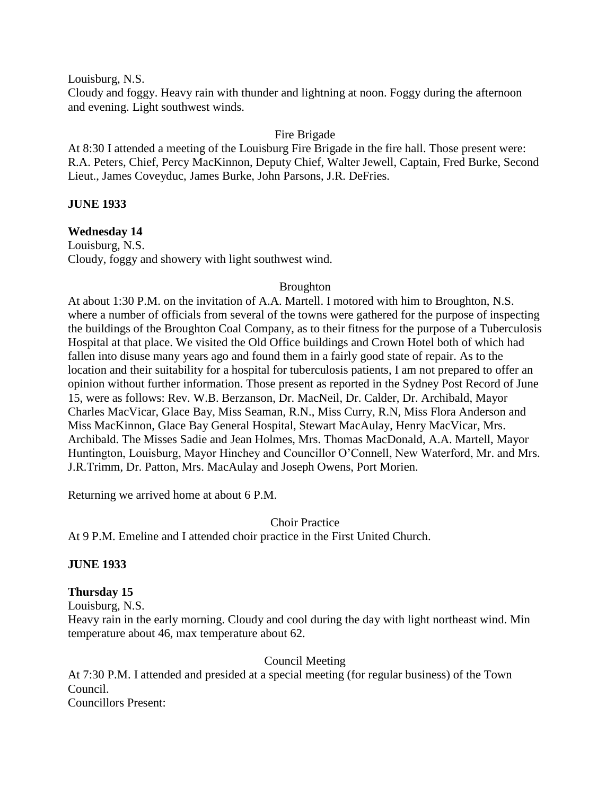Louisburg, N.S.

Cloudy and foggy. Heavy rain with thunder and lightning at noon. Foggy during the afternoon and evening. Light southwest winds.

### Fire Brigade

At 8:30 I attended a meeting of the Louisburg Fire Brigade in the fire hall. Those present were: R.A. Peters, Chief, Percy MacKinnon, Deputy Chief, Walter Jewell, Captain, Fred Burke, Second Lieut., James Coveyduc, James Burke, John Parsons, J.R. DeFries.

### **JUNE 1933**

**Wednesday 14**

Louisburg, N.S. Cloudy, foggy and showery with light southwest wind.

### Broughton

At about 1:30 P.M. on the invitation of A.A. Martell. I motored with him to Broughton, N.S. where a number of officials from several of the towns were gathered for the purpose of inspecting the buildings of the Broughton Coal Company, as to their fitness for the purpose of a Tuberculosis Hospital at that place. We visited the Old Office buildings and Crown Hotel both of which had fallen into disuse many years ago and found them in a fairly good state of repair. As to the location and their suitability for a hospital for tuberculosis patients, I am not prepared to offer an opinion without further information. Those present as reported in the Sydney Post Record of June 15, were as follows: Rev. W.B. Berzanson, Dr. MacNeil, Dr. Calder, Dr. Archibald, Mayor Charles MacVicar, Glace Bay, Miss Seaman, R.N., Miss Curry, R.N, Miss Flora Anderson and Miss MacKinnon, Glace Bay General Hospital, Stewart MacAulay, Henry MacVicar, Mrs. Archibald. The Misses Sadie and Jean Holmes, Mrs. Thomas MacDonald, A.A. Martell, Mayor Huntington, Louisburg, Mayor Hinchey and Councillor O"Connell, New Waterford, Mr. and Mrs. J.R.Trimm, Dr. Patton, Mrs. MacAulay and Joseph Owens, Port Morien.

Returning we arrived home at about 6 P.M.

Choir Practice

At 9 P.M. Emeline and I attended choir practice in the First United Church.

### **JUNE 1933**

### **Thursday 15**

Louisburg, N.S.

Heavy rain in the early morning. Cloudy and cool during the day with light northeast wind. Min temperature about 46, max temperature about 62.

Council Meeting

At 7:30 P.M. I attended and presided at a special meeting (for regular business) of the Town Council.

Councillors Present: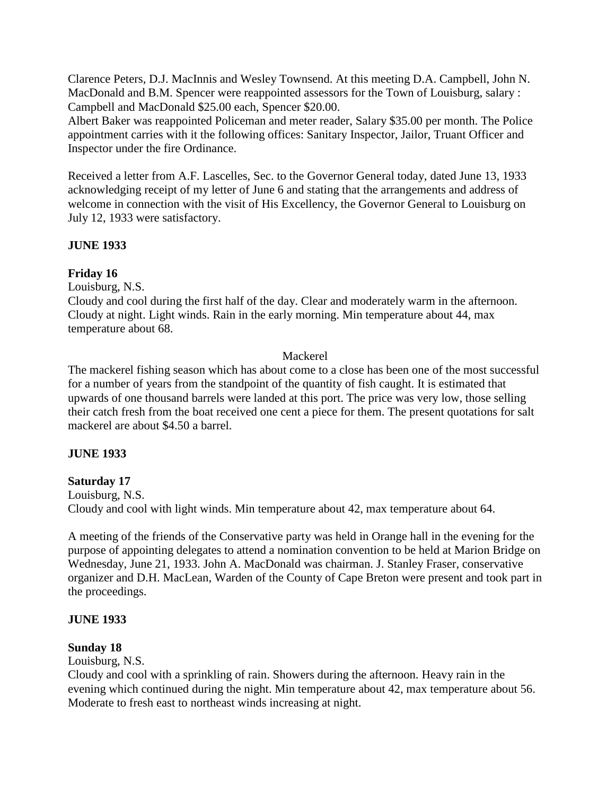Clarence Peters, D.J. MacInnis and Wesley Townsend. At this meeting D.A. Campbell, John N. MacDonald and B.M. Spencer were reappointed assessors for the Town of Louisburg, salary : Campbell and MacDonald \$25.00 each, Spencer \$20.00.

Albert Baker was reappointed Policeman and meter reader, Salary \$35.00 per month. The Police appointment carries with it the following offices: Sanitary Inspector, Jailor, Truant Officer and Inspector under the fire Ordinance.

Received a letter from A.F. Lascelles, Sec. to the Governor General today, dated June 13, 1933 acknowledging receipt of my letter of June 6 and stating that the arrangements and address of welcome in connection with the visit of His Excellency, the Governor General to Louisburg on July 12, 1933 were satisfactory.

### **JUNE 1933**

### **Friday 16**

Louisburg, N.S.

Cloudy and cool during the first half of the day. Clear and moderately warm in the afternoon. Cloudy at night. Light winds. Rain in the early morning. Min temperature about 44, max temperature about 68.

### Mackerel

The mackerel fishing season which has about come to a close has been one of the most successful for a number of years from the standpoint of the quantity of fish caught. It is estimated that upwards of one thousand barrels were landed at this port. The price was very low, those selling their catch fresh from the boat received one cent a piece for them. The present quotations for salt mackerel are about \$4.50 a barrel.

### **JUNE 1933**

### **Saturday 17**

Louisburg, N.S. Cloudy and cool with light winds. Min temperature about 42, max temperature about 64.

A meeting of the friends of the Conservative party was held in Orange hall in the evening for the purpose of appointing delegates to attend a nomination convention to be held at Marion Bridge on Wednesday, June 21, 1933. John A. MacDonald was chairman. J. Stanley Fraser, conservative organizer and D.H. MacLean, Warden of the County of Cape Breton were present and took part in the proceedings.

### **JUNE 1933**

### **Sunday 18**

Louisburg, N.S.

Cloudy and cool with a sprinkling of rain. Showers during the afternoon. Heavy rain in the evening which continued during the night. Min temperature about 42, max temperature about 56. Moderate to fresh east to northeast winds increasing at night.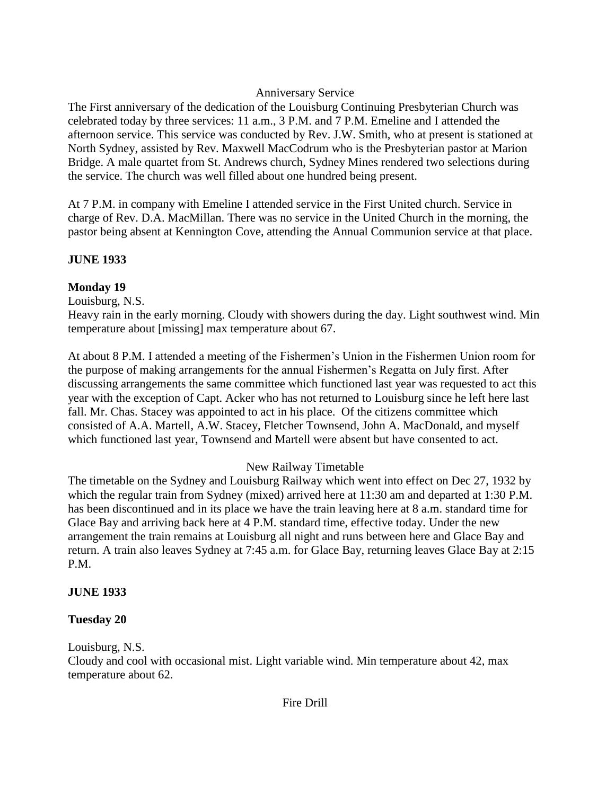### Anniversary Service

The First anniversary of the dedication of the Louisburg Continuing Presbyterian Church was celebrated today by three services: 11 a.m., 3 P.M. and 7 P.M. Emeline and I attended the afternoon service. This service was conducted by Rev. J.W. Smith, who at present is stationed at North Sydney, assisted by Rev. Maxwell MacCodrum who is the Presbyterian pastor at Marion Bridge. A male quartet from St. Andrews church, Sydney Mines rendered two selections during the service. The church was well filled about one hundred being present.

At 7 P.M. in company with Emeline I attended service in the First United church. Service in charge of Rev. D.A. MacMillan. There was no service in the United Church in the morning, the pastor being absent at Kennington Cove, attending the Annual Communion service at that place.

## **JUNE 1933**

## **Monday 19**

Louisburg, N.S.

Heavy rain in the early morning. Cloudy with showers during the day. Light southwest wind. Min temperature about [missing] max temperature about 67.

At about 8 P.M. I attended a meeting of the Fishermen"s Union in the Fishermen Union room for the purpose of making arrangements for the annual Fishermen"s Regatta on July first. After discussing arrangements the same committee which functioned last year was requested to act this year with the exception of Capt. Acker who has not returned to Louisburg since he left here last fall. Mr. Chas. Stacey was appointed to act in his place. Of the citizens committee which consisted of A.A. Martell, A.W. Stacey, Fletcher Townsend, John A. MacDonald, and myself which functioned last year, Townsend and Martell were absent but have consented to act.

## New Railway Timetable

The timetable on the Sydney and Louisburg Railway which went into effect on Dec 27, 1932 by which the regular train from Sydney (mixed) arrived here at 11:30 am and departed at 1:30 P.M. has been discontinued and in its place we have the train leaving here at 8 a.m. standard time for Glace Bay and arriving back here at 4 P.M. standard time, effective today. Under the new arrangement the train remains at Louisburg all night and runs between here and Glace Bay and return. A train also leaves Sydney at 7:45 a.m. for Glace Bay, returning leaves Glace Bay at 2:15 P.M.

## **JUNE 1933**

## **Tuesday 20**

Louisburg, N.S.

Cloudy and cool with occasional mist. Light variable wind. Min temperature about 42, max temperature about 62.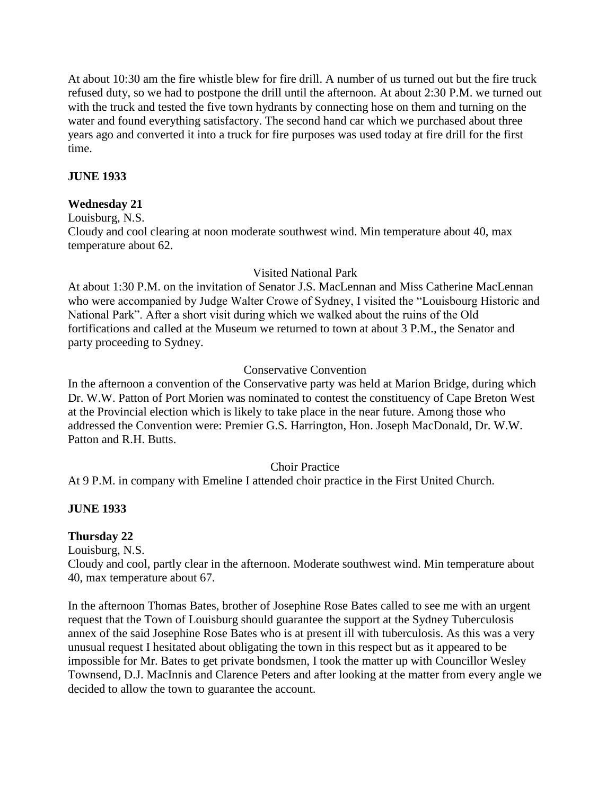At about 10:30 am the fire whistle blew for fire drill. A number of us turned out but the fire truck refused duty, so we had to postpone the drill until the afternoon. At about 2:30 P.M. we turned out with the truck and tested the five town hydrants by connecting hose on them and turning on the water and found everything satisfactory. The second hand car which we purchased about three years ago and converted it into a truck for fire purposes was used today at fire drill for the first time.

### **JUNE 1933**

### **Wednesday 21**

Louisburg, N.S.

Cloudy and cool clearing at noon moderate southwest wind. Min temperature about 40, max temperature about 62.

### Visited National Park

At about 1:30 P.M. on the invitation of Senator J.S. MacLennan and Miss Catherine MacLennan who were accompanied by Judge Walter Crowe of Sydney, I visited the "Louisbourg Historic and National Park". After a short visit during which we walked about the ruins of the Old fortifications and called at the Museum we returned to town at about 3 P.M., the Senator and party proceeding to Sydney.

### Conservative Convention

In the afternoon a convention of the Conservative party was held at Marion Bridge, during which Dr. W.W. Patton of Port Morien was nominated to contest the constituency of Cape Breton West at the Provincial election which is likely to take place in the near future. Among those who addressed the Convention were: Premier G.S. Harrington, Hon. Joseph MacDonald, Dr. W.W. Patton and R.H. Butts.

### Choir Practice

At 9 P.M. in company with Emeline I attended choir practice in the First United Church.

### **JUNE 1933**

### **Thursday 22**

Louisburg, N.S.

Cloudy and cool, partly clear in the afternoon. Moderate southwest wind. Min temperature about 40, max temperature about 67.

In the afternoon Thomas Bates, brother of Josephine Rose Bates called to see me with an urgent request that the Town of Louisburg should guarantee the support at the Sydney Tuberculosis annex of the said Josephine Rose Bates who is at present ill with tuberculosis. As this was a very unusual request I hesitated about obligating the town in this respect but as it appeared to be impossible for Mr. Bates to get private bondsmen, I took the matter up with Councillor Wesley Townsend, D.J. MacInnis and Clarence Peters and after looking at the matter from every angle we decided to allow the town to guarantee the account.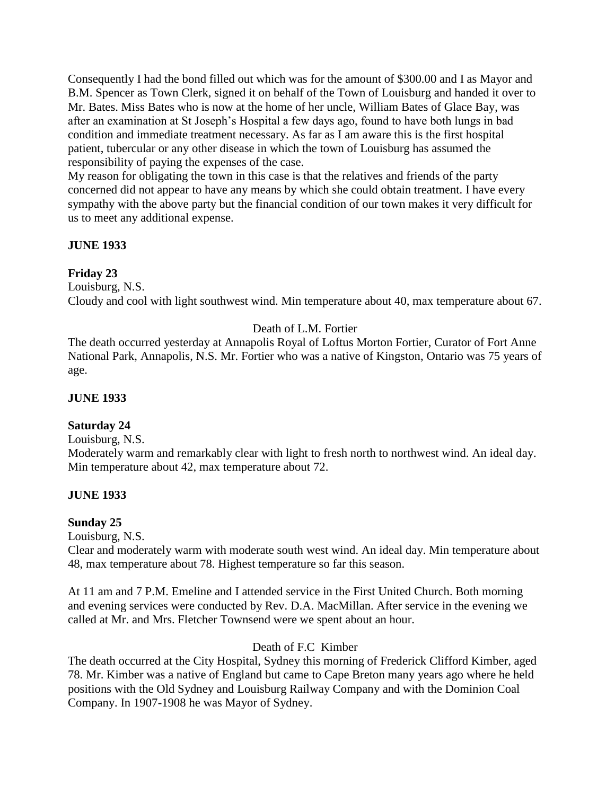Consequently I had the bond filled out which was for the amount of \$300.00 and I as Mayor and B.M. Spencer as Town Clerk, signed it on behalf of the Town of Louisburg and handed it over to Mr. Bates. Miss Bates who is now at the home of her uncle, William Bates of Glace Bay, was after an examination at St Joseph"s Hospital a few days ago, found to have both lungs in bad condition and immediate treatment necessary. As far as I am aware this is the first hospital patient, tubercular or any other disease in which the town of Louisburg has assumed the responsibility of paying the expenses of the case.

My reason for obligating the town in this case is that the relatives and friends of the party concerned did not appear to have any means by which she could obtain treatment. I have every sympathy with the above party but the financial condition of our town makes it very difficult for us to meet any additional expense.

### **JUNE 1933**

### **Friday 23**

Louisburg, N.S.

Cloudy and cool with light southwest wind. Min temperature about 40, max temperature about 67.

## Death of L.M. Fortier

The death occurred yesterday at Annapolis Royal of Loftus Morton Fortier, Curator of Fort Anne National Park, Annapolis, N.S. Mr. Fortier who was a native of Kingston, Ontario was 75 years of age.

### **JUNE 1933**

## **Saturday 24**

Louisburg, N.S.

Moderately warm and remarkably clear with light to fresh north to northwest wind. An ideal day. Min temperature about 42, max temperature about 72.

### **JUNE 1933**

### **Sunday 25**

Louisburg, N.S.

Clear and moderately warm with moderate south west wind. An ideal day. Min temperature about 48, max temperature about 78. Highest temperature so far this season.

At 11 am and 7 P.M. Emeline and I attended service in the First United Church. Both morning and evening services were conducted by Rev. D.A. MacMillan. After service in the evening we called at Mr. and Mrs. Fletcher Townsend were we spent about an hour.

### Death of F.C Kimber

The death occurred at the City Hospital, Sydney this morning of Frederick Clifford Kimber, aged 78. Mr. Kimber was a native of England but came to Cape Breton many years ago where he held positions with the Old Sydney and Louisburg Railway Company and with the Dominion Coal Company. In 1907-1908 he was Mayor of Sydney.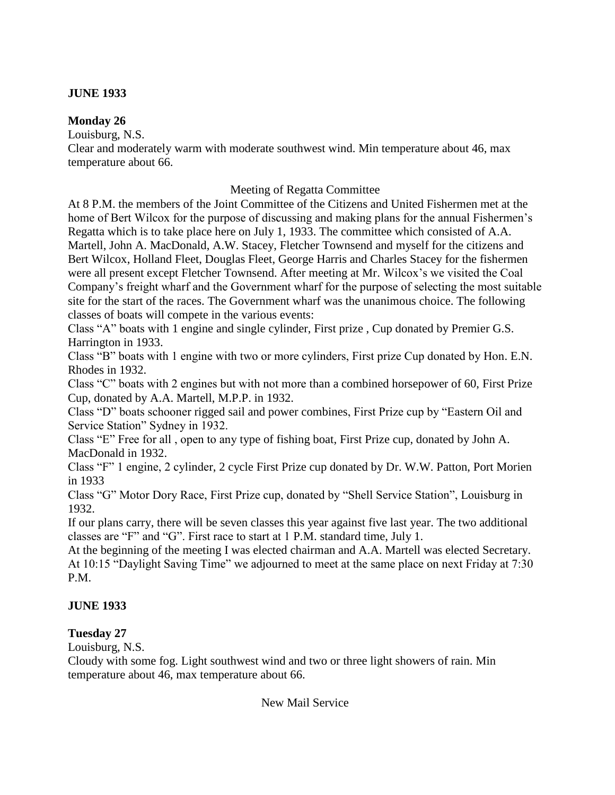### **JUNE 1933**

### **Monday 26**

Louisburg, N.S.

Clear and moderately warm with moderate southwest wind. Min temperature about 46, max temperature about 66.

## Meeting of Regatta Committee

At 8 P.M. the members of the Joint Committee of the Citizens and United Fishermen met at the home of Bert Wilcox for the purpose of discussing and making plans for the annual Fishermen's Regatta which is to take place here on July 1, 1933. The committee which consisted of A.A. Martell, John A. MacDonald, A.W. Stacey, Fletcher Townsend and myself for the citizens and Bert Wilcox, Holland Fleet, Douglas Fleet, George Harris and Charles Stacey for the fishermen were all present except Fletcher Townsend. After meeting at Mr. Wilcox's we visited the Coal Company"s freight wharf and the Government wharf for the purpose of selecting the most suitable site for the start of the races. The Government wharf was the unanimous choice. The following classes of boats will compete in the various events:

Class "A" boats with 1 engine and single cylinder, First prize , Cup donated by Premier G.S. Harrington in 1933.

Class "B" boats with 1 engine with two or more cylinders, First prize Cup donated by Hon. E.N. Rhodes in 1932.

Class "C" boats with 2 engines but with not more than a combined horsepower of 60, First Prize Cup, donated by A.A. Martell, M.P.P. in 1932.

Class "D" boats schooner rigged sail and power combines, First Prize cup by "Eastern Oil and Service Station" Sydney in 1932.

Class "E" Free for all , open to any type of fishing boat, First Prize cup, donated by John A. MacDonald in 1932.

Class "F" 1 engine, 2 cylinder, 2 cycle First Prize cup donated by Dr. W.W. Patton, Port Morien in 1933

Class "G" Motor Dory Race, First Prize cup, donated by "Shell Service Station", Louisburg in 1932.

If our plans carry, there will be seven classes this year against five last year. The two additional classes are "F" and "G". First race to start at 1 P.M. standard time, July 1.

At the beginning of the meeting I was elected chairman and A.A. Martell was elected Secretary. At 10:15 "Daylight Saving Time" we adjourned to meet at the same place on next Friday at 7:30 P.M.

## **JUNE 1933**

## **Tuesday 27**

Louisburg, N.S.

Cloudy with some fog. Light southwest wind and two or three light showers of rain. Min temperature about 46, max temperature about 66.

New Mail Service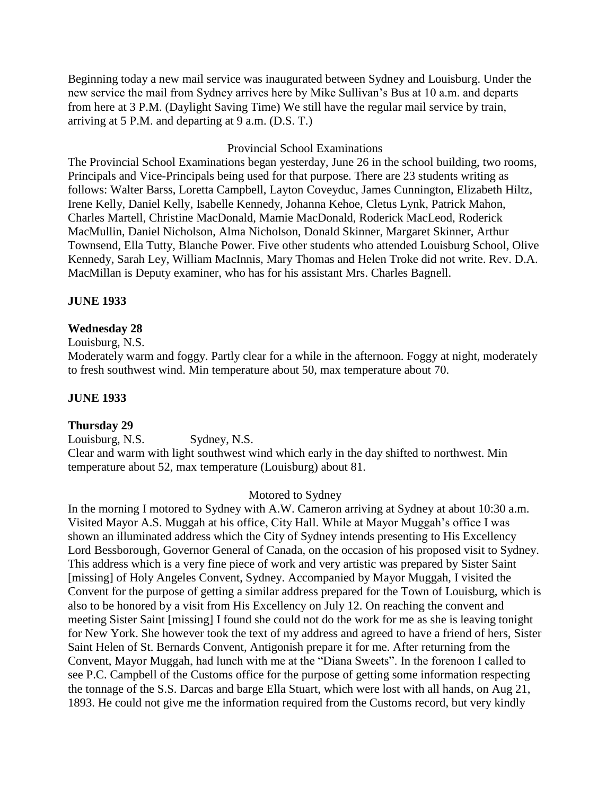Beginning today a new mail service was inaugurated between Sydney and Louisburg. Under the new service the mail from Sydney arrives here by Mike Sullivan"s Bus at 10 a.m. and departs from here at 3 P.M. (Daylight Saving Time) We still have the regular mail service by train, arriving at 5 P.M. and departing at 9 a.m. (D.S. T.)

#### Provincial School Examinations

The Provincial School Examinations began yesterday, June 26 in the school building, two rooms, Principals and Vice-Principals being used for that purpose. There are 23 students writing as follows: Walter Barss, Loretta Campbell, Layton Coveyduc, James Cunnington, Elizabeth Hiltz, Irene Kelly, Daniel Kelly, Isabelle Kennedy, Johanna Kehoe, Cletus Lynk, Patrick Mahon, Charles Martell, Christine MacDonald, Mamie MacDonald, Roderick MacLeod, Roderick MacMullin, Daniel Nicholson, Alma Nicholson, Donald Skinner, Margaret Skinner, Arthur Townsend, Ella Tutty, Blanche Power. Five other students who attended Louisburg School, Olive Kennedy, Sarah Ley, William MacInnis, Mary Thomas and Helen Troke did not write. Rev. D.A. MacMillan is Deputy examiner, who has for his assistant Mrs. Charles Bagnell.

#### **JUNE 1933**

#### **Wednesday 28**

Louisburg, N.S.

Moderately warm and foggy. Partly clear for a while in the afternoon. Foggy at night, moderately to fresh southwest wind. Min temperature about 50, max temperature about 70.

#### **JUNE 1933**

#### **Thursday 29**

Louisburg, N.S. Sydney, N.S.

Clear and warm with light southwest wind which early in the day shifted to northwest. Min temperature about 52, max temperature (Louisburg) about 81.

#### Motored to Sydney

In the morning I motored to Sydney with A.W. Cameron arriving at Sydney at about 10:30 a.m. Visited Mayor A.S. Muggah at his office, City Hall. While at Mayor Muggah"s office I was shown an illuminated address which the City of Sydney intends presenting to His Excellency Lord Bessborough, Governor General of Canada, on the occasion of his proposed visit to Sydney. This address which is a very fine piece of work and very artistic was prepared by Sister Saint [missing] of Holy Angeles Convent, Sydney. Accompanied by Mayor Muggah, I visited the Convent for the purpose of getting a similar address prepared for the Town of Louisburg, which is also to be honored by a visit from His Excellency on July 12. On reaching the convent and meeting Sister Saint [missing] I found she could not do the work for me as she is leaving tonight for New York. She however took the text of my address and agreed to have a friend of hers, Sister Saint Helen of St. Bernards Convent, Antigonish prepare it for me. After returning from the Convent, Mayor Muggah, had lunch with me at the "Diana Sweets". In the forenoon I called to see P.C. Campbell of the Customs office for the purpose of getting some information respecting the tonnage of the S.S. Darcas and barge Ella Stuart, which were lost with all hands, on Aug 21, 1893. He could not give me the information required from the Customs record, but very kindly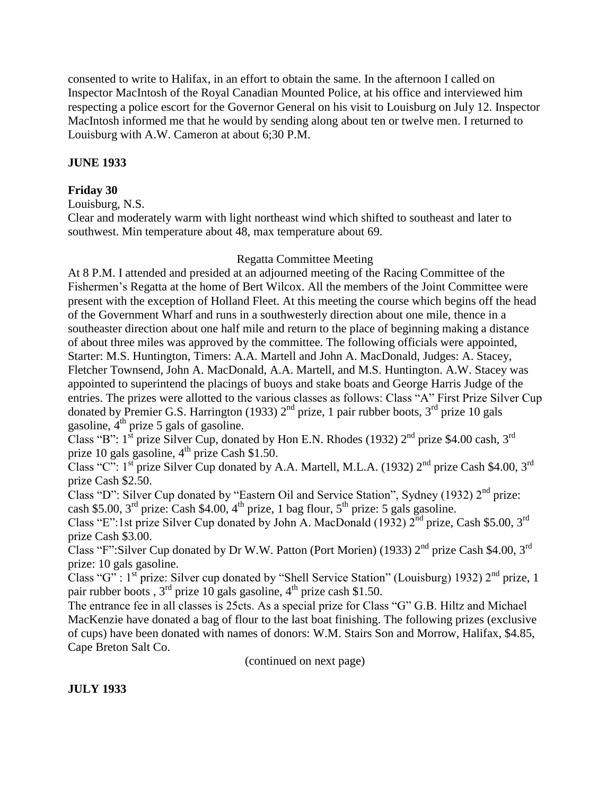consented to write to Halifax, in an effort to obtain the same. In the afternoon I called on Inspector MacIntosh of the Royal Canadian Mounted Police, at his office and interviewed him respecting a police escort for the Governor General on his visit to Louisburg on July 12. Inspector MacIntosh informed me that he would by sending along about ten or twelve men. I returned to Louisburg with A.W. Cameron at about 6;30 P.M.

### **JUNE 1933**

### **Friday 30**

Louisburg, N.S.

Clear and moderately warm with light northeast wind which shifted to southeast and later to southwest. Min temperature about 48, max temperature about 69.

### Regatta Committee Meeting

At 8 P.M. I attended and presided at an adjourned meeting of the Racing Committee of the Fishermen"s Regatta at the home of Bert Wilcox. All the members of the Joint Committee were present with the exception of Holland Fleet. At this meeting the course which begins off the head of the Government Wharf and runs in a southwesterly direction about one mile, thence in a southeaster direction about one half mile and return to the place of beginning making a distance of about three miles was approved by the committee. The following officials were appointed, Starter: M.S. Huntington, Timers: A.A. Martell and John A. MacDonald, Judges: A. Stacey, Fletcher Townsend, John A. MacDonald, A.A. Martell, and M.S. Huntington. A.W. Stacey was appointed to superintend the placings of buoys and stake boats and George Harris Judge of the entries. The prizes were allotted to the various classes as follows: Class "A" First Prize Silver Cup donated by Premier G.S. Harrington (1933)  $2<sup>nd</sup>$  prize, 1 pair rubber boots,  $3<sup>rd</sup>$  prize 10 gals gasoline,  $4^{th}$  prize 5 gals of gasoline.

Class "B":  $1^{st}$  prize Silver Cup, donated by Hon E.N. Rhodes (1932)  $2^{nd}$  prize \$4.00 cash,  $3^{rd}$ prize 10 gals gasoline,  $4<sup>th</sup>$  prize Cash \$1.50.

Class "C":  $1<sup>st</sup>$  prize Silver Cup donated by A.A. Martell, M.L.A. (1932) 2<sup>nd</sup> prize Cash \$4.00, 3<sup>rd</sup> prize Cash \$2.50.

Class "D": Silver Cup donated by "Eastern Oil and Service Station", Sydney (1932)  $2<sup>nd</sup>$  prize: cash \$5.00,  $3<sup>rd</sup>$  prize: Cash \$4.00,  $4<sup>th</sup>$  prize, 1 bag flour,  $5<sup>th</sup>$  prize: 5 gals gasoline.

Class "E":1st prize Silver Cup donated by John A. MacDonald (1932)  $2^{nd}$  prize, Cash \$5.00, 3<sup>rd</sup> prize Cash \$3.00.

Class "F":Silver Cup donated by Dr W.W. Patton (Port Morien) (1933)  $2<sup>nd</sup>$  prize Cash \$4.00, 3<sup>rd</sup> prize: 10 gals gasoline.

Class "G" : 1<sup>st</sup> prize: Silver cup donated by "Shell Service Station" (Louisburg) 1932) 2<sup>nd</sup> prize, 1 pair rubber boots,  $3<sup>rd</sup>$  prize 10 gals gasoline,  $4<sup>th</sup>$  prize cash \$1.50.

The entrance fee in all classes is 25cts. As a special prize for Class "G" G.B. Hiltz and Michael MacKenzie have donated a bag of flour to the last boat finishing. The following prizes (exclusive of cups) have been donated with names of donors: W.M. Stairs Son and Morrow, Halifax, \$4.85, Cape Breton Salt Co.

(continued on next page)

### **JULY 1933**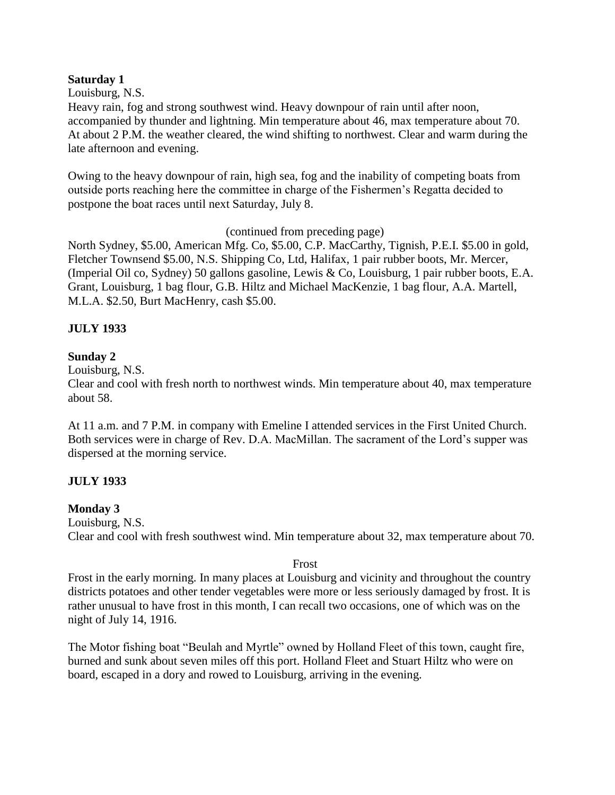#### **Saturday 1**

Louisburg, N.S.

Heavy rain, fog and strong southwest wind. Heavy downpour of rain until after noon, accompanied by thunder and lightning. Min temperature about 46, max temperature about 70. At about 2 P.M. the weather cleared, the wind shifting to northwest. Clear and warm during the late afternoon and evening.

Owing to the heavy downpour of rain, high sea, fog and the inability of competing boats from outside ports reaching here the committee in charge of the Fishermen"s Regatta decided to postpone the boat races until next Saturday, July 8.

(continued from preceding page)

North Sydney, \$5.00, American Mfg. Co, \$5.00, C.P. MacCarthy, Tignish, P.E.I. \$5.00 in gold, Fletcher Townsend \$5.00, N.S. Shipping Co, Ltd, Halifax, 1 pair rubber boots, Mr. Mercer, (Imperial Oil co, Sydney) 50 gallons gasoline, Lewis & Co, Louisburg, 1 pair rubber boots, E.A. Grant, Louisburg, 1 bag flour, G.B. Hiltz and Michael MacKenzie, 1 bag flour, A.A. Martell, M.L.A. \$2.50, Burt MacHenry, cash \$5.00.

### **JULY 1933**

### **Sunday 2**

Louisburg, N.S.

Clear and cool with fresh north to northwest winds. Min temperature about 40, max temperature about 58.

At 11 a.m. and 7 P.M. in company with Emeline I attended services in the First United Church. Both services were in charge of Rev. D.A. MacMillan. The sacrament of the Lord"s supper was dispersed at the morning service.

## **JULY 1933**

### **Monday 3**

Louisburg, N.S. Clear and cool with fresh southwest wind. Min temperature about 32, max temperature about 70.

### Frost

Frost in the early morning. In many places at Louisburg and vicinity and throughout the country districts potatoes and other tender vegetables were more or less seriously damaged by frost. It is rather unusual to have frost in this month, I can recall two occasions, one of which was on the night of July 14, 1916.

The Motor fishing boat "Beulah and Myrtle" owned by Holland Fleet of this town, caught fire, burned and sunk about seven miles off this port. Holland Fleet and Stuart Hiltz who were on board, escaped in a dory and rowed to Louisburg, arriving in the evening.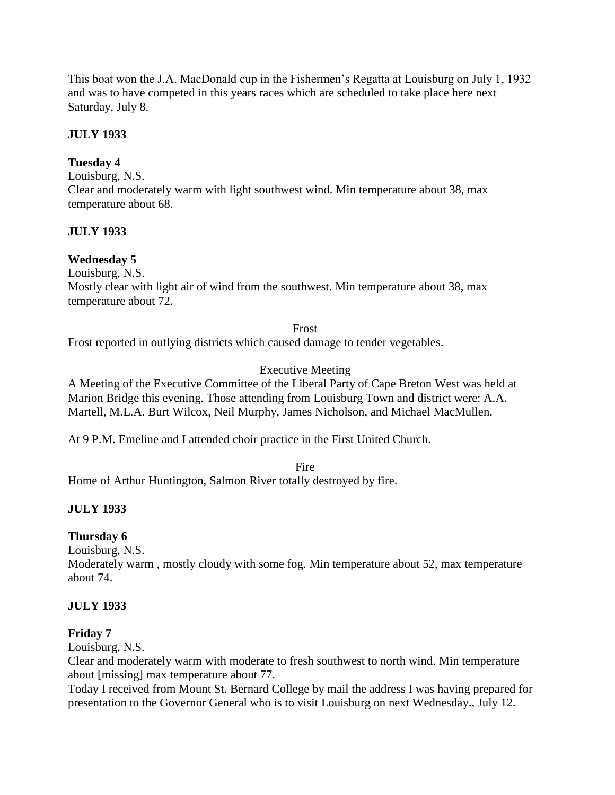This boat won the J.A. MacDonald cup in the Fishermen"s Regatta at Louisburg on July 1, 1932 and was to have competed in this years races which are scheduled to take place here next Saturday, July 8.

## **JULY 1933**

### **Tuesday 4**

Louisburg, N.S.

Clear and moderately warm with light southwest wind. Min temperature about 38, max temperature about 68.

### **JULY 1933**

### **Wednesday 5**

Louisburg, N.S.

Mostly clear with light air of wind from the southwest. Min temperature about 38, max temperature about 72.

Frost

Frost reported in outlying districts which caused damage to tender vegetables.

## Executive Meeting

A Meeting of the Executive Committee of the Liberal Party of Cape Breton West was held at Marion Bridge this evening. Those attending from Louisburg Town and district were: A.A. Martell, M.L.A. Burt Wilcox, Neil Murphy, James Nicholson, and Michael MacMullen.

At 9 P.M. Emeline and I attended choir practice in the First United Church.

Fire

Home of Arthur Huntington, Salmon River totally destroyed by fire.

## **JULY 1933**

### **Thursday 6**

Louisburg, N.S.

Moderately warm , mostly cloudy with some fog. Min temperature about 52, max temperature about 74.

### **JULY 1933**

### **Friday 7**

Louisburg, N.S.

Clear and moderately warm with moderate to fresh southwest to north wind. Min temperature about [missing] max temperature about 77.

Today I received from Mount St. Bernard College by mail the address I was having prepared for presentation to the Governor General who is to visit Louisburg on next Wednesday., July 12.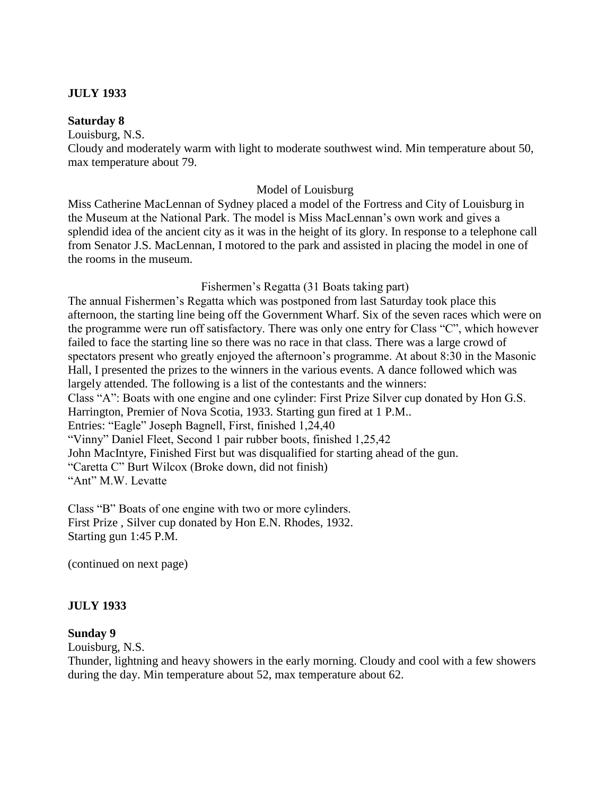### **JULY 1933**

#### **Saturday 8**

Louisburg, N.S.

Cloudy and moderately warm with light to moderate southwest wind. Min temperature about 50, max temperature about 79.

#### Model of Louisburg

Miss Catherine MacLennan of Sydney placed a model of the Fortress and City of Louisburg in the Museum at the National Park. The model is Miss MacLennan"s own work and gives a splendid idea of the ancient city as it was in the height of its glory. In response to a telephone call from Senator J.S. MacLennan, I motored to the park and assisted in placing the model in one of the rooms in the museum.

#### Fishermen"s Regatta (31 Boats taking part)

The annual Fishermen"s Regatta which was postponed from last Saturday took place this afternoon, the starting line being off the Government Wharf. Six of the seven races which were on the programme were run off satisfactory. There was only one entry for Class "C", which however failed to face the starting line so there was no race in that class. There was a large crowd of spectators present who greatly enjoyed the afternoon's programme. At about 8:30 in the Masonic Hall, I presented the prizes to the winners in the various events. A dance followed which was largely attended. The following is a list of the contestants and the winners: Class "A": Boats with one engine and one cylinder: First Prize Silver cup donated by Hon G.S. Harrington, Premier of Nova Scotia, 1933. Starting gun fired at 1 P.M.. Entries: "Eagle" Joseph Bagnell, First, finished 1,24,40 "Vinny" Daniel Fleet, Second 1 pair rubber boots, finished 1,25,42 John MacIntyre, Finished First but was disqualified for starting ahead of the gun. "Caretta C" Burt Wilcox (Broke down, did not finish) "Ant" M.W. Levatte

Class "B" Boats of one engine with two or more cylinders. First Prize , Silver cup donated by Hon E.N. Rhodes, 1932. Starting gun 1:45 P.M.

(continued on next page)

#### **JULY 1933**

#### **Sunday 9**

Louisburg, N.S.

Thunder, lightning and heavy showers in the early morning. Cloudy and cool with a few showers during the day. Min temperature about 52, max temperature about 62.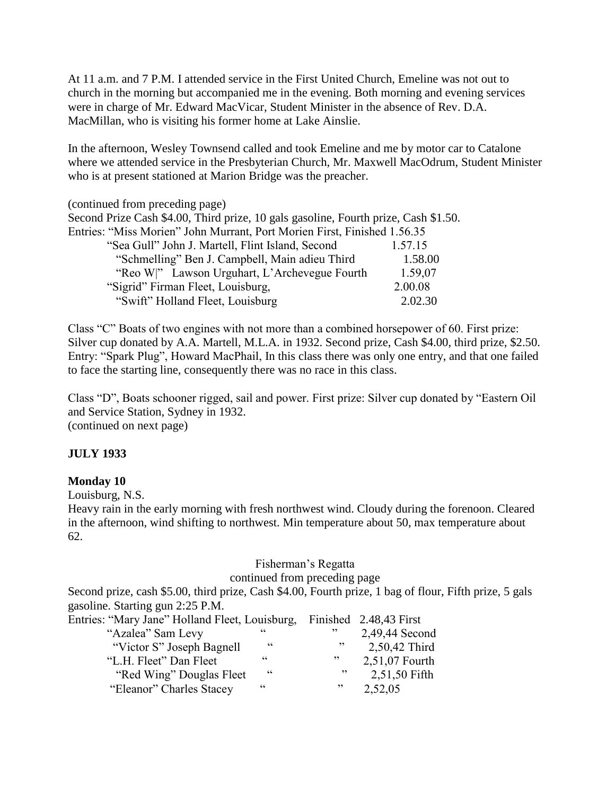At 11 a.m. and 7 P.M. I attended service in the First United Church, Emeline was not out to church in the morning but accompanied me in the evening. Both morning and evening services were in charge of Mr. Edward MacVicar, Student Minister in the absence of Rev. D.A. MacMillan, who is visiting his former home at Lake Ainslie.

In the afternoon, Wesley Townsend called and took Emeline and me by motor car to Catalone where we attended service in the Presbyterian Church, Mr. Maxwell MacOdrum, Student Minister who is at present stationed at Marion Bridge was the preacher.

(continued from preceding page) Second Prize Cash \$4.00, Third prize, 10 gals gasoline, Fourth prize, Cash \$1.50. Entries: "Miss Morien" John Murrant, Port Morien First, Finished 1.56.35 "Sea Gull" John J. Martell, Flint Island, Second 1.57.15 "Schmelling" Ben J. Campbell, Main adieu Third 1.58.00 "Reo W|" Lawson Urguhart, L"Archevegue Fourth 1.59,07 "Sigrid" Firman Fleet, Louisburg, 2.00.08 "Swift" Holland Fleet, Louisburg 2.02.30

Class "C" Boats of two engines with not more than a combined horsepower of 60. First prize: Silver cup donated by A.A. Martell, M.L.A. in 1932. Second prize, Cash \$4.00, third prize, \$2.50. Entry: "Spark Plug", Howard MacPhail, In this class there was only one entry, and that one failed to face the starting line, consequently there was no race in this class.

Class "D", Boats schooner rigged, sail and power. First prize: Silver cup donated by "Eastern Oil and Service Station, Sydney in 1932. (continued on next page)

### **JULY 1933**

### **Monday 10**

Louisburg, N.S.

Heavy rain in the early morning with fresh northwest wind. Cloudy during the forenoon. Cleared in the afternoon, wind shifting to northwest. Min temperature about 50, max temperature about 62.

# Fisherman"s Regatta

continued from preceding page

Second prize, cash \$5.00, third prize, Cash \$4.00, Fourth prize, 1 bag of flour, Fifth prize, 5 gals gasoline. Starting gun 2:25 P.M.

| cc         | 52     | 2,49,44 Second                                                        |
|------------|--------|-----------------------------------------------------------------------|
| $\epsilon$ | , 2    | 2,50,42 Third                                                         |
| $\epsilon$ | ,,     | 2,51,07 Fourth                                                        |
| cc         | , 2, 3 | 2,51,50 Fifth                                                         |
| $\epsilon$ | , 2    | 2,52,05                                                               |
|            |        | Entries: "Mary Jane" Holland Fleet, Louisburg, Finished 2.48,43 First |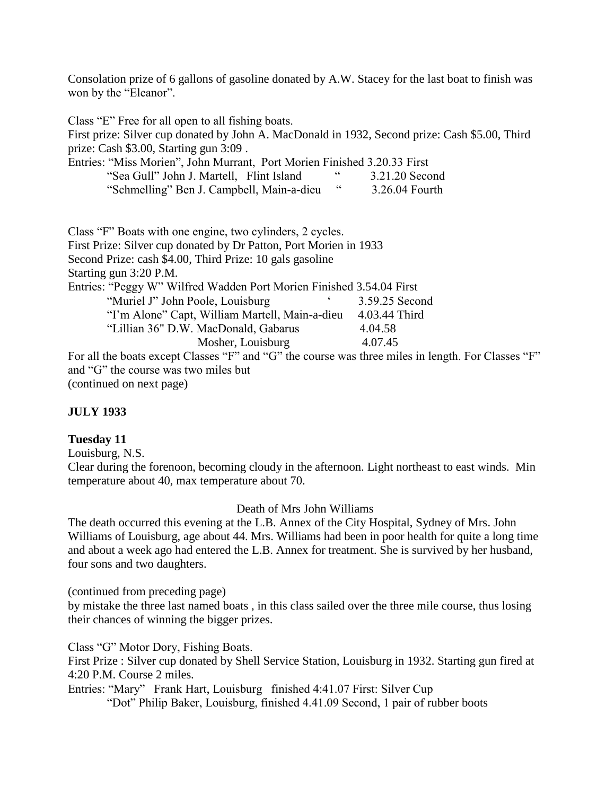Consolation prize of 6 gallons of gasoline donated by A.W. Stacey for the last boat to finish was won by the "Eleanor".

Class "E" Free for all open to all fishing boats. First prize: Silver cup donated by John A. MacDonald in 1932, Second prize: Cash \$5.00, Third prize: Cash \$3.00, Starting gun 3:09 . Entries: "Miss Morien", John Murrant, Port Morien Finished 3.20.33 First "Sea Gull" John J. Martell, Flint Island " 3.21.20 Second "Schmelling" Ben J. Campbell, Main-a-dieu " 3.26.04 Fourth Class "F" Boats with one engine, two cylinders, 2 cycles. First Prize: Silver cup donated by Dr Patton, Port Morien in 1933 Second Prize: cash \$4.00, Third Prize: 10 gals gasoline Starting gun 3:20 P.M. Entries: "Peggy W" Wilfred Wadden Port Morien Finished 3.54.04 First "Muriel J" John Poole, Louisburg " 3.59.25 Second" "I"m Alone" Capt, William Martell, Main-a-dieu 4.03.44 Third "Lillian 36" D.W. MacDonald, Gabarus 4.04.58 Mosher, Louisburg 4.07.45 For all the boats except Classes "F" and "G" the course was three miles in length. For Classes "F" and "G" the course was two miles but (continued on next page)

### **JULY 1933**

#### **Tuesday 11**

Louisburg, N.S.

Clear during the forenoon, becoming cloudy in the afternoon. Light northeast to east winds. Min temperature about 40, max temperature about 70.

Death of Mrs John Williams

The death occurred this evening at the L.B. Annex of the City Hospital, Sydney of Mrs. John Williams of Louisburg, age about 44. Mrs. Williams had been in poor health for quite a long time and about a week ago had entered the L.B. Annex for treatment. She is survived by her husband, four sons and two daughters.

(continued from preceding page)

by mistake the three last named boats , in this class sailed over the three mile course, thus losing their chances of winning the bigger prizes.

Class "G" Motor Dory, Fishing Boats.

First Prize : Silver cup donated by Shell Service Station, Louisburg in 1932. Starting gun fired at 4:20 P.M. Course 2 miles.

Entries: "Mary" Frank Hart, Louisburg finished 4:41.07 First: Silver Cup

"Dot" Philip Baker, Louisburg, finished 4.41.09 Second, 1 pair of rubber boots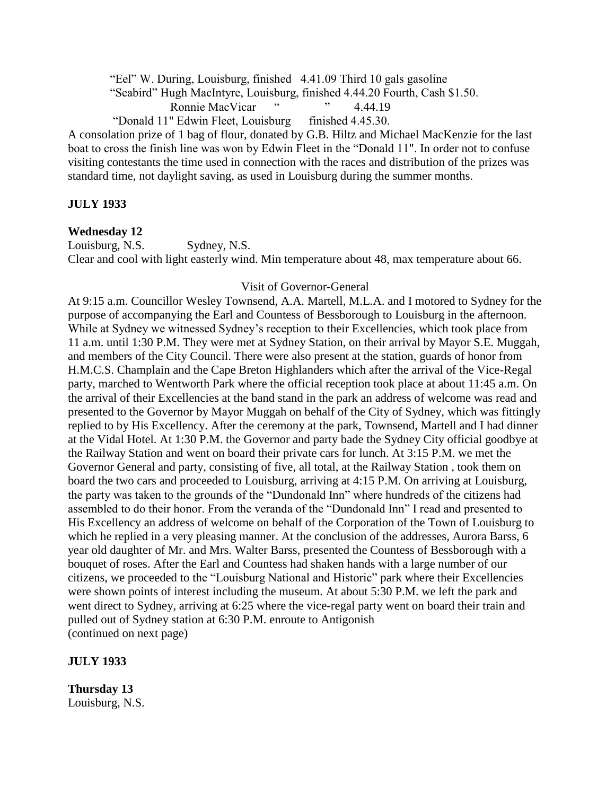"Eel" W. During, Louisburg, finished 4.41.09 Third 10 gals gasoline

"Seabird" Hugh MacIntyre, Louisburg, finished 4.44.20 Fourth, Cash \$1.50.

Ronnie MacVicar " " 4.44.19

"Donald 11" Edwin Fleet, Louisburg finished 4.45.30.

A consolation prize of 1 bag of flour, donated by G.B. Hiltz and Michael MacKenzie for the last boat to cross the finish line was won by Edwin Fleet in the "Donald 11". In order not to confuse visiting contestants the time used in connection with the races and distribution of the prizes was standard time, not daylight saving, as used in Louisburg during the summer months.

### **JULY 1933**

### **Wednesday 12**

Louisburg, N.S. Sydney, N.S.

Clear and cool with light easterly wind. Min temperature about 48, max temperature about 66.

#### Visit of Governor-General

At 9:15 a.m. Councillor Wesley Townsend, A.A. Martell, M.L.A. and I motored to Sydney for the purpose of accompanying the Earl and Countess of Bessborough to Louisburg in the afternoon. While at Sydney we witnessed Sydney"s reception to their Excellencies, which took place from 11 a.m. until 1:30 P.M. They were met at Sydney Station, on their arrival by Mayor S.E. Muggah, and members of the City Council. There were also present at the station, guards of honor from H.M.C.S. Champlain and the Cape Breton Highlanders which after the arrival of the Vice-Regal party, marched to Wentworth Park where the official reception took place at about 11:45 a.m. On the arrival of their Excellencies at the band stand in the park an address of welcome was read and presented to the Governor by Mayor Muggah on behalf of the City of Sydney, which was fittingly replied to by His Excellency. After the ceremony at the park, Townsend, Martell and I had dinner at the Vidal Hotel. At 1:30 P.M. the Governor and party bade the Sydney City official goodbye at the Railway Station and went on board their private cars for lunch. At 3:15 P.M. we met the Governor General and party, consisting of five, all total, at the Railway Station , took them on board the two cars and proceeded to Louisburg, arriving at 4:15 P.M. On arriving at Louisburg, the party was taken to the grounds of the "Dundonald Inn" where hundreds of the citizens had assembled to do their honor. From the veranda of the "Dundonald Inn" I read and presented to His Excellency an address of welcome on behalf of the Corporation of the Town of Louisburg to which he replied in a very pleasing manner. At the conclusion of the addresses, Aurora Barss, 6 year old daughter of Mr. and Mrs. Walter Barss, presented the Countess of Bessborough with a bouquet of roses. After the Earl and Countess had shaken hands with a large number of our citizens, we proceeded to the "Louisburg National and Historic" park where their Excellencies were shown points of interest including the museum. At about 5:30 P.M. we left the park and went direct to Sydney, arriving at 6:25 where the vice-regal party went on board their train and pulled out of Sydney station at 6:30 P.M. enroute to Antigonish (continued on next page)

### **JULY 1933**

**Thursday 13** Louisburg, N.S.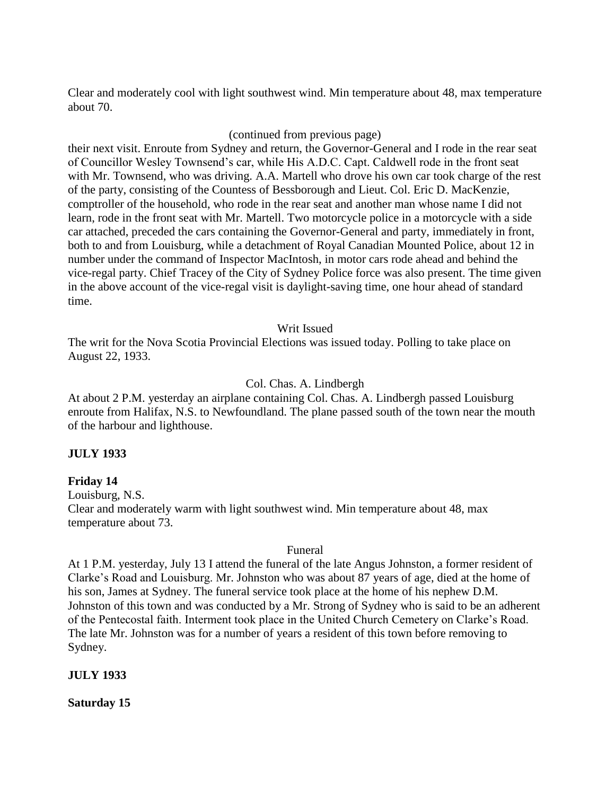Clear and moderately cool with light southwest wind. Min temperature about 48, max temperature about 70.

#### (continued from previous page)

their next visit. Enroute from Sydney and return, the Governor-General and I rode in the rear seat of Councillor Wesley Townsend"s car, while His A.D.C. Capt. Caldwell rode in the front seat with Mr. Townsend, who was driving. A.A. Martell who drove his own car took charge of the rest of the party, consisting of the Countess of Bessborough and Lieut. Col. Eric D. MacKenzie, comptroller of the household, who rode in the rear seat and another man whose name I did not learn, rode in the front seat with Mr. Martell. Two motorcycle police in a motorcycle with a side car attached, preceded the cars containing the Governor-General and party, immediately in front, both to and from Louisburg, while a detachment of Royal Canadian Mounted Police, about 12 in number under the command of Inspector MacIntosh, in motor cars rode ahead and behind the vice-regal party. Chief Tracey of the City of Sydney Police force was also present. The time given in the above account of the vice-regal visit is daylight-saving time, one hour ahead of standard time.

#### Writ Issued

The writ for the Nova Scotia Provincial Elections was issued today. Polling to take place on August 22, 1933.

#### Col. Chas. A. Lindbergh

At about 2 P.M. yesterday an airplane containing Col. Chas. A. Lindbergh passed Louisburg enroute from Halifax, N.S. to Newfoundland. The plane passed south of the town near the mouth of the harbour and lighthouse.

#### **JULY 1933**

#### **Friday 14**

Louisburg, N.S. Clear and moderately warm with light southwest wind. Min temperature about 48, max temperature about 73.

#### Funeral

At 1 P.M. yesterday, July 13 I attend the funeral of the late Angus Johnston, a former resident of Clarke"s Road and Louisburg. Mr. Johnston who was about 87 years of age, died at the home of his son, James at Sydney. The funeral service took place at the home of his nephew D.M. Johnston of this town and was conducted by a Mr. Strong of Sydney who is said to be an adherent of the Pentecostal faith. Interment took place in the United Church Cemetery on Clarke"s Road. The late Mr. Johnston was for a number of years a resident of this town before removing to Sydney.

#### **JULY 1933**

**Saturday 15**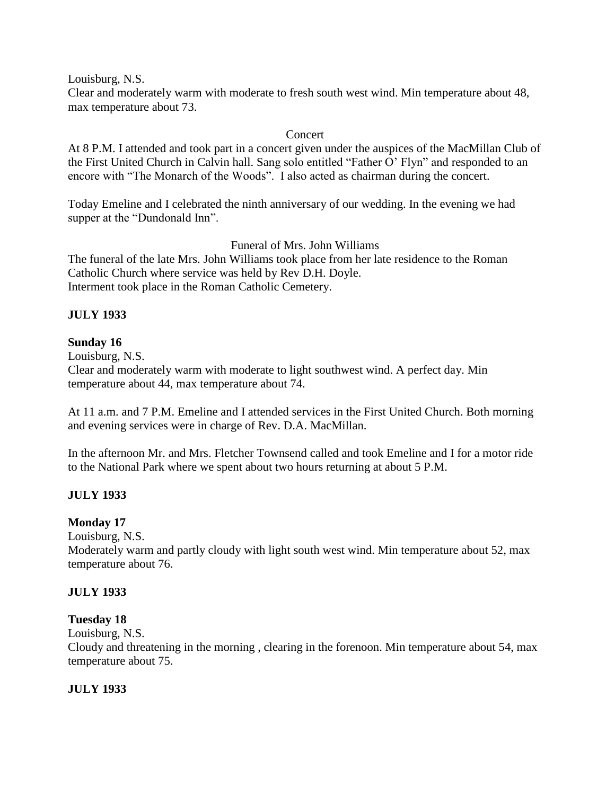Louisburg, N.S.

Clear and moderately warm with moderate to fresh south west wind. Min temperature about 48, max temperature about 73.

### Concert

At 8 P.M. I attended and took part in a concert given under the auspices of the MacMillan Club of the First United Church in Calvin hall. Sang solo entitled "Father O" Flyn" and responded to an encore with "The Monarch of the Woods". I also acted as chairman during the concert.

Today Emeline and I celebrated the ninth anniversary of our wedding. In the evening we had supper at the "Dundonald Inn".

# Funeral of Mrs. John Williams

The funeral of the late Mrs. John Williams took place from her late residence to the Roman Catholic Church where service was held by Rev D.H. Doyle. Interment took place in the Roman Catholic Cemetery.

# **JULY 1933**

### **Sunday 16**

Louisburg, N.S.

Clear and moderately warm with moderate to light southwest wind. A perfect day. Min temperature about 44, max temperature about 74.

At 11 a.m. and 7 P.M. Emeline and I attended services in the First United Church. Both morning and evening services were in charge of Rev. D.A. MacMillan.

In the afternoon Mr. and Mrs. Fletcher Townsend called and took Emeline and I for a motor ride to the National Park where we spent about two hours returning at about 5 P.M.

# **JULY 1933**

# **Monday 17**

Louisburg, N.S.

Moderately warm and partly cloudy with light south west wind. Min temperature about 52, max temperature about 76.

#### **JULY 1933**

# **Tuesday 18**

Louisburg, N.S.

Cloudy and threatening in the morning , clearing in the forenoon. Min temperature about 54, max temperature about 75.

# **JULY 1933**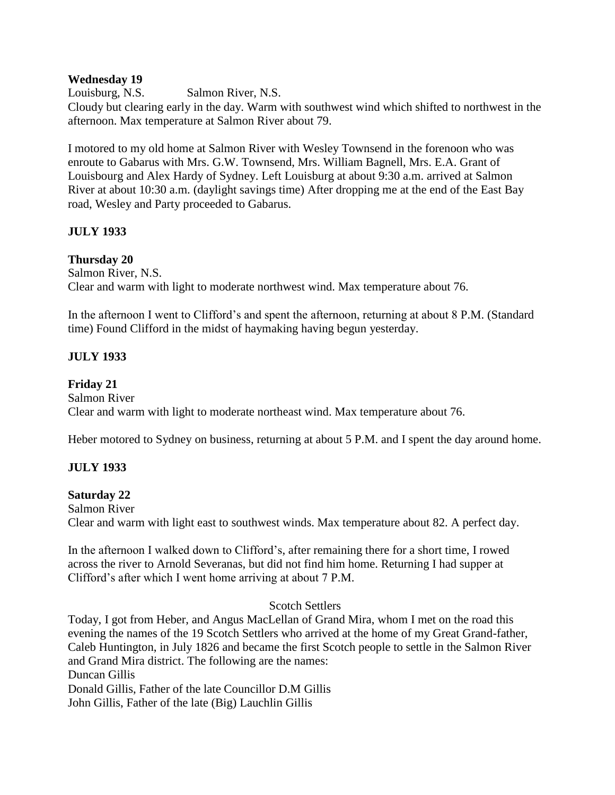#### **Wednesday 19**

Louisburg, N.S. Salmon River, N.S. Cloudy but clearing early in the day. Warm with southwest wind which shifted to northwest in the afternoon. Max temperature at Salmon River about 79.

I motored to my old home at Salmon River with Wesley Townsend in the forenoon who was enroute to Gabarus with Mrs. G.W. Townsend, Mrs. William Bagnell, Mrs. E.A. Grant of Louisbourg and Alex Hardy of Sydney. Left Louisburg at about 9:30 a.m. arrived at Salmon River at about 10:30 a.m. (daylight savings time) After dropping me at the end of the East Bay road, Wesley and Party proceeded to Gabarus.

# **JULY 1933**

# **Thursday 20**

Salmon River, N.S. Clear and warm with light to moderate northwest wind. Max temperature about 76.

In the afternoon I went to Clifford's and spent the afternoon, returning at about 8 P.M. (Standard time) Found Clifford in the midst of haymaking having begun yesterday.

# **JULY 1933**

# **Friday 21**

Salmon River Clear and warm with light to moderate northeast wind. Max temperature about 76.

Heber motored to Sydney on business, returning at about 5 P.M. and I spent the day around home.

# **JULY 1933**

# **Saturday 22**

Salmon River Clear and warm with light east to southwest winds. Max temperature about 82. A perfect day.

In the afternoon I walked down to Clifford"s, after remaining there for a short time, I rowed across the river to Arnold Severanas, but did not find him home. Returning I had supper at Clifford"s after which I went home arriving at about 7 P.M.

# Scotch Settlers

Today, I got from Heber, and Angus MacLellan of Grand Mira, whom I met on the road this evening the names of the 19 Scotch Settlers who arrived at the home of my Great Grand-father, Caleb Huntington, in July 1826 and became the first Scotch people to settle in the Salmon River and Grand Mira district. The following are the names: Duncan Gillis Donald Gillis, Father of the late Councillor D.M Gillis

John Gillis, Father of the late (Big) Lauchlin Gillis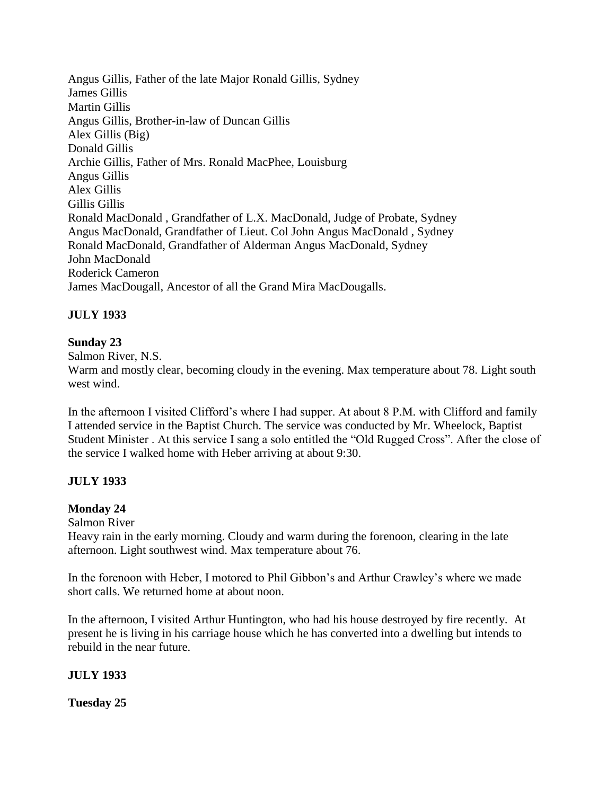Angus Gillis, Father of the late Major Ronald Gillis, Sydney James Gillis Martin Gillis Angus Gillis, Brother-in-law of Duncan Gillis Alex Gillis (Big) Donald Gillis Archie Gillis, Father of Mrs. Ronald MacPhee, Louisburg Angus Gillis Alex Gillis Gillis Gillis Ronald MacDonald , Grandfather of L.X. MacDonald, Judge of Probate, Sydney Angus MacDonald, Grandfather of Lieut. Col John Angus MacDonald , Sydney Ronald MacDonald, Grandfather of Alderman Angus MacDonald, Sydney John MacDonald Roderick Cameron James MacDougall, Ancestor of all the Grand Mira MacDougalls.

# **JULY 1933**

### **Sunday 23**

Salmon River, N.S. Warm and mostly clear, becoming cloudy in the evening. Max temperature about 78. Light south west wind.

In the afternoon I visited Clifford's where I had supper. At about 8 P.M. with Clifford and family I attended service in the Baptist Church. The service was conducted by Mr. Wheelock, Baptist Student Minister . At this service I sang a solo entitled the "Old Rugged Cross". After the close of the service I walked home with Heber arriving at about 9:30.

# **JULY 1933**

# **Monday 24**

Salmon River Heavy rain in the early morning. Cloudy and warm during the forenoon, clearing in the late afternoon. Light southwest wind. Max temperature about 76.

In the forenoon with Heber, I motored to Phil Gibbon"s and Arthur Crawley"s where we made short calls. We returned home at about noon.

In the afternoon, I visited Arthur Huntington, who had his house destroyed by fire recently. At present he is living in his carriage house which he has converted into a dwelling but intends to rebuild in the near future.

# **JULY 1933**

**Tuesday 25**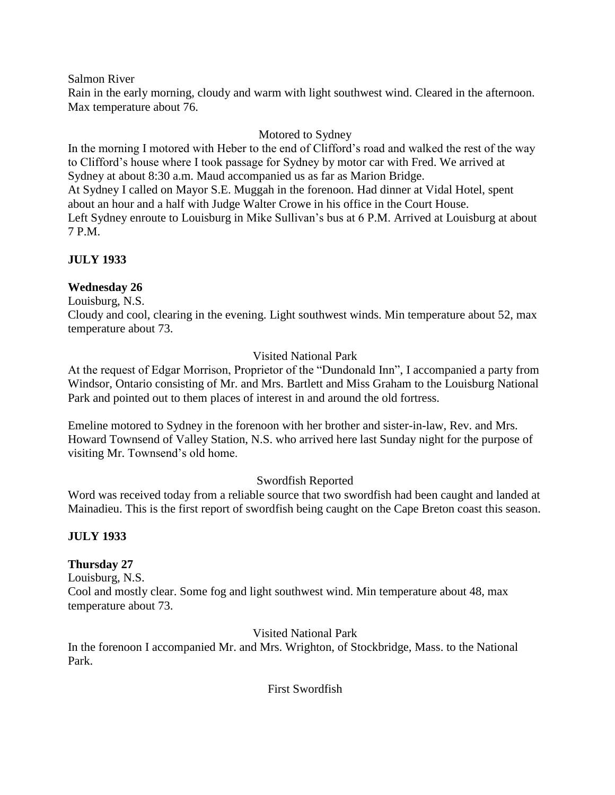Salmon River

Rain in the early morning, cloudy and warm with light southwest wind. Cleared in the afternoon. Max temperature about 76.

# Motored to Sydney

In the morning I motored with Heber to the end of Clifford's road and walked the rest of the way to Clifford"s house where I took passage for Sydney by motor car with Fred. We arrived at Sydney at about 8:30 a.m. Maud accompanied us as far as Marion Bridge. At Sydney I called on Mayor S.E. Muggah in the forenoon. Had dinner at Vidal Hotel, spent about an hour and a half with Judge Walter Crowe in his office in the Court House. Left Sydney enroute to Louisburg in Mike Sullivan's bus at 6 P.M. Arrived at Louisburg at about 7 P.M.

# **JULY 1933**

# **Wednesday 26**

Louisburg, N.S.

Cloudy and cool, clearing in the evening. Light southwest winds. Min temperature about 52, max temperature about 73.

# Visited National Park

At the request of Edgar Morrison, Proprietor of the "Dundonald Inn", I accompanied a party from Windsor, Ontario consisting of Mr. and Mrs. Bartlett and Miss Graham to the Louisburg National Park and pointed out to them places of interest in and around the old fortress.

Emeline motored to Sydney in the forenoon with her brother and sister-in-law, Rev. and Mrs. Howard Townsend of Valley Station, N.S. who arrived here last Sunday night for the purpose of visiting Mr. Townsend"s old home.

# Swordfish Reported

Word was received today from a reliable source that two swordfish had been caught and landed at Mainadieu. This is the first report of swordfish being caught on the Cape Breton coast this season.

# **JULY 1933**

# **Thursday 27**

Louisburg, N.S. Cool and mostly clear. Some fog and light southwest wind. Min temperature about 48, max temperature about 73.

Visited National Park

In the forenoon I accompanied Mr. and Mrs. Wrighton, of Stockbridge, Mass. to the National Park.

First Swordfish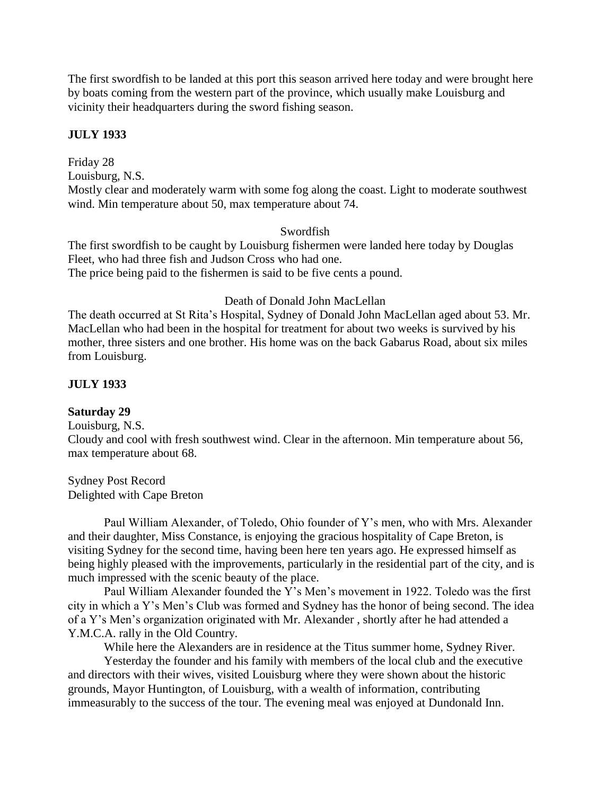The first swordfish to be landed at this port this season arrived here today and were brought here by boats coming from the western part of the province, which usually make Louisburg and vicinity their headquarters during the sword fishing season.

#### **JULY 1933**

Friday 28 Louisburg, N.S. Mostly clear and moderately warm with some fog along the coast. Light to moderate southwest wind. Min temperature about 50, max temperature about 74.

#### Swordfish

The first swordfish to be caught by Louisburg fishermen were landed here today by Douglas Fleet, who had three fish and Judson Cross who had one. The price being paid to the fishermen is said to be five cents a pound.

#### Death of Donald John MacLellan

The death occurred at St Rita"s Hospital, Sydney of Donald John MacLellan aged about 53. Mr. MacLellan who had been in the hospital for treatment for about two weeks is survived by his mother, three sisters and one brother. His home was on the back Gabarus Road, about six miles from Louisburg.

#### **JULY 1933**

#### **Saturday 29**

Louisburg, N.S.

Cloudy and cool with fresh southwest wind. Clear in the afternoon. Min temperature about 56, max temperature about 68.

Sydney Post Record Delighted with Cape Breton

Paul William Alexander, of Toledo, Ohio founder of Y"s men, who with Mrs. Alexander and their daughter, Miss Constance, is enjoying the gracious hospitality of Cape Breton, is visiting Sydney for the second time, having been here ten years ago. He expressed himself as being highly pleased with the improvements, particularly in the residential part of the city, and is much impressed with the scenic beauty of the place.

Paul William Alexander founded the Y's Men's movement in 1922. Toledo was the first city in which a Y"s Men"s Club was formed and Sydney has the honor of being second. The idea of a Y"s Men"s organization originated with Mr. Alexander , shortly after he had attended a Y.M.C.A. rally in the Old Country.

While here the Alexanders are in residence at the Titus summer home, Sydney River.

Yesterday the founder and his family with members of the local club and the executive and directors with their wives, visited Louisburg where they were shown about the historic grounds, Mayor Huntington, of Louisburg, with a wealth of information, contributing immeasurably to the success of the tour. The evening meal was enjoyed at Dundonald Inn.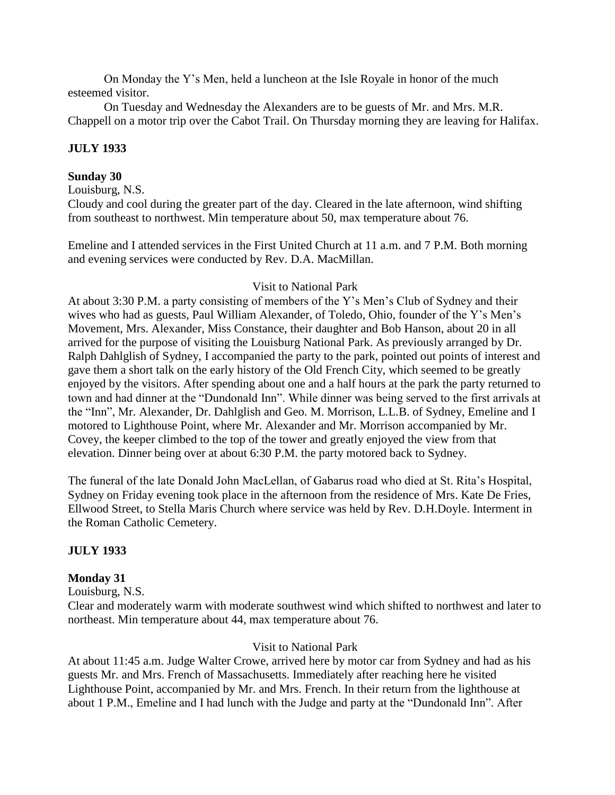On Monday the Y"s Men, held a luncheon at the Isle Royale in honor of the much esteemed visitor.

On Tuesday and Wednesday the Alexanders are to be guests of Mr. and Mrs. M.R. Chappell on a motor trip over the Cabot Trail. On Thursday morning they are leaving for Halifax.

# **JULY 1933**

## **Sunday 30**

Louisburg, N.S.

Cloudy and cool during the greater part of the day. Cleared in the late afternoon, wind shifting from southeast to northwest. Min temperature about 50, max temperature about 76.

Emeline and I attended services in the First United Church at 11 a.m. and 7 P.M. Both morning and evening services were conducted by Rev. D.A. MacMillan.

# Visit to National Park

At about 3:30 P.M. a party consisting of members of the Y"s Men"s Club of Sydney and their wives who had as guests, Paul William Alexander, of Toledo, Ohio, founder of the Y"s Men"s Movement, Mrs. Alexander, Miss Constance, their daughter and Bob Hanson, about 20 in all arrived for the purpose of visiting the Louisburg National Park. As previously arranged by Dr. Ralph Dahlglish of Sydney, I accompanied the party to the park, pointed out points of interest and gave them a short talk on the early history of the Old French City, which seemed to be greatly enjoyed by the visitors. After spending about one and a half hours at the park the party returned to town and had dinner at the "Dundonald Inn". While dinner was being served to the first arrivals at the "Inn", Mr. Alexander, Dr. Dahlglish and Geo. M. Morrison, L.L.B. of Sydney, Emeline and I motored to Lighthouse Point, where Mr. Alexander and Mr. Morrison accompanied by Mr. Covey, the keeper climbed to the top of the tower and greatly enjoyed the view from that elevation. Dinner being over at about 6:30 P.M. the party motored back to Sydney.

The funeral of the late Donald John MacLellan, of Gabarus road who died at St. Rita"s Hospital, Sydney on Friday evening took place in the afternoon from the residence of Mrs. Kate De Fries, Ellwood Street, to Stella Maris Church where service was held by Rev. D.H.Doyle. Interment in the Roman Catholic Cemetery.

# **JULY 1933**

# **Monday 31**

Louisburg, N.S.

Clear and moderately warm with moderate southwest wind which shifted to northwest and later to northeast. Min temperature about 44, max temperature about 76.

# Visit to National Park

At about 11:45 a.m. Judge Walter Crowe, arrived here by motor car from Sydney and had as his guests Mr. and Mrs. French of Massachusetts. Immediately after reaching here he visited Lighthouse Point, accompanied by Mr. and Mrs. French. In their return from the lighthouse at about 1 P.M., Emeline and I had lunch with the Judge and party at the "Dundonald Inn". After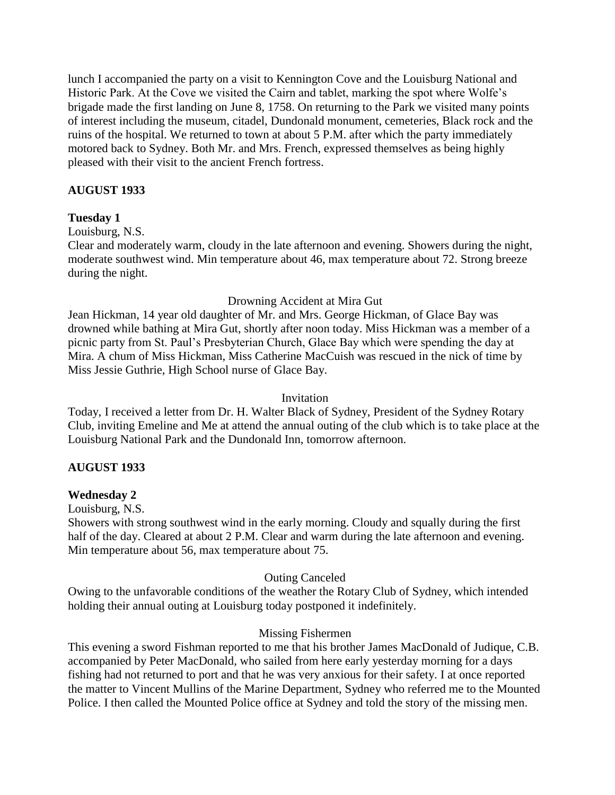lunch I accompanied the party on a visit to Kennington Cove and the Louisburg National and Historic Park. At the Cove we visited the Cairn and tablet, marking the spot where Wolfe"s brigade made the first landing on June 8, 1758. On returning to the Park we visited many points of interest including the museum, citadel, Dundonald monument, cemeteries, Black rock and the ruins of the hospital. We returned to town at about 5 P.M. after which the party immediately motored back to Sydney. Both Mr. and Mrs. French, expressed themselves as being highly pleased with their visit to the ancient French fortress.

# **AUGUST 1933**

### **Tuesday 1**

Louisburg, N.S.

Clear and moderately warm, cloudy in the late afternoon and evening. Showers during the night, moderate southwest wind. Min temperature about 46, max temperature about 72. Strong breeze during the night.

### Drowning Accident at Mira Gut

Jean Hickman, 14 year old daughter of Mr. and Mrs. George Hickman, of Glace Bay was drowned while bathing at Mira Gut, shortly after noon today. Miss Hickman was a member of a picnic party from St. Paul"s Presbyterian Church, Glace Bay which were spending the day at Mira. A chum of Miss Hickman, Miss Catherine MacCuish was rescued in the nick of time by Miss Jessie Guthrie, High School nurse of Glace Bay.

#### Invitation

Today, I received a letter from Dr. H. Walter Black of Sydney, President of the Sydney Rotary Club, inviting Emeline and Me at attend the annual outing of the club which is to take place at the Louisburg National Park and the Dundonald Inn, tomorrow afternoon.

#### **AUGUST 1933**

#### **Wednesday 2**

Louisburg, N.S.

Showers with strong southwest wind in the early morning. Cloudy and squally during the first half of the day. Cleared at about 2 P.M. Clear and warm during the late afternoon and evening. Min temperature about 56, max temperature about 75.

#### Outing Canceled

Owing to the unfavorable conditions of the weather the Rotary Club of Sydney, which intended holding their annual outing at Louisburg today postponed it indefinitely.

#### Missing Fishermen

This evening a sword Fishman reported to me that his brother James MacDonald of Judique, C.B. accompanied by Peter MacDonald, who sailed from here early yesterday morning for a days fishing had not returned to port and that he was very anxious for their safety. I at once reported the matter to Vincent Mullins of the Marine Department, Sydney who referred me to the Mounted Police. I then called the Mounted Police office at Sydney and told the story of the missing men.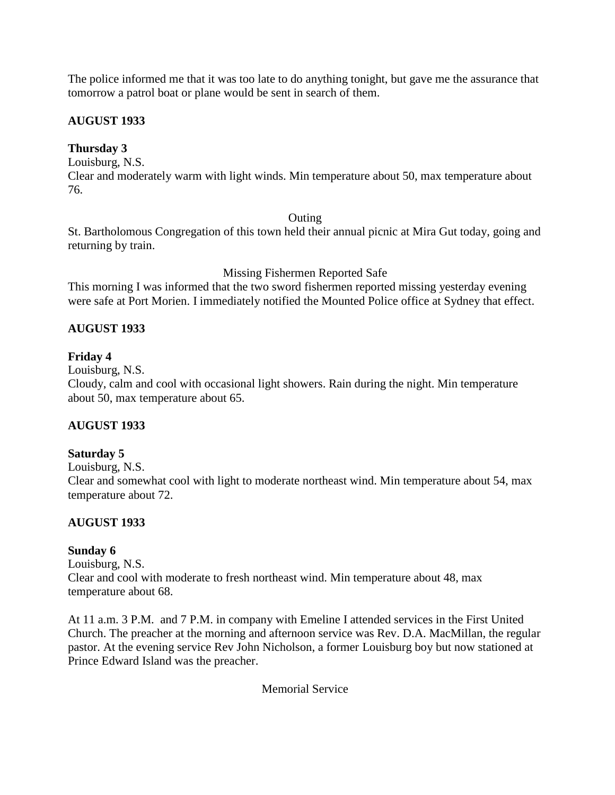The police informed me that it was too late to do anything tonight, but gave me the assurance that tomorrow a patrol boat or plane would be sent in search of them.

# **AUGUST 1933**

# **Thursday 3**

Louisburg, N.S.

Clear and moderately warm with light winds. Min temperature about 50, max temperature about 76.

#### **Outing**

St. Bartholomous Congregation of this town held their annual picnic at Mira Gut today, going and returning by train.

Missing Fishermen Reported Safe

This morning I was informed that the two sword fishermen reported missing yesterday evening were safe at Port Morien. I immediately notified the Mounted Police office at Sydney that effect.

# **AUGUST 1933**

# **Friday 4**

Louisburg, N.S.

Cloudy, calm and cool with occasional light showers. Rain during the night. Min temperature about 50, max temperature about 65.

# **AUGUST 1933**

# **Saturday 5**

Louisburg, N.S.

Clear and somewhat cool with light to moderate northeast wind. Min temperature about 54, max temperature about 72.

# **AUGUST 1933**

# **Sunday 6**

Louisburg, N.S. Clear and cool with moderate to fresh northeast wind. Min temperature about 48, max temperature about 68.

At 11 a.m. 3 P.M. and 7 P.M. in company with Emeline I attended services in the First United Church. The preacher at the morning and afternoon service was Rev. D.A. MacMillan, the regular pastor. At the evening service Rev John Nicholson, a former Louisburg boy but now stationed at Prince Edward Island was the preacher.

Memorial Service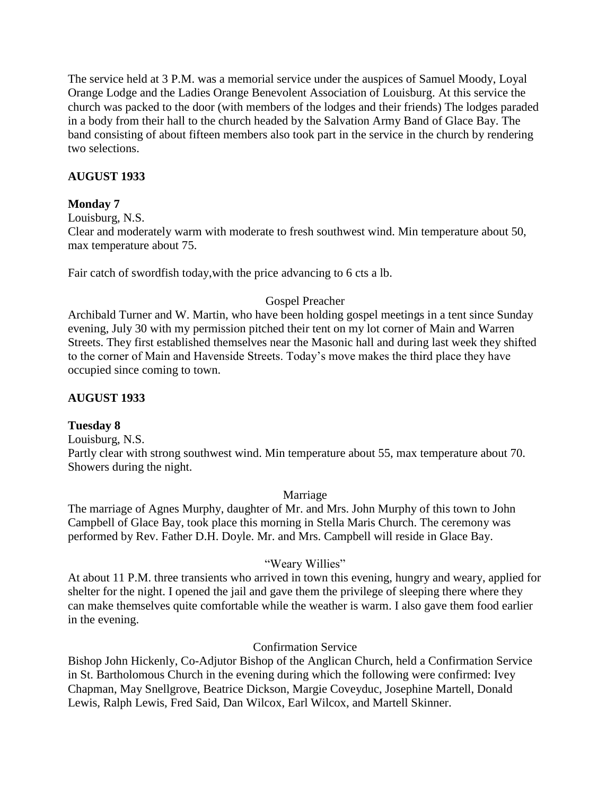The service held at 3 P.M. was a memorial service under the auspices of Samuel Moody, Loyal Orange Lodge and the Ladies Orange Benevolent Association of Louisburg. At this service the church was packed to the door (with members of the lodges and their friends) The lodges paraded in a body from their hall to the church headed by the Salvation Army Band of Glace Bay. The band consisting of about fifteen members also took part in the service in the church by rendering two selections.

# **AUGUST 1933**

# **Monday 7**

Louisburg, N.S.

Clear and moderately warm with moderate to fresh southwest wind. Min temperature about 50, max temperature about 75.

Fair catch of swordfish today,with the price advancing to 6 cts a lb.

# Gospel Preacher

Archibald Turner and W. Martin, who have been holding gospel meetings in a tent since Sunday evening, July 30 with my permission pitched their tent on my lot corner of Main and Warren Streets. They first established themselves near the Masonic hall and during last week they shifted to the corner of Main and Havenside Streets. Today"s move makes the third place they have occupied since coming to town.

# **AUGUST 1933**

#### **Tuesday 8**

Louisburg, N.S.

Partly clear with strong southwest wind. Min temperature about 55, max temperature about 70. Showers during the night.

Marriage

The marriage of Agnes Murphy, daughter of Mr. and Mrs. John Murphy of this town to John Campbell of Glace Bay, took place this morning in Stella Maris Church. The ceremony was performed by Rev. Father D.H. Doyle. Mr. and Mrs. Campbell will reside in Glace Bay.

# "Weary Willies"

At about 11 P.M. three transients who arrived in town this evening, hungry and weary, applied for shelter for the night. I opened the jail and gave them the privilege of sleeping there where they can make themselves quite comfortable while the weather is warm. I also gave them food earlier in the evening.

#### Confirmation Service

Bishop John Hickenly, Co-Adjutor Bishop of the Anglican Church, held a Confirmation Service in St. Bartholomous Church in the evening during which the following were confirmed: Ivey Chapman, May Snellgrove, Beatrice Dickson, Margie Coveyduc, Josephine Martell, Donald Lewis, Ralph Lewis, Fred Said, Dan Wilcox, Earl Wilcox, and Martell Skinner.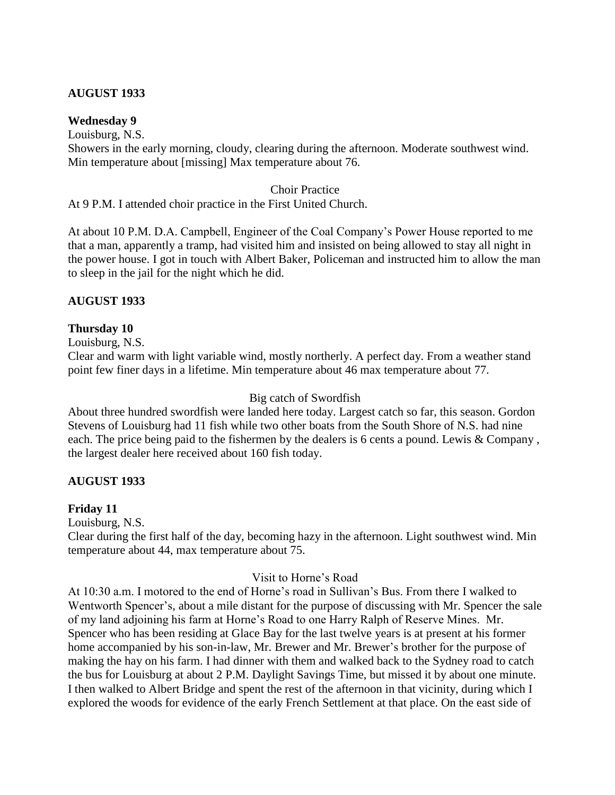# **AUGUST 1933**

#### **Wednesday 9**

Louisburg, N.S. Showers in the early morning, cloudy, clearing during the afternoon. Moderate southwest wind. Min temperature about [missing] Max temperature about 76.

#### Choir Practice

At 9 P.M. I attended choir practice in the First United Church.

At about 10 P.M. D.A. Campbell, Engineer of the Coal Company"s Power House reported to me that a man, apparently a tramp, had visited him and insisted on being allowed to stay all night in the power house. I got in touch with Albert Baker, Policeman and instructed him to allow the man to sleep in the jail for the night which he did.

### **AUGUST 1933**

# **Thursday 10**

Louisburg, N.S.

Clear and warm with light variable wind, mostly northerly. A perfect day. From a weather stand point few finer days in a lifetime. Min temperature about 46 max temperature about 77.

#### Big catch of Swordfish

About three hundred swordfish were landed here today. Largest catch so far, this season. Gordon Stevens of Louisburg had 11 fish while two other boats from the South Shore of N.S. had nine each. The price being paid to the fishermen by the dealers is 6 cents a pound. Lewis & Company, the largest dealer here received about 160 fish today.

# **AUGUST 1933**

# **Friday 11**

Louisburg, N.S.

Clear during the first half of the day, becoming hazy in the afternoon. Light southwest wind. Min temperature about 44, max temperature about 75.

#### Visit to Horne"s Road

At 10:30 a.m. I motored to the end of Horne's road in Sullivan's Bus. From there I walked to Wentworth Spencer's, about a mile distant for the purpose of discussing with Mr. Spencer the sale of my land adjoining his farm at Horne"s Road to one Harry Ralph of Reserve Mines. Mr. Spencer who has been residing at Glace Bay for the last twelve years is at present at his former home accompanied by his son-in-law, Mr. Brewer and Mr. Brewer's brother for the purpose of making the hay on his farm. I had dinner with them and walked back to the Sydney road to catch the bus for Louisburg at about 2 P.M. Daylight Savings Time, but missed it by about one minute. I then walked to Albert Bridge and spent the rest of the afternoon in that vicinity, during which I explored the woods for evidence of the early French Settlement at that place. On the east side of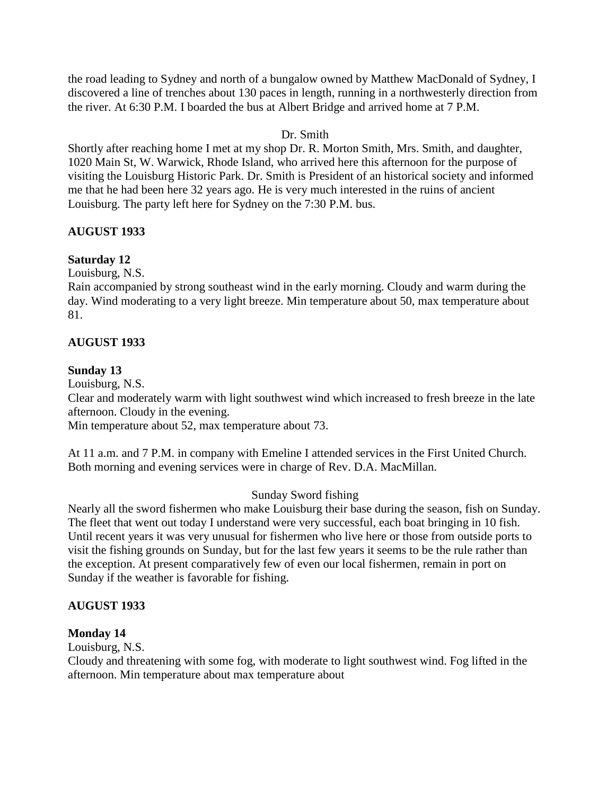the road leading to Sydney and north of a bungalow owned by Matthew MacDonald of Sydney, I discovered a line of trenches about 130 paces in length, running in a northwesterly direction from the river. At 6:30 P.M. I boarded the bus at Albert Bridge and arrived home at 7 P.M.

# Dr. Smith

Shortly after reaching home I met at my shop Dr. R. Morton Smith, Mrs. Smith, and daughter, 1020 Main St, W. Warwick, Rhode Island, who arrived here this afternoon for the purpose of visiting the Louisburg Historic Park. Dr. Smith is President of an historical society and informed me that he had been here 32 years ago. He is very much interested in the ruins of ancient Louisburg. The party left here for Sydney on the 7:30 P.M. bus.

# **AUGUST 1933**

# **Saturday 12**

Louisburg, N.S.

Rain accompanied by strong southeast wind in the early morning. Cloudy and warm during the day. Wind moderating to a very light breeze. Min temperature about 50, max temperature about 81.

# **AUGUST 1933**

# **Sunday 13**

Louisburg, N.S.

Clear and moderately warm with light southwest wind which increased to fresh breeze in the late afternoon. Cloudy in the evening.

Min temperature about 52, max temperature about 73.

At 11 a.m. and 7 P.M. in company with Emeline I attended services in the First United Church. Both morning and evening services were in charge of Rev. D.A. MacMillan.

# Sunday Sword fishing

Nearly all the sword fishermen who make Louisburg their base during the season, fish on Sunday. The fleet that went out today I understand were very successful, each boat bringing in 10 fish. Until recent years it was very unusual for fishermen who live here or those from outside ports to visit the fishing grounds on Sunday, but for the last few years it seems to be the rule rather than the exception. At present comparatively few of even our local fishermen, remain in port on Sunday if the weather is favorable for fishing.

# **AUGUST 1933**

# **Monday 14**

Louisburg, N.S.

Cloudy and threatening with some fog, with moderate to light southwest wind. Fog lifted in the afternoon. Min temperature about max temperature about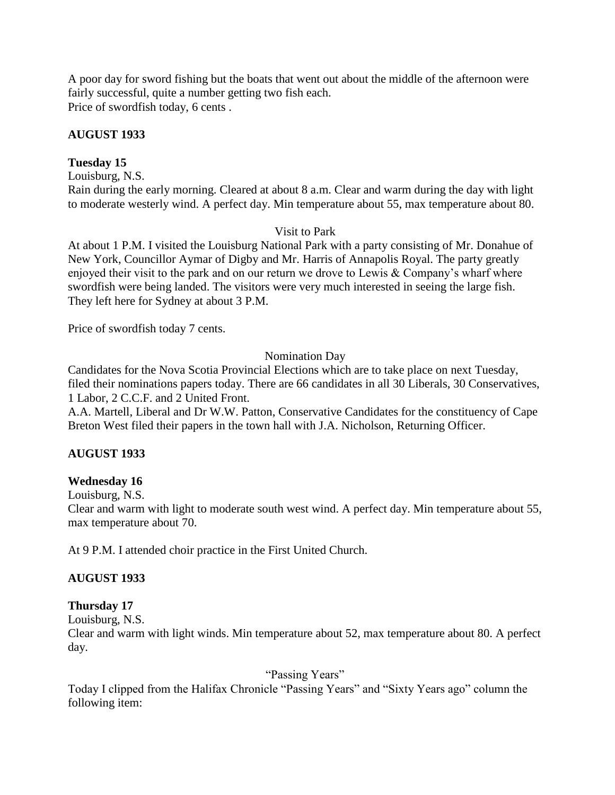A poor day for sword fishing but the boats that went out about the middle of the afternoon were fairly successful, quite a number getting two fish each. Price of swordfish today, 6 cents .

# **AUGUST 1933**

# **Tuesday 15**

Louisburg, N.S.

Rain during the early morning. Cleared at about 8 a.m. Clear and warm during the day with light to moderate westerly wind. A perfect day. Min temperature about 55, max temperature about 80.

### Visit to Park

At about 1 P.M. I visited the Louisburg National Park with a party consisting of Mr. Donahue of New York, Councillor Aymar of Digby and Mr. Harris of Annapolis Royal. The party greatly enjoyed their visit to the park and on our return we drove to Lewis & Company"s wharf where swordfish were being landed. The visitors were very much interested in seeing the large fish. They left here for Sydney at about 3 P.M.

Price of swordfish today 7 cents.

# Nomination Day

Candidates for the Nova Scotia Provincial Elections which are to take place on next Tuesday, filed their nominations papers today. There are 66 candidates in all 30 Liberals, 30 Conservatives, 1 Labor, 2 C.C.F. and 2 United Front.

A.A. Martell, Liberal and Dr W.W. Patton, Conservative Candidates for the constituency of Cape Breton West filed their papers in the town hall with J.A. Nicholson, Returning Officer.

# **AUGUST 1933**

# **Wednesday 16**

Louisburg, N.S.

Clear and warm with light to moderate south west wind. A perfect day. Min temperature about 55, max temperature about 70.

At 9 P.M. I attended choir practice in the First United Church.

# **AUGUST 1933**

# **Thursday 17**

Louisburg, N.S.

Clear and warm with light winds. Min temperature about 52, max temperature about 80. A perfect day.

"Passing Years"

Today I clipped from the Halifax Chronicle "Passing Years" and "Sixty Years ago" column the following item: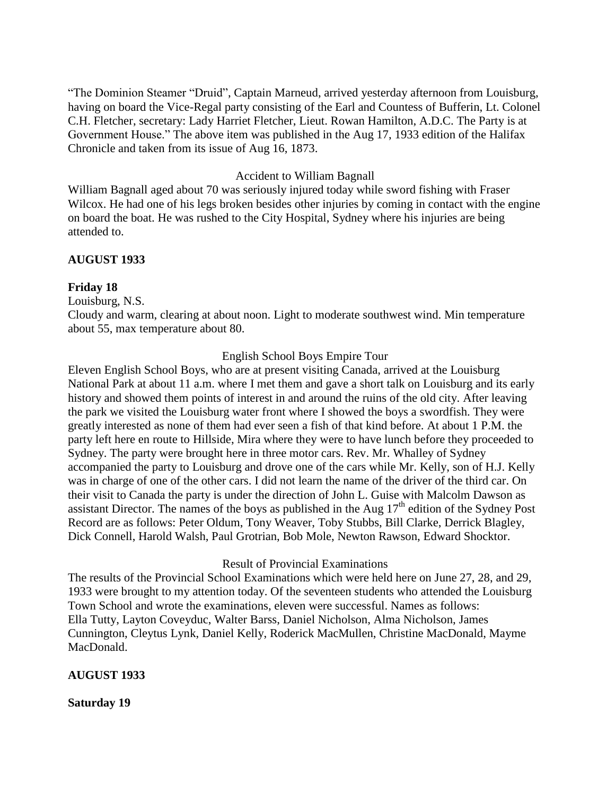"The Dominion Steamer "Druid", Captain Marneud, arrived yesterday afternoon from Louisburg, having on board the Vice-Regal party consisting of the Earl and Countess of Bufferin, Lt. Colonel C.H. Fletcher, secretary: Lady Harriet Fletcher, Lieut. Rowan Hamilton, A.D.C. The Party is at Government House." The above item was published in the Aug 17, 1933 edition of the Halifax Chronicle and taken from its issue of Aug 16, 1873.

#### Accident to William Bagnall

William Bagnall aged about 70 was seriously injured today while sword fishing with Fraser Wilcox. He had one of his legs broken besides other injuries by coming in contact with the engine on board the boat. He was rushed to the City Hospital, Sydney where his injuries are being attended to.

#### **AUGUST 1933**

#### **Friday 18**

Louisburg, N.S.

Cloudy and warm, clearing at about noon. Light to moderate southwest wind. Min temperature about 55, max temperature about 80.

#### English School Boys Empire Tour

Eleven English School Boys, who are at present visiting Canada, arrived at the Louisburg National Park at about 11 a.m. where I met them and gave a short talk on Louisburg and its early history and showed them points of interest in and around the ruins of the old city. After leaving the park we visited the Louisburg water front where I showed the boys a swordfish. They were greatly interested as none of them had ever seen a fish of that kind before. At about 1 P.M. the party left here en route to Hillside, Mira where they were to have lunch before they proceeded to Sydney. The party were brought here in three motor cars. Rev. Mr. Whalley of Sydney accompanied the party to Louisburg and drove one of the cars while Mr. Kelly, son of H.J. Kelly was in charge of one of the other cars. I did not learn the name of the driver of the third car. On their visit to Canada the party is under the direction of John L. Guise with Malcolm Dawson as assistant Director. The names of the boys as published in the Aug  $17<sup>th</sup>$  edition of the Sydney Post Record are as follows: Peter Oldum, Tony Weaver, Toby Stubbs, Bill Clarke, Derrick Blagley, Dick Connell, Harold Walsh, Paul Grotrian, Bob Mole, Newton Rawson, Edward Shocktor.

#### Result of Provincial Examinations

The results of the Provincial School Examinations which were held here on June 27, 28, and 29, 1933 were brought to my attention today. Of the seventeen students who attended the Louisburg Town School and wrote the examinations, eleven were successful. Names as follows: Ella Tutty, Layton Coveyduc, Walter Barss, Daniel Nicholson, Alma Nicholson, James Cunnington, Cleytus Lynk, Daniel Kelly, Roderick MacMullen, Christine MacDonald, Mayme MacDonald.

#### **AUGUST 1933**

**Saturday 19**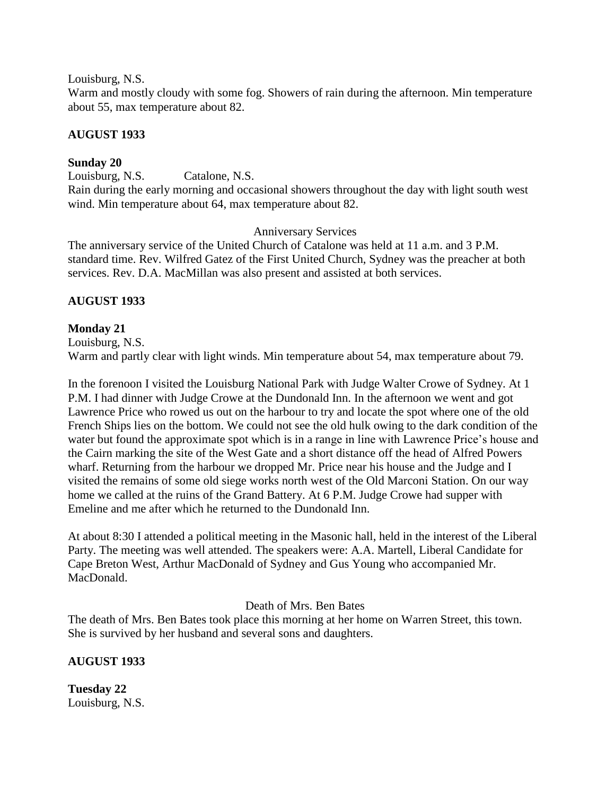Louisburg, N.S.

Warm and mostly cloudy with some fog. Showers of rain during the afternoon. Min temperature about 55, max temperature about 82.

## **AUGUST 1933**

## **Sunday 20**

Louisburg, N.S. Catalone, N.S.

Rain during the early morning and occasional showers throughout the day with light south west wind. Min temperature about 64, max temperature about 82.

Anniversary Services

The anniversary service of the United Church of Catalone was held at 11 a.m. and 3 P.M. standard time. Rev. Wilfred Gatez of the First United Church, Sydney was the preacher at both services. Rev. D.A. MacMillan was also present and assisted at both services.

### **AUGUST 1933**

### **Monday 21**

Louisburg, N.S. Warm and partly clear with light winds. Min temperature about 54, max temperature about 79.

In the forenoon I visited the Louisburg National Park with Judge Walter Crowe of Sydney. At 1 P.M. I had dinner with Judge Crowe at the Dundonald Inn. In the afternoon we went and got Lawrence Price who rowed us out on the harbour to try and locate the spot where one of the old French Ships lies on the bottom. We could not see the old hulk owing to the dark condition of the water but found the approximate spot which is in a range in line with Lawrence Price"s house and the Cairn marking the site of the West Gate and a short distance off the head of Alfred Powers wharf. Returning from the harbour we dropped Mr. Price near his house and the Judge and I visited the remains of some old siege works north west of the Old Marconi Station. On our way home we called at the ruins of the Grand Battery. At 6 P.M. Judge Crowe had supper with Emeline and me after which he returned to the Dundonald Inn.

At about 8:30 I attended a political meeting in the Masonic hall, held in the interest of the Liberal Party. The meeting was well attended. The speakers were: A.A. Martell, Liberal Candidate for Cape Breton West, Arthur MacDonald of Sydney and Gus Young who accompanied Mr. MacDonald.

Death of Mrs. Ben Bates

The death of Mrs. Ben Bates took place this morning at her home on Warren Street, this town. She is survived by her husband and several sons and daughters.

# **AUGUST 1933**

**Tuesday 22** Louisburg, N.S.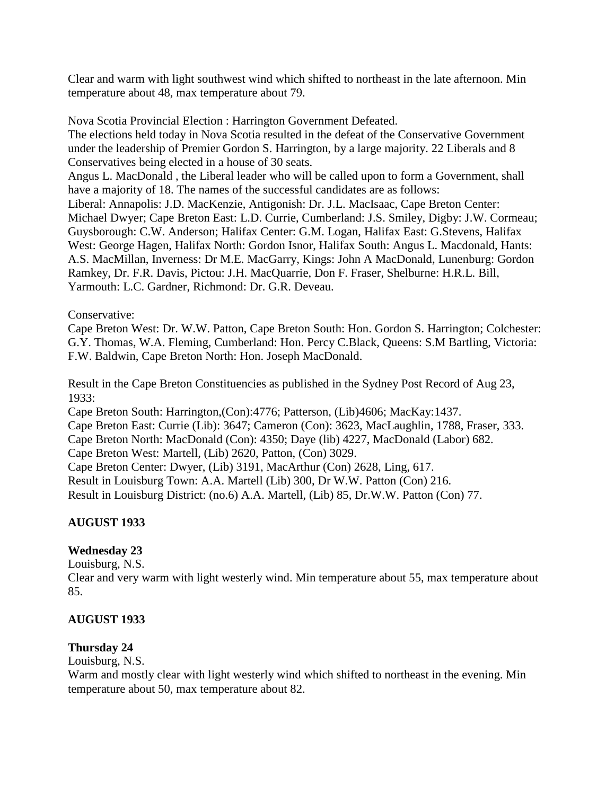Clear and warm with light southwest wind which shifted to northeast in the late afternoon. Min temperature about 48, max temperature about 79.

Nova Scotia Provincial Election : Harrington Government Defeated. The elections held today in Nova Scotia resulted in the defeat of the Conservative Government under the leadership of Premier Gordon S. Harrington, by a large majority. 22 Liberals and 8 Conservatives being elected in a house of 30 seats. Angus L. MacDonald , the Liberal leader who will be called upon to form a Government, shall have a majority of 18. The names of the successful candidates are as follows: Liberal: Annapolis: J.D. MacKenzie, Antigonish: Dr. J.L. MacIsaac, Cape Breton Center: Michael Dwyer; Cape Breton East: L.D. Currie, Cumberland: J.S. Smiley, Digby: J.W. Cormeau; Guysborough: C.W. Anderson; Halifax Center: G.M. Logan, Halifax East: G.Stevens, Halifax West: George Hagen, Halifax North: Gordon Isnor, Halifax South: Angus L. Macdonald, Hants: A.S. MacMillan, Inverness: Dr M.E. MacGarry, Kings: John A MacDonald, Lunenburg: Gordon Ramkey, Dr. F.R. Davis, Pictou: J.H. MacQuarrie, Don F. Fraser, Shelburne: H.R.L. Bill, Yarmouth: L.C. Gardner, Richmond: Dr. G.R. Deveau.

#### Conservative:

Cape Breton West: Dr. W.W. Patton, Cape Breton South: Hon. Gordon S. Harrington; Colchester: G.Y. Thomas, W.A. Fleming, Cumberland: Hon. Percy C.Black, Queens: S.M Bartling, Victoria: F.W. Baldwin, Cape Breton North: Hon. Joseph MacDonald.

Result in the Cape Breton Constituencies as published in the Sydney Post Record of Aug 23, 1933:

Cape Breton South: Harrington,(Con):4776; Patterson, (Lib)4606; MacKay:1437. Cape Breton East: Currie (Lib): 3647; Cameron (Con): 3623, MacLaughlin, 1788, Fraser, 333. Cape Breton North: MacDonald (Con): 4350; Daye (lib) 4227, MacDonald (Labor) 682. Cape Breton West: Martell, (Lib) 2620, Patton, (Con) 3029. Cape Breton Center: Dwyer, (Lib) 3191, MacArthur (Con) 2628, Ling, 617. Result in Louisburg Town: A.A. Martell (Lib) 300, Dr W.W. Patton (Con) 216.

Result in Louisburg District: (no.6) A.A. Martell, (Lib) 85, Dr.W.W. Patton (Con) 77.

# **AUGUST 1933**

# **Wednesday 23**

Louisburg, N.S.

Clear and very warm with light westerly wind. Min temperature about 55, max temperature about 85.

# **AUGUST 1933**

# **Thursday 24**

Louisburg, N.S.

Warm and mostly clear with light westerly wind which shifted to northeast in the evening. Min temperature about 50, max temperature about 82.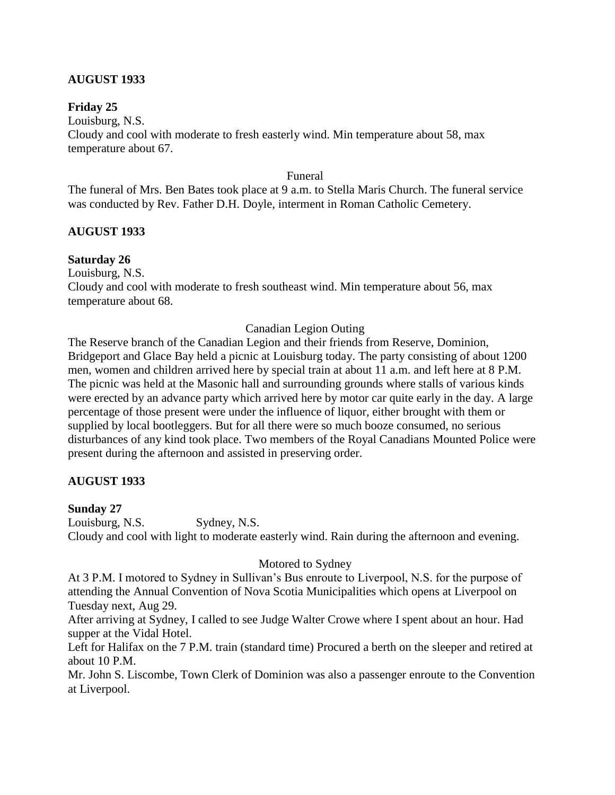# **AUGUST 1933**

#### **Friday 25**

Louisburg, N.S. Cloudy and cool with moderate to fresh easterly wind. Min temperature about 58, max temperature about 67.

#### Funeral

The funeral of Mrs. Ben Bates took place at 9 a.m. to Stella Maris Church. The funeral service was conducted by Rev. Father D.H. Doyle, interment in Roman Catholic Cemetery.

#### **AUGUST 1933**

#### **Saturday 26**

Louisburg, N.S.

Cloudy and cool with moderate to fresh southeast wind. Min temperature about 56, max temperature about 68.

#### Canadian Legion Outing

The Reserve branch of the Canadian Legion and their friends from Reserve, Dominion, Bridgeport and Glace Bay held a picnic at Louisburg today. The party consisting of about 1200 men, women and children arrived here by special train at about 11 a.m. and left here at 8 P.M. The picnic was held at the Masonic hall and surrounding grounds where stalls of various kinds were erected by an advance party which arrived here by motor car quite early in the day. A large percentage of those present were under the influence of liquor, either brought with them or supplied by local bootleggers. But for all there were so much booze consumed, no serious disturbances of any kind took place. Two members of the Royal Canadians Mounted Police were present during the afternoon and assisted in preserving order.

#### **AUGUST 1933**

#### **Sunday 27**

Louisburg, N.S. Sydney, N.S. Cloudy and cool with light to moderate easterly wind. Rain during the afternoon and evening.

#### Motored to Sydney

At 3 P.M. I motored to Sydney in Sullivan's Bus enroute to Liverpool, N.S. for the purpose of attending the Annual Convention of Nova Scotia Municipalities which opens at Liverpool on Tuesday next, Aug 29.

After arriving at Sydney, I called to see Judge Walter Crowe where I spent about an hour. Had supper at the Vidal Hotel.

Left for Halifax on the 7 P.M. train (standard time) Procured a berth on the sleeper and retired at about 10 P.M.

Mr. John S. Liscombe, Town Clerk of Dominion was also a passenger enroute to the Convention at Liverpool.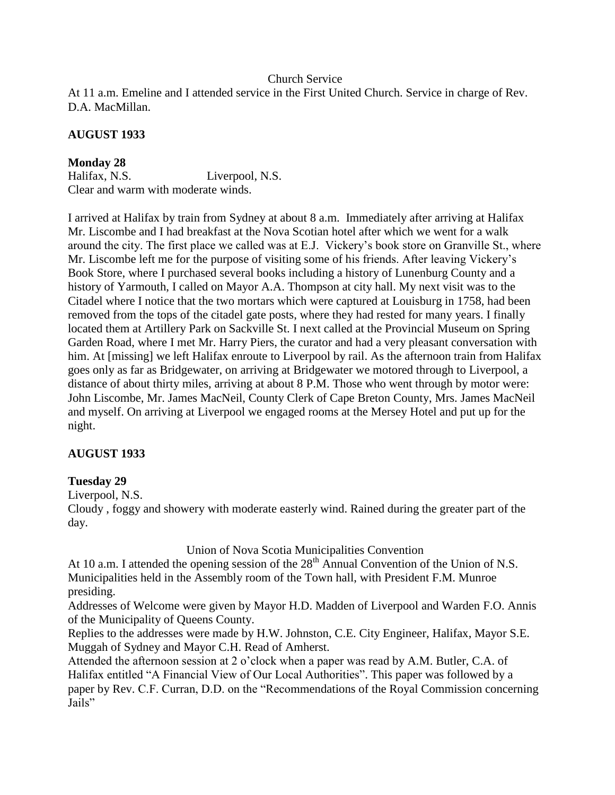#### Church Service

At 11 a.m. Emeline and I attended service in the First United Church. Service in charge of Rev. D.A. MacMillan.

# **AUGUST 1933**

**Monday 28** Halifax, N.S. Liverpool, N.S. Clear and warm with moderate winds.

I arrived at Halifax by train from Sydney at about 8 a.m. Immediately after arriving at Halifax Mr. Liscombe and I had breakfast at the Nova Scotian hotel after which we went for a walk around the city. The first place we called was at E.J. Vickery"s book store on Granville St., where Mr. Liscombe left me for the purpose of visiting some of his friends. After leaving Vickery"s Book Store, where I purchased several books including a history of Lunenburg County and a history of Yarmouth, I called on Mayor A.A. Thompson at city hall. My next visit was to the Citadel where I notice that the two mortars which were captured at Louisburg in 1758, had been removed from the tops of the citadel gate posts, where they had rested for many years. I finally located them at Artillery Park on Sackville St. I next called at the Provincial Museum on Spring Garden Road, where I met Mr. Harry Piers, the curator and had a very pleasant conversation with him. At [missing] we left Halifax enroute to Liverpool by rail. As the afternoon train from Halifax goes only as far as Bridgewater, on arriving at Bridgewater we motored through to Liverpool, a distance of about thirty miles, arriving at about 8 P.M. Those who went through by motor were: John Liscombe, Mr. James MacNeil, County Clerk of Cape Breton County, Mrs. James MacNeil and myself. On arriving at Liverpool we engaged rooms at the Mersey Hotel and put up for the night.

# **AUGUST 1933**

# **Tuesday 29**

Liverpool, N.S.

Cloudy , foggy and showery with moderate easterly wind. Rained during the greater part of the day.

Union of Nova Scotia Municipalities Convention

At 10 a.m. I attended the opening session of the  $28<sup>th</sup>$  Annual Convention of the Union of N.S. Municipalities held in the Assembly room of the Town hall, with President F.M. Munroe presiding.

Addresses of Welcome were given by Mayor H.D. Madden of Liverpool and Warden F.O. Annis of the Municipality of Queens County.

Replies to the addresses were made by H.W. Johnston, C.E. City Engineer, Halifax, Mayor S.E. Muggah of Sydney and Mayor C.H. Read of Amherst.

Attended the afternoon session at 2 o'clock when a paper was read by A.M. Butler, C.A. of Halifax entitled "A Financial View of Our Local Authorities". This paper was followed by a paper by Rev. C.F. Curran, D.D. on the "Recommendations of the Royal Commission concerning Jails"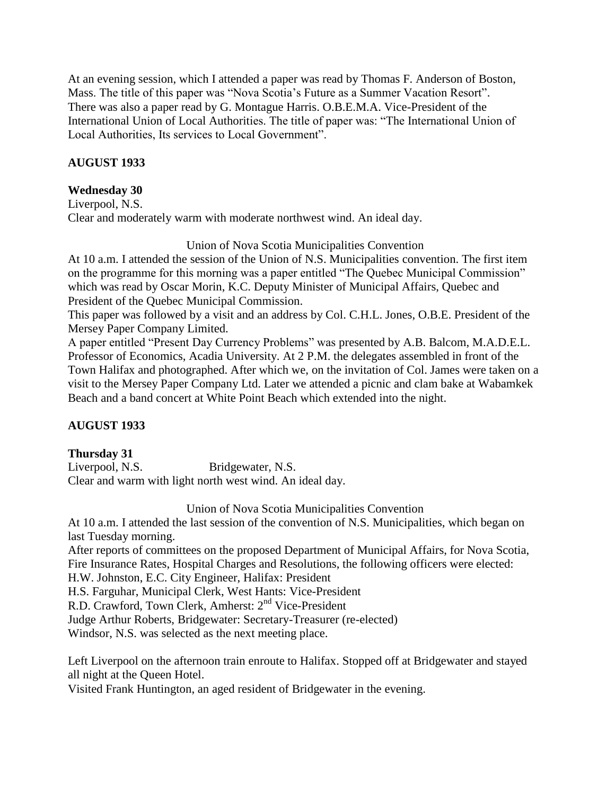At an evening session, which I attended a paper was read by Thomas F. Anderson of Boston, Mass. The title of this paper was "Nova Scotia's Future as a Summer Vacation Resort". There was also a paper read by G. Montague Harris. O.B.E.M.A. Vice-President of the International Union of Local Authorities. The title of paper was: "The International Union of Local Authorities, Its services to Local Government".

# **AUGUST 1933**

## **Wednesday 30**

Liverpool, N.S. Clear and moderately warm with moderate northwest wind. An ideal day.

Union of Nova Scotia Municipalities Convention

At 10 a.m. I attended the session of the Union of N.S. Municipalities convention. The first item on the programme for this morning was a paper entitled "The Quebec Municipal Commission" which was read by Oscar Morin, K.C. Deputy Minister of Municipal Affairs, Quebec and President of the Quebec Municipal Commission.

This paper was followed by a visit and an address by Col. C.H.L. Jones, O.B.E. President of the Mersey Paper Company Limited.

A paper entitled "Present Day Currency Problems" was presented by A.B. Balcom, M.A.D.E.L. Professor of Economics, Acadia University. At 2 P.M. the delegates assembled in front of the Town Halifax and photographed. After which we, on the invitation of Col. James were taken on a visit to the Mersey Paper Company Ltd. Later we attended a picnic and clam bake at Wabamkek Beach and a band concert at White Point Beach which extended into the night.

# **AUGUST 1933**

# **Thursday 31**

Liverpool, N.S. Bridgewater, N.S. Clear and warm with light north west wind. An ideal day.

Union of Nova Scotia Municipalities Convention

At 10 a.m. I attended the last session of the convention of N.S. Municipalities, which began on last Tuesday morning.

After reports of committees on the proposed Department of Municipal Affairs, for Nova Scotia, Fire Insurance Rates, Hospital Charges and Resolutions, the following officers were elected:

H.W. Johnston, E.C. City Engineer, Halifax: President

H.S. Farguhar, Municipal Clerk, West Hants: Vice-President

R.D. Crawford, Town Clerk, Amherst: 2<sup>nd</sup> Vice-President

Judge Arthur Roberts, Bridgewater: Secretary-Treasurer (re-elected)

Windsor, N.S. was selected as the next meeting place.

Left Liverpool on the afternoon train enroute to Halifax. Stopped off at Bridgewater and stayed all night at the Queen Hotel.

Visited Frank Huntington, an aged resident of Bridgewater in the evening.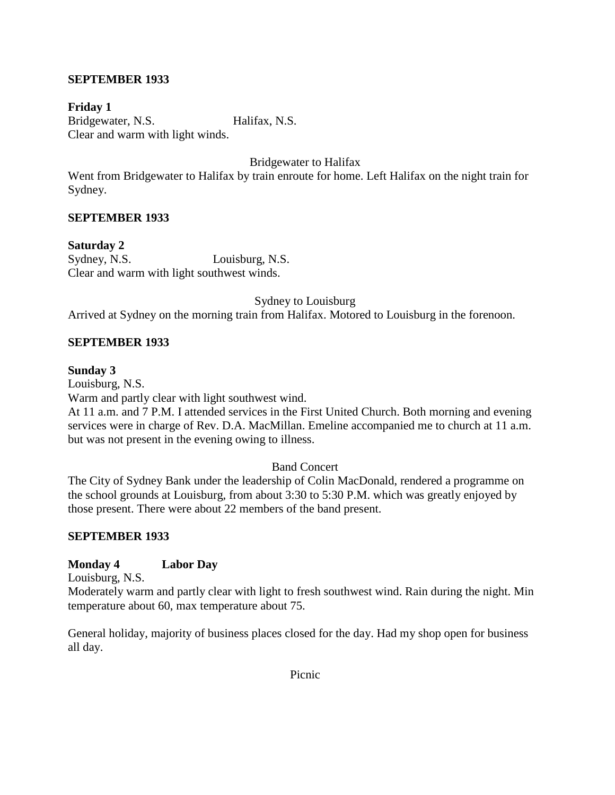# **SEPTEMBER 1933**

**Friday 1** Bridgewater, N.S. Halifax, N.S. Clear and warm with light winds.

Bridgewater to Halifax

Went from Bridgewater to Halifax by train enroute for home. Left Halifax on the night train for Sydney.

#### **SEPTEMBER 1933**

**Saturday 2** Sydney, N.S. Louisburg, N.S. Clear and warm with light southwest winds.

Sydney to Louisburg

Arrived at Sydney on the morning train from Halifax. Motored to Louisburg in the forenoon.

#### **SEPTEMBER 1933**

#### **Sunday 3**

Louisburg, N.S.

Warm and partly clear with light southwest wind.

At 11 a.m. and 7 P.M. I attended services in the First United Church. Both morning and evening services were in charge of Rev. D.A. MacMillan. Emeline accompanied me to church at 11 a.m. but was not present in the evening owing to illness.

#### Band Concert

The City of Sydney Bank under the leadership of Colin MacDonald, rendered a programme on the school grounds at Louisburg, from about 3:30 to 5:30 P.M. which was greatly enjoyed by those present. There were about 22 members of the band present.

#### **SEPTEMBER 1933**

#### **Monday 4 Labor Day**

Louisburg, N.S.

Moderately warm and partly clear with light to fresh southwest wind. Rain during the night. Min temperature about 60, max temperature about 75.

General holiday, majority of business places closed for the day. Had my shop open for business all day.

Picnic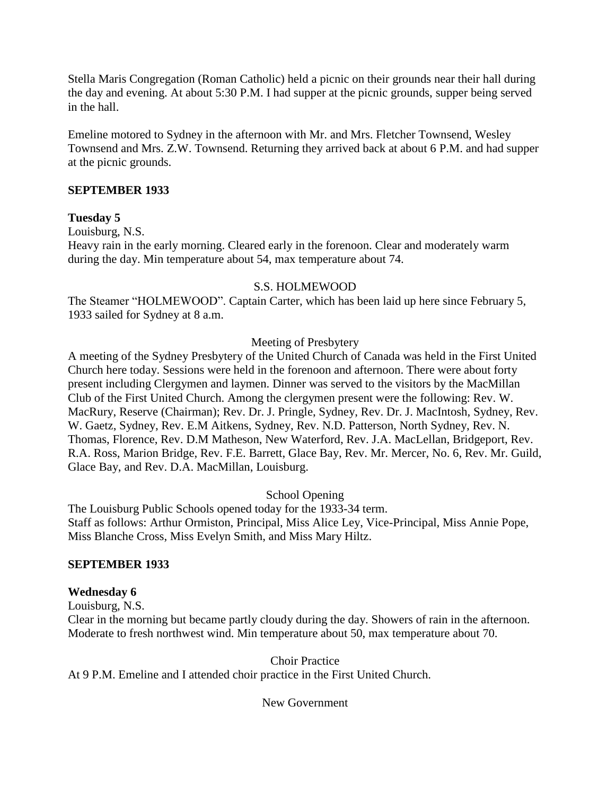Stella Maris Congregation (Roman Catholic) held a picnic on their grounds near their hall during the day and evening. At about 5:30 P.M. I had supper at the picnic grounds, supper being served in the hall.

Emeline motored to Sydney in the afternoon with Mr. and Mrs. Fletcher Townsend, Wesley Townsend and Mrs. Z.W. Townsend. Returning they arrived back at about 6 P.M. and had supper at the picnic grounds.

# **SEPTEMBER 1933**

### **Tuesday 5**

Louisburg, N.S.

Heavy rain in the early morning. Cleared early in the forenoon. Clear and moderately warm during the day. Min temperature about 54, max temperature about 74.

#### S.S. HOLMEWOOD

The Steamer "HOLMEWOOD". Captain Carter, which has been laid up here since February 5, 1933 sailed for Sydney at 8 a.m.

### Meeting of Presbytery

A meeting of the Sydney Presbytery of the United Church of Canada was held in the First United Church here today. Sessions were held in the forenoon and afternoon. There were about forty present including Clergymen and laymen. Dinner was served to the visitors by the MacMillan Club of the First United Church. Among the clergymen present were the following: Rev. W. MacRury, Reserve (Chairman); Rev. Dr. J. Pringle, Sydney, Rev. Dr. J. MacIntosh, Sydney, Rev. W. Gaetz, Sydney, Rev. E.M Aitkens, Sydney, Rev. N.D. Patterson, North Sydney, Rev. N. Thomas, Florence, Rev. D.M Matheson, New Waterford, Rev. J.A. MacLellan, Bridgeport, Rev. R.A. Ross, Marion Bridge, Rev. F.E. Barrett, Glace Bay, Rev. Mr. Mercer, No. 6, Rev. Mr. Guild, Glace Bay, and Rev. D.A. MacMillan, Louisburg.

School Opening

The Louisburg Public Schools opened today for the 1933-34 term. Staff as follows: Arthur Ormiston, Principal, Miss Alice Ley, Vice-Principal, Miss Annie Pope, Miss Blanche Cross, Miss Evelyn Smith, and Miss Mary Hiltz.

# **SEPTEMBER 1933**

#### **Wednesday 6**

Louisburg, N.S.

Clear in the morning but became partly cloudy during the day. Showers of rain in the afternoon. Moderate to fresh northwest wind. Min temperature about 50, max temperature about 70.

Choir Practice

At 9 P.M. Emeline and I attended choir practice in the First United Church.

New Government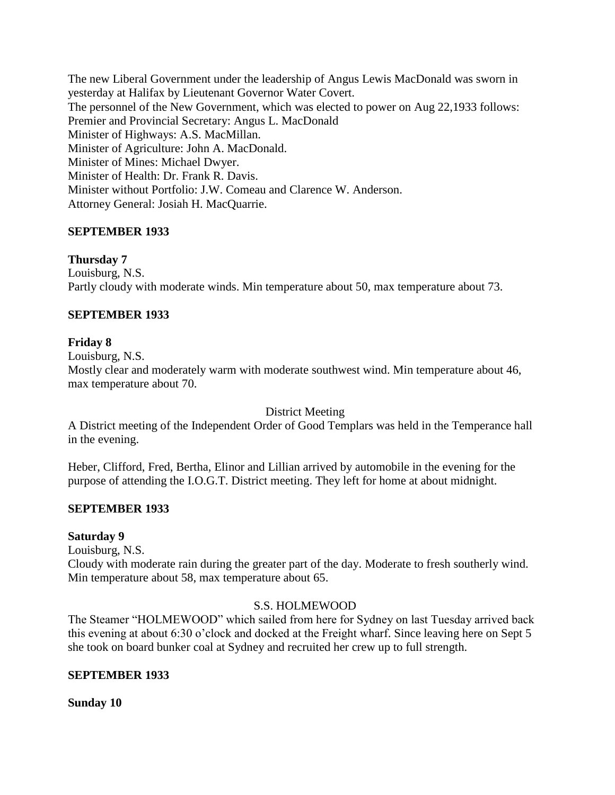The new Liberal Government under the leadership of Angus Lewis MacDonald was sworn in yesterday at Halifax by Lieutenant Governor Water Covert. The personnel of the New Government, which was elected to power on Aug 22,1933 follows: Premier and Provincial Secretary: Angus L. MacDonald Minister of Highways: A.S. MacMillan. Minister of Agriculture: John A. MacDonald. Minister of Mines: Michael Dwyer. Minister of Health: Dr. Frank R. Davis. Minister without Portfolio: J.W. Comeau and Clarence W. Anderson. Attorney General: Josiah H. MacQuarrie.

# **SEPTEMBER 1933**

### **Thursday 7**

Louisburg, N.S. Partly cloudy with moderate winds. Min temperature about 50, max temperature about 73.

### **SEPTEMBER 1933**

#### **Friday 8**

Louisburg, N.S.

Mostly clear and moderately warm with moderate southwest wind. Min temperature about 46, max temperature about 70.

District Meeting

A District meeting of the Independent Order of Good Templars was held in the Temperance hall in the evening.

Heber, Clifford, Fred, Bertha, Elinor and Lillian arrived by automobile in the evening for the purpose of attending the I.O.G.T. District meeting. They left for home at about midnight.

#### **SEPTEMBER 1933**

#### **Saturday 9**

Louisburg, N.S.

Cloudy with moderate rain during the greater part of the day. Moderate to fresh southerly wind. Min temperature about 58, max temperature about 65.

#### S.S. HOLMEWOOD

The Steamer "HOLMEWOOD" which sailed from here for Sydney on last Tuesday arrived back this evening at about 6:30 o"clock and docked at the Freight wharf. Since leaving here on Sept 5 she took on board bunker coal at Sydney and recruited her crew up to full strength.

#### **SEPTEMBER 1933**

**Sunday 10**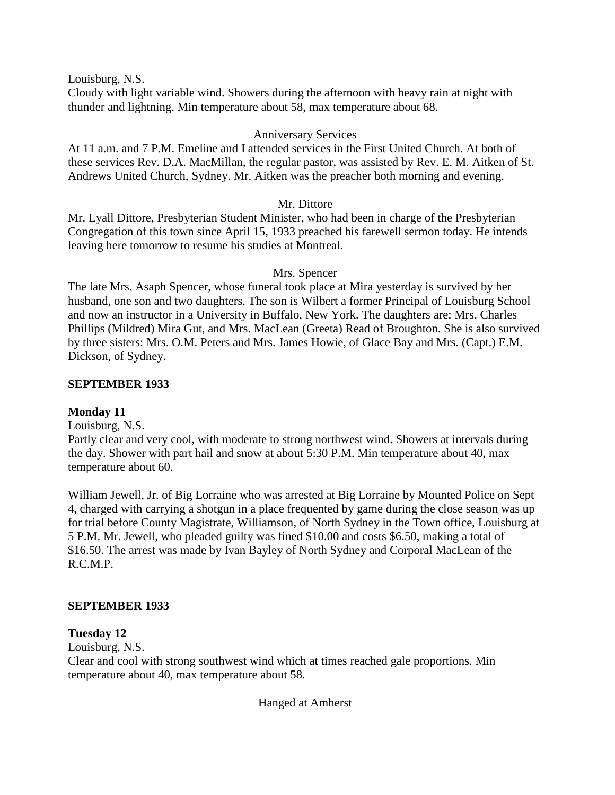Louisburg, N.S.

Cloudy with light variable wind. Showers during the afternoon with heavy rain at night with thunder and lightning. Min temperature about 58, max temperature about 68.

### Anniversary Services

At 11 a.m. and 7 P.M. Emeline and I attended services in the First United Church. At both of these services Rev. D.A. MacMillan, the regular pastor, was assisted by Rev. E. M. Aitken of St. Andrews United Church, Sydney. Mr. Aitken was the preacher both morning and evening.

#### Mr. Dittore

Mr. Lyall Dittore, Presbyterian Student Minister, who had been in charge of the Presbyterian Congregation of this town since April 15, 1933 preached his farewell sermon today. He intends leaving here tomorrow to resume his studies at Montreal.

#### Mrs. Spencer

The late Mrs. Asaph Spencer, whose funeral took place at Mira yesterday is survived by her husband, one son and two daughters. The son is Wilbert a former Principal of Louisburg School and now an instructor in a University in Buffalo, New York. The daughters are: Mrs. Charles Phillips (Mildred) Mira Gut, and Mrs. MacLean (Greeta) Read of Broughton. She is also survived by three sisters: Mrs. O.M. Peters and Mrs. James Howie, of Glace Bay and Mrs. (Capt.) E.M. Dickson, of Sydney.

#### **SEPTEMBER 1933**

# **Monday 11**

Louisburg, N.S.

Partly clear and very cool, with moderate to strong northwest wind. Showers at intervals during the day. Shower with part hail and snow at about 5:30 P.M. Min temperature about 40, max temperature about 60.

William Jewell, Jr. of Big Lorraine who was arrested at Big Lorraine by Mounted Police on Sept 4, charged with carrying a shotgun in a place frequented by game during the close season was up for trial before County Magistrate, Williamson, of North Sydney in the Town office, Louisburg at 5 P.M. Mr. Jewell, who pleaded guilty was fined \$10.00 and costs \$6.50, making a total of \$16.50. The arrest was made by Ivan Bayley of North Sydney and Corporal MacLean of the R.C.M.P.

#### **SEPTEMBER 1933**

#### **Tuesday 12**

Louisburg, N.S.

Clear and cool with strong southwest wind which at times reached gale proportions. Min temperature about 40, max temperature about 58.

Hanged at Amherst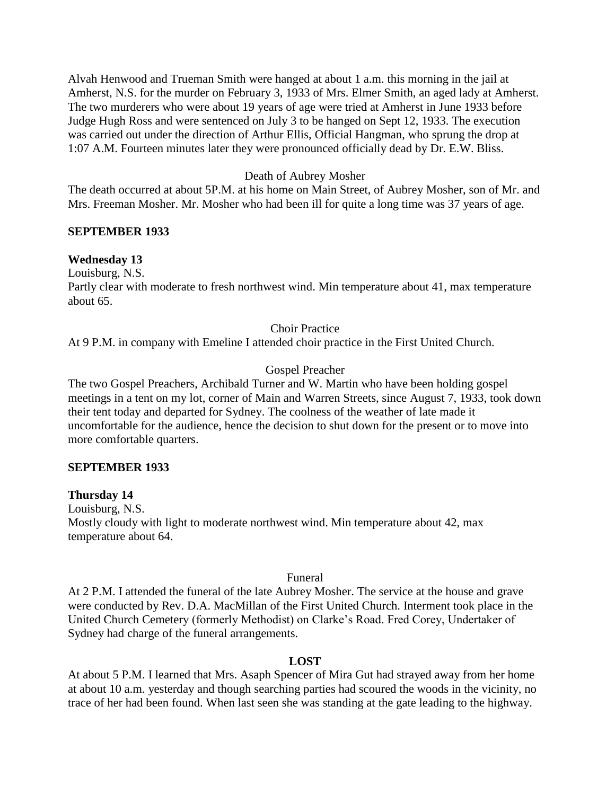Alvah Henwood and Trueman Smith were hanged at about 1 a.m. this morning in the jail at Amherst, N.S. for the murder on February 3, 1933 of Mrs. Elmer Smith, an aged lady at Amherst. The two murderers who were about 19 years of age were tried at Amherst in June 1933 before Judge Hugh Ross and were sentenced on July 3 to be hanged on Sept 12, 1933. The execution was carried out under the direction of Arthur Ellis, Official Hangman, who sprung the drop at 1:07 A.M. Fourteen minutes later they were pronounced officially dead by Dr. E.W. Bliss.

### Death of Aubrey Mosher

The death occurred at about 5P.M. at his home on Main Street, of Aubrey Mosher, son of Mr. and Mrs. Freeman Mosher. Mr. Mosher who had been ill for quite a long time was 37 years of age.

#### **SEPTEMBER 1933**

### **Wednesday 13**

Louisburg, N.S.

Partly clear with moderate to fresh northwest wind. Min temperature about 41, max temperature about 65.

#### Choir Practice

At 9 P.M. in company with Emeline I attended choir practice in the First United Church.

### Gospel Preacher

The two Gospel Preachers, Archibald Turner and W. Martin who have been holding gospel meetings in a tent on my lot, corner of Main and Warren Streets, since August 7, 1933, took down their tent today and departed for Sydney. The coolness of the weather of late made it uncomfortable for the audience, hence the decision to shut down for the present or to move into more comfortable quarters.

#### **SEPTEMBER 1933**

#### **Thursday 14**

Louisburg, N.S. Mostly cloudy with light to moderate northwest wind. Min temperature about 42, max temperature about 64.

#### Funeral

At 2 P.M. I attended the funeral of the late Aubrey Mosher. The service at the house and grave were conducted by Rev. D.A. MacMillan of the First United Church. Interment took place in the United Church Cemetery (formerly Methodist) on Clarke"s Road. Fred Corey, Undertaker of Sydney had charge of the funeral arrangements.

#### **LOST**

At about 5 P.M. I learned that Mrs. Asaph Spencer of Mira Gut had strayed away from her home at about 10 a.m. yesterday and though searching parties had scoured the woods in the vicinity, no trace of her had been found. When last seen she was standing at the gate leading to the highway.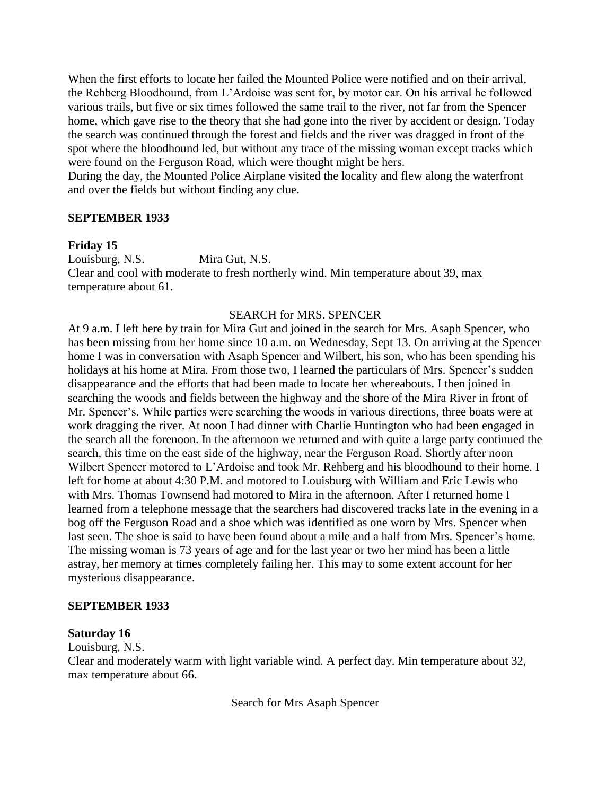When the first efforts to locate her failed the Mounted Police were notified and on their arrival, the Rehberg Bloodhound, from L"Ardoise was sent for, by motor car. On his arrival he followed various trails, but five or six times followed the same trail to the river, not far from the Spencer home, which gave rise to the theory that she had gone into the river by accident or design. Today the search was continued through the forest and fields and the river was dragged in front of the spot where the bloodhound led, but without any trace of the missing woman except tracks which were found on the Ferguson Road, which were thought might be hers.

During the day, the Mounted Police Airplane visited the locality and flew along the waterfront and over the fields but without finding any clue.

#### **SEPTEMBER 1933**

#### **Friday 15**

Louisburg, N.S. Mira Gut, N.S. Clear and cool with moderate to fresh northerly wind. Min temperature about 39, max temperature about 61.

#### SEARCH for MRS. SPENCER

At 9 a.m. I left here by train for Mira Gut and joined in the search for Mrs. Asaph Spencer, who has been missing from her home since 10 a.m. on Wednesday, Sept 13. On arriving at the Spencer home I was in conversation with Asaph Spencer and Wilbert, his son, who has been spending his holidays at his home at Mira. From those two, I learned the particulars of Mrs. Spencer's sudden disappearance and the efforts that had been made to locate her whereabouts. I then joined in searching the woods and fields between the highway and the shore of the Mira River in front of Mr. Spencer's. While parties were searching the woods in various directions, three boats were at work dragging the river. At noon I had dinner with Charlie Huntington who had been engaged in the search all the forenoon. In the afternoon we returned and with quite a large party continued the search, this time on the east side of the highway, near the Ferguson Road. Shortly after noon Wilbert Spencer motored to L"Ardoise and took Mr. Rehberg and his bloodhound to their home. I left for home at about 4:30 P.M. and motored to Louisburg with William and Eric Lewis who with Mrs. Thomas Townsend had motored to Mira in the afternoon. After I returned home I learned from a telephone message that the searchers had discovered tracks late in the evening in a bog off the Ferguson Road and a shoe which was identified as one worn by Mrs. Spencer when last seen. The shoe is said to have been found about a mile and a half from Mrs. Spencer's home. The missing woman is 73 years of age and for the last year or two her mind has been a little astray, her memory at times completely failing her. This may to some extent account for her mysterious disappearance.

#### **SEPTEMBER 1933**

#### **Saturday 16**

Louisburg, N.S.

Clear and moderately warm with light variable wind. A perfect day. Min temperature about 32, max temperature about 66.

Search for Mrs Asaph Spencer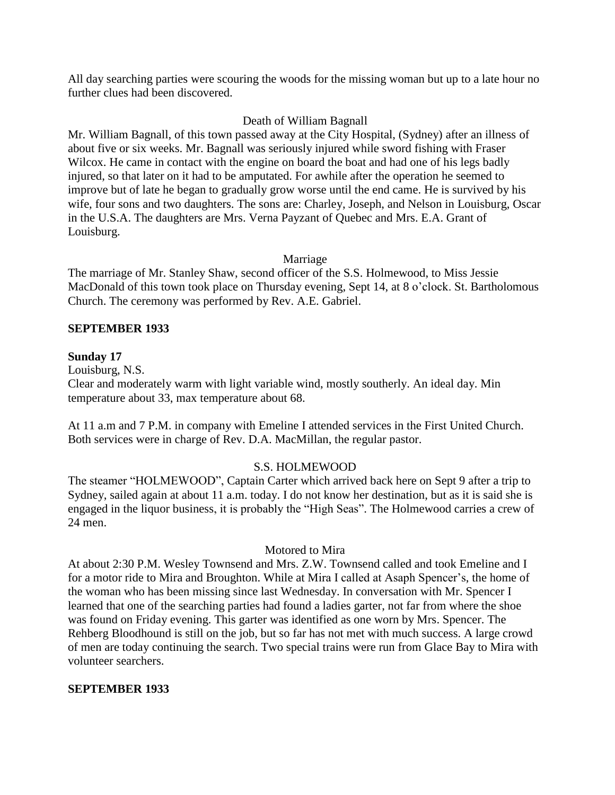All day searching parties were scouring the woods for the missing woman but up to a late hour no further clues had been discovered.

#### Death of William Bagnall

Mr. William Bagnall, of this town passed away at the City Hospital, (Sydney) after an illness of about five or six weeks. Mr. Bagnall was seriously injured while sword fishing with Fraser Wilcox. He came in contact with the engine on board the boat and had one of his legs badly injured, so that later on it had to be amputated. For awhile after the operation he seemed to improve but of late he began to gradually grow worse until the end came. He is survived by his wife, four sons and two daughters. The sons are: Charley, Joseph, and Nelson in Louisburg, Oscar in the U.S.A. The daughters are Mrs. Verna Payzant of Quebec and Mrs. E.A. Grant of Louisburg.

### Marriage

The marriage of Mr. Stanley Shaw, second officer of the S.S. Holmewood, to Miss Jessie MacDonald of this town took place on Thursday evening, Sept 14, at 8 o'clock. St. Bartholomous Church. The ceremony was performed by Rev. A.E. Gabriel.

### **SEPTEMBER 1933**

### **Sunday 17**

Louisburg, N.S.

Clear and moderately warm with light variable wind, mostly southerly. An ideal day. Min temperature about 33, max temperature about 68.

At 11 a.m and 7 P.M. in company with Emeline I attended services in the First United Church. Both services were in charge of Rev. D.A. MacMillan, the regular pastor.

#### S.S. HOLMEWOOD

The steamer "HOLMEWOOD", Captain Carter which arrived back here on Sept 9 after a trip to Sydney, sailed again at about 11 a.m. today. I do not know her destination, but as it is said she is engaged in the liquor business, it is probably the "High Seas". The Holmewood carries a crew of 24 men.

#### Motored to Mira

At about 2:30 P.M. Wesley Townsend and Mrs. Z.W. Townsend called and took Emeline and I for a motor ride to Mira and Broughton. While at Mira I called at Asaph Spencer's, the home of the woman who has been missing since last Wednesday. In conversation with Mr. Spencer I learned that one of the searching parties had found a ladies garter, not far from where the shoe was found on Friday evening. This garter was identified as one worn by Mrs. Spencer. The Rehberg Bloodhound is still on the job, but so far has not met with much success. A large crowd of men are today continuing the search. Two special trains were run from Glace Bay to Mira with volunteer searchers.

#### **SEPTEMBER 1933**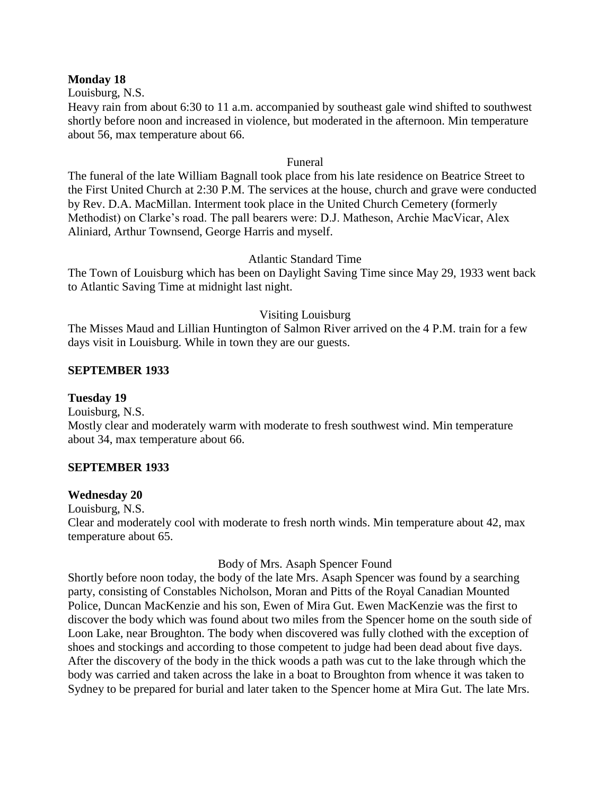#### **Monday 18**

Louisburg, N.S.

Heavy rain from about 6:30 to 11 a.m. accompanied by southeast gale wind shifted to southwest shortly before noon and increased in violence, but moderated in the afternoon. Min temperature about 56, max temperature about 66.

#### Funeral

The funeral of the late William Bagnall took place from his late residence on Beatrice Street to the First United Church at 2:30 P.M. The services at the house, church and grave were conducted by Rev. D.A. MacMillan. Interment took place in the United Church Cemetery (formerly Methodist) on Clarke"s road. The pall bearers were: D.J. Matheson, Archie MacVicar, Alex Aliniard, Arthur Townsend, George Harris and myself.

## Atlantic Standard Time

The Town of Louisburg which has been on Daylight Saving Time since May 29, 1933 went back to Atlantic Saving Time at midnight last night.

### Visiting Louisburg

The Misses Maud and Lillian Huntington of Salmon River arrived on the 4 P.M. train for a few days visit in Louisburg. While in town they are our guests.

### **SEPTEMBER 1933**

## **Tuesday 19**

Louisburg, N.S. Mostly clear and moderately warm with moderate to fresh southwest wind. Min temperature about 34, max temperature about 66.

# **SEPTEMBER 1933**

#### **Wednesday 20**

Louisburg, N.S.

Clear and moderately cool with moderate to fresh north winds. Min temperature about 42, max temperature about 65.

#### Body of Mrs. Asaph Spencer Found

Shortly before noon today, the body of the late Mrs. Asaph Spencer was found by a searching party, consisting of Constables Nicholson, Moran and Pitts of the Royal Canadian Mounted Police, Duncan MacKenzie and his son, Ewen of Mira Gut. Ewen MacKenzie was the first to discover the body which was found about two miles from the Spencer home on the south side of Loon Lake, near Broughton. The body when discovered was fully clothed with the exception of shoes and stockings and according to those competent to judge had been dead about five days. After the discovery of the body in the thick woods a path was cut to the lake through which the body was carried and taken across the lake in a boat to Broughton from whence it was taken to Sydney to be prepared for burial and later taken to the Spencer home at Mira Gut. The late Mrs.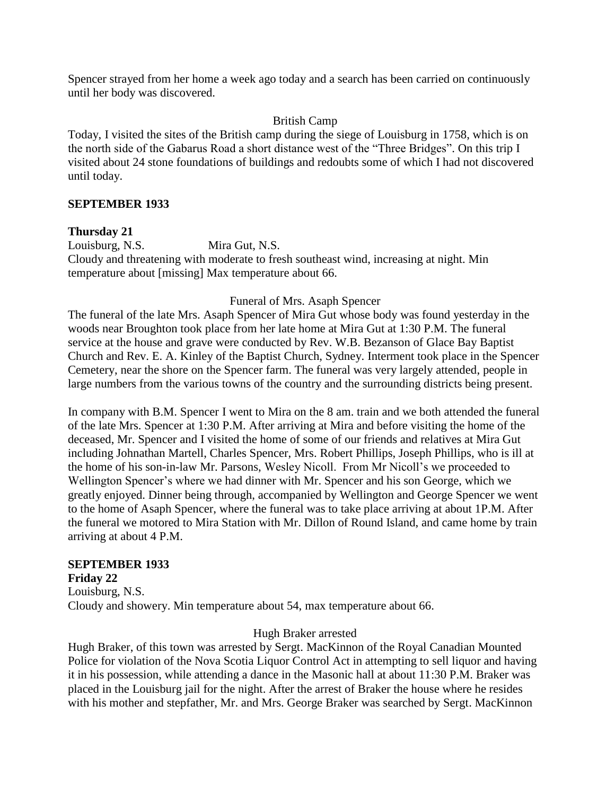Spencer strayed from her home a week ago today and a search has been carried on continuously until her body was discovered.

### British Camp

Today, I visited the sites of the British camp during the siege of Louisburg in 1758, which is on the north side of the Gabarus Road a short distance west of the "Three Bridges". On this trip I visited about 24 stone foundations of buildings and redoubts some of which I had not discovered until today.

### **SEPTEMBER 1933**

### **Thursday 21**

Louisburg, N.S. Mira Gut, N.S.

Cloudy and threatening with moderate to fresh southeast wind, increasing at night. Min temperature about [missing] Max temperature about 66.

### Funeral of Mrs. Asaph Spencer

The funeral of the late Mrs. Asaph Spencer of Mira Gut whose body was found yesterday in the woods near Broughton took place from her late home at Mira Gut at 1:30 P.M. The funeral service at the house and grave were conducted by Rev. W.B. Bezanson of Glace Bay Baptist Church and Rev. E. A. Kinley of the Baptist Church, Sydney. Interment took place in the Spencer Cemetery, near the shore on the Spencer farm. The funeral was very largely attended, people in large numbers from the various towns of the country and the surrounding districts being present.

In company with B.M. Spencer I went to Mira on the 8 am. train and we both attended the funeral of the late Mrs. Spencer at 1:30 P.M. After arriving at Mira and before visiting the home of the deceased, Mr. Spencer and I visited the home of some of our friends and relatives at Mira Gut including Johnathan Martell, Charles Spencer, Mrs. Robert Phillips, Joseph Phillips, who is ill at the home of his son-in-law Mr. Parsons, Wesley Nicoll. From Mr Nicoll"s we proceeded to Wellington Spencer's where we had dinner with Mr. Spencer and his son George, which we greatly enjoyed. Dinner being through, accompanied by Wellington and George Spencer we went to the home of Asaph Spencer, where the funeral was to take place arriving at about 1P.M. After the funeral we motored to Mira Station with Mr. Dillon of Round Island, and came home by train arriving at about 4 P.M.

# **SEPTEMBER 1933**

**Friday 22** Louisburg, N.S. Cloudy and showery. Min temperature about 54, max temperature about 66.

#### Hugh Braker arrested

Hugh Braker, of this town was arrested by Sergt. MacKinnon of the Royal Canadian Mounted Police for violation of the Nova Scotia Liquor Control Act in attempting to sell liquor and having it in his possession, while attending a dance in the Masonic hall at about 11:30 P.M. Braker was placed in the Louisburg jail for the night. After the arrest of Braker the house where he resides with his mother and stepfather, Mr. and Mrs. George Braker was searched by Sergt. MacKinnon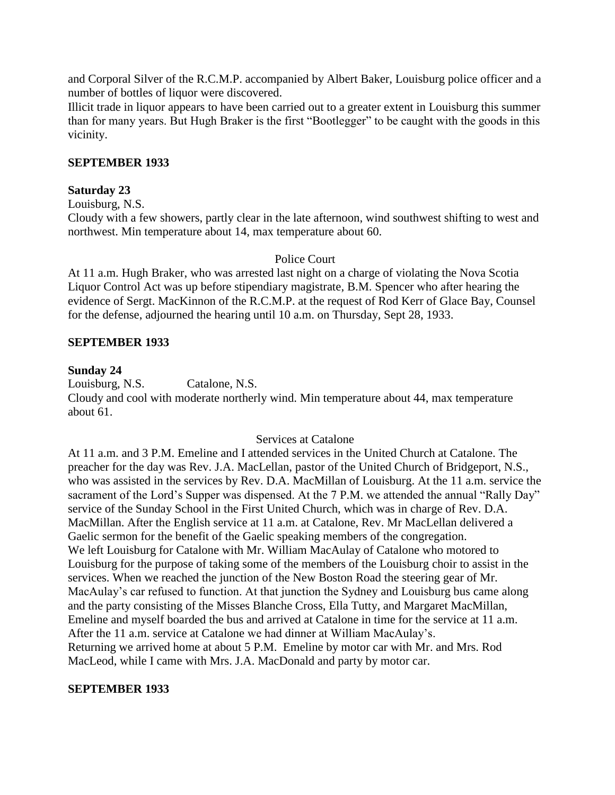and Corporal Silver of the R.C.M.P. accompanied by Albert Baker, Louisburg police officer and a number of bottles of liquor were discovered.

Illicit trade in liquor appears to have been carried out to a greater extent in Louisburg this summer than for many years. But Hugh Braker is the first "Bootlegger" to be caught with the goods in this vicinity.

## **SEPTEMBER 1933**

#### **Saturday 23**

Louisburg, N.S.

Cloudy with a few showers, partly clear in the late afternoon, wind southwest shifting to west and northwest. Min temperature about 14, max temperature about 60.

#### Police Court

At 11 a.m. Hugh Braker, who was arrested last night on a charge of violating the Nova Scotia Liquor Control Act was up before stipendiary magistrate, B.M. Spencer who after hearing the evidence of Sergt. MacKinnon of the R.C.M.P. at the request of Rod Kerr of Glace Bay, Counsel for the defense, adjourned the hearing until 10 a.m. on Thursday, Sept 28, 1933.

#### **SEPTEMBER 1933**

#### **Sunday 24**

Louisburg, N.S. Catalone, N.S. Cloudy and cool with moderate northerly wind. Min temperature about 44, max temperature about 61.

#### Services at Catalone

At 11 a.m. and 3 P.M. Emeline and I attended services in the United Church at Catalone. The preacher for the day was Rev. J.A. MacLellan, pastor of the United Church of Bridgeport, N.S., who was assisted in the services by Rev. D.A. MacMillan of Louisburg. At the 11 a.m. service the sacrament of the Lord's Supper was dispensed. At the 7 P.M. we attended the annual "Rally Day" service of the Sunday School in the First United Church, which was in charge of Rev. D.A. MacMillan. After the English service at 11 a.m. at Catalone, Rev. Mr MacLellan delivered a Gaelic sermon for the benefit of the Gaelic speaking members of the congregation. We left Louisburg for Catalone with Mr. William MacAulay of Catalone who motored to Louisburg for the purpose of taking some of the members of the Louisburg choir to assist in the services. When we reached the junction of the New Boston Road the steering gear of Mr. MacAulay's car refused to function. At that junction the Sydney and Louisburg bus came along and the party consisting of the Misses Blanche Cross, Ella Tutty, and Margaret MacMillan, Emeline and myself boarded the bus and arrived at Catalone in time for the service at 11 a.m. After the 11 a.m. service at Catalone we had dinner at William MacAulay"s. Returning we arrived home at about 5 P.M. Emeline by motor car with Mr. and Mrs. Rod MacLeod, while I came with Mrs. J.A. MacDonald and party by motor car.

#### **SEPTEMBER 1933**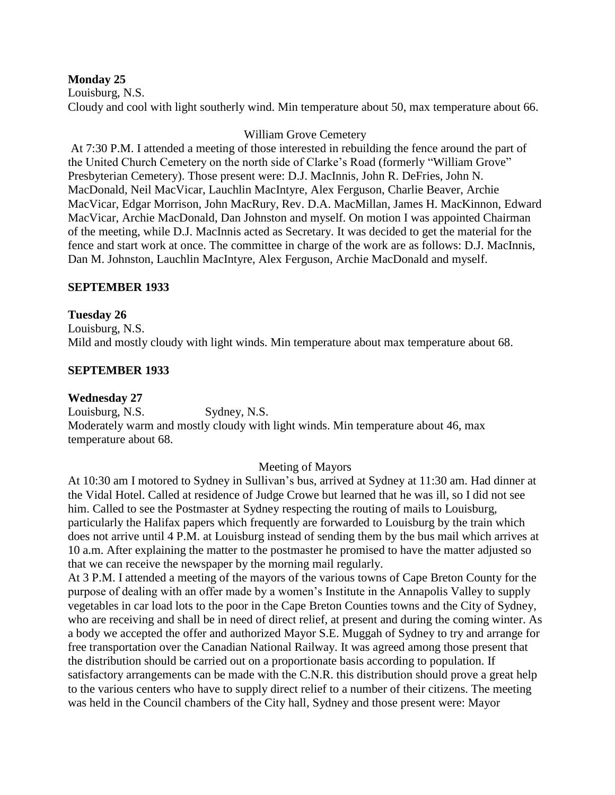#### **Monday 25**

Louisburg, N.S. Cloudy and cool with light southerly wind. Min temperature about 50, max temperature about 66.

### William Grove Cemetery

At 7:30 P.M. I attended a meeting of those interested in rebuilding the fence around the part of the United Church Cemetery on the north side of Clarke"s Road (formerly "William Grove" Presbyterian Cemetery). Those present were: D.J. MacInnis, John R. DeFries, John N. MacDonald, Neil MacVicar, Lauchlin MacIntyre, Alex Ferguson, Charlie Beaver, Archie MacVicar, Edgar Morrison, John MacRury, Rev. D.A. MacMillan, James H. MacKinnon, Edward MacVicar, Archie MacDonald, Dan Johnston and myself. On motion I was appointed Chairman of the meeting, while D.J. MacInnis acted as Secretary. It was decided to get the material for the fence and start work at once. The committee in charge of the work are as follows: D.J. MacInnis, Dan M. Johnston, Lauchlin MacIntyre, Alex Ferguson, Archie MacDonald and myself.

### **SEPTEMBER 1933**

### **Tuesday 26**

Louisburg, N.S. Mild and mostly cloudy with light winds. Min temperature about max temperature about 68.

### **SEPTEMBER 1933**

#### **Wednesday 27**

Louisburg, N.S. Sydney, N.S. Moderately warm and mostly cloudy with light winds. Min temperature about 46, max temperature about 68.

#### Meeting of Mayors

At 10:30 am I motored to Sydney in Sullivan"s bus, arrived at Sydney at 11:30 am. Had dinner at the Vidal Hotel. Called at residence of Judge Crowe but learned that he was ill, so I did not see him. Called to see the Postmaster at Sydney respecting the routing of mails to Louisburg, particularly the Halifax papers which frequently are forwarded to Louisburg by the train which does not arrive until 4 P.M. at Louisburg instead of sending them by the bus mail which arrives at 10 a.m. After explaining the matter to the postmaster he promised to have the matter adjusted so that we can receive the newspaper by the morning mail regularly.

At 3 P.M. I attended a meeting of the mayors of the various towns of Cape Breton County for the purpose of dealing with an offer made by a women"s Institute in the Annapolis Valley to supply vegetables in car load lots to the poor in the Cape Breton Counties towns and the City of Sydney, who are receiving and shall be in need of direct relief, at present and during the coming winter. As a body we accepted the offer and authorized Mayor S.E. Muggah of Sydney to try and arrange for free transportation over the Canadian National Railway. It was agreed among those present that the distribution should be carried out on a proportionate basis according to population. If satisfactory arrangements can be made with the C.N.R. this distribution should prove a great help to the various centers who have to supply direct relief to a number of their citizens. The meeting was held in the Council chambers of the City hall, Sydney and those present were: Mayor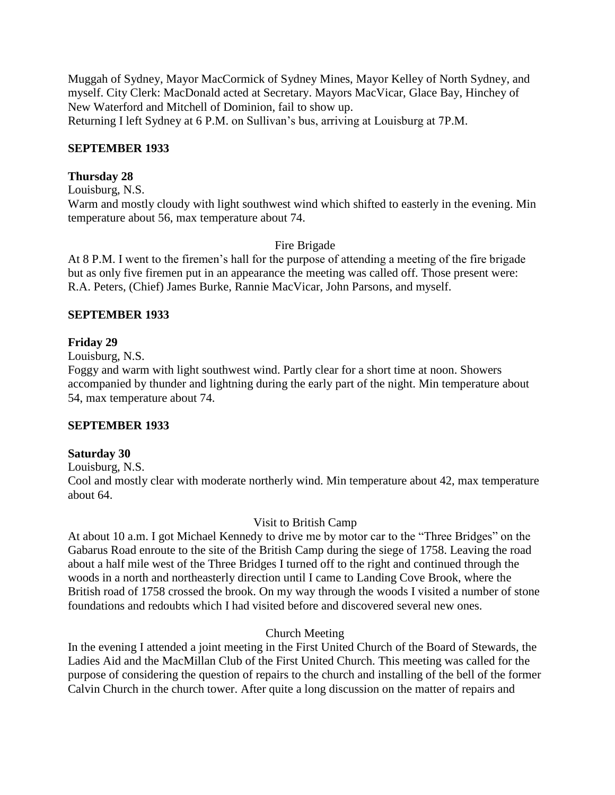Muggah of Sydney, Mayor MacCormick of Sydney Mines, Mayor Kelley of North Sydney, and myself. City Clerk: MacDonald acted at Secretary. Mayors MacVicar, Glace Bay, Hinchey of New Waterford and Mitchell of Dominion, fail to show up. Returning I left Sydney at 6 P.M. on Sullivan"s bus, arriving at Louisburg at 7P.M.

#### **SEPTEMBER 1933**

### **Thursday 28**

Louisburg, N.S.

Warm and mostly cloudy with light southwest wind which shifted to easterly in the evening. Min temperature about 56, max temperature about 74.

#### Fire Brigade

At 8 P.M. I went to the firemen"s hall for the purpose of attending a meeting of the fire brigade but as only five firemen put in an appearance the meeting was called off. Those present were: R.A. Peters, (Chief) James Burke, Rannie MacVicar, John Parsons, and myself.

### **SEPTEMBER 1933**

### **Friday 29**

Louisburg, N.S.

Foggy and warm with light southwest wind. Partly clear for a short time at noon. Showers accompanied by thunder and lightning during the early part of the night. Min temperature about 54, max temperature about 74.

#### **SEPTEMBER 1933**

#### **Saturday 30**

Louisburg, N.S.

Cool and mostly clear with moderate northerly wind. Min temperature about 42, max temperature about 64.

#### Visit to British Camp

At about 10 a.m. I got Michael Kennedy to drive me by motor car to the "Three Bridges" on the Gabarus Road enroute to the site of the British Camp during the siege of 1758. Leaving the road about a half mile west of the Three Bridges I turned off to the right and continued through the woods in a north and northeasterly direction until I came to Landing Cove Brook, where the British road of 1758 crossed the brook. On my way through the woods I visited a number of stone foundations and redoubts which I had visited before and discovered several new ones.

# Church Meeting

In the evening I attended a joint meeting in the First United Church of the Board of Stewards, the Ladies Aid and the MacMillan Club of the First United Church. This meeting was called for the purpose of considering the question of repairs to the church and installing of the bell of the former Calvin Church in the church tower. After quite a long discussion on the matter of repairs and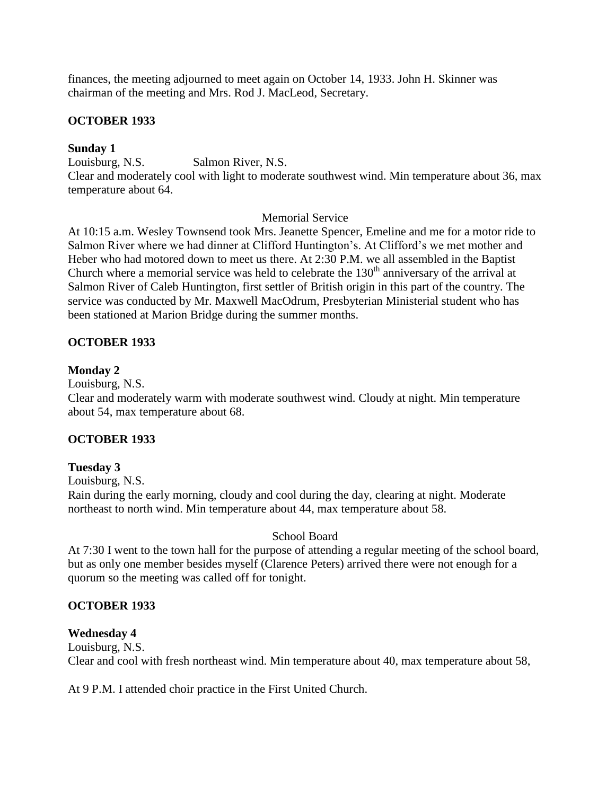finances, the meeting adjourned to meet again on October 14, 1933. John H. Skinner was chairman of the meeting and Mrs. Rod J. MacLeod, Secretary.

# **OCTOBER 1933**

## **Sunday 1**

Louisburg, N.S. Salmon River, N.S. Clear and moderately cool with light to moderate southwest wind. Min temperature about 36, max temperature about 64.

### Memorial Service

At 10:15 a.m. Wesley Townsend took Mrs. Jeanette Spencer, Emeline and me for a motor ride to Salmon River where we had dinner at Clifford Huntington"s. At Clifford"s we met mother and Heber who had motored down to meet us there. At 2:30 P.M. we all assembled in the Baptist Church where a memorial service was held to celebrate the  $130<sup>th</sup>$  anniversary of the arrival at Salmon River of Caleb Huntington, first settler of British origin in this part of the country. The service was conducted by Mr. Maxwell MacOdrum, Presbyterian Ministerial student who has been stationed at Marion Bridge during the summer months.

# **OCTOBER 1933**

### **Monday 2**

Louisburg, N.S.

Clear and moderately warm with moderate southwest wind. Cloudy at night. Min temperature about 54, max temperature about 68.

# **OCTOBER 1933**

# **Tuesday 3**

Louisburg, N.S.

Rain during the early morning, cloudy and cool during the day, clearing at night. Moderate northeast to north wind. Min temperature about 44, max temperature about 58.

# School Board

At 7:30 I went to the town hall for the purpose of attending a regular meeting of the school board, but as only one member besides myself (Clarence Peters) arrived there were not enough for a quorum so the meeting was called off for tonight.

# **OCTOBER 1933**

#### **Wednesday 4**

Louisburg, N.S. Clear and cool with fresh northeast wind. Min temperature about 40, max temperature about 58,

At 9 P.M. I attended choir practice in the First United Church.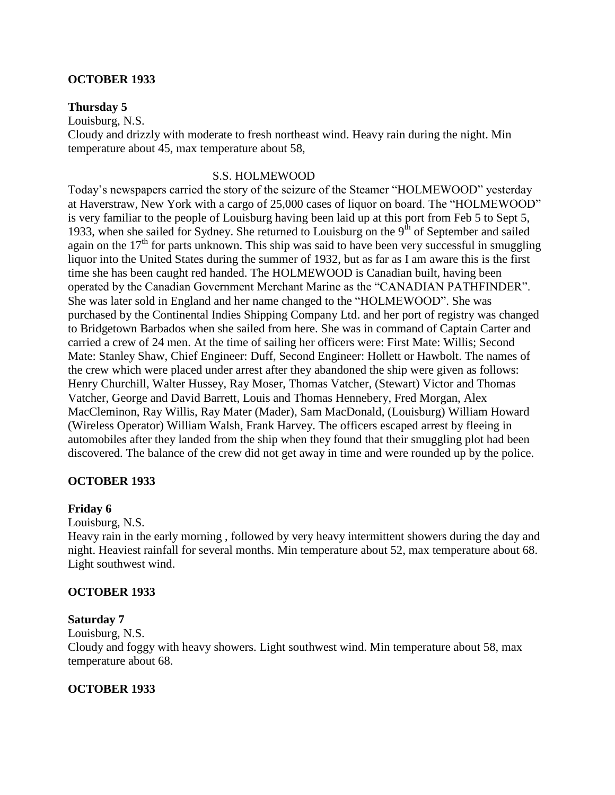#### **OCTOBER 1933**

#### **Thursday 5**

Louisburg, N.S.

Cloudy and drizzly with moderate to fresh northeast wind. Heavy rain during the night. Min temperature about 45, max temperature about 58,

#### S.S. HOLMEWOOD

Today"s newspapers carried the story of the seizure of the Steamer "HOLMEWOOD" yesterday at Haverstraw, New York with a cargo of 25,000 cases of liquor on board. The "HOLMEWOOD" is very familiar to the people of Louisburg having been laid up at this port from Feb 5 to Sept 5, 1933, when she sailed for Sydney. She returned to Louisburg on the  $9<sup>th</sup>$  of September and sailed again on the  $17<sup>th</sup>$  for parts unknown. This ship was said to have been very successful in smuggling liquor into the United States during the summer of 1932, but as far as I am aware this is the first time she has been caught red handed. The HOLMEWOOD is Canadian built, having been operated by the Canadian Government Merchant Marine as the "CANADIAN PATHFINDER". She was later sold in England and her name changed to the "HOLMEWOOD". She was purchased by the Continental Indies Shipping Company Ltd. and her port of registry was changed to Bridgetown Barbados when she sailed from here. She was in command of Captain Carter and carried a crew of 24 men. At the time of sailing her officers were: First Mate: Willis; Second Mate: Stanley Shaw, Chief Engineer: Duff, Second Engineer: Hollett or Hawbolt. The names of the crew which were placed under arrest after they abandoned the ship were given as follows: Henry Churchill, Walter Hussey, Ray Moser, Thomas Vatcher, (Stewart) Victor and Thomas Vatcher, George and David Barrett, Louis and Thomas Hennebery, Fred Morgan, Alex MacCleminon, Ray Willis, Ray Mater (Mader), Sam MacDonald, (Louisburg) William Howard (Wireless Operator) William Walsh, Frank Harvey. The officers escaped arrest by fleeing in automobiles after they landed from the ship when they found that their smuggling plot had been discovered. The balance of the crew did not get away in time and were rounded up by the police.

#### **OCTOBER 1933**

#### **Friday 6**

Louisburg, N.S.

Heavy rain in the early morning , followed by very heavy intermittent showers during the day and night. Heaviest rainfall for several months. Min temperature about 52, max temperature about 68. Light southwest wind.

#### **OCTOBER 1933**

#### **Saturday 7**

Louisburg, N.S.

Cloudy and foggy with heavy showers. Light southwest wind. Min temperature about 58, max temperature about 68.

#### **OCTOBER 1933**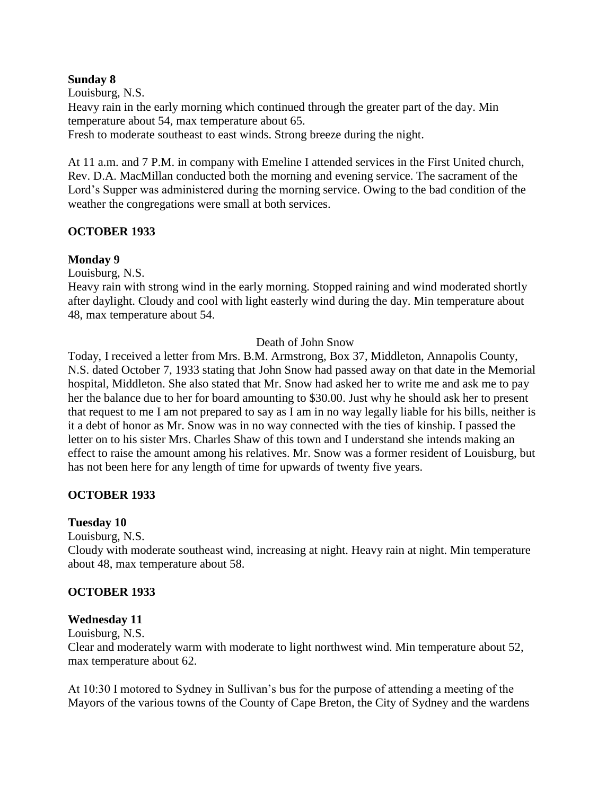#### **Sunday 8**

Louisburg, N.S.

Heavy rain in the early morning which continued through the greater part of the day. Min temperature about 54, max temperature about 65.

Fresh to moderate southeast to east winds. Strong breeze during the night.

At 11 a.m. and 7 P.M. in company with Emeline I attended services in the First United church, Rev. D.A. MacMillan conducted both the morning and evening service. The sacrament of the Lord"s Supper was administered during the morning service. Owing to the bad condition of the weather the congregations were small at both services.

# **OCTOBER 1933**

# **Monday 9**

Louisburg, N.S.

Heavy rain with strong wind in the early morning. Stopped raining and wind moderated shortly after daylight. Cloudy and cool with light easterly wind during the day. Min temperature about 48, max temperature about 54.

### Death of John Snow

Today, I received a letter from Mrs. B.M. Armstrong, Box 37, Middleton, Annapolis County, N.S. dated October 7, 1933 stating that John Snow had passed away on that date in the Memorial hospital, Middleton. She also stated that Mr. Snow had asked her to write me and ask me to pay her the balance due to her for board amounting to \$30.00. Just why he should ask her to present that request to me I am not prepared to say as I am in no way legally liable for his bills, neither is it a debt of honor as Mr. Snow was in no way connected with the ties of kinship. I passed the letter on to his sister Mrs. Charles Shaw of this town and I understand she intends making an effect to raise the amount among his relatives. Mr. Snow was a former resident of Louisburg, but has not been here for any length of time for upwards of twenty five years.

# **OCTOBER 1933**

# **Tuesday 10**

Louisburg, N.S.

Cloudy with moderate southeast wind, increasing at night. Heavy rain at night. Min temperature about 48, max temperature about 58.

# **OCTOBER 1933**

# **Wednesday 11**

Louisburg, N.S.

Clear and moderately warm with moderate to light northwest wind. Min temperature about 52, max temperature about 62.

At 10:30 I motored to Sydney in Sullivan"s bus for the purpose of attending a meeting of the Mayors of the various towns of the County of Cape Breton, the City of Sydney and the wardens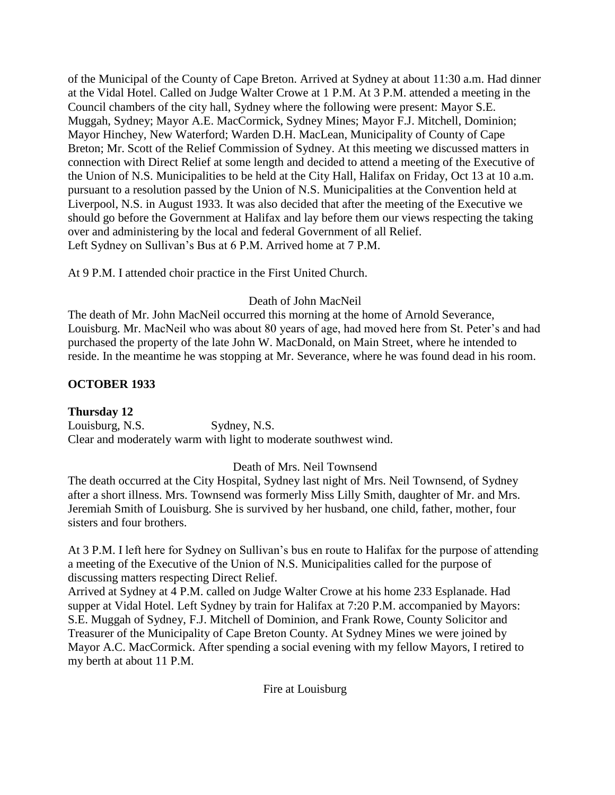of the Municipal of the County of Cape Breton. Arrived at Sydney at about 11:30 a.m. Had dinner at the Vidal Hotel. Called on Judge Walter Crowe at 1 P.M. At 3 P.M. attended a meeting in the Council chambers of the city hall, Sydney where the following were present: Mayor S.E. Muggah, Sydney; Mayor A.E. MacCormick, Sydney Mines; Mayor F.J. Mitchell, Dominion; Mayor Hinchey, New Waterford; Warden D.H. MacLean, Municipality of County of Cape Breton; Mr. Scott of the Relief Commission of Sydney. At this meeting we discussed matters in connection with Direct Relief at some length and decided to attend a meeting of the Executive of the Union of N.S. Municipalities to be held at the City Hall, Halifax on Friday, Oct 13 at 10 a.m. pursuant to a resolution passed by the Union of N.S. Municipalities at the Convention held at Liverpool, N.S. in August 1933. It was also decided that after the meeting of the Executive we should go before the Government at Halifax and lay before them our views respecting the taking over and administering by the local and federal Government of all Relief. Left Sydney on Sullivan"s Bus at 6 P.M. Arrived home at 7 P.M.

At 9 P.M. I attended choir practice in the First United Church.

# Death of John MacNeil

The death of Mr. John MacNeil occurred this morning at the home of Arnold Severance, Louisburg. Mr. MacNeil who was about 80 years of age, had moved here from St. Peter"s and had purchased the property of the late John W. MacDonald, on Main Street, where he intended to reside. In the meantime he was stopping at Mr. Severance, where he was found dead in his room.

# **OCTOBER 1933**

**Thursday 12** Louisburg, N.S. Sydney, N.S. Clear and moderately warm with light to moderate southwest wind.

# Death of Mrs. Neil Townsend

The death occurred at the City Hospital, Sydney last night of Mrs. Neil Townsend, of Sydney after a short illness. Mrs. Townsend was formerly Miss Lilly Smith, daughter of Mr. and Mrs. Jeremiah Smith of Louisburg. She is survived by her husband, one child, father, mother, four sisters and four brothers.

At 3 P.M. I left here for Sydney on Sullivan"s bus en route to Halifax for the purpose of attending a meeting of the Executive of the Union of N.S. Municipalities called for the purpose of discussing matters respecting Direct Relief.

Arrived at Sydney at 4 P.M. called on Judge Walter Crowe at his home 233 Esplanade. Had supper at Vidal Hotel. Left Sydney by train for Halifax at 7:20 P.M. accompanied by Mayors: S.E. Muggah of Sydney, F.J. Mitchell of Dominion, and Frank Rowe, County Solicitor and Treasurer of the Municipality of Cape Breton County. At Sydney Mines we were joined by Mayor A.C. MacCormick. After spending a social evening with my fellow Mayors, I retired to my berth at about 11 P.M.

Fire at Louisburg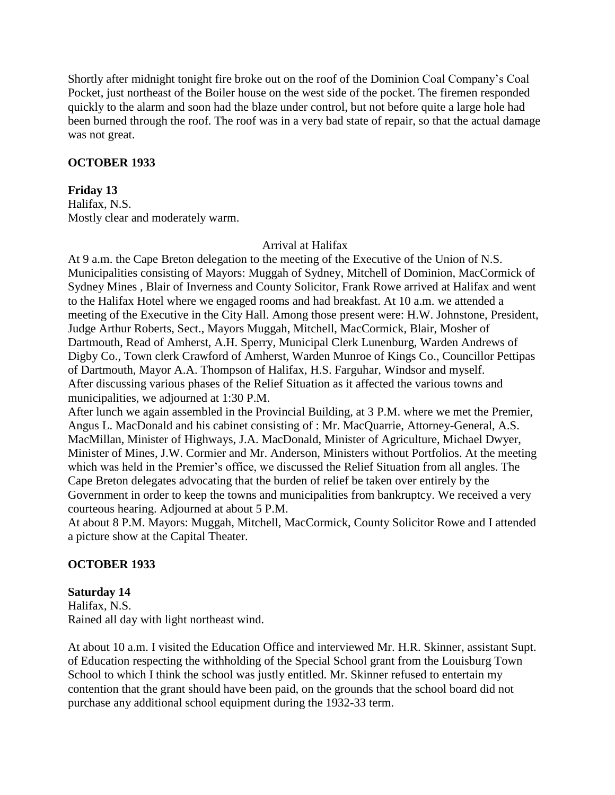Shortly after midnight tonight fire broke out on the roof of the Dominion Coal Company"s Coal Pocket, just northeast of the Boiler house on the west side of the pocket. The firemen responded quickly to the alarm and soon had the blaze under control, but not before quite a large hole had been burned through the roof. The roof was in a very bad state of repair, so that the actual damage was not great.

### **OCTOBER 1933**

#### **Friday 13**

Halifax, N.S. Mostly clear and moderately warm.

#### Arrival at Halifax

At 9 a.m. the Cape Breton delegation to the meeting of the Executive of the Union of N.S. Municipalities consisting of Mayors: Muggah of Sydney, Mitchell of Dominion, MacCormick of Sydney Mines , Blair of Inverness and County Solicitor, Frank Rowe arrived at Halifax and went to the Halifax Hotel where we engaged rooms and had breakfast. At 10 a.m. we attended a meeting of the Executive in the City Hall. Among those present were: H.W. Johnstone, President, Judge Arthur Roberts, Sect., Mayors Muggah, Mitchell, MacCormick, Blair, Mosher of Dartmouth, Read of Amherst, A.H. Sperry, Municipal Clerk Lunenburg, Warden Andrews of Digby Co., Town clerk Crawford of Amherst, Warden Munroe of Kings Co., Councillor Pettipas of Dartmouth, Mayor A.A. Thompson of Halifax, H.S. Farguhar, Windsor and myself. After discussing various phases of the Relief Situation as it affected the various towns and municipalities, we adjourned at 1:30 P.M.

After lunch we again assembled in the Provincial Building, at 3 P.M. where we met the Premier, Angus L. MacDonald and his cabinet consisting of : Mr. MacQuarrie, Attorney-General, A.S. MacMillan, Minister of Highways, J.A. MacDonald, Minister of Agriculture, Michael Dwyer, Minister of Mines, J.W. Cormier and Mr. Anderson, Ministers without Portfolios. At the meeting which was held in the Premier's office, we discussed the Relief Situation from all angles. The Cape Breton delegates advocating that the burden of relief be taken over entirely by the Government in order to keep the towns and municipalities from bankruptcy. We received a very courteous hearing. Adjourned at about 5 P.M.

At about 8 P.M. Mayors: Muggah, Mitchell, MacCormick, County Solicitor Rowe and I attended a picture show at the Capital Theater.

# **OCTOBER 1933**

#### **Saturday 14**

Halifax, N.S. Rained all day with light northeast wind.

At about 10 a.m. I visited the Education Office and interviewed Mr. H.R. Skinner, assistant Supt. of Education respecting the withholding of the Special School grant from the Louisburg Town School to which I think the school was justly entitled. Mr. Skinner refused to entertain my contention that the grant should have been paid, on the grounds that the school board did not purchase any additional school equipment during the 1932-33 term.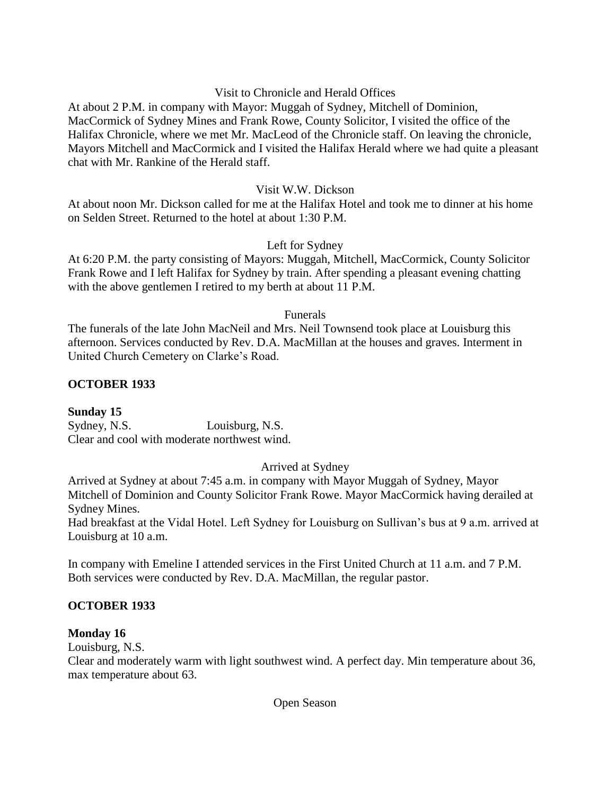## Visit to Chronicle and Herald Offices

At about 2 P.M. in company with Mayor: Muggah of Sydney, Mitchell of Dominion, MacCormick of Sydney Mines and Frank Rowe, County Solicitor, I visited the office of the Halifax Chronicle, where we met Mr. MacLeod of the Chronicle staff. On leaving the chronicle, Mayors Mitchell and MacCormick and I visited the Halifax Herald where we had quite a pleasant chat with Mr. Rankine of the Herald staff.

### Visit W.W. Dickson

At about noon Mr. Dickson called for me at the Halifax Hotel and took me to dinner at his home on Selden Street. Returned to the hotel at about 1:30 P.M.

### Left for Sydney

At 6:20 P.M. the party consisting of Mayors: Muggah, Mitchell, MacCormick, County Solicitor Frank Rowe and I left Halifax for Sydney by train. After spending a pleasant evening chatting with the above gentlemen I retired to my berth at about 11 P.M.

#### Funerals

The funerals of the late John MacNeil and Mrs. Neil Townsend took place at Louisburg this afternoon. Services conducted by Rev. D.A. MacMillan at the houses and graves. Interment in United Church Cemetery on Clarke"s Road.

### **OCTOBER 1933**

**Sunday 15** Sydney, N.S. Louisburg, N.S. Clear and cool with moderate northwest wind.

## Arrived at Sydney

Arrived at Sydney at about 7:45 a.m. in company with Mayor Muggah of Sydney, Mayor Mitchell of Dominion and County Solicitor Frank Rowe. Mayor MacCormick having derailed at Sydney Mines.

Had breakfast at the Vidal Hotel. Left Sydney for Louisburg on Sullivan"s bus at 9 a.m. arrived at Louisburg at 10 a.m.

In company with Emeline I attended services in the First United Church at 11 a.m. and 7 P.M. Both services were conducted by Rev. D.A. MacMillan, the regular pastor.

## **OCTOBER 1933**

#### **Monday 16**

Louisburg, N.S.

Clear and moderately warm with light southwest wind. A perfect day. Min temperature about 36, max temperature about 63.

Open Season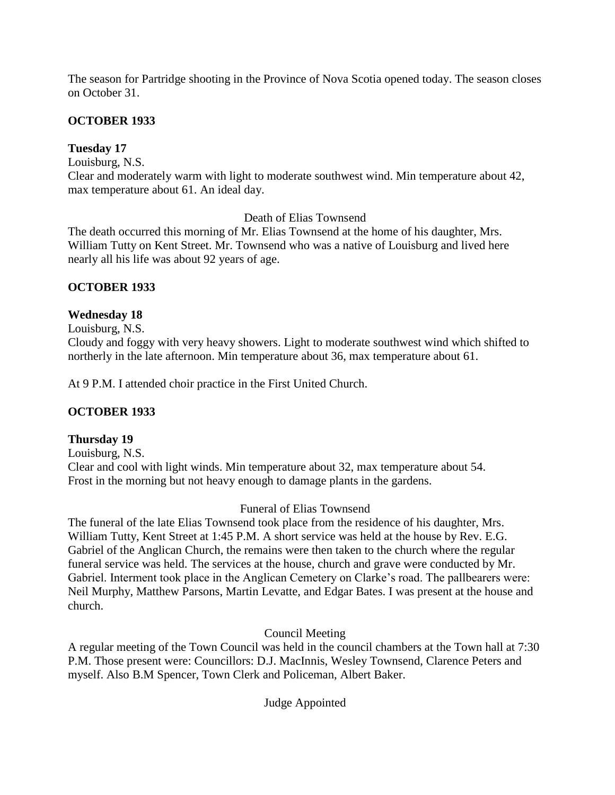The season for Partridge shooting in the Province of Nova Scotia opened today. The season closes on October 31.

# **OCTOBER 1933**

# **Tuesday 17**

Louisburg, N.S.

Clear and moderately warm with light to moderate southwest wind. Min temperature about 42, max temperature about 61. An ideal day.

Death of Elias Townsend

The death occurred this morning of Mr. Elias Townsend at the home of his daughter, Mrs. William Tutty on Kent Street. Mr. Townsend who was a native of Louisburg and lived here nearly all his life was about 92 years of age.

# **OCTOBER 1933**

# **Wednesday 18**

Louisburg, N.S.

Cloudy and foggy with very heavy showers. Light to moderate southwest wind which shifted to northerly in the late afternoon. Min temperature about 36, max temperature about 61.

At 9 P.M. I attended choir practice in the First United Church.

# **OCTOBER 1933**

## **Thursday 19**

Louisburg, N.S. Clear and cool with light winds. Min temperature about 32, max temperature about 54. Frost in the morning but not heavy enough to damage plants in the gardens.

## Funeral of Elias Townsend

The funeral of the late Elias Townsend took place from the residence of his daughter, Mrs. William Tutty, Kent Street at 1:45 P.M. A short service was held at the house by Rev. E.G. Gabriel of the Anglican Church, the remains were then taken to the church where the regular funeral service was held. The services at the house, church and grave were conducted by Mr. Gabriel. Interment took place in the Anglican Cemetery on Clarke"s road. The pallbearers were: Neil Murphy, Matthew Parsons, Martin Levatte, and Edgar Bates. I was present at the house and church.

Council Meeting

A regular meeting of the Town Council was held in the council chambers at the Town hall at 7:30 P.M. Those present were: Councillors: D.J. MacInnis, Wesley Townsend, Clarence Peters and myself. Also B.M Spencer, Town Clerk and Policeman, Albert Baker.

Judge Appointed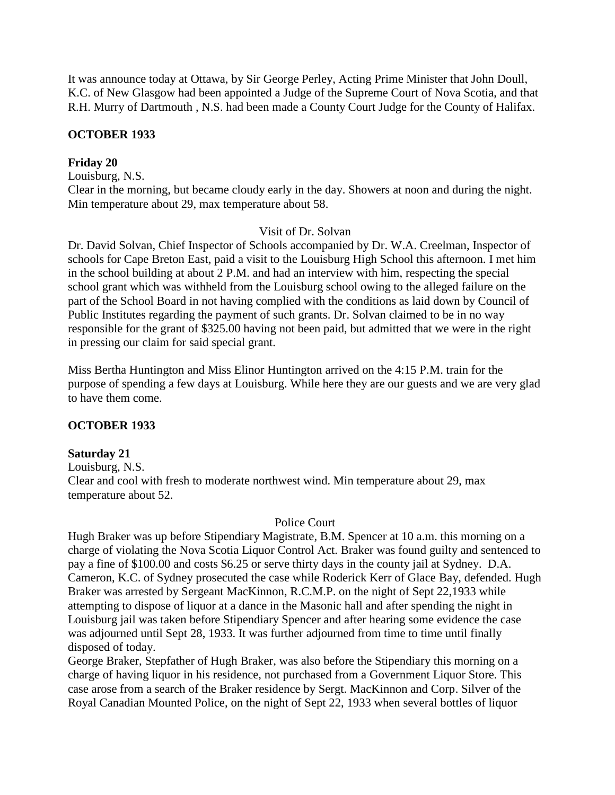It was announce today at Ottawa, by Sir George Perley, Acting Prime Minister that John Doull, K.C. of New Glasgow had been appointed a Judge of the Supreme Court of Nova Scotia, and that R.H. Murry of Dartmouth , N.S. had been made a County Court Judge for the County of Halifax.

### **OCTOBER 1933**

### **Friday 20**

Louisburg, N.S.

Clear in the morning, but became cloudy early in the day. Showers at noon and during the night. Min temperature about 29, max temperature about 58.

#### Visit of Dr. Solvan

Dr. David Solvan, Chief Inspector of Schools accompanied by Dr. W.A. Creelman, Inspector of schools for Cape Breton East, paid a visit to the Louisburg High School this afternoon. I met him in the school building at about 2 P.M. and had an interview with him, respecting the special school grant which was withheld from the Louisburg school owing to the alleged failure on the part of the School Board in not having complied with the conditions as laid down by Council of Public Institutes regarding the payment of such grants. Dr. Solvan claimed to be in no way responsible for the grant of \$325.00 having not been paid, but admitted that we were in the right in pressing our claim for said special grant.

Miss Bertha Huntington and Miss Elinor Huntington arrived on the 4:15 P.M. train for the purpose of spending a few days at Louisburg. While here they are our guests and we are very glad to have them come.

#### **OCTOBER 1933**

#### **Saturday 21**

Louisburg, N.S. Clear and cool with fresh to moderate northwest wind. Min temperature about 29, max temperature about 52.

#### Police Court

Hugh Braker was up before Stipendiary Magistrate, B.M. Spencer at 10 a.m. this morning on a charge of violating the Nova Scotia Liquor Control Act. Braker was found guilty and sentenced to pay a fine of \$100.00 and costs \$6.25 or serve thirty days in the county jail at Sydney. D.A. Cameron, K.C. of Sydney prosecuted the case while Roderick Kerr of Glace Bay, defended. Hugh Braker was arrested by Sergeant MacKinnon, R.C.M.P. on the night of Sept 22,1933 while attempting to dispose of liquor at a dance in the Masonic hall and after spending the night in Louisburg jail was taken before Stipendiary Spencer and after hearing some evidence the case was adjourned until Sept 28, 1933. It was further adjourned from time to time until finally disposed of today.

George Braker, Stepfather of Hugh Braker, was also before the Stipendiary this morning on a charge of having liquor in his residence, not purchased from a Government Liquor Store. This case arose from a search of the Braker residence by Sergt. MacKinnon and Corp. Silver of the Royal Canadian Mounted Police, on the night of Sept 22, 1933 when several bottles of liquor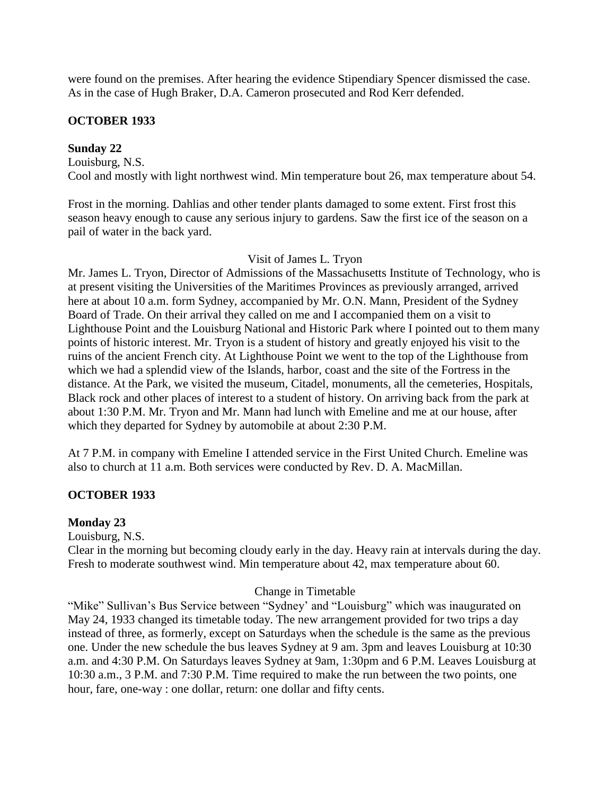were found on the premises. After hearing the evidence Stipendiary Spencer dismissed the case. As in the case of Hugh Braker, D.A. Cameron prosecuted and Rod Kerr defended.

# **OCTOBER 1933**

**Sunday 22** Louisburg, N.S. Cool and mostly with light northwest wind. Min temperature bout 26, max temperature about 54.

Frost in the morning. Dahlias and other tender plants damaged to some extent. First frost this season heavy enough to cause any serious injury to gardens. Saw the first ice of the season on a pail of water in the back yard.

## Visit of James L. Tryon

Mr. James L. Tryon, Director of Admissions of the Massachusetts Institute of Technology, who is at present visiting the Universities of the Maritimes Provinces as previously arranged, arrived here at about 10 a.m. form Sydney, accompanied by Mr. O.N. Mann, President of the Sydney Board of Trade. On their arrival they called on me and I accompanied them on a visit to Lighthouse Point and the Louisburg National and Historic Park where I pointed out to them many points of historic interest. Mr. Tryon is a student of history and greatly enjoyed his visit to the ruins of the ancient French city. At Lighthouse Point we went to the top of the Lighthouse from which we had a splendid view of the Islands, harbor, coast and the site of the Fortress in the distance. At the Park, we visited the museum, Citadel, monuments, all the cemeteries, Hospitals, Black rock and other places of interest to a student of history. On arriving back from the park at about 1:30 P.M. Mr. Tryon and Mr. Mann had lunch with Emeline and me at our house, after which they departed for Sydney by automobile at about 2:30 P.M.

At 7 P.M. in company with Emeline I attended service in the First United Church. Emeline was also to church at 11 a.m. Both services were conducted by Rev. D. A. MacMillan.

## **OCTOBER 1933**

## **Monday 23**

Louisburg, N.S.

Clear in the morning but becoming cloudy early in the day. Heavy rain at intervals during the day. Fresh to moderate southwest wind. Min temperature about 42, max temperature about 60.

## Change in Timetable

"Mike" Sullivan's Bus Service between "Sydney' and "Louisburg" which was inaugurated on May 24, 1933 changed its timetable today. The new arrangement provided for two trips a day instead of three, as formerly, except on Saturdays when the schedule is the same as the previous one. Under the new schedule the bus leaves Sydney at 9 am. 3pm and leaves Louisburg at 10:30 a.m. and 4:30 P.M. On Saturdays leaves Sydney at 9am, 1:30pm and 6 P.M. Leaves Louisburg at 10:30 a.m., 3 P.M. and 7:30 P.M. Time required to make the run between the two points, one hour, fare, one-way : one dollar, return: one dollar and fifty cents.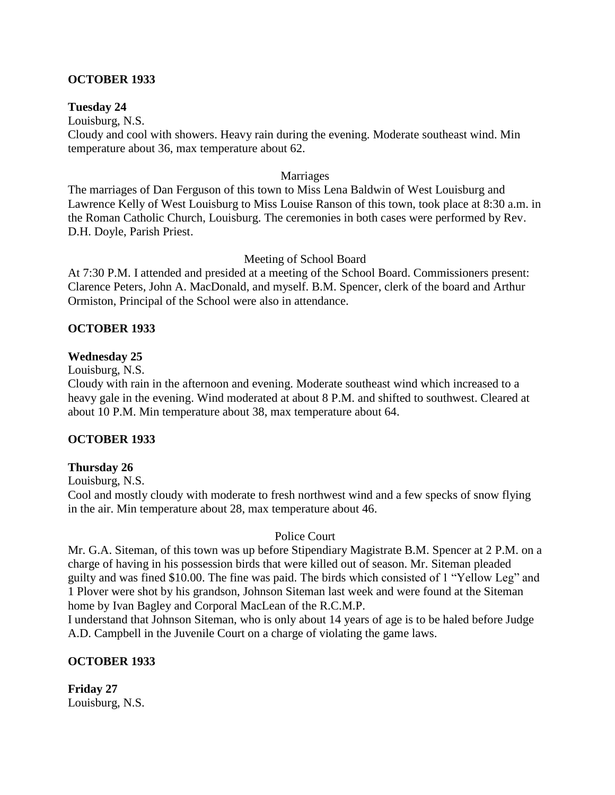### **OCTOBER 1933**

#### **Tuesday 24**

Louisburg, N.S. Cloudy and cool with showers. Heavy rain during the evening. Moderate southeast wind. Min temperature about 36, max temperature about 62.

#### Marriages

The marriages of Dan Ferguson of this town to Miss Lena Baldwin of West Louisburg and Lawrence Kelly of West Louisburg to Miss Louise Ranson of this town, took place at 8:30 a.m. in the Roman Catholic Church, Louisburg. The ceremonies in both cases were performed by Rev. D.H. Doyle, Parish Priest.

#### Meeting of School Board

At 7:30 P.M. I attended and presided at a meeting of the School Board. Commissioners present: Clarence Peters, John A. MacDonald, and myself. B.M. Spencer, clerk of the board and Arthur Ormiston, Principal of the School were also in attendance.

### **OCTOBER 1933**

#### **Wednesday 25**

Louisburg, N.S.

Cloudy with rain in the afternoon and evening. Moderate southeast wind which increased to a heavy gale in the evening. Wind moderated at about 8 P.M. and shifted to southwest. Cleared at about 10 P.M. Min temperature about 38, max temperature about 64.

#### **OCTOBER 1933**

#### **Thursday 26**

Louisburg, N.S.

Cool and mostly cloudy with moderate to fresh northwest wind and a few specks of snow flying in the air. Min temperature about 28, max temperature about 46.

#### Police Court

Mr. G.A. Siteman, of this town was up before Stipendiary Magistrate B.M. Spencer at 2 P.M. on a charge of having in his possession birds that were killed out of season. Mr. Siteman pleaded guilty and was fined \$10.00. The fine was paid. The birds which consisted of 1 "Yellow Leg" and 1 Plover were shot by his grandson, Johnson Siteman last week and were found at the Siteman home by Ivan Bagley and Corporal MacLean of the R.C.M.P.

I understand that Johnson Siteman, who is only about 14 years of age is to be haled before Judge A.D. Campbell in the Juvenile Court on a charge of violating the game laws.

## **OCTOBER 1933**

**Friday 27** Louisburg, N.S.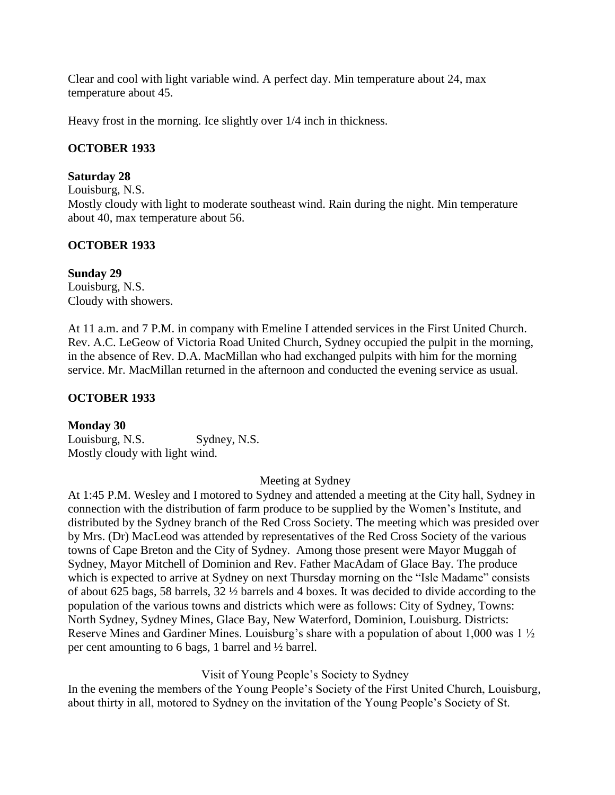Clear and cool with light variable wind. A perfect day. Min temperature about 24, max temperature about 45.

Heavy frost in the morning. Ice slightly over 1/4 inch in thickness.

# **OCTOBER 1933**

# **Saturday 28**

Louisburg, N.S.

Mostly cloudy with light to moderate southeast wind. Rain during the night. Min temperature about 40, max temperature about 56.

# **OCTOBER 1933**

## **Sunday 29**

Louisburg, N.S. Cloudy with showers.

At 11 a.m. and 7 P.M. in company with Emeline I attended services in the First United Church. Rev. A.C. LeGeow of Victoria Road United Church, Sydney occupied the pulpit in the morning, in the absence of Rev. D.A. MacMillan who had exchanged pulpits with him for the morning service. Mr. MacMillan returned in the afternoon and conducted the evening service as usual.

# **OCTOBER 1933**

## **Monday 30**

Louisburg, N.S. Sydney, N.S. Mostly cloudy with light wind.

Meeting at Sydney

At 1:45 P.M. Wesley and I motored to Sydney and attended a meeting at the City hall, Sydney in connection with the distribution of farm produce to be supplied by the Women"s Institute, and distributed by the Sydney branch of the Red Cross Society. The meeting which was presided over by Mrs. (Dr) MacLeod was attended by representatives of the Red Cross Society of the various towns of Cape Breton and the City of Sydney. Among those present were Mayor Muggah of Sydney, Mayor Mitchell of Dominion and Rev. Father MacAdam of Glace Bay. The produce which is expected to arrive at Sydney on next Thursday morning on the "Isle Madame" consists of about 625 bags, 58 barrels, 32 ½ barrels and 4 boxes. It was decided to divide according to the population of the various towns and districts which were as follows: City of Sydney, Towns: North Sydney, Sydney Mines, Glace Bay, New Waterford, Dominion, Louisburg. Districts: Reserve Mines and Gardiner Mines. Louisburg's share with a population of about 1,000 was  $1\frac{1}{2}$ per cent amounting to 6 bags, 1 barrel and ½ barrel.

## Visit of Young People"s Society to Sydney

In the evening the members of the Young People"s Society of the First United Church, Louisburg, about thirty in all, motored to Sydney on the invitation of the Young People"s Society of St.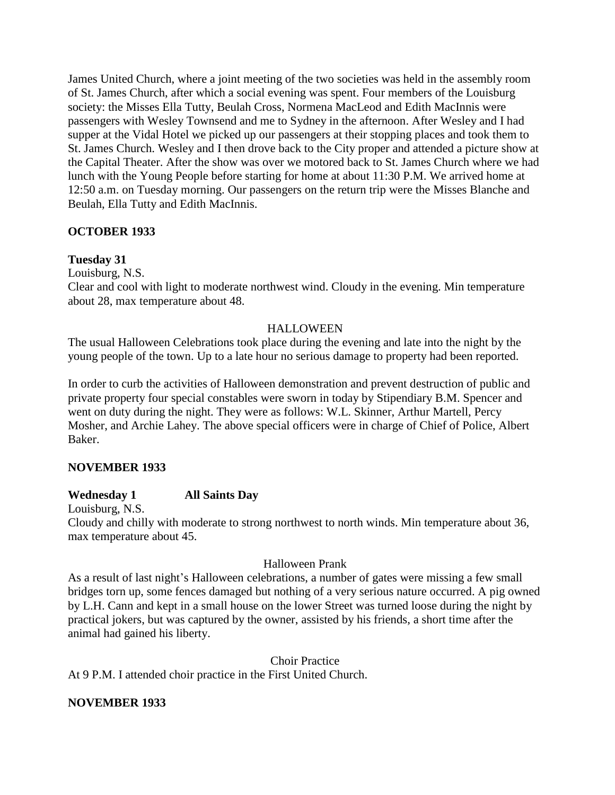James United Church, where a joint meeting of the two societies was held in the assembly room of St. James Church, after which a social evening was spent. Four members of the Louisburg society: the Misses Ella Tutty, Beulah Cross, Normena MacLeod and Edith MacInnis were passengers with Wesley Townsend and me to Sydney in the afternoon. After Wesley and I had supper at the Vidal Hotel we picked up our passengers at their stopping places and took them to St. James Church. Wesley and I then drove back to the City proper and attended a picture show at the Capital Theater. After the show was over we motored back to St. James Church where we had lunch with the Young People before starting for home at about 11:30 P.M. We arrived home at 12:50 a.m. on Tuesday morning. Our passengers on the return trip were the Misses Blanche and Beulah, Ella Tutty and Edith MacInnis.

# **OCTOBER 1933**

# **Tuesday 31**

Louisburg, N.S.

Clear and cool with light to moderate northwest wind. Cloudy in the evening. Min temperature about 28, max temperature about 48.

# HALLOWEEN

The usual Halloween Celebrations took place during the evening and late into the night by the young people of the town. Up to a late hour no serious damage to property had been reported.

In order to curb the activities of Halloween demonstration and prevent destruction of public and private property four special constables were sworn in today by Stipendiary B.M. Spencer and went on duty during the night. They were as follows: W.L. Skinner, Arthur Martell, Percy Mosher, and Archie Lahey. The above special officers were in charge of Chief of Police, Albert Baker.

# **NOVEMBER 1933**

## **Wednesday 1 All Saints Day**

Louisburg, N.S.

Cloudy and chilly with moderate to strong northwest to north winds. Min temperature about 36, max temperature about 45.

## Halloween Prank

As a result of last night's Halloween celebrations, a number of gates were missing a few small bridges torn up, some fences damaged but nothing of a very serious nature occurred. A pig owned by L.H. Cann and kept in a small house on the lower Street was turned loose during the night by practical jokers, but was captured by the owner, assisted by his friends, a short time after the animal had gained his liberty.

Choir Practice

At 9 P.M. I attended choir practice in the First United Church.

## **NOVEMBER 1933**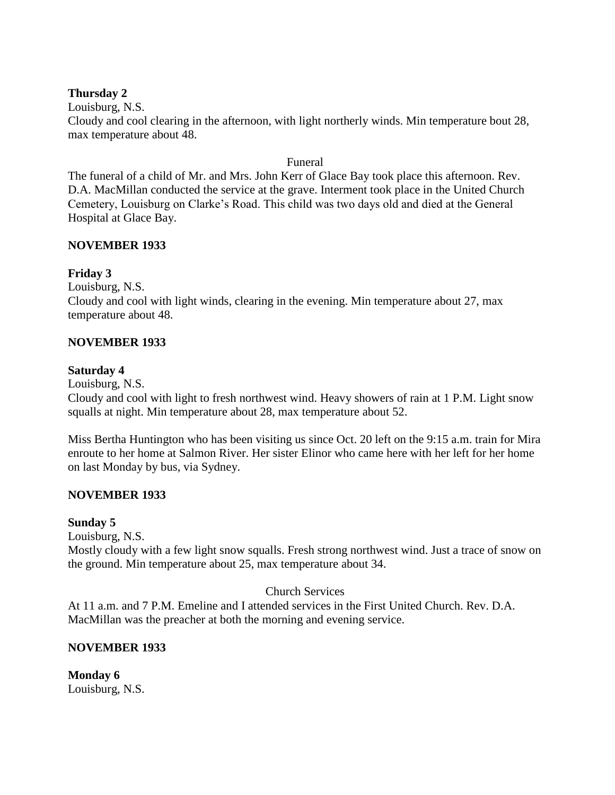### **Thursday 2**

Louisburg, N.S.

Cloudy and cool clearing in the afternoon, with light northerly winds. Min temperature bout 28, max temperature about 48.

#### Funeral

The funeral of a child of Mr. and Mrs. John Kerr of Glace Bay took place this afternoon. Rev. D.A. MacMillan conducted the service at the grave. Interment took place in the United Church Cemetery, Louisburg on Clarke"s Road. This child was two days old and died at the General Hospital at Glace Bay.

### **NOVEMBER 1933**

## **Friday 3**

Louisburg, N.S.

Cloudy and cool with light winds, clearing in the evening. Min temperature about 27, max temperature about 48.

### **NOVEMBER 1933**

### **Saturday 4**

Louisburg, N.S.

Cloudy and cool with light to fresh northwest wind. Heavy showers of rain at 1 P.M. Light snow squalls at night. Min temperature about 28, max temperature about 52.

Miss Bertha Huntington who has been visiting us since Oct. 20 left on the 9:15 a.m. train for Mira enroute to her home at Salmon River. Her sister Elinor who came here with her left for her home on last Monday by bus, via Sydney.

## **NOVEMBER 1933**

#### **Sunday 5**

Louisburg, N.S.

Mostly cloudy with a few light snow squalls. Fresh strong northwest wind. Just a trace of snow on the ground. Min temperature about 25, max temperature about 34.

#### Church Services

At 11 a.m. and 7 P.M. Emeline and I attended services in the First United Church. Rev. D.A. MacMillan was the preacher at both the morning and evening service.

## **NOVEMBER 1933**

**Monday 6** Louisburg, N.S.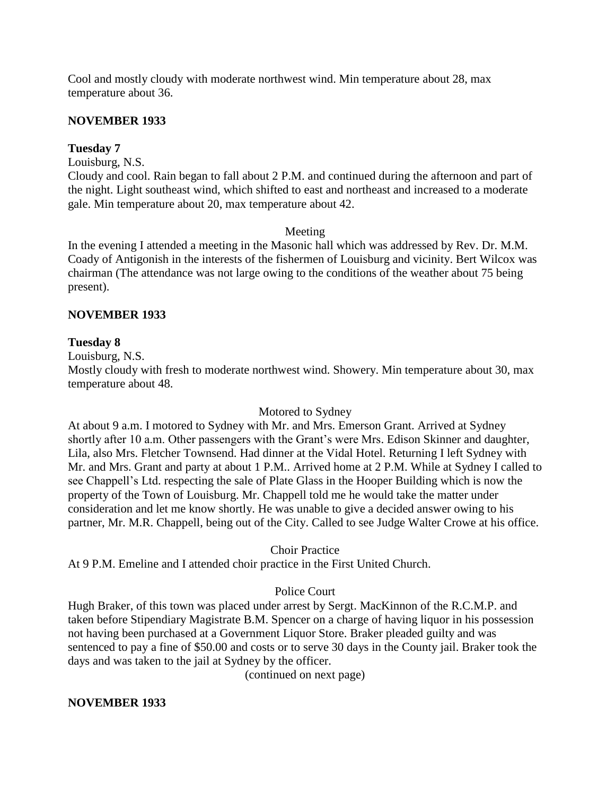Cool and mostly cloudy with moderate northwest wind. Min temperature about 28, max temperature about 36.

### **NOVEMBER 1933**

### **Tuesday 7**

Louisburg, N.S.

Cloudy and cool. Rain began to fall about 2 P.M. and continued during the afternoon and part of the night. Light southeast wind, which shifted to east and northeast and increased to a moderate gale. Min temperature about 20, max temperature about 42.

#### Meeting

In the evening I attended a meeting in the Masonic hall which was addressed by Rev. Dr. M.M. Coady of Antigonish in the interests of the fishermen of Louisburg and vicinity. Bert Wilcox was chairman (The attendance was not large owing to the conditions of the weather about 75 being present).

### **NOVEMBER 1933**

#### **Tuesday 8**

Louisburg, N.S.

Mostly cloudy with fresh to moderate northwest wind. Showery. Min temperature about 30, max temperature about 48.

#### Motored to Sydney

At about 9 a.m. I motored to Sydney with Mr. and Mrs. Emerson Grant. Arrived at Sydney shortly after 10 a.m. Other passengers with the Grant's were Mrs. Edison Skinner and daughter, Lila, also Mrs. Fletcher Townsend. Had dinner at the Vidal Hotel. Returning I left Sydney with Mr. and Mrs. Grant and party at about 1 P.M.. Arrived home at 2 P.M. While at Sydney I called to see Chappell"s Ltd. respecting the sale of Plate Glass in the Hooper Building which is now the property of the Town of Louisburg. Mr. Chappell told me he would take the matter under consideration and let me know shortly. He was unable to give a decided answer owing to his partner, Mr. M.R. Chappell, being out of the City. Called to see Judge Walter Crowe at his office.

#### Choir Practice

At 9 P.M. Emeline and I attended choir practice in the First United Church.

## Police Court

Hugh Braker, of this town was placed under arrest by Sergt. MacKinnon of the R.C.M.P. and taken before Stipendiary Magistrate B.M. Spencer on a charge of having liquor in his possession not having been purchased at a Government Liquor Store. Braker pleaded guilty and was sentenced to pay a fine of \$50.00 and costs or to serve 30 days in the County jail. Braker took the days and was taken to the jail at Sydney by the officer.

(continued on next page)

#### **NOVEMBER 1933**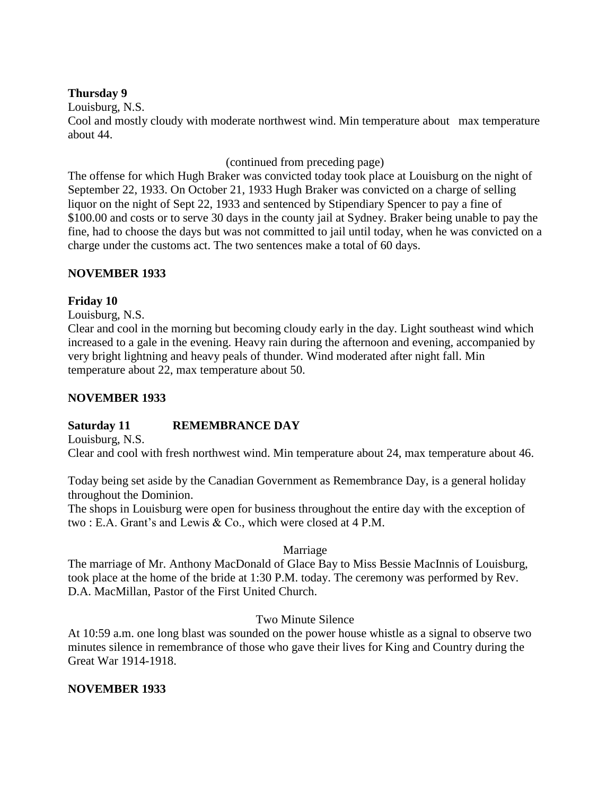### **Thursday 9**

Louisburg, N.S.

Cool and mostly cloudy with moderate northwest wind. Min temperature about max temperature about 44.

(continued from preceding page)

The offense for which Hugh Braker was convicted today took place at Louisburg on the night of September 22, 1933. On October 21, 1933 Hugh Braker was convicted on a charge of selling liquor on the night of Sept 22, 1933 and sentenced by Stipendiary Spencer to pay a fine of \$100.00 and costs or to serve 30 days in the county jail at Sydney. Braker being unable to pay the fine, had to choose the days but was not committed to jail until today, when he was convicted on a charge under the customs act. The two sentences make a total of 60 days.

## **NOVEMBER 1933**

# **Friday 10**

Louisburg, N.S.

Clear and cool in the morning but becoming cloudy early in the day. Light southeast wind which increased to a gale in the evening. Heavy rain during the afternoon and evening, accompanied by very bright lightning and heavy peals of thunder. Wind moderated after night fall. Min temperature about 22, max temperature about 50.

# **NOVEMBER 1933**

## **Saturday 11 REMEMBRANCE DAY**

Louisburg, N.S.

Clear and cool with fresh northwest wind. Min temperature about 24, max temperature about 46.

Today being set aside by the Canadian Government as Remembrance Day, is a general holiday throughout the Dominion.

The shops in Louisburg were open for business throughout the entire day with the exception of two : E.A. Grant's and Lewis & Co., which were closed at 4 P.M.

## Marriage

The marriage of Mr. Anthony MacDonald of Glace Bay to Miss Bessie MacInnis of Louisburg, took place at the home of the bride at 1:30 P.M. today. The ceremony was performed by Rev. D.A. MacMillan, Pastor of the First United Church.

## Two Minute Silence

At 10:59 a.m. one long blast was sounded on the power house whistle as a signal to observe two minutes silence in remembrance of those who gave their lives for King and Country during the Great War 1914-1918.

# **NOVEMBER 1933**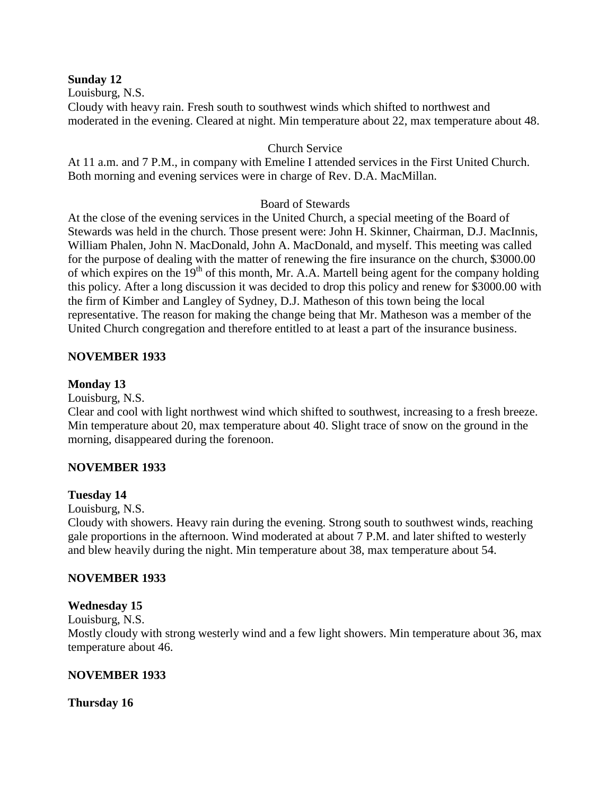#### **Sunday 12**

Louisburg, N.S.

Cloudy with heavy rain. Fresh south to southwest winds which shifted to northwest and moderated in the evening. Cleared at night. Min temperature about 22, max temperature about 48.

### Church Service

At 11 a.m. and 7 P.M., in company with Emeline I attended services in the First United Church. Both morning and evening services were in charge of Rev. D.A. MacMillan.

### Board of Stewards

At the close of the evening services in the United Church, a special meeting of the Board of Stewards was held in the church. Those present were: John H. Skinner, Chairman, D.J. MacInnis, William Phalen, John N. MacDonald, John A. MacDonald, and myself. This meeting was called for the purpose of dealing with the matter of renewing the fire insurance on the church, \$3000.00 of which expires on the  $19<sup>th</sup>$  of this month, Mr. A.A. Martell being agent for the company holding this policy. After a long discussion it was decided to drop this policy and renew for \$3000.00 with the firm of Kimber and Langley of Sydney, D.J. Matheson of this town being the local representative. The reason for making the change being that Mr. Matheson was a member of the United Church congregation and therefore entitled to at least a part of the insurance business.

### **NOVEMBER 1933**

### **Monday 13**

Louisburg, N.S.

Clear and cool with light northwest wind which shifted to southwest, increasing to a fresh breeze. Min temperature about 20, max temperature about 40. Slight trace of snow on the ground in the morning, disappeared during the forenoon.

## **NOVEMBER 1933**

#### **Tuesday 14**

Louisburg, N.S.

Cloudy with showers. Heavy rain during the evening. Strong south to southwest winds, reaching gale proportions in the afternoon. Wind moderated at about 7 P.M. and later shifted to westerly and blew heavily during the night. Min temperature about 38, max temperature about 54.

#### **NOVEMBER 1933**

#### **Wednesday 15**

Louisburg, N.S.

Mostly cloudy with strong westerly wind and a few light showers. Min temperature about 36, max temperature about 46.

#### **NOVEMBER 1933**

**Thursday 16**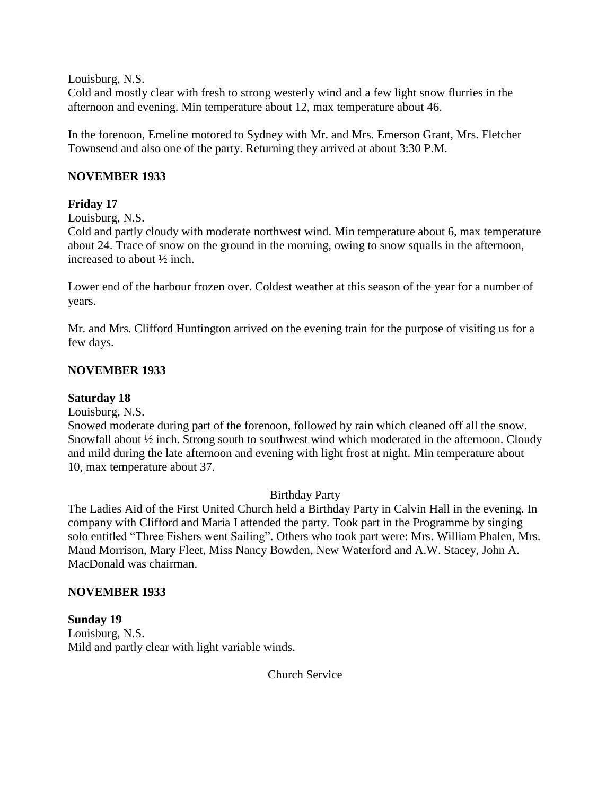Louisburg, N.S.

Cold and mostly clear with fresh to strong westerly wind and a few light snow flurries in the afternoon and evening. Min temperature about 12, max temperature about 46.

In the forenoon, Emeline motored to Sydney with Mr. and Mrs. Emerson Grant, Mrs. Fletcher Townsend and also one of the party. Returning they arrived at about 3:30 P.M.

## **NOVEMBER 1933**

# **Friday 17**

Louisburg, N.S.

Cold and partly cloudy with moderate northwest wind. Min temperature about 6, max temperature about 24. Trace of snow on the ground in the morning, owing to snow squalls in the afternoon, increased to about ½ inch.

Lower end of the harbour frozen over. Coldest weather at this season of the year for a number of years.

Mr. and Mrs. Clifford Huntington arrived on the evening train for the purpose of visiting us for a few days.

# **NOVEMBER 1933**

## **Saturday 18**

Louisburg, N.S.

Snowed moderate during part of the forenoon, followed by rain which cleaned off all the snow. Snowfall about ½ inch. Strong south to southwest wind which moderated in the afternoon. Cloudy and mild during the late afternoon and evening with light frost at night. Min temperature about 10, max temperature about 37.

## Birthday Party

The Ladies Aid of the First United Church held a Birthday Party in Calvin Hall in the evening. In company with Clifford and Maria I attended the party. Took part in the Programme by singing solo entitled "Three Fishers went Sailing". Others who took part were: Mrs. William Phalen, Mrs. Maud Morrison, Mary Fleet, Miss Nancy Bowden, New Waterford and A.W. Stacey, John A. MacDonald was chairman.

## **NOVEMBER 1933**

#### **Sunday 19** Louisburg, N.S. Mild and partly clear with light variable winds.

Church Service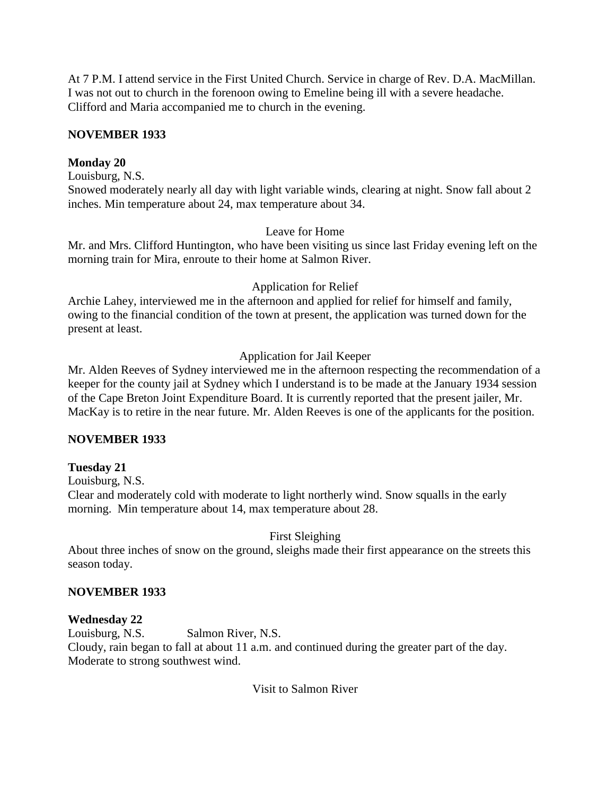At 7 P.M. I attend service in the First United Church. Service in charge of Rev. D.A. MacMillan. I was not out to church in the forenoon owing to Emeline being ill with a severe headache. Clifford and Maria accompanied me to church in the evening.

## **NOVEMBER 1933**

# **Monday 20**

Louisburg, N.S.

Snowed moderately nearly all day with light variable winds, clearing at night. Snow fall about 2 inches. Min temperature about 24, max temperature about 34.

## Leave for Home

Mr. and Mrs. Clifford Huntington, who have been visiting us since last Friday evening left on the morning train for Mira, enroute to their home at Salmon River.

### Application for Relief

Archie Lahey, interviewed me in the afternoon and applied for relief for himself and family, owing to the financial condition of the town at present, the application was turned down for the present at least.

## Application for Jail Keeper

Mr. Alden Reeves of Sydney interviewed me in the afternoon respecting the recommendation of a keeper for the county jail at Sydney which I understand is to be made at the January 1934 session of the Cape Breton Joint Expenditure Board. It is currently reported that the present jailer, Mr. MacKay is to retire in the near future. Mr. Alden Reeves is one of the applicants for the position.

## **NOVEMBER 1933**

## **Tuesday 21**

Louisburg, N.S.

Clear and moderately cold with moderate to light northerly wind. Snow squalls in the early morning. Min temperature about 14, max temperature about 28.

## First Sleighing

About three inches of snow on the ground, sleighs made their first appearance on the streets this season today.

## **NOVEMBER 1933**

## **Wednesday 22**

Louisburg, N.S. Salmon River, N.S. Cloudy, rain began to fall at about 11 a.m. and continued during the greater part of the day. Moderate to strong southwest wind.

## Visit to Salmon River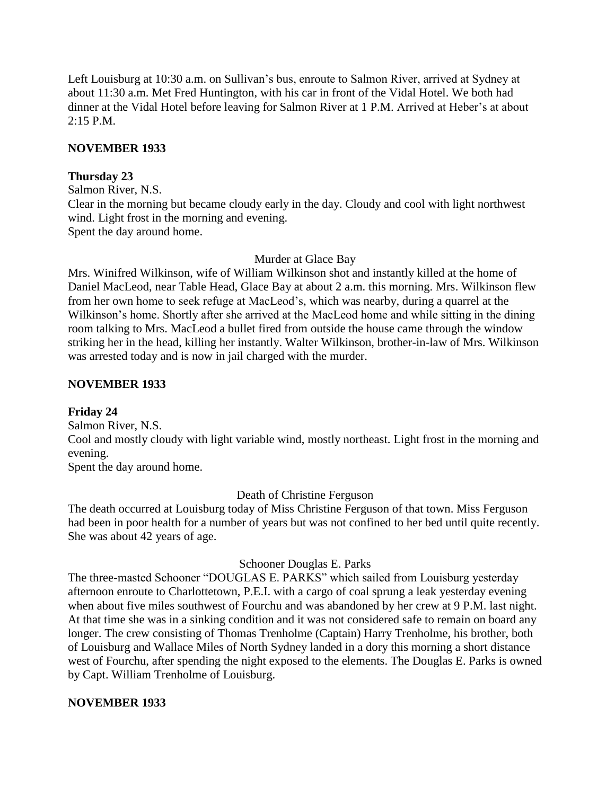Left Louisburg at 10:30 a.m. on Sullivan's bus, enroute to Salmon River, arrived at Sydney at about 11:30 a.m. Met Fred Huntington, with his car in front of the Vidal Hotel. We both had dinner at the Vidal Hotel before leaving for Salmon River at 1 P.M. Arrived at Heber's at about 2:15 P.M.

### **NOVEMBER 1933**

### **Thursday 23**

Salmon River, N.S. Clear in the morning but became cloudy early in the day. Cloudy and cool with light northwest wind. Light frost in the morning and evening. Spent the day around home.

### Murder at Glace Bay

Mrs. Winifred Wilkinson, wife of William Wilkinson shot and instantly killed at the home of Daniel MacLeod, near Table Head, Glace Bay at about 2 a.m. this morning. Mrs. Wilkinson flew from her own home to seek refuge at MacLeod"s, which was nearby, during a quarrel at the Wilkinson"s home. Shortly after she arrived at the MacLeod home and while sitting in the dining room talking to Mrs. MacLeod a bullet fired from outside the house came through the window striking her in the head, killing her instantly. Walter Wilkinson, brother-in-law of Mrs. Wilkinson was arrested today and is now in jail charged with the murder.

### **NOVEMBER 1933**

## **Friday 24**

Salmon River, N.S.

Cool and mostly cloudy with light variable wind, mostly northeast. Light frost in the morning and evening.

Spent the day around home.

Death of Christine Ferguson

The death occurred at Louisburg today of Miss Christine Ferguson of that town. Miss Ferguson had been in poor health for a number of years but was not confined to her bed until quite recently. She was about 42 years of age.

#### Schooner Douglas E. Parks

The three-masted Schooner "DOUGLAS E. PARKS" which sailed from Louisburg yesterday afternoon enroute to Charlottetown, P.E.I. with a cargo of coal sprung a leak yesterday evening when about five miles southwest of Fourchu and was abandoned by her crew at 9 P.M. last night. At that time she was in a sinking condition and it was not considered safe to remain on board any longer. The crew consisting of Thomas Trenholme (Captain) Harry Trenholme, his brother, both of Louisburg and Wallace Miles of North Sydney landed in a dory this morning a short distance west of Fourchu, after spending the night exposed to the elements. The Douglas E. Parks is owned by Capt. William Trenholme of Louisburg.

#### **NOVEMBER 1933**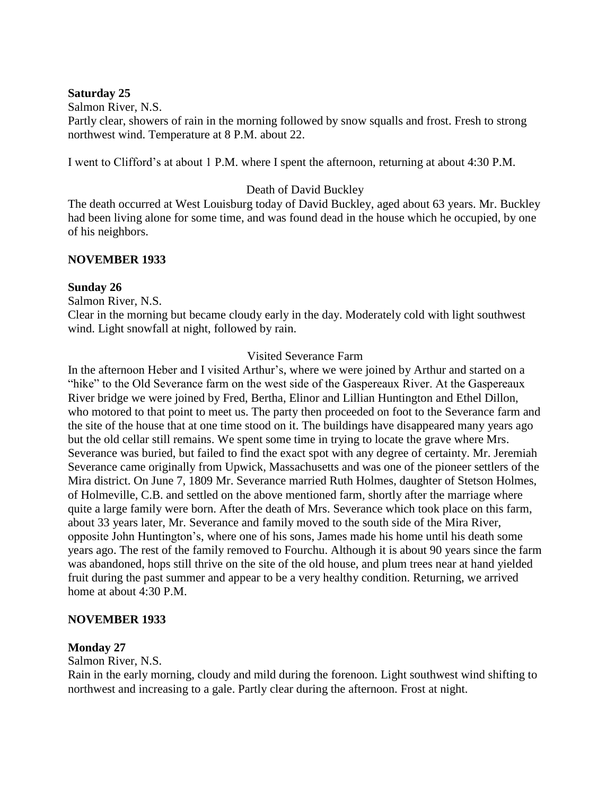#### **Saturday 25**

Salmon River, N.S.

Partly clear, showers of rain in the morning followed by snow squalls and frost. Fresh to strong northwest wind. Temperature at 8 P.M. about 22.

I went to Clifford"s at about 1 P.M. where I spent the afternoon, returning at about 4:30 P.M.

### Death of David Buckley

The death occurred at West Louisburg today of David Buckley, aged about 63 years. Mr. Buckley had been living alone for some time, and was found dead in the house which he occupied, by one of his neighbors.

### **NOVEMBER 1933**

#### **Sunday 26**

Salmon River, N.S.

Clear in the morning but became cloudy early in the day. Moderately cold with light southwest wind. Light snowfall at night, followed by rain.

#### Visited Severance Farm

In the afternoon Heber and I visited Arthur"s, where we were joined by Arthur and started on a "hike" to the Old Severance farm on the west side of the Gaspereaux River. At the Gaspereaux River bridge we were joined by Fred, Bertha, Elinor and Lillian Huntington and Ethel Dillon, who motored to that point to meet us. The party then proceeded on foot to the Severance farm and the site of the house that at one time stood on it. The buildings have disappeared many years ago but the old cellar still remains. We spent some time in trying to locate the grave where Mrs. Severance was buried, but failed to find the exact spot with any degree of certainty. Mr. Jeremiah Severance came originally from Upwick, Massachusetts and was one of the pioneer settlers of the Mira district. On June 7, 1809 Mr. Severance married Ruth Holmes, daughter of Stetson Holmes, of Holmeville, C.B. and settled on the above mentioned farm, shortly after the marriage where quite a large family were born. After the death of Mrs. Severance which took place on this farm, about 33 years later, Mr. Severance and family moved to the south side of the Mira River, opposite John Huntington"s, where one of his sons, James made his home until his death some years ago. The rest of the family removed to Fourchu. Although it is about 90 years since the farm was abandoned, hops still thrive on the site of the old house, and plum trees near at hand yielded fruit during the past summer and appear to be a very healthy condition. Returning, we arrived home at about 4:30 P.M.

#### **NOVEMBER 1933**

#### **Monday 27**

Salmon River, N.S.

Rain in the early morning, cloudy and mild during the forenoon. Light southwest wind shifting to northwest and increasing to a gale. Partly clear during the afternoon. Frost at night.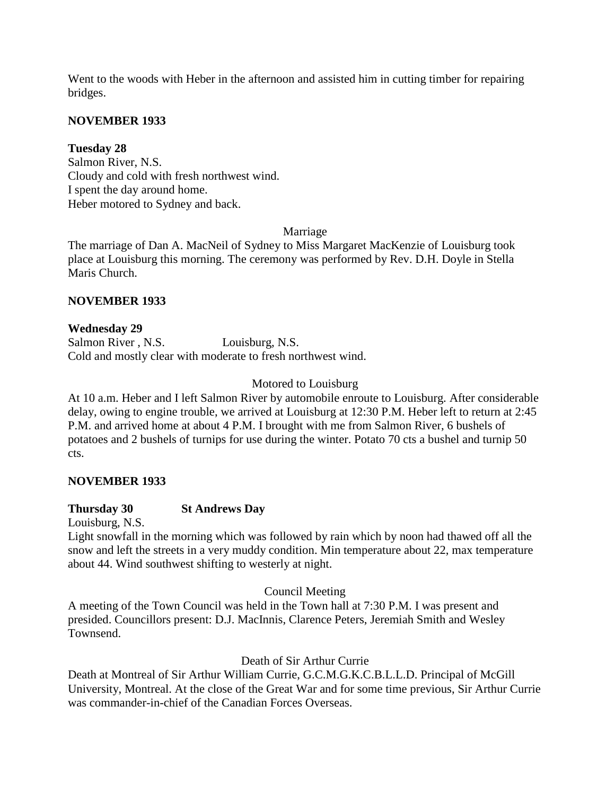Went to the woods with Heber in the afternoon and assisted him in cutting timber for repairing bridges.

### **NOVEMBER 1933**

### **Tuesday 28**

Salmon River, N.S. Cloudy and cold with fresh northwest wind. I spent the day around home. Heber motored to Sydney and back.

#### Marriage

The marriage of Dan A. MacNeil of Sydney to Miss Margaret MacKenzie of Louisburg took place at Louisburg this morning. The ceremony was performed by Rev. D.H. Doyle in Stella Maris Church.

### **NOVEMBER 1933**

### **Wednesday 29**

Salmon River, N.S. Louisburg, N.S. Cold and mostly clear with moderate to fresh northwest wind.

### Motored to Louisburg

At 10 a.m. Heber and I left Salmon River by automobile enroute to Louisburg. After considerable delay, owing to engine trouble, we arrived at Louisburg at 12:30 P.M. Heber left to return at 2:45 P.M. and arrived home at about 4 P.M. I brought with me from Salmon River, 6 bushels of potatoes and 2 bushels of turnips for use during the winter. Potato 70 cts a bushel and turnip 50 cts.

### **NOVEMBER 1933**

#### **Thursday 30 St Andrews Day**

Louisburg, N.S.

Light snowfall in the morning which was followed by rain which by noon had thawed off all the snow and left the streets in a very muddy condition. Min temperature about 22, max temperature about 44. Wind southwest shifting to westerly at night.

Council Meeting

A meeting of the Town Council was held in the Town hall at 7:30 P.M. I was present and presided. Councillors present: D.J. MacInnis, Clarence Peters, Jeremiah Smith and Wesley Townsend.

#### Death of Sir Arthur Currie

Death at Montreal of Sir Arthur William Currie, G.C.M.G.K.C.B.L.L.D. Principal of McGill University, Montreal. At the close of the Great War and for some time previous, Sir Arthur Currie was commander-in-chief of the Canadian Forces Overseas.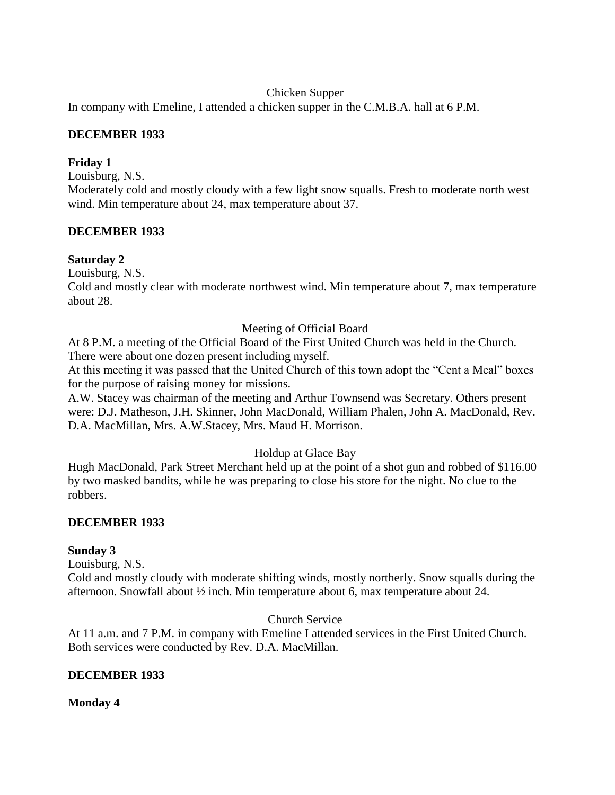### Chicken Supper

In company with Emeline, I attended a chicken supper in the C.M.B.A. hall at 6 P.M.

### **DECEMBER 1933**

### **Friday 1**

Louisburg, N.S.

Moderately cold and mostly cloudy with a few light snow squalls. Fresh to moderate north west wind. Min temperature about 24, max temperature about 37.

### **DECEMBER 1933**

### **Saturday 2**

Louisburg, N.S.

Cold and mostly clear with moderate northwest wind. Min temperature about 7, max temperature about 28.

### Meeting of Official Board

At 8 P.M. a meeting of the Official Board of the First United Church was held in the Church. There were about one dozen present including myself.

At this meeting it was passed that the United Church of this town adopt the "Cent a Meal" boxes for the purpose of raising money for missions.

A.W. Stacey was chairman of the meeting and Arthur Townsend was Secretary. Others present were: D.J. Matheson, J.H. Skinner, John MacDonald, William Phalen, John A. MacDonald, Rev. D.A. MacMillan, Mrs. A.W.Stacey, Mrs. Maud H. Morrison.

## Holdup at Glace Bay

Hugh MacDonald, Park Street Merchant held up at the point of a shot gun and robbed of \$116.00 by two masked bandits, while he was preparing to close his store for the night. No clue to the robbers.

#### **DECEMBER 1933**

#### **Sunday 3**

Louisburg, N.S.

Cold and mostly cloudy with moderate shifting winds, mostly northerly. Snow squalls during the afternoon. Snowfall about ½ inch. Min temperature about 6, max temperature about 24.

### Church Service

At 11 a.m. and 7 P.M. in company with Emeline I attended services in the First United Church. Both services were conducted by Rev. D.A. MacMillan.

#### **DECEMBER 1933**

#### **Monday 4**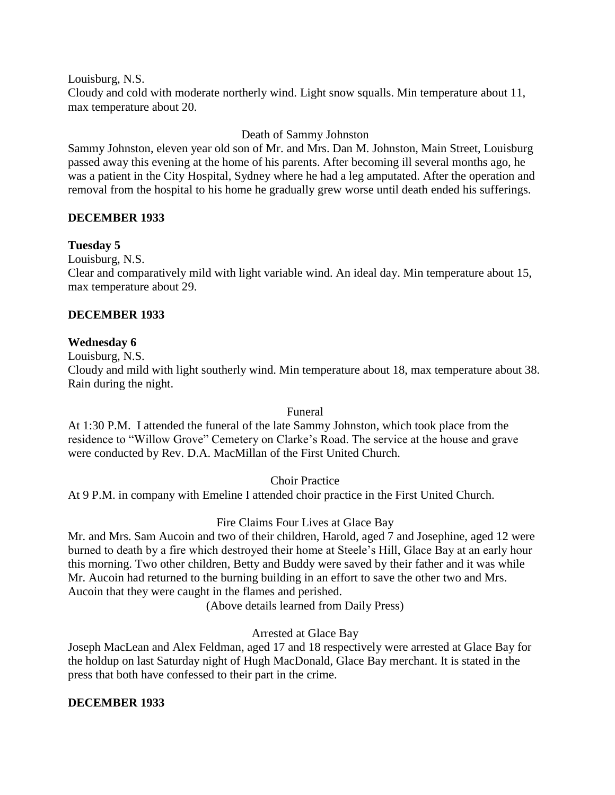Louisburg, N.S.

Cloudy and cold with moderate northerly wind. Light snow squalls. Min temperature about 11, max temperature about 20.

### Death of Sammy Johnston

Sammy Johnston, eleven year old son of Mr. and Mrs. Dan M. Johnston, Main Street, Louisburg passed away this evening at the home of his parents. After becoming ill several months ago, he was a patient in the City Hospital, Sydney where he had a leg amputated. After the operation and removal from the hospital to his home he gradually grew worse until death ended his sufferings.

### **DECEMBER 1933**

### **Tuesday 5**

Louisburg, N.S.

Clear and comparatively mild with light variable wind. An ideal day. Min temperature about 15, max temperature about 29.

### **DECEMBER 1933**

### **Wednesday 6**

Louisburg, N.S.

Cloudy and mild with light southerly wind. Min temperature about 18, max temperature about 38. Rain during the night.

Funeral

At 1:30 P.M. I attended the funeral of the late Sammy Johnston, which took place from the residence to "Willow Grove" Cemetery on Clarke"s Road. The service at the house and grave were conducted by Rev. D.A. MacMillan of the First United Church.

Choir Practice

At 9 P.M. in company with Emeline I attended choir practice in the First United Church.

## Fire Claims Four Lives at Glace Bay

Mr. and Mrs. Sam Aucoin and two of their children, Harold, aged 7 and Josephine, aged 12 were burned to death by a fire which destroyed their home at Steele"s Hill, Glace Bay at an early hour this morning. Two other children, Betty and Buddy were saved by their father and it was while Mr. Aucoin had returned to the burning building in an effort to save the other two and Mrs. Aucoin that they were caught in the flames and perished.

(Above details learned from Daily Press)

Arrested at Glace Bay

Joseph MacLean and Alex Feldman, aged 17 and 18 respectively were arrested at Glace Bay for the holdup on last Saturday night of Hugh MacDonald, Glace Bay merchant. It is stated in the press that both have confessed to their part in the crime.

#### **DECEMBER 1933**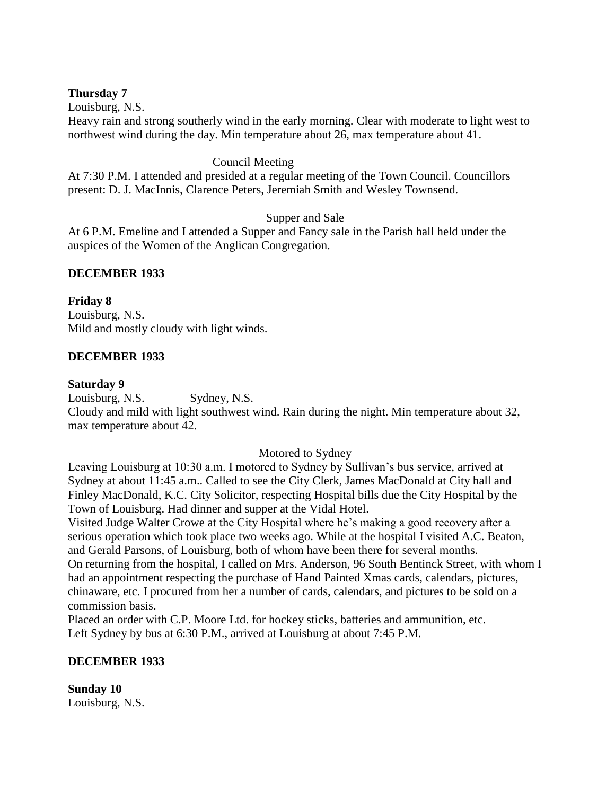### **Thursday 7**

Louisburg, N.S.

Heavy rain and strong southerly wind in the early morning. Clear with moderate to light west to northwest wind during the day. Min temperature about 26, max temperature about 41.

### Council Meeting

At 7:30 P.M. I attended and presided at a regular meeting of the Town Council. Councillors present: D. J. MacInnis, Clarence Peters, Jeremiah Smith and Wesley Townsend.

### Supper and Sale

At 6 P.M. Emeline and I attended a Supper and Fancy sale in the Parish hall held under the auspices of the Women of the Anglican Congregation.

### **DECEMBER 1933**

**Friday 8**

Louisburg, N.S. Mild and mostly cloudy with light winds.

## **DECEMBER 1933**

#### **Saturday 9**

Louisburg, N.S. Sydney, N.S.

Cloudy and mild with light southwest wind. Rain during the night. Min temperature about 32, max temperature about 42.

#### Motored to Sydney

Leaving Louisburg at 10:30 a.m. I motored to Sydney by Sullivan"s bus service, arrived at Sydney at about 11:45 a.m.. Called to see the City Clerk, James MacDonald at City hall and Finley MacDonald, K.C. City Solicitor, respecting Hospital bills due the City Hospital by the Town of Louisburg. Had dinner and supper at the Vidal Hotel.

Visited Judge Walter Crowe at the City Hospital where he"s making a good recovery after a serious operation which took place two weeks ago. While at the hospital I visited A.C. Beaton, and Gerald Parsons, of Louisburg, both of whom have been there for several months. On returning from the hospital, I called on Mrs. Anderson, 96 South Bentinck Street, with whom I had an appointment respecting the purchase of Hand Painted Xmas cards, calendars, pictures, chinaware, etc. I procured from her a number of cards, calendars, and pictures to be sold on a commission basis.

Placed an order with C.P. Moore Ltd. for hockey sticks, batteries and ammunition, etc. Left Sydney by bus at 6:30 P.M., arrived at Louisburg at about 7:45 P.M.

## **DECEMBER 1933**

**Sunday 10** Louisburg, N.S.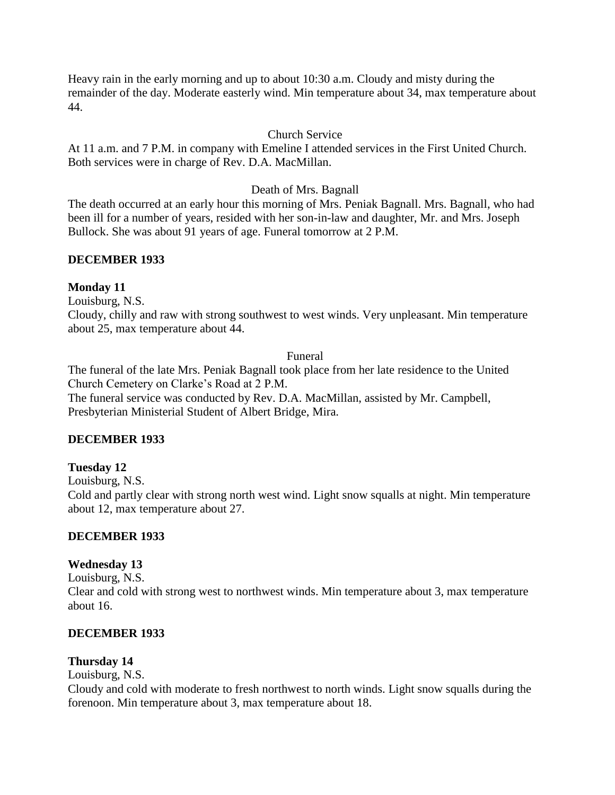Heavy rain in the early morning and up to about 10:30 a.m. Cloudy and misty during the remainder of the day. Moderate easterly wind. Min temperature about 34, max temperature about 44.

### Church Service

At 11 a.m. and 7 P.M. in company with Emeline I attended services in the First United Church. Both services were in charge of Rev. D.A. MacMillan.

### Death of Mrs. Bagnall

The death occurred at an early hour this morning of Mrs. Peniak Bagnall. Mrs. Bagnall, who had been ill for a number of years, resided with her son-in-law and daughter, Mr. and Mrs. Joseph Bullock. She was about 91 years of age. Funeral tomorrow at 2 P.M.

### **DECEMBER 1933**

#### **Monday 11**

Louisburg, N.S.

Cloudy, chilly and raw with strong southwest to west winds. Very unpleasant. Min temperature about 25, max temperature about 44.

#### Funeral

The funeral of the late Mrs. Peniak Bagnall took place from her late residence to the United Church Cemetery on Clarke"s Road at 2 P.M. The funeral service was conducted by Rev. D.A. MacMillan, assisted by Mr. Campbell, Presbyterian Ministerial Student of Albert Bridge, Mira.

#### **DECEMBER 1933**

#### **Tuesday 12**

Louisburg, N.S.

Cold and partly clear with strong north west wind. Light snow squalls at night. Min temperature about 12, max temperature about 27.

#### **DECEMBER 1933**

## **Wednesday 13**

Louisburg, N.S. Clear and cold with strong west to northwest winds. Min temperature about 3, max temperature about 16.

#### **DECEMBER 1933**

## **Thursday 14**

Louisburg, N.S.

Cloudy and cold with moderate to fresh northwest to north winds. Light snow squalls during the forenoon. Min temperature about 3, max temperature about 18.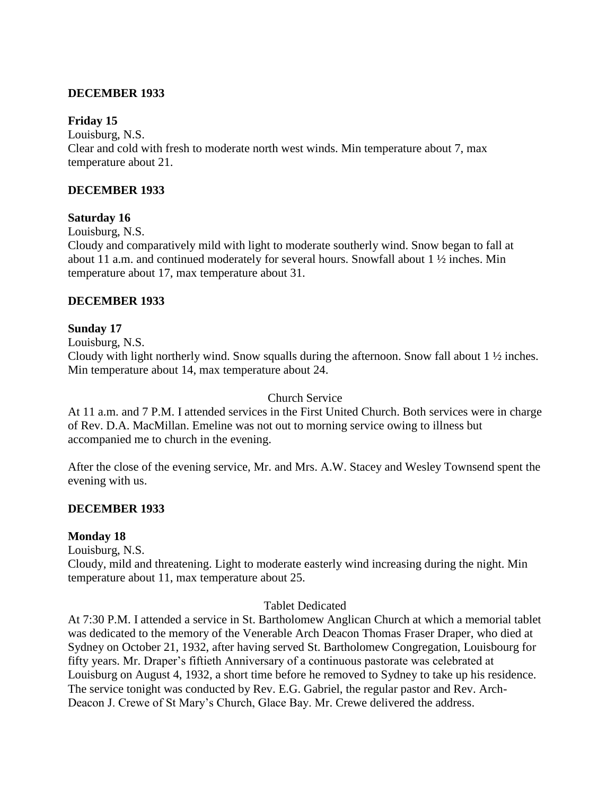### **DECEMBER 1933**

### **Friday 15**

Louisburg, N.S. Clear and cold with fresh to moderate north west winds. Min temperature about 7, max temperature about 21.

### **DECEMBER 1933**

#### **Saturday 16**

Louisburg, N.S.

Cloudy and comparatively mild with light to moderate southerly wind. Snow began to fall at about 11 a.m. and continued moderately for several hours. Snowfall about 1 ½ inches. Min temperature about 17, max temperature about 31.

### **DECEMBER 1933**

### **Sunday 17**

Louisburg, N.S.

Cloudy with light northerly wind. Snow squalls during the afternoon. Snow fall about 1 ½ inches. Min temperature about 14, max temperature about 24.

#### Church Service

At 11 a.m. and 7 P.M. I attended services in the First United Church. Both services were in charge of Rev. D.A. MacMillan. Emeline was not out to morning service owing to illness but accompanied me to church in the evening.

After the close of the evening service, Mr. and Mrs. A.W. Stacey and Wesley Townsend spent the evening with us.

#### **DECEMBER 1933**

#### **Monday 18**

Louisburg, N.S.

Cloudy, mild and threatening. Light to moderate easterly wind increasing during the night. Min temperature about 11, max temperature about 25.

#### Tablet Dedicated

At 7:30 P.M. I attended a service in St. Bartholomew Anglican Church at which a memorial tablet was dedicated to the memory of the Venerable Arch Deacon Thomas Fraser Draper, who died at Sydney on October 21, 1932, after having served St. Bartholomew Congregation, Louisbourg for fifty years. Mr. Draper"s fiftieth Anniversary of a continuous pastorate was celebrated at Louisburg on August 4, 1932, a short time before he removed to Sydney to take up his residence. The service tonight was conducted by Rev. E.G. Gabriel, the regular pastor and Rev. Arch-Deacon J. Crewe of St Mary"s Church, Glace Bay. Mr. Crewe delivered the address.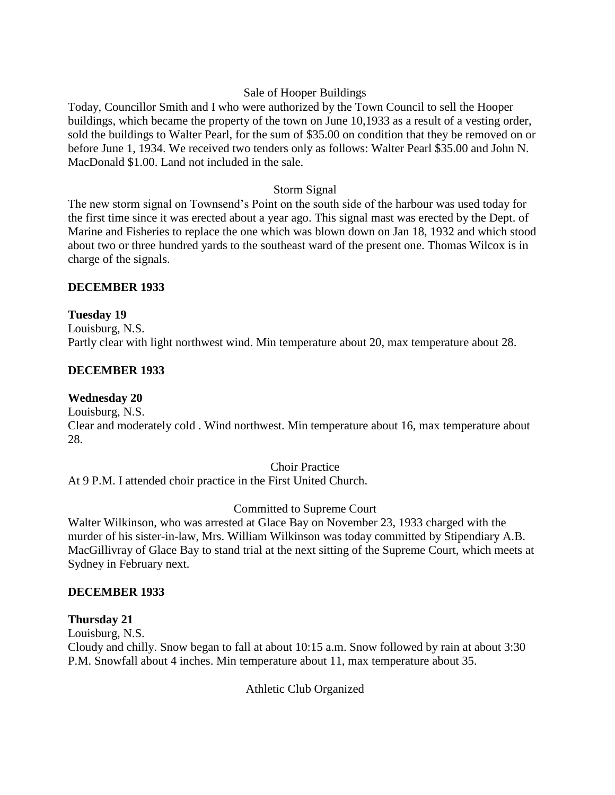## Sale of Hooper Buildings

Today, Councillor Smith and I who were authorized by the Town Council to sell the Hooper buildings, which became the property of the town on June 10,1933 as a result of a vesting order, sold the buildings to Walter Pearl, for the sum of \$35.00 on condition that they be removed on or before June 1, 1934. We received two tenders only as follows: Walter Pearl \$35.00 and John N. MacDonald \$1.00. Land not included in the sale.

### Storm Signal

The new storm signal on Townsend"s Point on the south side of the harbour was used today for the first time since it was erected about a year ago. This signal mast was erected by the Dept. of Marine and Fisheries to replace the one which was blown down on Jan 18, 1932 and which stood about two or three hundred yards to the southeast ward of the present one. Thomas Wilcox is in charge of the signals.

### **DECEMBER 1933**

### **Tuesday 19**

Louisburg, N.S. Partly clear with light northwest wind. Min temperature about 20, max temperature about 28.

## **DECEMBER 1933**

## **Wednesday 20**

Louisburg, N.S. Clear and moderately cold . Wind northwest. Min temperature about 16, max temperature about 28.

#### Choir Practice

At 9 P.M. I attended choir practice in the First United Church.

## Committed to Supreme Court

Walter Wilkinson, who was arrested at Glace Bay on November 23, 1933 charged with the murder of his sister-in-law, Mrs. William Wilkinson was today committed by Stipendiary A.B. MacGillivray of Glace Bay to stand trial at the next sitting of the Supreme Court, which meets at Sydney in February next.

#### **DECEMBER 1933**

## **Thursday 21**

Louisburg, N.S.

Cloudy and chilly. Snow began to fall at about 10:15 a.m. Snow followed by rain at about 3:30 P.M. Snowfall about 4 inches. Min temperature about 11, max temperature about 35.

Athletic Club Organized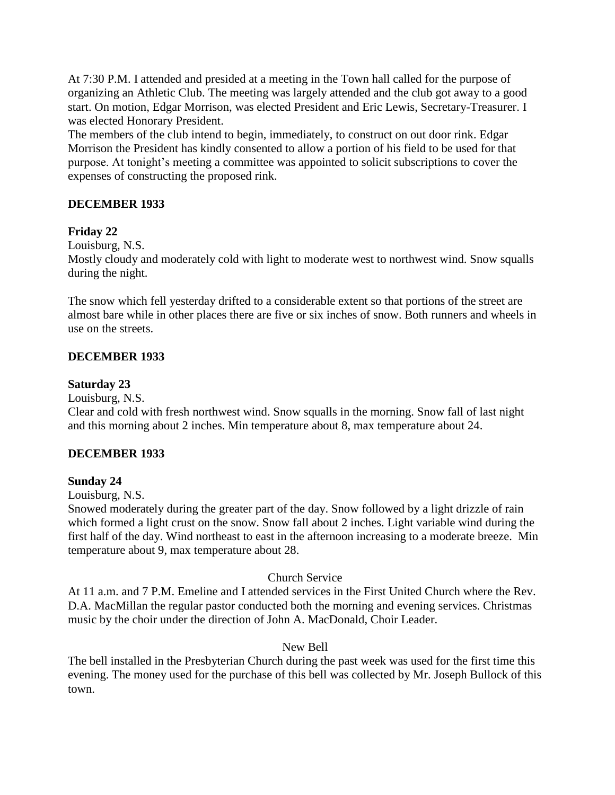At 7:30 P.M. I attended and presided at a meeting in the Town hall called for the purpose of organizing an Athletic Club. The meeting was largely attended and the club got away to a good start. On motion, Edgar Morrison, was elected President and Eric Lewis, Secretary-Treasurer. I was elected Honorary President.

The members of the club intend to begin, immediately, to construct on out door rink. Edgar Morrison the President has kindly consented to allow a portion of his field to be used for that purpose. At tonight"s meeting a committee was appointed to solicit subscriptions to cover the expenses of constructing the proposed rink.

# **DECEMBER 1933**

## **Friday 22**

Louisburg, N.S.

Mostly cloudy and moderately cold with light to moderate west to northwest wind. Snow squalls during the night.

The snow which fell yesterday drifted to a considerable extent so that portions of the street are almost bare while in other places there are five or six inches of snow. Both runners and wheels in use on the streets.

# **DECEMBER 1933**

### **Saturday 23**

Louisburg, N.S.

Clear and cold with fresh northwest wind. Snow squalls in the morning. Snow fall of last night and this morning about 2 inches. Min temperature about 8, max temperature about 24.

## **DECEMBER 1933**

## **Sunday 24**

Louisburg, N.S.

Snowed moderately during the greater part of the day. Snow followed by a light drizzle of rain which formed a light crust on the snow. Snow fall about 2 inches. Light variable wind during the first half of the day. Wind northeast to east in the afternoon increasing to a moderate breeze. Min temperature about 9, max temperature about 28.

#### Church Service

At 11 a.m. and 7 P.M. Emeline and I attended services in the First United Church where the Rev. D.A. MacMillan the regular pastor conducted both the morning and evening services. Christmas music by the choir under the direction of John A. MacDonald, Choir Leader.

## New Bell

The bell installed in the Presbyterian Church during the past week was used for the first time this evening. The money used for the purchase of this bell was collected by Mr. Joseph Bullock of this town.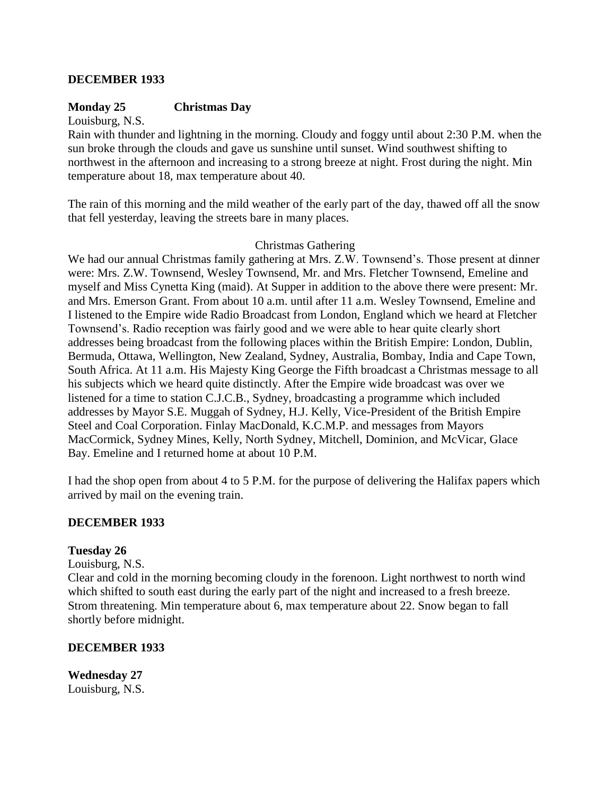#### **DECEMBER 1933**

### **Monday 25 Christmas Day**

Louisburg, N.S.

Rain with thunder and lightning in the morning. Cloudy and foggy until about 2:30 P.M. when the sun broke through the clouds and gave us sunshine until sunset. Wind southwest shifting to northwest in the afternoon and increasing to a strong breeze at night. Frost during the night. Min temperature about 18, max temperature about 40.

The rain of this morning and the mild weather of the early part of the day, thawed off all the snow that fell yesterday, leaving the streets bare in many places.

#### Christmas Gathering

We had our annual Christmas family gathering at Mrs. Z.W. Townsend's. Those present at dinner were: Mrs. Z.W. Townsend, Wesley Townsend, Mr. and Mrs. Fletcher Townsend, Emeline and myself and Miss Cynetta King (maid). At Supper in addition to the above there were present: Mr. and Mrs. Emerson Grant. From about 10 a.m. until after 11 a.m. Wesley Townsend, Emeline and I listened to the Empire wide Radio Broadcast from London, England which we heard at Fletcher Townsend"s. Radio reception was fairly good and we were able to hear quite clearly short addresses being broadcast from the following places within the British Empire: London, Dublin, Bermuda, Ottawa, Wellington, New Zealand, Sydney, Australia, Bombay, India and Cape Town, South Africa. At 11 a.m. His Majesty King George the Fifth broadcast a Christmas message to all his subjects which we heard quite distinctly. After the Empire wide broadcast was over we listened for a time to station C.J.C.B., Sydney, broadcasting a programme which included addresses by Mayor S.E. Muggah of Sydney, H.J. Kelly, Vice-President of the British Empire Steel and Coal Corporation. Finlay MacDonald, K.C.M.P. and messages from Mayors MacCormick, Sydney Mines, Kelly, North Sydney, Mitchell, Dominion, and McVicar, Glace Bay. Emeline and I returned home at about 10 P.M.

I had the shop open from about 4 to 5 P.M. for the purpose of delivering the Halifax papers which arrived by mail on the evening train.

#### **DECEMBER 1933**

#### **Tuesday 26**

Louisburg, N.S.

Clear and cold in the morning becoming cloudy in the forenoon. Light northwest to north wind which shifted to south east during the early part of the night and increased to a fresh breeze. Strom threatening. Min temperature about 6, max temperature about 22. Snow began to fall shortly before midnight.

#### **DECEMBER 1933**

**Wednesday 27** Louisburg, N.S.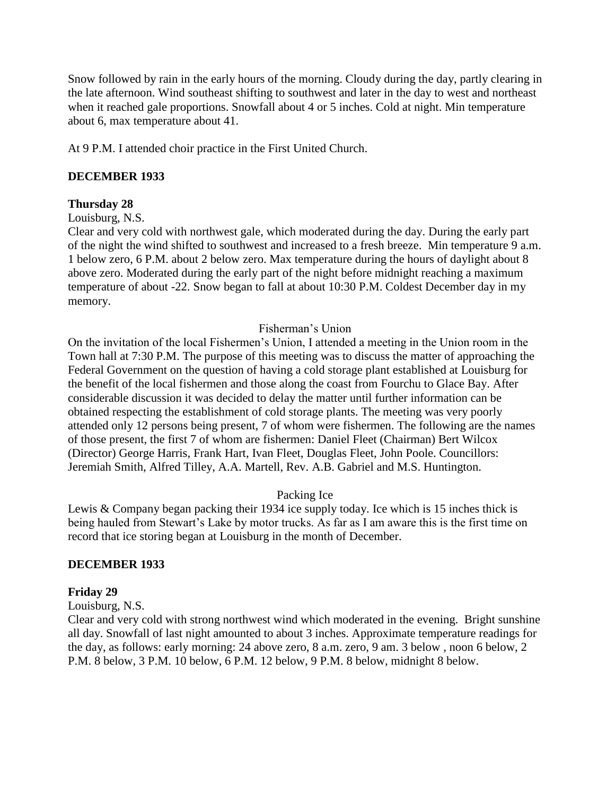Snow followed by rain in the early hours of the morning. Cloudy during the day, partly clearing in the late afternoon. Wind southeast shifting to southwest and later in the day to west and northeast when it reached gale proportions. Snowfall about 4 or 5 inches. Cold at night. Min temperature about 6, max temperature about 41.

At 9 P.M. I attended choir practice in the First United Church.

## **DECEMBER 1933**

### **Thursday 28**

#### Louisburg, N.S.

Clear and very cold with northwest gale, which moderated during the day. During the early part of the night the wind shifted to southwest and increased to a fresh breeze. Min temperature 9 a.m. 1 below zero, 6 P.M. about 2 below zero. Max temperature during the hours of daylight about 8 above zero. Moderated during the early part of the night before midnight reaching a maximum temperature of about -22. Snow began to fall at about 10:30 P.M. Coldest December day in my memory.

### Fisherman"s Union

On the invitation of the local Fishermen"s Union, I attended a meeting in the Union room in the Town hall at 7:30 P.M. The purpose of this meeting was to discuss the matter of approaching the Federal Government on the question of having a cold storage plant established at Louisburg for the benefit of the local fishermen and those along the coast from Fourchu to Glace Bay. After considerable discussion it was decided to delay the matter until further information can be obtained respecting the establishment of cold storage plants. The meeting was very poorly attended only 12 persons being present, 7 of whom were fishermen. The following are the names of those present, the first 7 of whom are fishermen: Daniel Fleet (Chairman) Bert Wilcox (Director) George Harris, Frank Hart, Ivan Fleet, Douglas Fleet, John Poole. Councillors: Jeremiah Smith, Alfred Tilley, A.A. Martell, Rev. A.B. Gabriel and M.S. Huntington.

#### Packing Ice

Lewis & Company began packing their 1934 ice supply today. Ice which is 15 inches thick is being hauled from Stewart's Lake by motor trucks. As far as I am aware this is the first time on record that ice storing began at Louisburg in the month of December.

## **DECEMBER 1933**

## **Friday 29**

#### Louisburg, N.S.

Clear and very cold with strong northwest wind which moderated in the evening. Bright sunshine all day. Snowfall of last night amounted to about 3 inches. Approximate temperature readings for the day, as follows: early morning: 24 above zero, 8 a.m. zero, 9 am. 3 below , noon 6 below, 2 P.M. 8 below, 3 P.M. 10 below, 6 P.M. 12 below, 9 P.M. 8 below, midnight 8 below.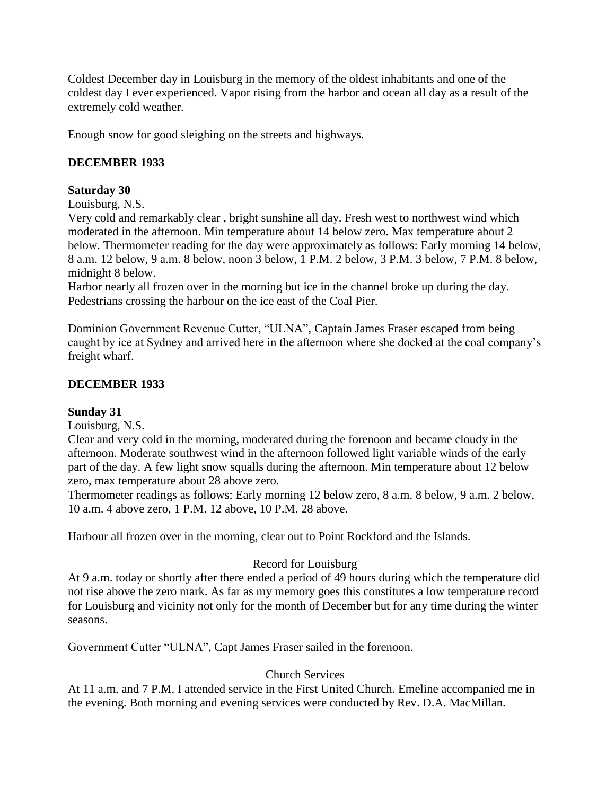Coldest December day in Louisburg in the memory of the oldest inhabitants and one of the coldest day I ever experienced. Vapor rising from the harbor and ocean all day as a result of the extremely cold weather.

Enough snow for good sleighing on the streets and highways.

# **DECEMBER 1933**

### **Saturday 30**

Louisburg, N.S.

Very cold and remarkably clear , bright sunshine all day. Fresh west to northwest wind which moderated in the afternoon. Min temperature about 14 below zero. Max temperature about 2 below. Thermometer reading for the day were approximately as follows: Early morning 14 below, 8 a.m. 12 below, 9 a.m. 8 below, noon 3 below, 1 P.M. 2 below, 3 P.M. 3 below, 7 P.M. 8 below, midnight 8 below.

Harbor nearly all frozen over in the morning but ice in the channel broke up during the day. Pedestrians crossing the harbour on the ice east of the Coal Pier.

Dominion Government Revenue Cutter, "ULNA", Captain James Fraser escaped from being caught by ice at Sydney and arrived here in the afternoon where she docked at the coal company"s freight wharf.

## **DECEMBER 1933**

## **Sunday 31**

Louisburg, N.S.

Clear and very cold in the morning, moderated during the forenoon and became cloudy in the afternoon. Moderate southwest wind in the afternoon followed light variable winds of the early part of the day. A few light snow squalls during the afternoon. Min temperature about 12 below zero, max temperature about 28 above zero.

Thermometer readings as follows: Early morning 12 below zero, 8 a.m. 8 below, 9 a.m. 2 below, 10 a.m. 4 above zero, 1 P.M. 12 above, 10 P.M. 28 above.

Harbour all frozen over in the morning, clear out to Point Rockford and the Islands.

## Record for Louisburg

At 9 a.m. today or shortly after there ended a period of 49 hours during which the temperature did not rise above the zero mark. As far as my memory goes this constitutes a low temperature record for Louisburg and vicinity not only for the month of December but for any time during the winter seasons.

Government Cutter "ULNA", Capt James Fraser sailed in the forenoon.

#### Church Services

At 11 a.m. and 7 P.M. I attended service in the First United Church. Emeline accompanied me in the evening. Both morning and evening services were conducted by Rev. D.A. MacMillan.